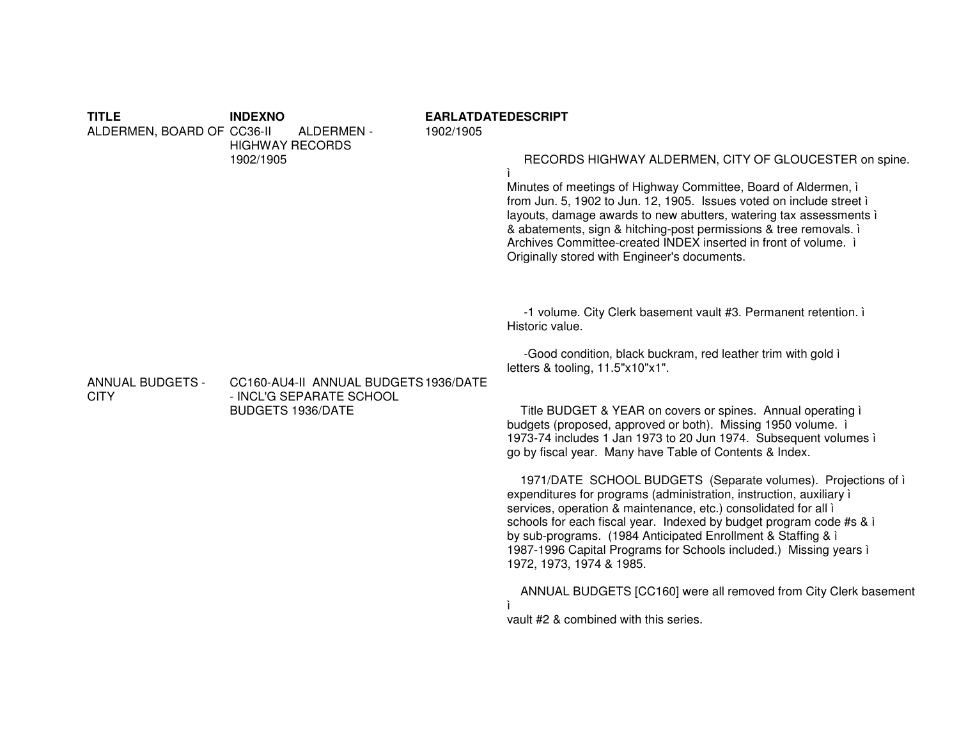## TITI F **INDEXNO EARLATDATEDESCRIPT** ALDERMEN, BOARD OF CC36-II ALDERMEN -1902/1905 **HIGHWAY RECORDS** 1902/1905 RECORDS HIGHWAY ALDERMEN, CITY OF GLOUCESTER on spine. Minutes of meetings of Highway Committee, Board of Aldermen, i from Jun. 5, 1902 to Jun. 12, 1905. Issues voted on include street i layouts, damage awards to new abutters, watering tax assessments i & abatements, sign & hitching-post permissions & tree removals. i Archives Committee-created INDEX inserted in front of volume. i Originally stored with Engineer's documents. -1 volume. City Clerk basement vault #3. Permanent retention. i Historic value -Good condition, black buckram, red leather trim with gold i letters & tooling, 11.5"x10"x1". **ANNUAL BUDGETS -**CC160-AU4-II ANNUAL BUDGETS 1936/DATE **CITY** - INCL'G SEPARATE SCHOOL **BUDGETS 1936/DATE** Title BUDGET & YEAR on covers or spines. Annual operating i budgets (proposed, approved or both). Missing 1950 volume. i 1973-74 includes 1 Jan 1973 to 20 Jun 1974. Subsequent volumes i go by fiscal year. Many have Table of Contents & Index. 1971/DATE SCHOOL BUDGETS (Separate volumes). Projections of i expenditures for programs (administration, instruction, auxiliary) services, operation & maintenance, etc.) consolidated for all i schools for each fiscal year. Indexed by budget program code #s & i by sub-programs. (1984 Anticipated Enrollment & Staffing & i 1987-1996 Capital Programs for Schools included.) Missing years i 1972, 1973, 1974 & 1985. ANNUAL BUDGETS [CC160] were all removed from City Clerk basement È. vault #2 & combined with this series.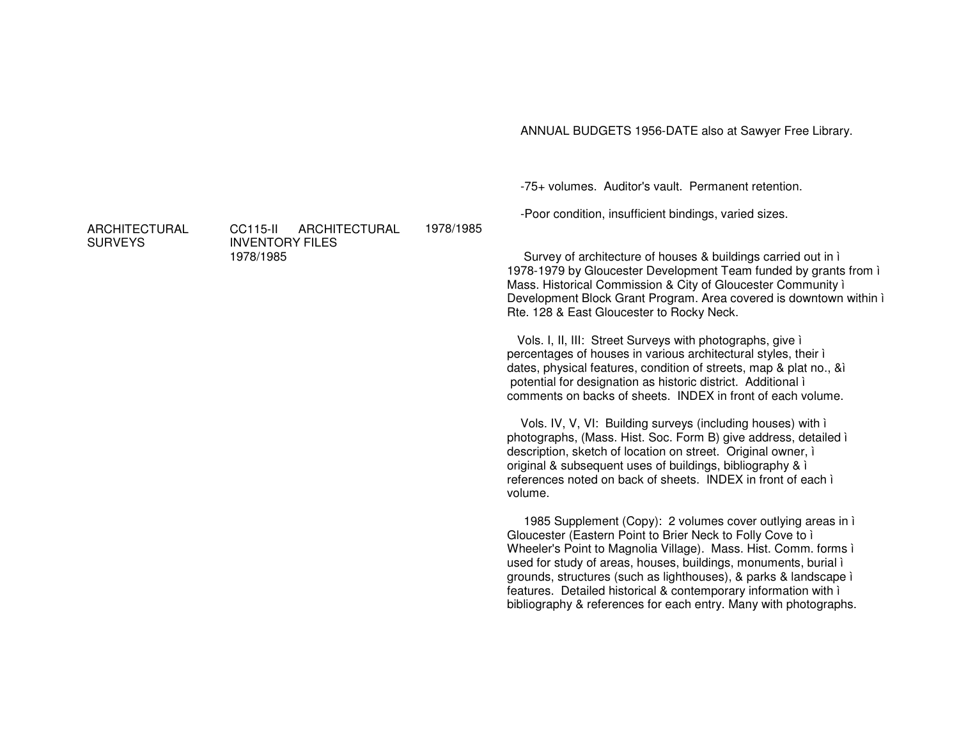ANNUAL BUDGETS 1956-DATE also at Sawyer Free Library.

-75+ volumes. Auditor's vault. Permanent retention.

-Poor condition, insufficient bindings, varied sizes.

Survey of architecture of houses & buildings carried out in ì 1978-1979 by Gloucester Development Team funded by grants from ì Mass. Historical Commission & City of Gloucester Community ì Development Block Grant Program. Area covered is downtown within ì Rte. 128 & East Gloucester to Rocky Neck.

Vols. I, II, III: Street Surveys with photographs, give ì percentages of houses in various architectural styles, their ì dates, physical features, condition of streets, map & plat no., &ì potential for designation as historic district. Additional ì comments on backs of sheets. INDEX in front of each volume.

Vols. IV, V, VI: Building surveys (including houses) with ì photographs, (Mass. Hist. Soc. Form B) give address, detailed ì description, sketch of location on street. Original owner, ì original & subsequent uses of buildings, bibliography & ì references noted on back of sheets. INDEX in front of each ì volume.

1985 Supplement (Copy): 2 volumes cover outlying areas in ì Gloucester (Eastern Point to Brier Neck to Folly Cove to ì Wheeler's Point to Magnolia Village). Mass. Hist. Comm. forms ì used for study of areas, houses, buildings, monuments, burial ì grounds, structures (such as lighthouses), & parks & landscape ì features. Detailed historical & contemporary information with ì bibliography & references for each entry. Many with photographs.

ARCHITECTURAL**SURVEYS** 

CC115-II ARCHITECTURALINVENTORY FILES 1978/19851978/1985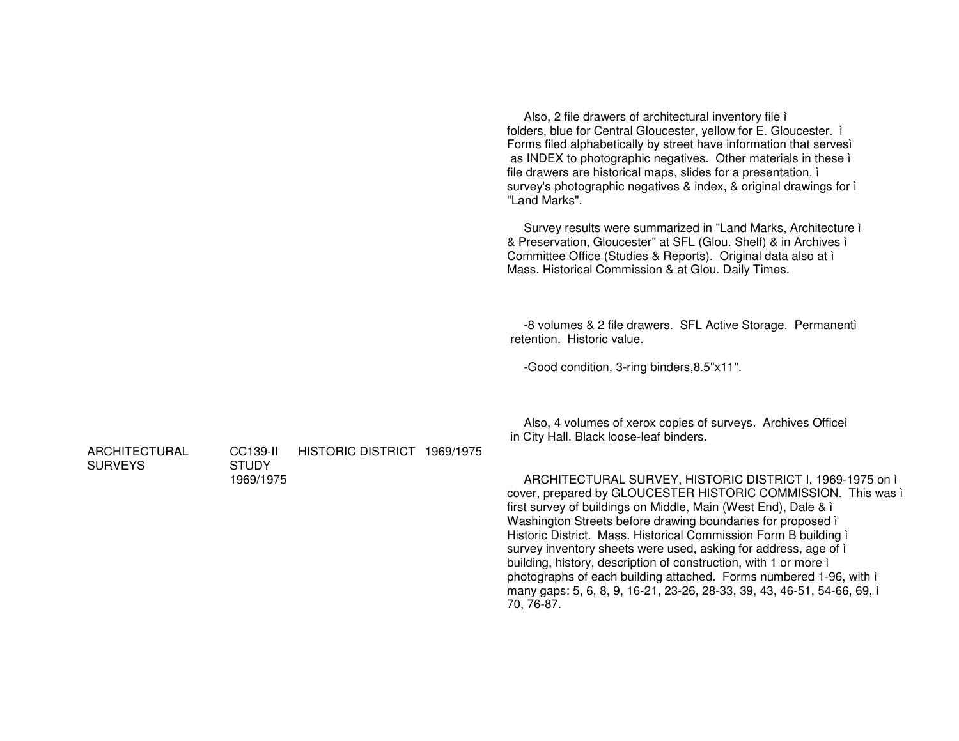Also, 2 file drawers of architectural inventory file ì folders, blue for Central Gloucester, yellow for E. Gloucester. ì Forms filed alphabetically by street have information that servesì as INDEX to photographic negatives. Other materials in these ì file drawers are historical maps, slides for <sup>a</sup> presentation, ì survey's photographic negatives & index, & original drawings for ì "Land Marks". Survey results were summarized in "Land Marks, Architecture ì & Preservation, Gloucester" at SFL (Glou. Shelf) & in Archives ì Committee Office (Studies & Reports). Original data also at ì Mass. Historical Commission & at Glou. Daily Times. -8 volumes & 2 file drawers. SFL Active Storage. Permanentì retention. Historic value. -Good condition, 3-ring binders,8.5"x11". Also, 4 volumes of xerox copies of surveys. Archives Officeì in City Hall. Black loose-leaf binders. CC139-II HISTORIC DISTRICT 1969/1975**STUDY** 1969/1975ARCHITECTURAL SURVEY, HISTORIC DISTRICT I, 1969-1975 on ì cover, prepared by GLOUCESTER HISTORIC COMMISSION. This was ì first survey of buildings on Middle, Main (West End), Dale & ì Washington Streets before drawing boundaries for proposed ì Historic District. Mass. Historical Commission Form B building ì survey inventory sheets were used, asking for address, age of i building, history, description of construction, with 1 or more ì photographs of each building attached. Forms numbered 1-96, with ì many gaps: 5, 6, 8, 9, 16-21, 23-26, 28-33, 39, 43, 46-51, 54-66, 69, ì 70, 76-87.

ARCHITECTURAL

**SURVEYS**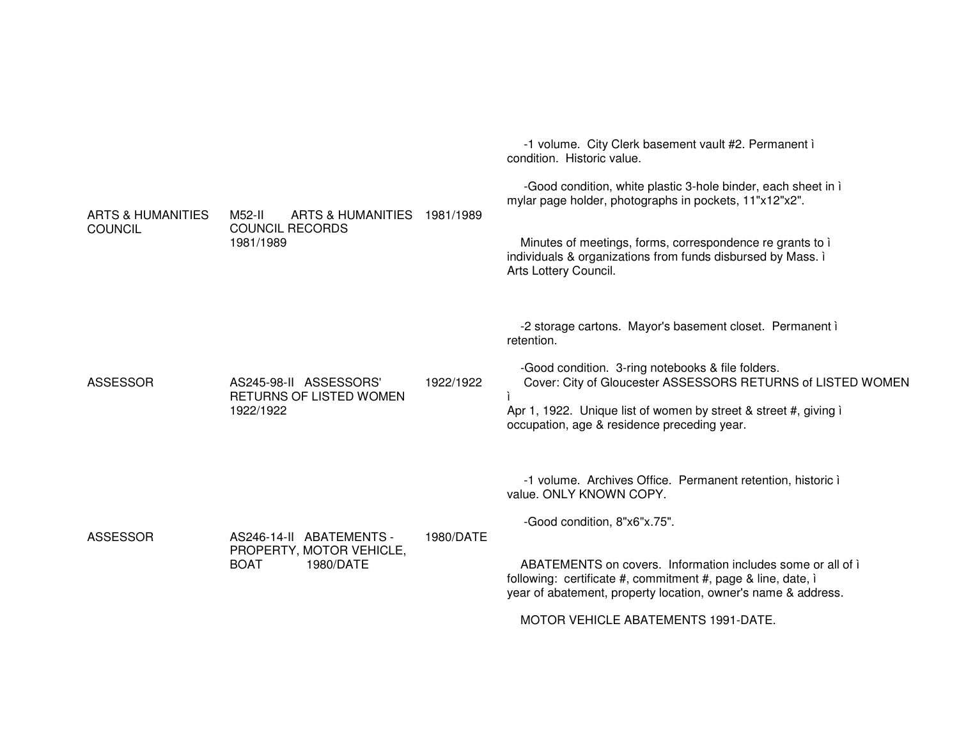| ARTS & HUMANITIES<br><b>COUNCIL</b> | M52-II<br>ARTS & HUMANITIES 1981/1989<br><b>COUNCIL RECORDS</b><br>1981/1989     |           | -1 volume. City Clerk basement vault #2. Permanent i<br>condition. Historic value.<br>-Good condition, white plastic 3-hole binder, each sheet in i<br>mylar page holder, photographs in pockets, 11"x12"x2".<br>Minutes of meetings, forms, correspondence re grants to i<br>individuals & organizations from funds disbursed by Mass. i<br>Arts Lottery Council. |
|-------------------------------------|----------------------------------------------------------------------------------|-----------|--------------------------------------------------------------------------------------------------------------------------------------------------------------------------------------------------------------------------------------------------------------------------------------------------------------------------------------------------------------------|
| <b>ASSESSOR</b>                     | AS245-98-II ASSESSORS'<br>RETURNS OF LISTED WOMEN<br>1922/1922                   | 1922/1922 | -2 storage cartons. Mayor's basement closet. Permanent i<br>retention.<br>-Good condition. 3-ring notebooks & file folders.<br>Cover: City of Gloucester ASSESSORS RETURNS of LISTED WOMEN<br>Apr 1, 1922. Unique list of women by street & street #, giving i<br>occupation, age & residence preceding year.                                                      |
| <b>ASSESSOR</b>                     | AS246-14-II ABATEMENTS -<br>PROPERTY, MOTOR VEHICLE,<br><b>BOAT</b><br>1980/DATE | 1980/DATE | -1 volume. Archives Office. Permanent retention, historic i<br>value. ONLY KNOWN COPY.<br>-Good condition, 8"x6"x.75".<br>ABATEMENTS on covers. Information includes some or all of i<br>following: certificate #, commitment #, page & line, date, i<br>year of abatement, property location, owner's name & address.<br>MOTOD VELUOLE ADATEMENTO 1001 DATE       |

MOTOR VEHICLE ABATEMENTS 1991-DATE.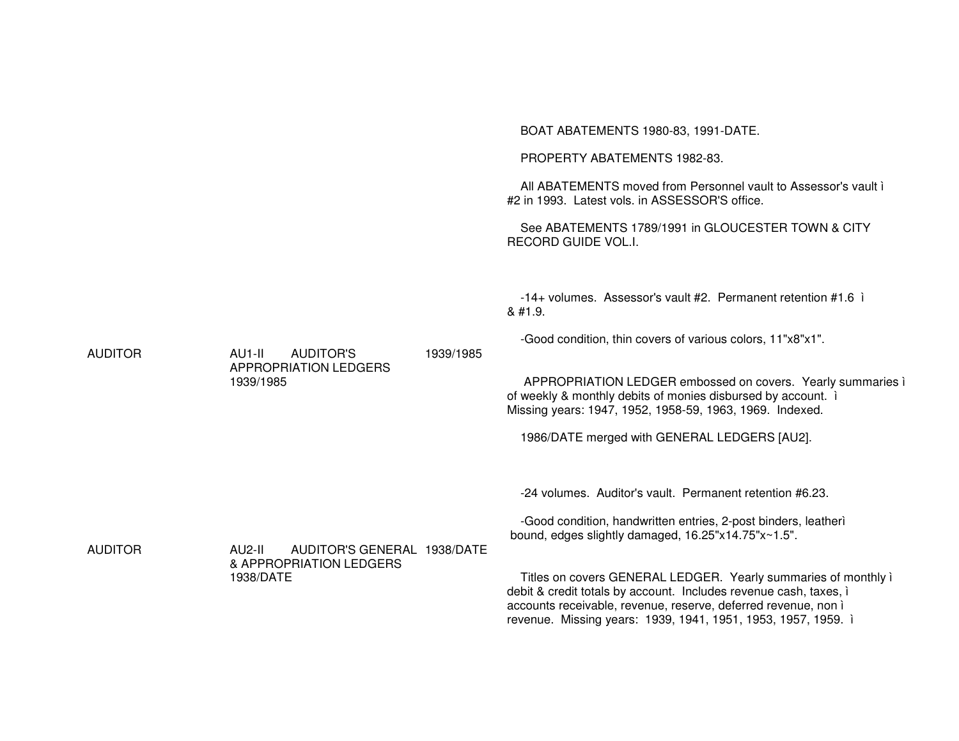|                |                                                                               |           | BOAT ABATEMENTS 1980-83, 1991-DATE.<br>PROPERTY ABATEMENTS 1982-83.<br>All ABATEMENTS moved from Personnel vault to Assessor's vault i<br>#2 in 1993. Latest vols. in ASSESSOR'S office.<br>See ABATEMENTS 1789/1991 in GLOUCESTER TOWN & CITY                                                                                                                                                                                                              |
|----------------|-------------------------------------------------------------------------------|-----------|-------------------------------------------------------------------------------------------------------------------------------------------------------------------------------------------------------------------------------------------------------------------------------------------------------------------------------------------------------------------------------------------------------------------------------------------------------------|
| <b>AUDITOR</b> | <b>AUDITOR'S</b><br>AU1-II<br><b>APPROPRIATION LEDGERS</b><br>1939/1985       | 1939/1985 | RECORD GUIDE VOL.I.<br>$-14+$ volumes. Assessor's vault #2. Permanent retention #1.6 i<br>& #1.9.<br>-Good condition, thin covers of various colors, 11"x8"x1".<br>APPROPRIATION LEDGER embossed on covers. Yearly summaries i<br>of weekly & monthly debits of monies disbursed by account. i<br>Missing years: 1947, 1952, 1958-59, 1963, 1969. Indexed.<br>1986/DATE merged with GENERAL LEDGERS [AU2].                                                  |
| <b>AUDITOR</b> | AUDITOR'S GENERAL 1938/DATE<br>AU2-II<br>& APPROPRIATION LEDGERS<br>1938/DATE |           | -24 volumes. Auditor's vault. Permanent retention #6.23.<br>-Good condition, handwritten entries, 2-post binders, leatheri<br>bound, edges slightly damaged, 16.25"x14.75"x~1.5".<br>Titles on covers GENERAL LEDGER. Yearly summaries of monthly i<br>debit & credit totals by account. Includes revenue cash, taxes, i<br>accounts receivable, revenue, reserve, deferred revenue, non i<br>revenue. Missing years: 1939, 1941, 1951, 1953, 1957, 1959. i |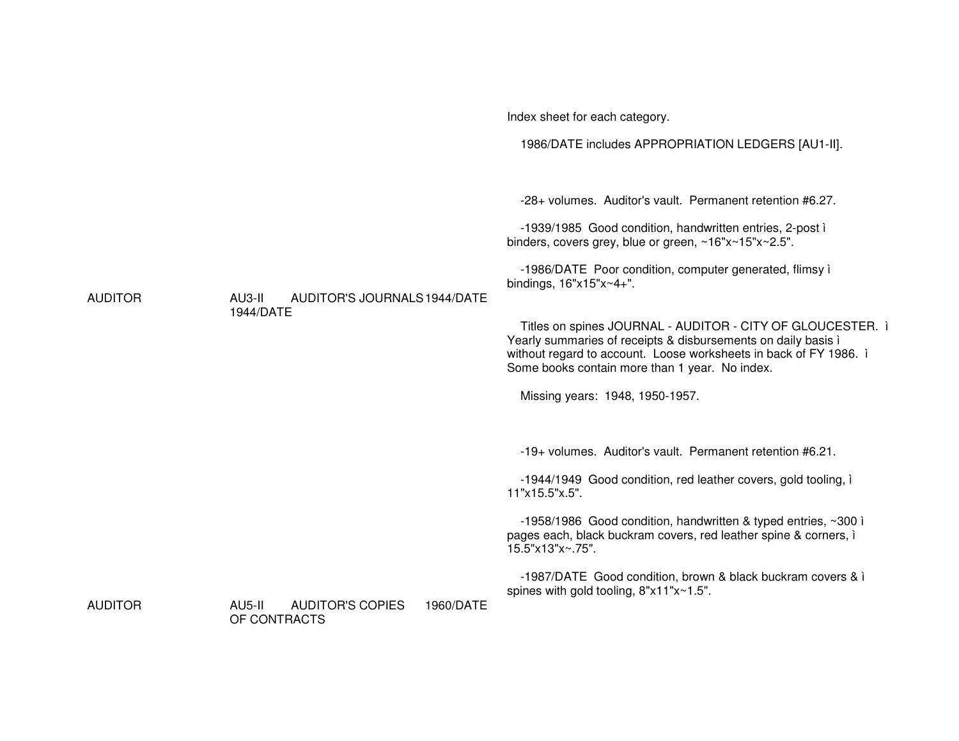|                |                                                                | Index sheet for each category.                                                                                                                                                                                                                     |
|----------------|----------------------------------------------------------------|----------------------------------------------------------------------------------------------------------------------------------------------------------------------------------------------------------------------------------------------------|
|                |                                                                | 1986/DATE includes APPROPRIATION LEDGERS [AU1-II].                                                                                                                                                                                                 |
|                |                                                                | -28+ volumes. Auditor's vault. Permanent retention #6.27.                                                                                                                                                                                          |
| <b>AUDITOR</b> |                                                                | -1939/1985 Good condition, handwritten entries, 2-post i<br>binders, covers grey, blue or green, ~16"x~15"x~2.5".                                                                                                                                  |
|                | AU3-II<br>AUDITOR'S JOURNALS 1944/DATE                         | -1986/DATE Poor condition, computer generated, flimsy i<br>bindings, $16"x15"x~4+".$                                                                                                                                                               |
|                | 1944/DATE                                                      | Titles on spines JOURNAL - AUDITOR - CITY OF GLOUCESTER. i<br>Yearly summaries of receipts & disbursements on daily basis i<br>without regard to account. Loose worksheets in back of FY 1986. i<br>Some books contain more than 1 year. No index. |
|                |                                                                | Missing years: 1948, 1950-1957.                                                                                                                                                                                                                    |
|                |                                                                | -19+ volumes. Auditor's vault. Permanent retention #6.21.                                                                                                                                                                                          |
|                |                                                                | -1944/1949 Good condition, red leather covers, gold tooling, i<br>11"x15.5"x.5".                                                                                                                                                                   |
|                |                                                                | -1958/1986 Good condition, handwritten & typed entries, ~300 i<br>pages each, black buckram covers, red leather spine & corners, i<br>15.5"x13"x~.75".                                                                                             |
|                |                                                                | -1987/DATE Good condition, brown & black buckram covers & i<br>spines with gold tooling, 8"x11"x~1.5".                                                                                                                                             |
| <b>AUDITOR</b> | AU5-II<br><b>AUDITOR'S COPIES</b><br>1960/DATE<br>OF CONTRACTS |                                                                                                                                                                                                                                                    |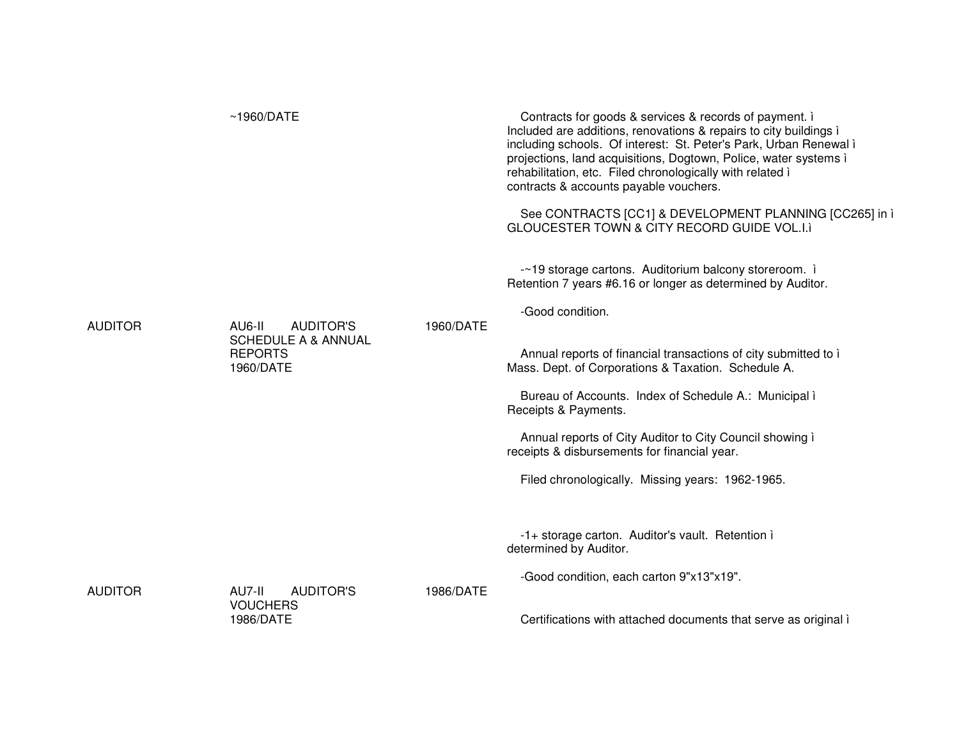|         | ~1960/DATE                                                                                  |           | Contracts for goods & services & records of payment. i<br>Included are additions, renovations & repairs to city buildings i<br>including schools. Of interest: St. Peter's Park, Urban Renewal i<br>projections, land acquisitions, Dogtown, Police, water systems i<br>rehabilitation, etc. Filed chronologically with related i<br>contracts & accounts payable vouchers.<br>See CONTRACTS [CC1] & DEVELOPMENT PLANNING [CC265] in i<br>GLOUCESTER TOWN & CITY RECORD GUIDE VOL.I.I                               |
|---------|---------------------------------------------------------------------------------------------|-----------|---------------------------------------------------------------------------------------------------------------------------------------------------------------------------------------------------------------------------------------------------------------------------------------------------------------------------------------------------------------------------------------------------------------------------------------------------------------------------------------------------------------------|
| AUDITOR | AU6-II<br><b>AUDITOR'S</b><br><b>SCHEDULE A &amp; ANNUAL</b><br><b>REPORTS</b><br>1960/DATE | 1960/DATE | -~19 storage cartons. Auditorium balcony storeroom. i<br>Retention 7 years #6.16 or longer as determined by Auditor.<br>-Good condition.<br>Annual reports of financial transactions of city submitted to i<br>Mass. Dept. of Corporations & Taxation. Schedule A.<br>Bureau of Accounts. Index of Schedule A.: Municipal i<br>Receipts & Payments.<br>Annual reports of City Auditor to City Council showing i<br>receipts & disbursements for financial year.<br>Filed chronologically. Missing years: 1962-1965. |
| AUDITOR | AU7-II<br><b>AUDITOR'S</b><br><b>VOUCHERS</b><br>1986/DATE                                  | 1986/DATE | -1+ storage carton. Auditor's vault. Retention i<br>determined by Auditor.<br>-Good condition, each carton 9"x13"x19".<br>Certifications with attached documents that serve as original i                                                                                                                                                                                                                                                                                                                           |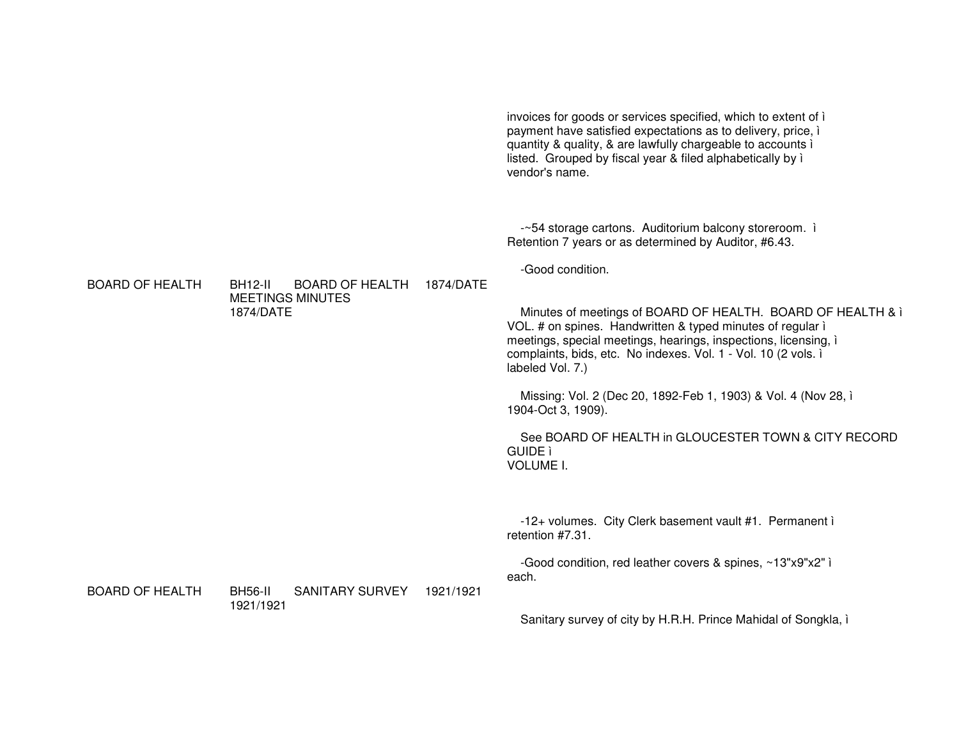|                        |                                                                                  |           | invoices for goods or services specified, which to extent of i<br>payment have satisfied expectations as to delivery, price, i<br>quantity & quality, & are lawfully chargeable to accounts i<br>listed. Grouped by fiscal year & filed alphabetically by i<br>vendor's name.                                                                                                                                                                                                                                                                                                                                  |
|------------------------|----------------------------------------------------------------------------------|-----------|----------------------------------------------------------------------------------------------------------------------------------------------------------------------------------------------------------------------------------------------------------------------------------------------------------------------------------------------------------------------------------------------------------------------------------------------------------------------------------------------------------------------------------------------------------------------------------------------------------------|
| <b>BOARD OF HEALTH</b> | <b>BH12-II</b><br><b>BOARD OF HEALTH</b><br><b>MEETINGS MINUTES</b><br>1874/DATE | 1874/DATE | -~54 storage cartons. Auditorium balcony storeroom. i<br>Retention 7 years or as determined by Auditor, #6.43.<br>-Good condition.<br>Minutes of meetings of BOARD OF HEALTH. BOARD OF HEALTH & i<br>VOL. # on spines. Handwritten & typed minutes of regular i<br>meetings, special meetings, hearings, inspections, licensing, i<br>complaints, bids, etc. No indexes. Vol. 1 - Vol. 10 (2 vols. i<br>labeled Vol. 7.)<br>Missing: Vol. 2 (Dec 20, 1892-Feb 1, 1903) & Vol. 4 (Nov 28, i<br>1904-Oct 3, 1909).<br>See BOARD OF HEALTH in GLOUCESTER TOWN & CITY RECORD<br><b>GUIDE</b> ì<br><b>VOLUME I.</b> |
| <b>BOARD OF HEALTH</b> | <b>BH56-II</b><br><b>SANITARY SURVEY</b>                                         | 1921/1921 | -12+ volumes. City Clerk basement vault #1. Permanent i<br>retention #7.31.<br>-Good condition, red leather covers & spines, ~13"x9"x2" i<br>each.                                                                                                                                                                                                                                                                                                                                                                                                                                                             |
|                        | 1921/1921                                                                        |           | Sanitary survey of city by H.R.H. Prince Mahidal of Songkla, i                                                                                                                                                                                                                                                                                                                                                                                                                                                                                                                                                 |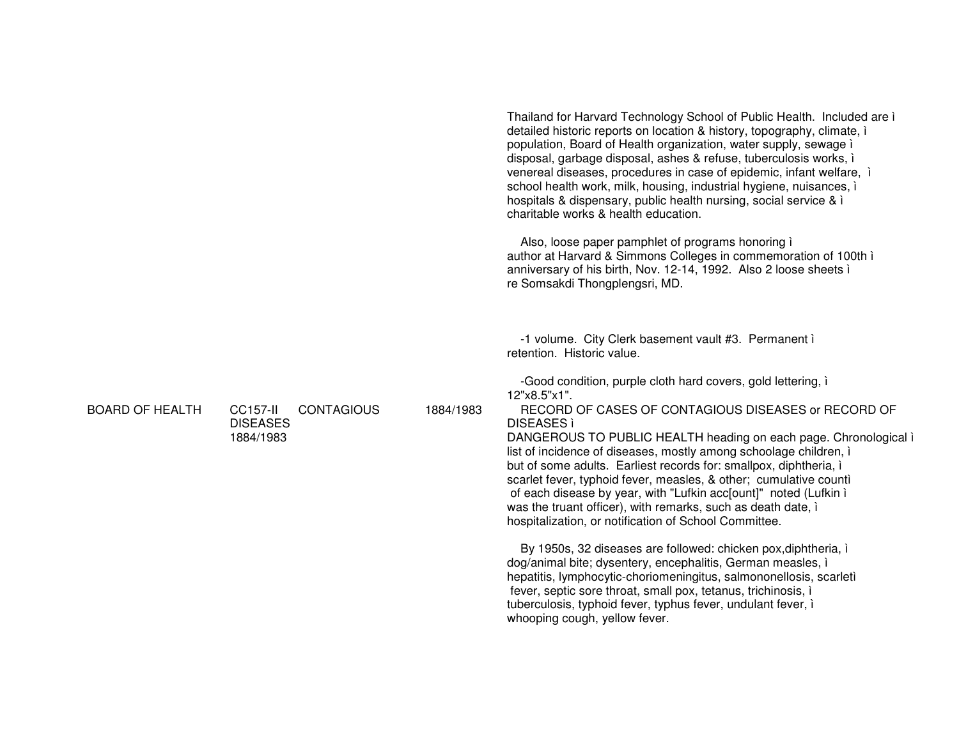|                        |                                                         |           | Thailand for Harvard Technology School of Public Health. Included are i<br>detailed historic reports on location & history, topography, climate, i<br>population, Board of Health organization, water supply, sewage i<br>disposal, garbage disposal, ashes & refuse, tuberculosis works, i<br>venereal diseases, procedures in case of epidemic, infant welfare, i<br>school health work, milk, housing, industrial hygiene, nuisances, i<br>hospitals & dispensary, public health nursing, social service & i<br>charitable works & health education. |
|------------------------|---------------------------------------------------------|-----------|---------------------------------------------------------------------------------------------------------------------------------------------------------------------------------------------------------------------------------------------------------------------------------------------------------------------------------------------------------------------------------------------------------------------------------------------------------------------------------------------------------------------------------------------------------|
|                        |                                                         |           | Also, loose paper pamphlet of programs honoring i<br>author at Harvard & Simmons Colleges in commemoration of 100th i<br>anniversary of his birth, Nov. 12-14, 1992. Also 2 loose sheets i<br>re Somsakdi Thongplengsri, MD.                                                                                                                                                                                                                                                                                                                            |
|                        |                                                         |           | -1 volume. City Clerk basement vault #3. Permanent i<br>retention. Historic value.                                                                                                                                                                                                                                                                                                                                                                                                                                                                      |
|                        |                                                         |           | -Good condition, purple cloth hard covers, gold lettering, i<br>12"x8.5"x1".                                                                                                                                                                                                                                                                                                                                                                                                                                                                            |
| <b>BOARD OF HEALTH</b> | <b>CC157-II</b><br><b>CONTAGIOUS</b><br><b>DISEASES</b> | 1884/1983 | RECORD OF CASES OF CONTAGIOUS DISEASES or RECORD OF<br><b>DISEASES</b>                                                                                                                                                                                                                                                                                                                                                                                                                                                                                  |
|                        | 1884/1983                                               |           | DANGEROUS TO PUBLIC HEALTH heading on each page. Chronological i<br>list of incidence of diseases, mostly among schoolage children, i<br>but of some adults. Earliest records for: smallpox, diphtheria, i<br>scarlet fever, typhoid fever, measles, & other; cumulative counti<br>of each disease by year, with "Lufkin acc[ount]" noted (Lufkin i<br>was the truant officer), with remarks, such as death date, i<br>hospitalization, or notification of School Committee.                                                                            |
|                        |                                                         |           | By 1950s, 32 diseases are followed: chicken pox, diphtheria, i<br>dog/animal bite; dysentery, encephalitis, German measles, i<br>hepatitis, lymphocytic-choriomeningitus, salmononellosis, scarletì<br>fever, septic sore throat, small pox, tetanus, trichinosis, i<br>tuberculosis, typhoid fever, typhus fever, undulant fever, i<br>whooping cough, yellow fever.                                                                                                                                                                                   |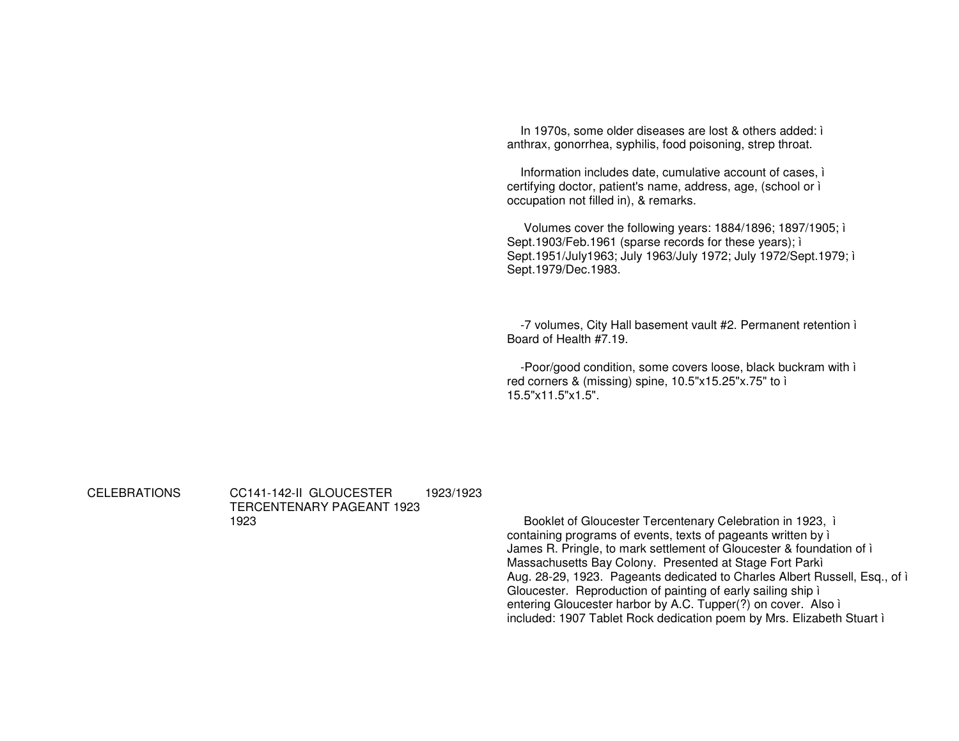In 1970s, some older diseases are lost & others added: i anthrax, gonorrhea, syphilis, food poisoning, strep throat.

Information includes date, cumulative account of cases, i certifying doctor, patient's name, address, age, (school or i occupation not filled in), & remarks.

Volumes cover the following years: 1884/1896; 1897/1905; i Sept.1903/Feb.1961 (sparse records for these years); i Sept.1951/July1963; July 1963/July 1972; July 1972/Sept.1979; i Sept.1979/Dec.1983.

-7 volumes, City Hall basement vault #2. Permanent retention i Board of Health #7.19.

-Poor/good condition, some covers loose, black buckram with i red corners & (missing) spine, 10.5"x15.25"x.75" to i  $15.5"x11.5"x1.5"$ 

**CELEBRATIONS** 

CC141-142-II GLOUCESTER 1923/1923 TERCENTENARY PAGEANT 1923 1923

Booklet of Gloucester Tercentenary Celebration in 1923, i containing programs of events, texts of pageants written by i James R. Pringle, to mark settlement of Gloucester & foundation of i Massachusetts Bay Colony. Presented at Stage Fort Parki Aug. 28-29, 1923. Pageants dedicated to Charles Albert Russell, Esq., of i Gloucester. Reproduction of painting of early sailing ship i entering Gloucester harbor by A.C. Tupper(?) on cover. Also i included: 1907 Tablet Rock dedication poem by Mrs. Elizabeth Stuart i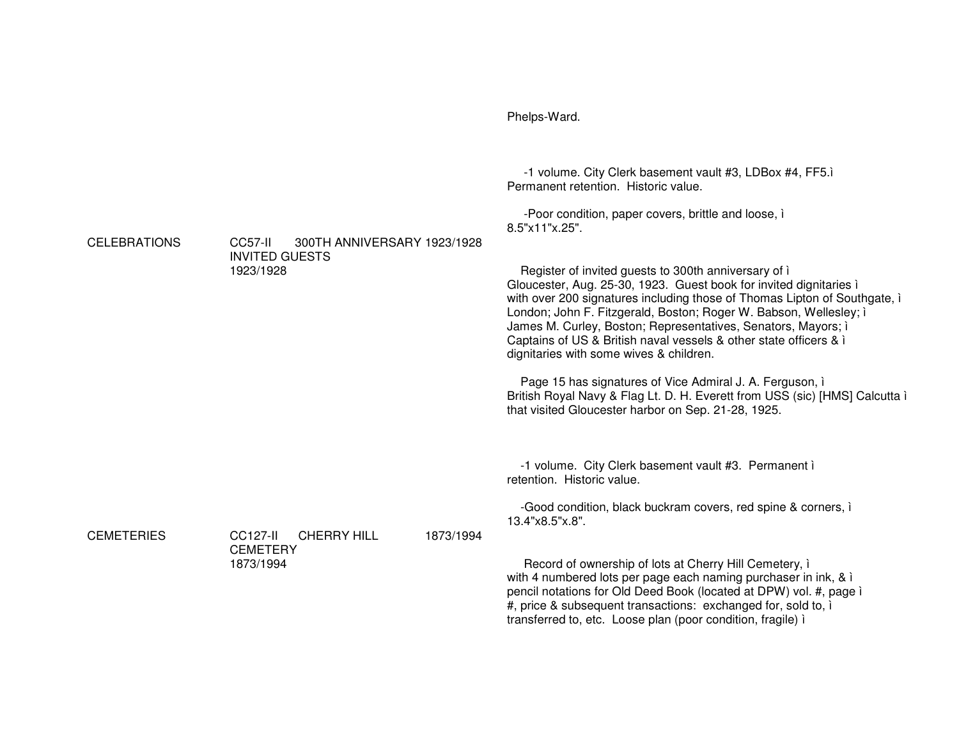|                     |                                                                                    | -1 volume. City Clerk basement vault #3, LDBox #4, FF5.i<br>Permanent retention. Historic value.<br>-Poor condition, paper covers, brittle and loose, i                                                                                                                                                                                                                                                                                                                                                                                                                                                                                                                           |
|---------------------|------------------------------------------------------------------------------------|-----------------------------------------------------------------------------------------------------------------------------------------------------------------------------------------------------------------------------------------------------------------------------------------------------------------------------------------------------------------------------------------------------------------------------------------------------------------------------------------------------------------------------------------------------------------------------------------------------------------------------------------------------------------------------------|
| <b>CELEBRATIONS</b> | CC57-II<br>300TH ANNIVERSARY 1923/1928<br><b>INVITED GUESTS</b><br>1923/1928       | 8.5"x11"x.25".<br>Register of invited guests to 300th anniversary of i<br>Gloucester, Aug. 25-30, 1923. Guest book for invited dignitaries i<br>with over 200 signatures including those of Thomas Lipton of Southgate, i<br>London; John F. Fitzgerald, Boston; Roger W. Babson, Wellesley; i<br>James M. Curley, Boston; Representatives, Senators, Mayors; i<br>Captains of US & British naval vessels & other state officers & i<br>dignitaries with some wives & children.<br>Page 15 has signatures of Vice Admiral J. A. Ferguson, i<br>British Royal Navy & Flag Lt. D. H. Everett from USS (sic) [HMS] Calcutta i<br>that visited Gloucester harbor on Sep. 21-28, 1925. |
| <b>CEMETERIES</b>   | <b>CC127-II</b><br><b>CHERRY HILL</b><br>1873/1994<br><b>CEMETERY</b><br>1873/1994 | -1 volume. City Clerk basement vault #3. Permanent i<br>retention. Historic value.<br>-Good condition, black buckram covers, red spine & corners, i<br>13.4"x8.5"x.8".<br>Record of ownership of lots at Cherry Hill Cemetery, i<br>with 4 numbered lots per page each naming purchaser in ink, & i<br>pencil notations for Old Deed Book (located at DPW) vol. #, page i<br>#, price & subsequent transactions: exchanged for, sold to, if<br>transferred to, etc. Loose plan (poor condition, fragile) i                                                                                                                                                                        |

Phelps-Ward.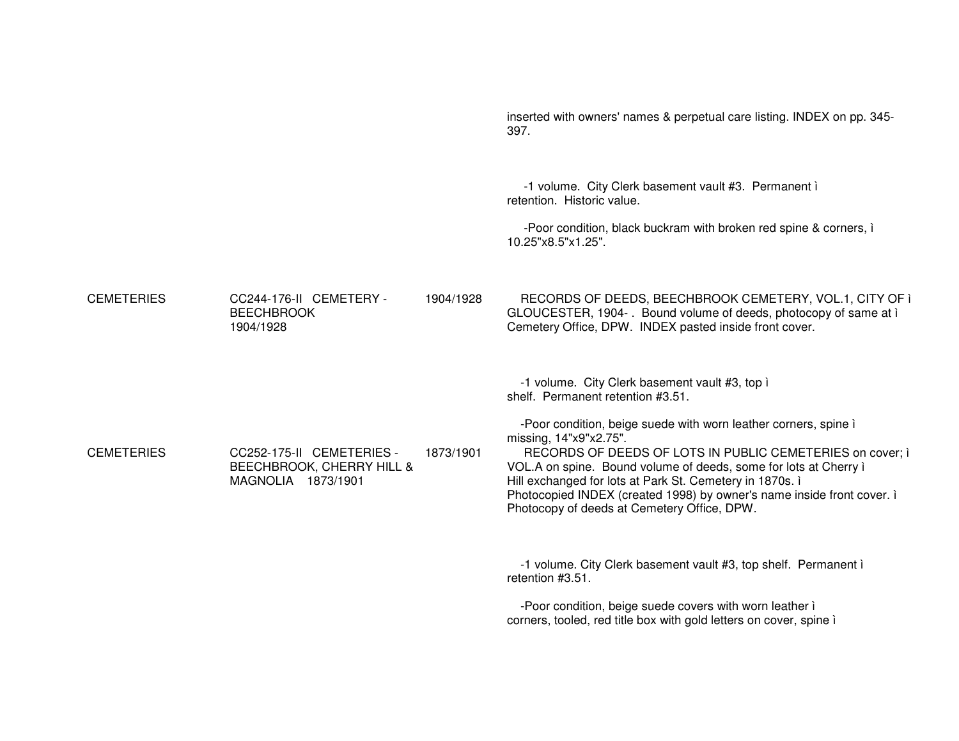|                   |                                                                              |           | inserted with owners' names & perpetual care listing. INDEX on pp. 345-<br>397.                                                                                                                                                                                                                                                                                                                                 |
|-------------------|------------------------------------------------------------------------------|-----------|-----------------------------------------------------------------------------------------------------------------------------------------------------------------------------------------------------------------------------------------------------------------------------------------------------------------------------------------------------------------------------------------------------------------|
|                   |                                                                              |           | -1 volume. City Clerk basement vault #3. Permanent i<br>retention. Historic value.                                                                                                                                                                                                                                                                                                                              |
|                   |                                                                              |           | -Poor condition, black buckram with broken red spine & corners, i<br>10.25"x8.5"x1.25".                                                                                                                                                                                                                                                                                                                         |
| <b>CEMETERIES</b> | CC244-176-II CEMETERY -<br><b>BEECHBROOK</b><br>1904/1928                    | 1904/1928 | RECORDS OF DEEDS, BEECHBROOK CEMETERY, VOL.1, CITY OF i<br>GLOUCESTER, 1904-. Bound volume of deeds, photocopy of same at i<br>Cemetery Office, DPW. INDEX pasted inside front cover.                                                                                                                                                                                                                           |
|                   |                                                                              |           | -1 volume. City Clerk basement vault #3, top i<br>shelf. Permanent retention #3.51.                                                                                                                                                                                                                                                                                                                             |
| <b>CEMETERIES</b> | CC252-175-II CEMETERIES -<br>BEECHBROOK, CHERRY HILL &<br>MAGNOLIA 1873/1901 | 1873/1901 | -Poor condition, beige suede with worn leather corners, spine i<br>missing, 14"x9"x2.75".<br>RECORDS OF DEEDS OF LOTS IN PUBLIC CEMETERIES on cover; i<br>VOL.A on spine. Bound volume of deeds, some for lots at Cherry i<br>Hill exchanged for lots at Park St. Cemetery in 1870s. i<br>Photocopied INDEX (created 1998) by owner's name inside front cover. i<br>Photocopy of deeds at Cemetery Office, DPW. |
|                   |                                                                              |           | -1 volume. City Clerk basement vault #3, top shelf. Permanent i<br>retention #3.51.                                                                                                                                                                                                                                                                                                                             |
|                   |                                                                              |           | -Poor condition, beige suede covers with worn leather i<br>corners, tooled, red title box with gold letters on cover, spine i                                                                                                                                                                                                                                                                                   |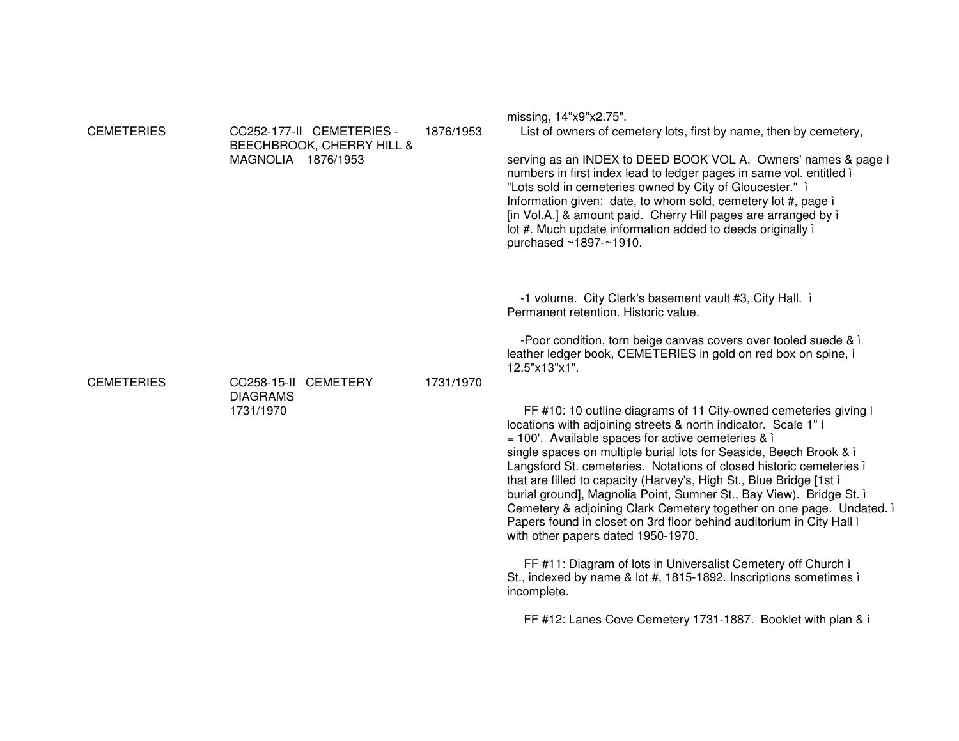| <b>CEMETERIES</b> | MAGNOLIA 1876/1953           | CC252-177-II CEMETERIES -<br>BEECHBROOK, CHERRY HILL & | 1876/1953 | missing, 14"x9"x2.75".<br>List of owners of cemetery lots, first by name, then by cemetery,<br>serving as an INDEX to DEED BOOK VOL A. Owners' names & page i<br>numbers in first index lead to ledger pages in same vol. entitled i<br>"Lots sold in cemeteries owned by City of Gloucester." i<br>Information given: date, to whom sold, cemetery lot #, page i<br>[in Vol.A.] & amount paid. Cherry Hill pages are arranged by i<br>lot #. Much update information added to deeds originally i<br>purchased ~1897-~1910.                                                                                                                                                  |
|-------------------|------------------------------|--------------------------------------------------------|-----------|------------------------------------------------------------------------------------------------------------------------------------------------------------------------------------------------------------------------------------------------------------------------------------------------------------------------------------------------------------------------------------------------------------------------------------------------------------------------------------------------------------------------------------------------------------------------------------------------------------------------------------------------------------------------------|
| <b>CEMETERIES</b> | CC258-15-II CEMETERY         |                                                        | 1731/1970 | -1 volume. City Clerk's basement vault #3, City Hall. i<br>Permanent retention. Historic value.<br>-Poor condition, torn beige canvas covers over tooled suede & i<br>leather ledger book, CEMETERIES in gold on red box on spine, i<br>12.5"x13"x1".                                                                                                                                                                                                                                                                                                                                                                                                                        |
|                   | <b>DIAGRAMS</b><br>1731/1970 |                                                        |           | FF #10: 10 outline diagrams of 11 City-owned cemeteries giving i<br>locations with adjoining streets & north indicator. Scale 1" i<br>$= 100'$ . Available spaces for active cemeteries & i<br>single spaces on multiple burial lots for Seaside, Beech Brook & i<br>Langsford St. cemeteries. Notations of closed historic cemeteries i<br>that are filled to capacity (Harvey's, High St., Blue Bridge [1st i<br>burial ground], Magnolia Point, Sumner St., Bay View). Bridge St. i<br>Cemetery & adjoining Clark Cemetery together on one page. Undated. i<br>Papers found in closet on 3rd floor behind auditorium in City Hall i<br>with other papers dated 1950-1970. |
|                   |                              |                                                        |           | FF #11: Diagram of lots in Universalist Cemetery off Church i<br>St., indexed by name & lot #, 1815-1892. Inscriptions sometimes i<br>incomplete.                                                                                                                                                                                                                                                                                                                                                                                                                                                                                                                            |
|                   |                              |                                                        |           | FF #12: Lanes Cove Cemetery 1731-1887. Booklet with plan & i                                                                                                                                                                                                                                                                                                                                                                                                                                                                                                                                                                                                                 |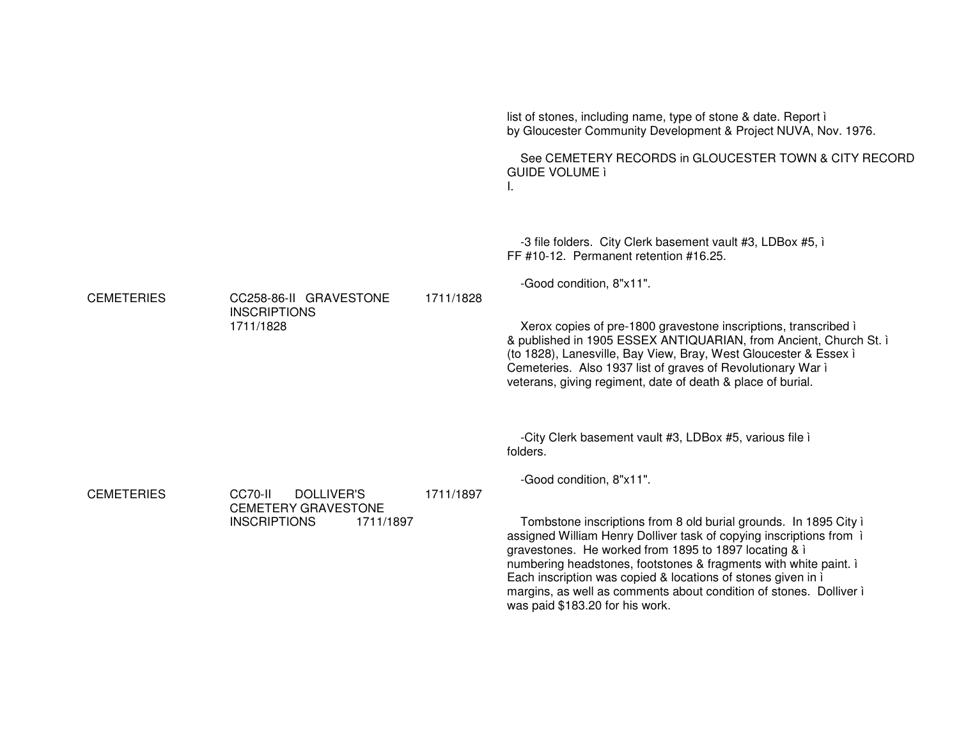|                   |                                                                                                |           | list of stones, including name, type of stone & date. Report i<br>by Gloucester Community Development & Project NUVA, Nov. 1976.                                                                                                                                                                                                                                                                                                                                                                                                                 |
|-------------------|------------------------------------------------------------------------------------------------|-----------|--------------------------------------------------------------------------------------------------------------------------------------------------------------------------------------------------------------------------------------------------------------------------------------------------------------------------------------------------------------------------------------------------------------------------------------------------------------------------------------------------------------------------------------------------|
|                   |                                                                                                |           | See CEMETERY RECORDS in GLOUCESTER TOWN & CITY RECORD<br><b>GUIDE VOLUME ì</b><br>ı.                                                                                                                                                                                                                                                                                                                                                                                                                                                             |
| <b>CEMETERIES</b> | CC258-86-II GRAVESTONE<br><b>INSCRIPTIONS</b><br>1711/1828                                     | 1711/1828 | -3 file folders. City Clerk basement vault #3, LDBox #5, i<br>FF #10-12. Permanent retention #16.25.<br>-Good condition, 8"x11".<br>Xerox copies of pre-1800 gravestone inscriptions, transcribed i<br>& published in 1905 ESSEX ANTIQUARIAN, from Ancient, Church St. ì<br>(to 1828), Lanesville, Bay View, Bray, West Gloucester & Essex i<br>Cemeteries. Also 1937 list of graves of Revolutionary War i<br>veterans, giving regiment, date of death & place of burial.                                                                       |
| <b>CEMETERIES</b> | CC70-II<br><b>DOLLIVER'S</b><br><b>CEMETERY GRAVESTONE</b><br><b>INSCRIPTIONS</b><br>1711/1897 | 1711/1897 | -City Clerk basement vault #3, LDBox #5, various file i<br>folders.<br>-Good condition, 8"x11".<br>Tombstone inscriptions from 8 old burial grounds. In 1895 City i<br>assigned William Henry Dolliver task of copying inscriptions from i<br>gravestones. He worked from 1895 to 1897 locating & i<br>numbering headstones, footstones & fragments with white paint. i<br>Each inscription was copied & locations of stones given in i<br>margins, as well as comments about condition of stones. Dolliver i<br>was paid \$183.20 for his work. |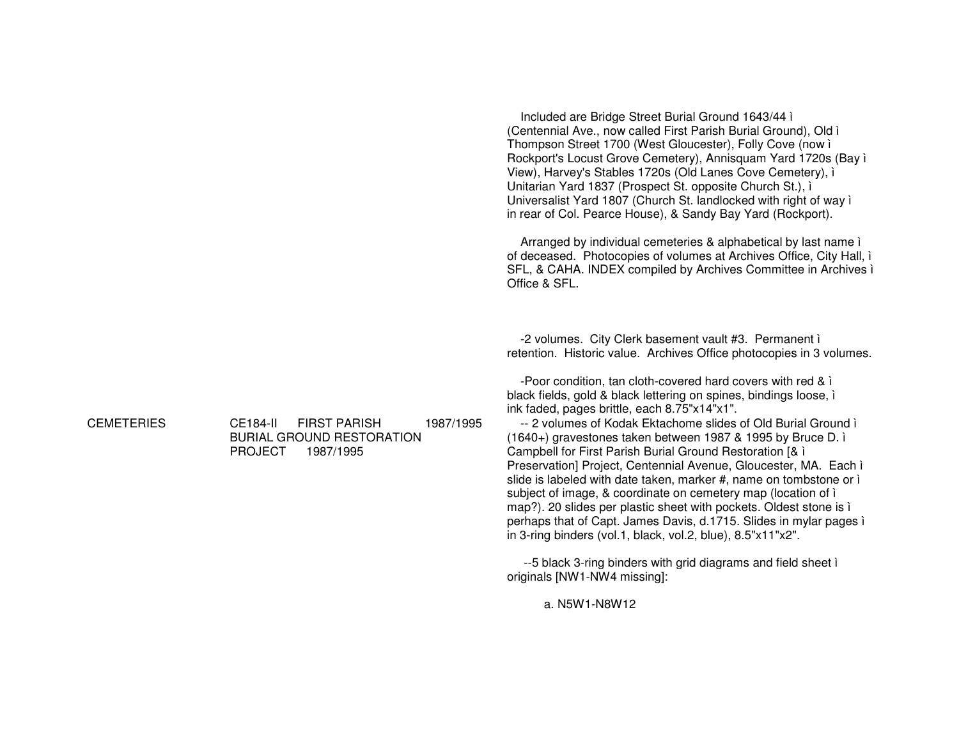Office & SFI **CEMETERIES CE184-II FIRST PARISH** 1987/1995 **BURIAL GROUND RESTORATION** 

PROJECT 1987/1995

Included are Bridge Street Burial Ground 1643/44 ì (Centennial Ave., now called First Parish Burial Ground), Old i Thompson Street 1700 (West Gloucester), Folly Cove (now i Rockport's Locust Grove Cemetery), Annisquam Yard 1720s (Bay ì View), Harvey's Stables 1720s (Old Lanes Cove Cemetery), i Unitarian Yard 1837 (Prospect St. opposite Church St.), i Universalist Yard 1807 (Church St. landlocked with right of way i in rear of Col. Pearce House), & Sandy Bay Yard (Rockport).

Arranged by individual cemeteries & alphabetical by last name i of deceased. Photocopies of volumes at Archives Office, City Hall, i SFL, & CAHA. INDEX compiled by Archives Committee in Archives i

-2 volumes. City Clerk basement vault #3. Permanent i retention. Historic value. Archives Office photocopies in 3 volumes.

-Poor condition, tan cloth-covered hard covers with red & i black fields, gold & black lettering on spines, bindings loose, i ink faded, pages brittle, each 8.75"x14"x1".

-- 2 volumes of Kodak Ektachome slides of Old Burial Ground i (1640+) gravestones taken between 1987 & 1995 by Bruce D. i Campbell for First Parish Burial Ground Restoration [& i Preservation] Project, Centennial Avenue, Gloucester, MA. Each ì slide is labeled with date taken, marker #, name on tombstone or i subject of image, & coordinate on cemetery map (location of i map?). 20 slides per plastic sheet with pockets. Oldest stone is i perhaps that of Capt. James Davis, d.1715. Slides in mylar pages i in 3-ring binders (vol.1, black, vol.2, blue),  $8.5"x11"x2"$ .

--5 black 3-ring binders with grid diagrams and field sheet i originals [NW1-NW4 missing]:

a. N5W1-N8W12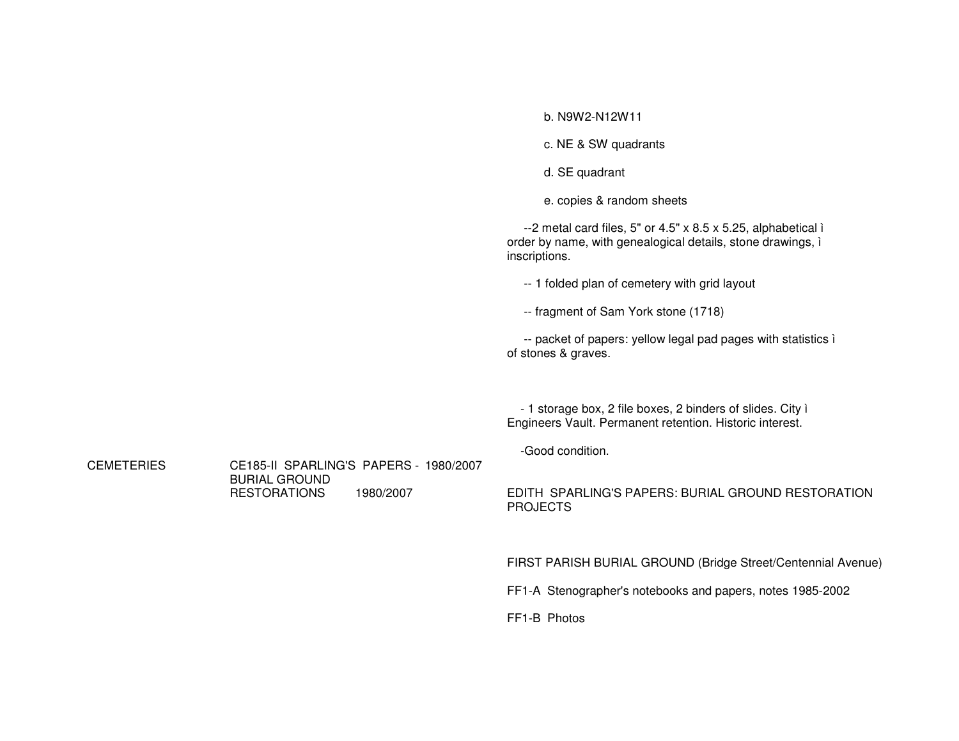|                   |                                             |           | b. N9W2-N12W11                                                                                                                                 |
|-------------------|---------------------------------------------|-----------|------------------------------------------------------------------------------------------------------------------------------------------------|
|                   |                                             |           | c. NE & SW quadrants                                                                                                                           |
|                   |                                             |           | d. SE quadrant                                                                                                                                 |
|                   |                                             |           | e. copies & random sheets                                                                                                                      |
|                   |                                             |           | $-2$ metal card files, 5" or 4.5" x 8.5 x 5.25, alphabetical i<br>order by name, with genealogical details, stone drawings, i<br>inscriptions. |
|                   |                                             |           | -- 1 folded plan of cemetery with grid layout                                                                                                  |
|                   |                                             |           | -- fragment of Sam York stone (1718)                                                                                                           |
|                   |                                             |           | -- packet of papers: yellow legal pad pages with statistics i<br>of stones & graves.                                                           |
| <b>CEMETERIES</b> |                                             | 1980/2007 | - 1 storage box, 2 file boxes, 2 binders of slides. City i<br>Engineers Vault. Permanent retention. Historic interest.                         |
|                   | CE185-II SPARLING'S PAPERS - 1980/2007      |           | -Good condition.                                                                                                                               |
|                   | <b>BURIAL GROUND</b><br><b>RESTORATIONS</b> |           | EDITH SPARLING'S PAPERS: BURIAL GROUND RESTORATION<br><b>PROJECTS</b>                                                                          |
|                   |                                             |           | FIRST PARISH BURIAL GROUND (Bridge Street/Centennial Avenue)                                                                                   |
|                   |                                             |           | FF1-A Stenographer's notebooks and papers, notes 1985-2002                                                                                     |
|                   |                                             |           | FF1-B Photos                                                                                                                                   |
|                   |                                             |           |                                                                                                                                                |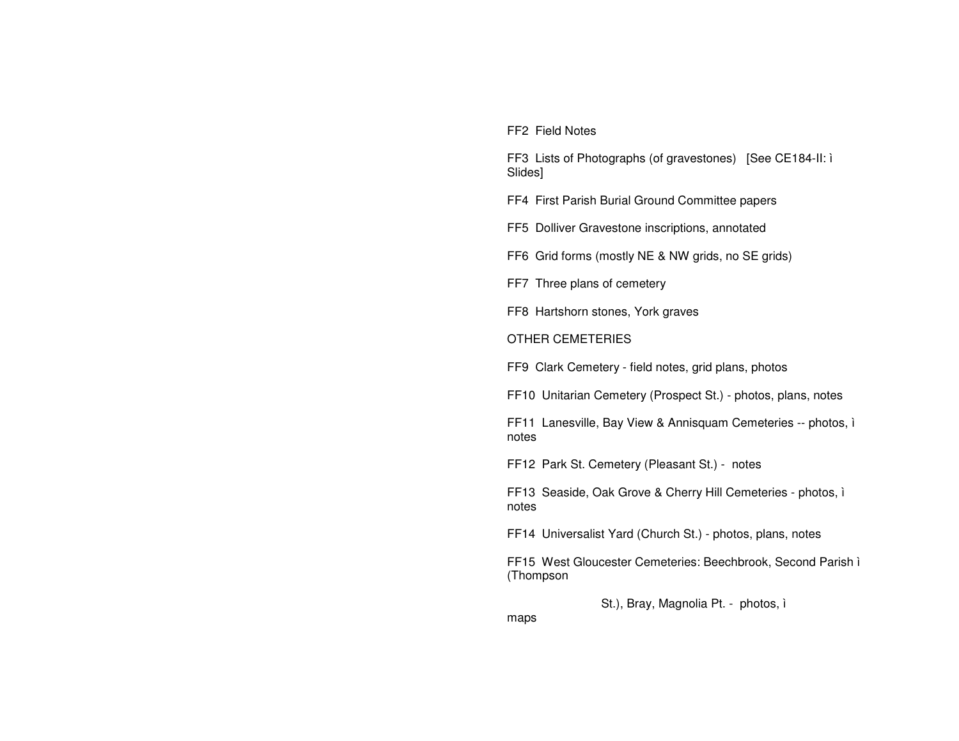FF2 Field Notes

FF3 Lists of Photographs (of gravestones) [See CE184-II: ì Slides]

FF4 First Parish Burial Ground Committee papers

FF5 Dolliver Gravestone inscriptions, annotated

FF6 Grid forms (mostly NE & NW grids, no SE grids)

FF7 Three plans of cemetery

FF8 Hartshorn stones, York graves

OTHER CEMETERIES

FF9 Clark Cemetery - field notes, grid plans, photos

FF10 Unitarian Cemetery (Prospect St.) - photos, plans, notes

FF11 Lanesville, Bay View & Annisquam Cemeteries -- photos, ì notes

FF12 Park St. Cemetery (Pleasant St.) - notes

FF13 Seaside, Oak Grove & Cherry Hill Cemeteries - photos, ì notes

FF14 Universalist Yard (Church St.) - photos, plans, notes

FF15 West Gloucester Cemeteries: Beechbrook, Second Parish ì (Thompson

St.), Bray, Magnolia Pt. - photos, ì

maps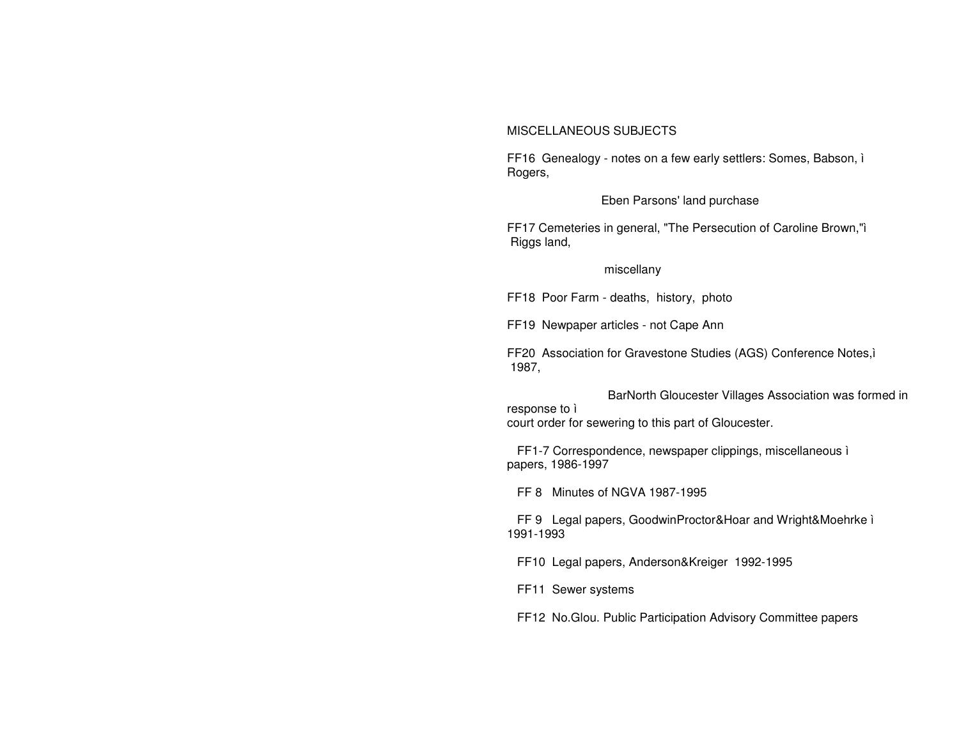## MISCELLANEOUS SUBJECTS

FF16 Genealogy - notes on a few early settlers: Somes, Babson, i Rogers,

## Eben Parsons' land purchase

FF17 Cemeteries in general, "The Persecution of Caroline Brown,"ì Riggs land,

## miscellany

FF18 Poor Farm - deaths, history, photo

FF19 Newpaper articles - not Cape Ann

FF20 Association for Gravestone Studies (AGS) Conference Notes,ì 1987.

BarNorth Gloucester Villages Association was formed in response to i court order for sewering to this part of Gloucester.

FF1-7 Correspondence, newspaper clippings, miscellaneous i papers, 1986-1997

FF 8 Minutes of NGVA 1987-1995

FF 9 Legal papers, GoodwinProctor&Hoar and Wright&Moehrke i 1991-1993

FF10 Legal papers, Anderson&Kreiger 1992-1995

FF11 Sewer systems

FF12 No. Glou. Public Participation Advisory Committee papers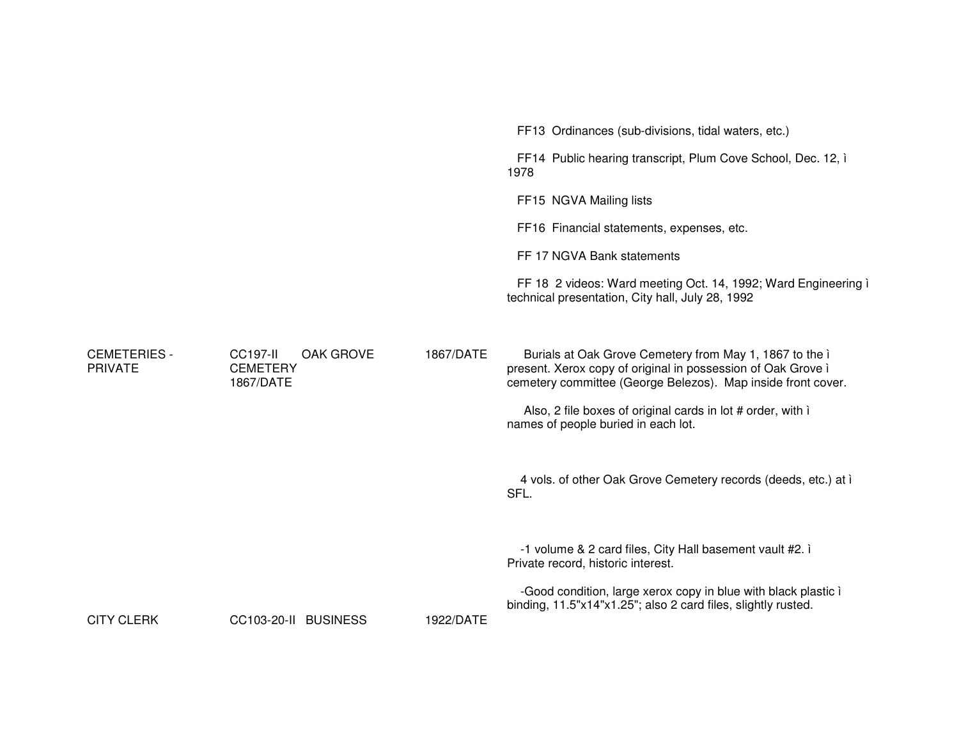|                                       |                                                                     |           | FF13 Ordinances (sub-divisions, tidal waters, etc.)                                                                                                                                     |
|---------------------------------------|---------------------------------------------------------------------|-----------|-----------------------------------------------------------------------------------------------------------------------------------------------------------------------------------------|
|                                       |                                                                     |           | FF14 Public hearing transcript, Plum Cove School, Dec. 12, i<br>1978                                                                                                                    |
|                                       |                                                                     |           | FF15 NGVA Mailing lists                                                                                                                                                                 |
|                                       |                                                                     |           | FF16 Financial statements, expenses, etc.                                                                                                                                               |
|                                       |                                                                     |           | FF 17 NGVA Bank statements                                                                                                                                                              |
|                                       |                                                                     |           | FF 18 2 videos: Ward meeting Oct. 14, 1992; Ward Engineering i<br>technical presentation, City hall, July 28, 1992                                                                      |
| <b>CEMETERIES -</b><br><b>PRIVATE</b> | <b>CC197-II</b><br><b>OAK GROVE</b><br><b>CEMETERY</b><br>1867/DATE | 1867/DATE | Burials at Oak Grove Cemetery from May 1, 1867 to the i<br>present. Xerox copy of original in possession of Oak Grove i<br>cemetery committee (George Belezos). Map inside front cover. |
|                                       |                                                                     |           | Also, 2 file boxes of original cards in lot # order, with i<br>names of people buried in each lot.                                                                                      |
|                                       |                                                                     |           | 4 vols. of other Oak Grove Cemetery records (deeds, etc.) at i<br>SFL.                                                                                                                  |
|                                       |                                                                     |           | -1 volume & 2 card files, City Hall basement vault #2. i<br>Private record, historic interest.                                                                                          |
| <b>CITY CLERK</b>                     | CC103-20-II BUSINESS                                                | 1922/DATE | -Good condition, large xerox copy in blue with black plastic i<br>binding, 11.5"x14"x1.25"; also 2 card files, slightly rusted.                                                         |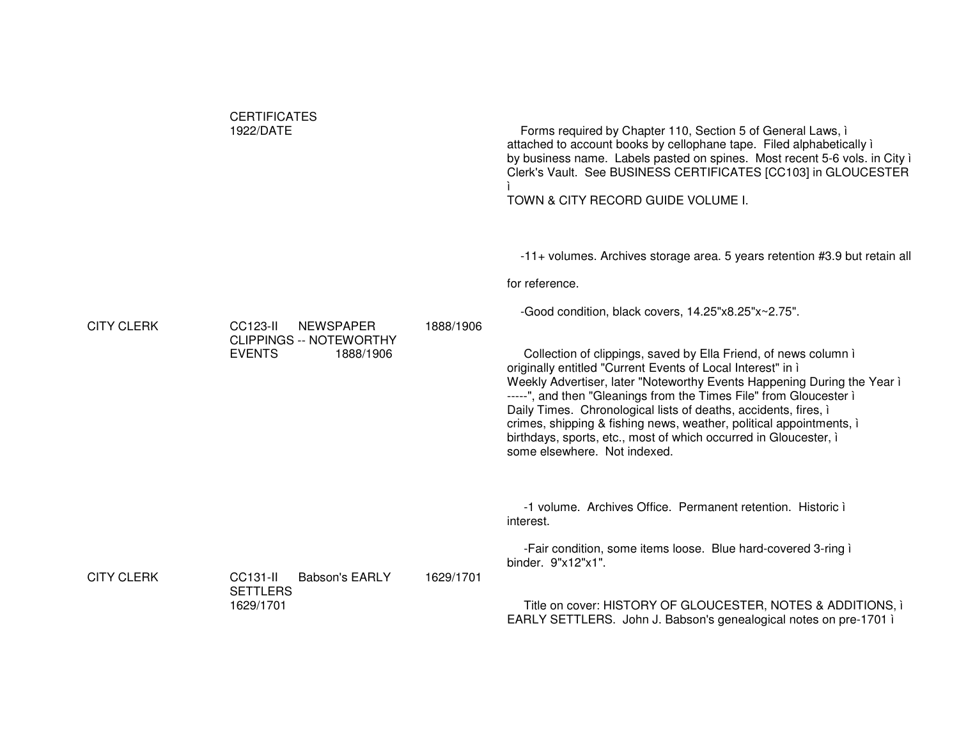|                   | <b>CERTIFICATES</b><br>1922/DATE                                                             |           | Forms required by Chapter 110, Section 5 of General Laws, i<br>attached to account books by cellophane tape. Filed alphabetically i<br>by business name. Labels pasted on spines. Most recent 5-6 vols. in City i<br>Clerk's Vault. See BUSINESS CERTIFICATES [CC103] in GLOUCESTER<br>TOWN & CITY RECORD GUIDE VOLUME I.                                                                                                                                                                                                                                                                                                                                                            |
|-------------------|----------------------------------------------------------------------------------------------|-----------|--------------------------------------------------------------------------------------------------------------------------------------------------------------------------------------------------------------------------------------------------------------------------------------------------------------------------------------------------------------------------------------------------------------------------------------------------------------------------------------------------------------------------------------------------------------------------------------------------------------------------------------------------------------------------------------|
| <b>CITY CLERK</b> | CC123-II<br><b>NEWSPAPER</b><br><b>CLIPPINGS -- NOTEWORTHY</b><br><b>EVENTS</b><br>1888/1906 | 1888/1906 | -11+ volumes. Archives storage area. 5 years retention #3.9 but retain all<br>for reference.<br>-Good condition, black covers, 14.25"x8.25"x~2.75".<br>Collection of clippings, saved by Ella Friend, of news column i<br>originally entitled "Current Events of Local Interest" in ì<br>Weekly Advertiser, later "Noteworthy Events Happening During the Year i<br>-----", and then "Gleanings from the Times File" from Gloucester i<br>Daily Times. Chronological lists of deaths, accidents, fires, i<br>crimes, shipping & fishing news, weather, political appointments, i<br>birthdays, sports, etc., most of which occurred in Gloucester, i<br>some elsewhere. Not indexed. |
| <b>CITY CLERK</b> | CC131-II<br><b>Babson's EARLY</b><br><b>SETTLERS</b><br>1629/1701                            | 1629/1701 | -1 volume. Archives Office. Permanent retention. Historic i<br>interest.<br>-Fair condition, some items loose. Blue hard-covered 3-ring i<br>binder. 9"x12"x1".<br>Title on cover: HISTORY OF GLOUCESTER, NOTES & ADDITIONS, i<br>EARLY SETTLERS. John J. Babson's genealogical notes on pre-1701 i                                                                                                                                                                                                                                                                                                                                                                                  |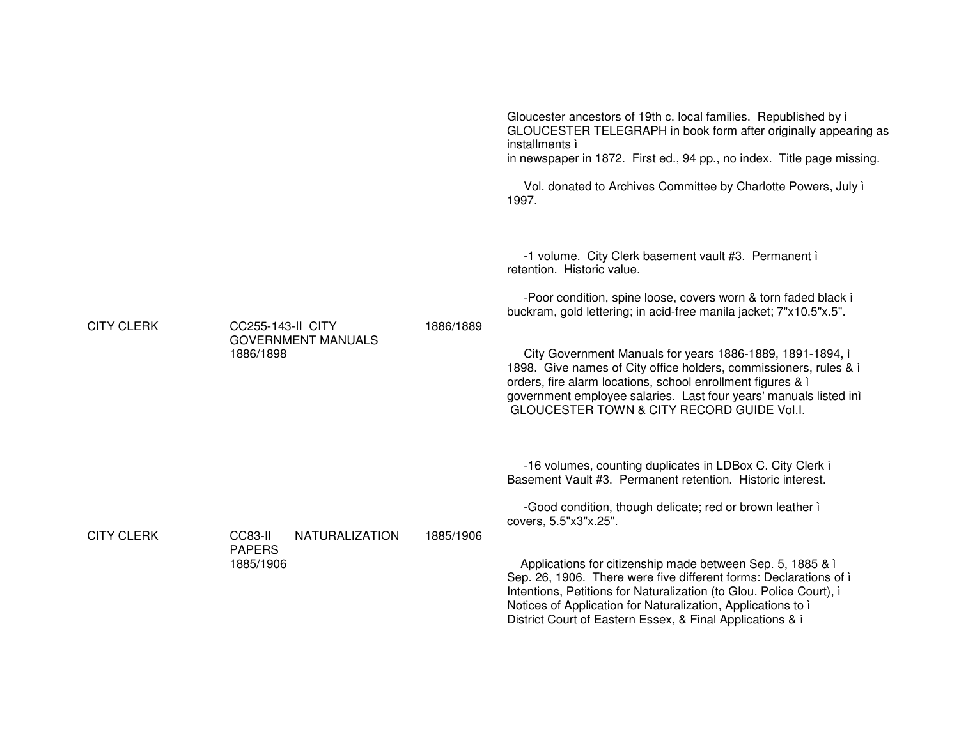|                   |                                                                    |           | Gloucester ancestors of 19th c. local families. Republished by i<br>GLOUCESTER TELEGRAPH in book form after originally appearing as<br>installments ì<br>in newspaper in 1872. First ed., 94 pp., no index. Title page missing.<br>Vol. donated to Archives Committee by Charlotte Powers, July i<br>1997.                                                                                                                                                                                                                                          |
|-------------------|--------------------------------------------------------------------|-----------|-----------------------------------------------------------------------------------------------------------------------------------------------------------------------------------------------------------------------------------------------------------------------------------------------------------------------------------------------------------------------------------------------------------------------------------------------------------------------------------------------------------------------------------------------------|
| <b>CITY CLERK</b> | <b>CC255-143-II CITY</b><br><b>GOVERNMENT MANUALS</b><br>1886/1898 | 1886/1889 | -1 volume. City Clerk basement vault #3. Permanent i<br>retention. Historic value.<br>-Poor condition, spine loose, covers worn & torn faded black i<br>buckram, gold lettering; in acid-free manila jacket; 7"x10.5"x.5".<br>City Government Manuals for years 1886-1889, 1891-1894, i<br>1898. Give names of City office holders, commissioners, rules & i<br>orders, fire alarm locations, school enrollment figures & i<br>government employee salaries. Last four years' manuals listed inì<br>GLOUCESTER TOWN & CITY RECORD GUIDE Vol.I.      |
| <b>CITY CLERK</b> | CC83-II<br><b>NATURALIZATION</b><br><b>PAPERS</b><br>1885/1906     | 1885/1906 | -16 volumes, counting duplicates in LDBox C. City Clerk i<br>Basement Vault #3. Permanent retention. Historic interest.<br>-Good condition, though delicate; red or brown leather i<br>covers, 5.5"x3"x.25".<br>Applications for citizenship made between Sep. 5, 1885 & i<br>Sep. 26, 1906. There were five different forms: Declarations of i<br>Intentions, Petitions for Naturalization (to Glou. Police Court), i<br>Notices of Application for Naturalization, Applications to i<br>District Court of Eastern Essex, & Final Applications & i |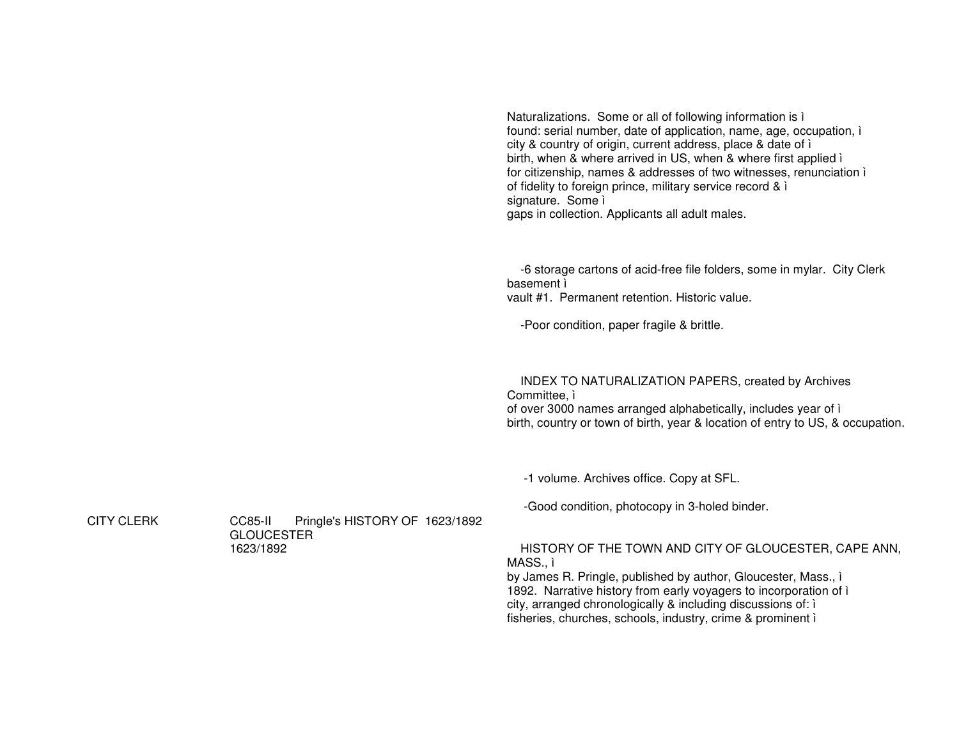Naturalizations. Some or all of following information is ì found: serial number, date of application, name, age, occupation, ì city & country of origin, current address, place & date of ì birth, when & where arrived in US, when & where first applied ì for citizenship, names & addresses of two witnesses, renunciation ì of fidelity to foreign prince, military service record & ì signature. Some ì gaps in collection. Applicants all adult males.

-6 storage cartons of acid-free file folders, some in mylar. City Clerk basement ì vault #1. Permanent retention. Historic value.

-Poor condition, paper fragile & brittle.

INDEX TO NATURALIZATION PAPERS, created by Archives

Committee, ì of over 3000 names arranged alphabetically, includes year of ì birth, country or town of birth, year & location of entry to US, & occupation.

-1 volume. Archives office. Copy at SFL.

-Good condition, photocopy in 3-holed binder.

HISTORY OF THE TOWN AND CITY OF GLOUCESTER, CAPE ANN, MASS., ì

by James R. Pringle, published by author, Gloucester, Mass., ì 1892. Narrative history from early voyagers to incorporation of ì city, arranged chronologically & including discussions of: ì fisheries, churches, schools, industry, crime & prominent ì

**CITY CLERK** 

 CLERK CC85-II Pringle's HISTORY OF 1623/1892 **GLOUCESTER** 1623/1892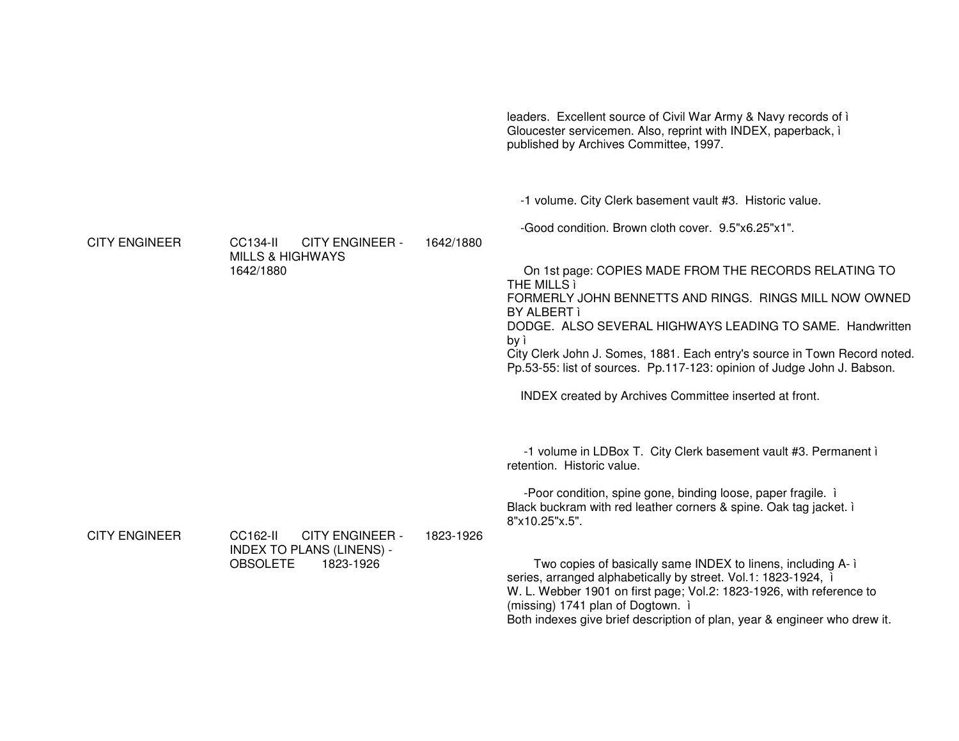Gloucester servicemen. Also, reprint with INDEX, paperback, i published by Archives Committee, 1997. -1 volume. City Clerk basement vault #3. Historic value. -Good condition. Brown cloth cover. 9.5"x6.25"x1". **CITY ENGINEER CC134-II CITY ENGINEER -**1642/1880 **MILLS & HIGHWAYS** 1642/1880 On 1st page: COPIES MADE FROM THE RECORDS RELATING TO THE MILLS ì FORMERLY JOHN BENNETTS AND RINGS. RINGS MILL NOW OWNED BY ALBERT ì DODGE. ALSO SEVERAL HIGHWAYS LEADING TO SAME. Handwritten by ì City Clerk John J. Somes, 1881. Each entry's source in Town Record noted. Pp.53-55: list of sources. Pp.117-123: opinion of Judge John J. Babson. **INDEX** created by Archives Committee inserted at front. -1 volume in LDBox T. City Clerk basement vault #3. Permanent i retention. Historic value. -Poor condition, spine gone, binding loose, paper fragile. i Black buckram with red leather corners & spine. Oak tag jacket. i 8"x10.25"x.5". **CITY ENGINEER CC162-II CITY ENGINEER -**1823-1926 **INDEX TO PLANS (LINENS) -**1823-1926 **OBSOLETE** Two copies of basically same INDEX to linens, including A-1 series, arranged alphabetically by street. Vol.1: 1823-1924, i W. L. Webber 1901 on first page; Vol.2: 1823-1926, with reference to (missing) 1741 plan of Dogtown. i Both indexes give brief description of plan, year & engineer who drew it.

leaders. Excellent source of Civil War Army & Navy records of i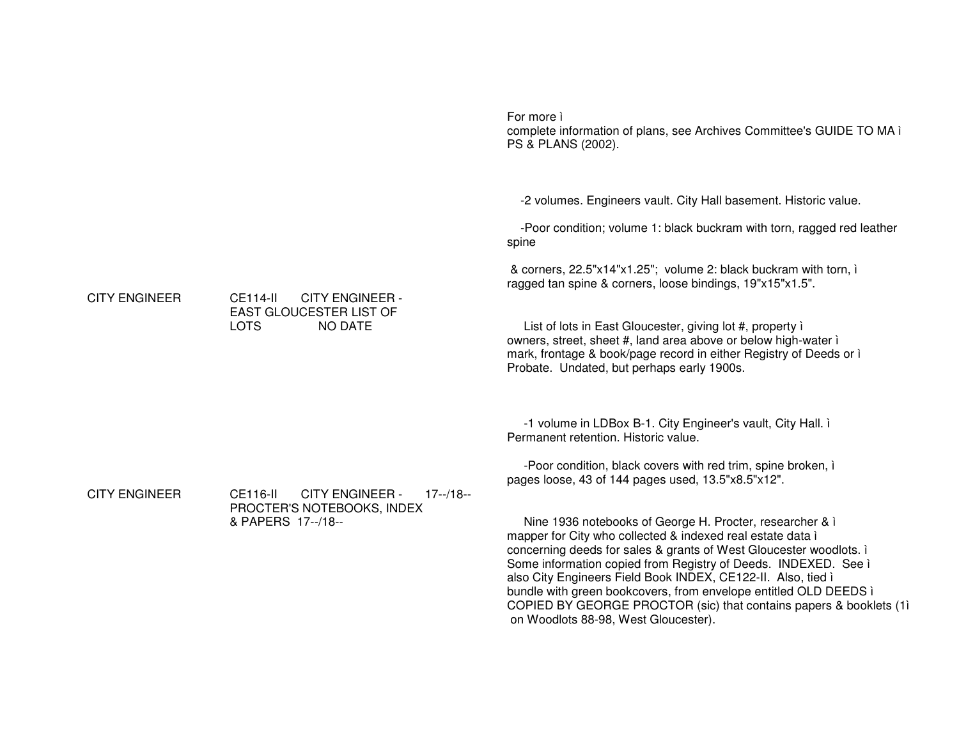|                      |                                                                                                              | For more i<br>complete information of plans, see Archives Committee's GUIDE TO MA ì<br>PS & PLANS (2002).                                                                                                                                                                                                                                                                                                           |
|----------------------|--------------------------------------------------------------------------------------------------------------|---------------------------------------------------------------------------------------------------------------------------------------------------------------------------------------------------------------------------------------------------------------------------------------------------------------------------------------------------------------------------------------------------------------------|
| <b>CITY ENGINEER</b> | <b>CE114-II</b><br><b>CITY ENGINEER -</b><br><b>EAST GLOUCESTER LIST OF</b><br><b>LOTS</b><br><b>NO DATE</b> | -2 volumes. Engineers vault. City Hall basement. Historic value.<br>-Poor condition; volume 1: black buckram with torn, ragged red leather<br>spine<br>& corners, 22.5"x14"x1.25"; volume 2: black buckram with torn, i<br>ragged tan spine & corners, loose bindings, 19"x15"x1.5".<br>List of lots in East Gloucester, giving lot #, property i<br>owners, street, sheet #, land area above or below high-water i |
|                      |                                                                                                              | mark, frontage & book/page record in either Registry of Deeds or i<br>Probate. Undated, but perhaps early 1900s.<br>-1 volume in LDBox B-1. City Engineer's vault, City Hall. i<br>Permanent retention. Historic value.                                                                                                                                                                                             |
| <b>CITY ENGINEER</b> | <b>CITY ENGINEER -</b><br>CE116-II<br>$17 - 18 -$<br>PROCTER'S NOTEBOOKS, INDEX<br>& PAPERS 17--/18--        | -Poor condition, black covers with red trim, spine broken, i<br>pages loose, 43 of 144 pages used, 13.5"x8.5"x12".<br>Nine 1936 notebooks of George H. Procter, researcher & i<br>mapper for City who collected & indexed real estate data i<br>concerning deeds for sales & grants of West Gloucester woodlots. i                                                                                                  |
|                      |                                                                                                              | Some information copied from Registry of Deeds. INDEXED. See i<br>also City Engineers Field Book INDEX, CE122-II. Also, tied i<br>bundle with green bookcovers, from envelope entitled OLD DEEDS i<br>COPIED BY GEORGE PROCTOR (sic) that contains papers & booklets (1)<br>on Woodlots 88-98, West Gloucester).                                                                                                    |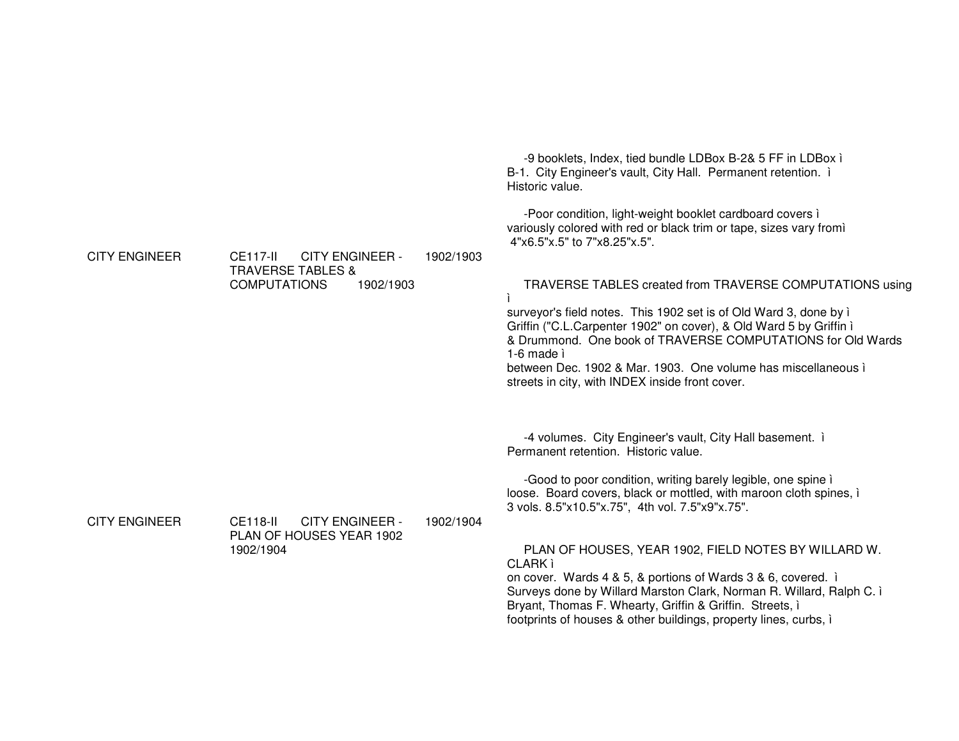| <b>CITY ENGINEER</b> | <b>CE117-II</b><br><b>CITY ENGINEER -</b><br><b>TRAVERSE TABLES &amp;</b><br><b>COMPUTATIONS</b><br>1902/1903 | 1902/1903 | -9 booklets, Index, tied bundle LDBox B-2& 5 FF in LDBox i<br>B-1. City Engineer's vault, City Hall. Permanent retention. i<br>Historic value.<br>-Poor condition, light-weight booklet cardboard covers i<br>variously colored with red or black trim or tape, sizes vary fromì<br>4"x6.5"x.5" to 7"x8.25"x.5".<br>TRAVERSE TABLES created from TRAVERSE COMPUTATIONS using<br>surveyor's field notes. This 1902 set is of Old Ward 3, done by i<br>Griffin ("C.L.Carpenter 1902" on cover), & Old Ward 5 by Griffin i<br>& Drummond. One book of TRAVERSE COMPUTATIONS for Old Wards<br>1-6 made ì<br>between Dec. 1902 & Mar. 1903. One volume has miscellaneous i<br>streets in city, with INDEX inside front cover. |
|----------------------|---------------------------------------------------------------------------------------------------------------|-----------|--------------------------------------------------------------------------------------------------------------------------------------------------------------------------------------------------------------------------------------------------------------------------------------------------------------------------------------------------------------------------------------------------------------------------------------------------------------------------------------------------------------------------------------------------------------------------------------------------------------------------------------------------------------------------------------------------------------------------|
| <b>CITY ENGINEER</b> | <b>CE118-II</b><br><b>CITY ENGINEER -</b><br>PLAN OF HOUSES YEAR 1902<br>1902/1904                            | 1902/1904 | -4 volumes. City Engineer's vault, City Hall basement. i<br>Permanent retention. Historic value.<br>-Good to poor condition, writing barely legible, one spine i<br>loose. Board covers, black or mottled, with maroon cloth spines, i<br>3 vols. 8.5"x10.5"x.75", 4th vol. 7.5"x9"x.75".<br>PLAN OF HOUSES, YEAR 1902, FIELD NOTES BY WILLARD W.<br><b>CLARK</b> ì<br>on cover. Wards 4 & 5, & portions of Wards 3 & 6, covered. i<br>Surveys done by Willard Marston Clark, Norman R. Willard, Ralph C. i<br>Bryant, Thomas F. Whearty, Griffin & Griffin. Streets, i<br>footprints of houses & other buildings, property lines, curbs, i                                                                              |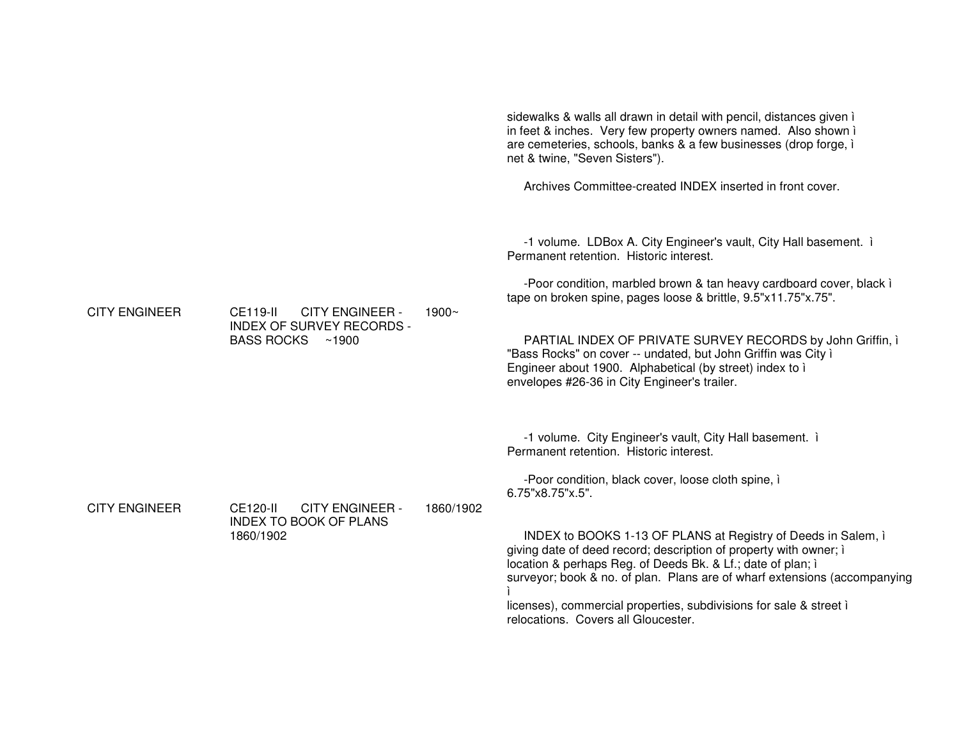sidewalks & walls all drawn in detail with pencil, distances given ì in feet & inches. Very few property owners named. Also shown ì are cemeteries, schools, banks & <sup>a</sup> few businesses (drop forge, ì net & twine, "Seven Sisters").

Archives Committee-created INDEX inserted in front cover.

-1 volume. LDBox A. City Engineer's vault, City Hall basement. ì Permanent retention. Historic interest.

-Poor condition, marbled brown & tan heavy cardboard cover, black ì tape on broken spine, pages loose & brittle, 9.5"x11.75"x.75".

PARTIAL INDEX OF PRIVATE SURVEY RECORDS by John Griffin, ì "Bass Rocks" on cover -- undated, but John Griffin was City ì Engineer about 1900. Alphabetical (by street) index to ì envelopes #26-36 in City Engineer's trailer.

-1 volume. City Engineer's vault, City Hall basement. ì Permanent retention. Historic interest.

-Poor condition, black cover, loose cloth spine, ì 6.75"x8.75"x.5".

INDEX to BOOKS 1-13 OF PLANS at Registry of Deeds in Salem, ì giving date of deed record; description of property with owner; ì location & perhaps Reg. of Deeds Bk. & Lf.; date of plan; ì surveyor; book & no. of plan. Plans are of wharf extensions (accompanying ì

licenses), commercial properties, subdivisions for sale & street ì relocations. Covers all Gloucester.

CITY ENGINEER

 CE119-II CITY ENGINEER - INDEX OF SURVEY RECORDS - BASS ROCKS ~1900 1900~

CITY ENGINEER

 CE120-II CITY ENGINEER - INDEX TO BOOK OF PLANS 1860/1902

1860/1902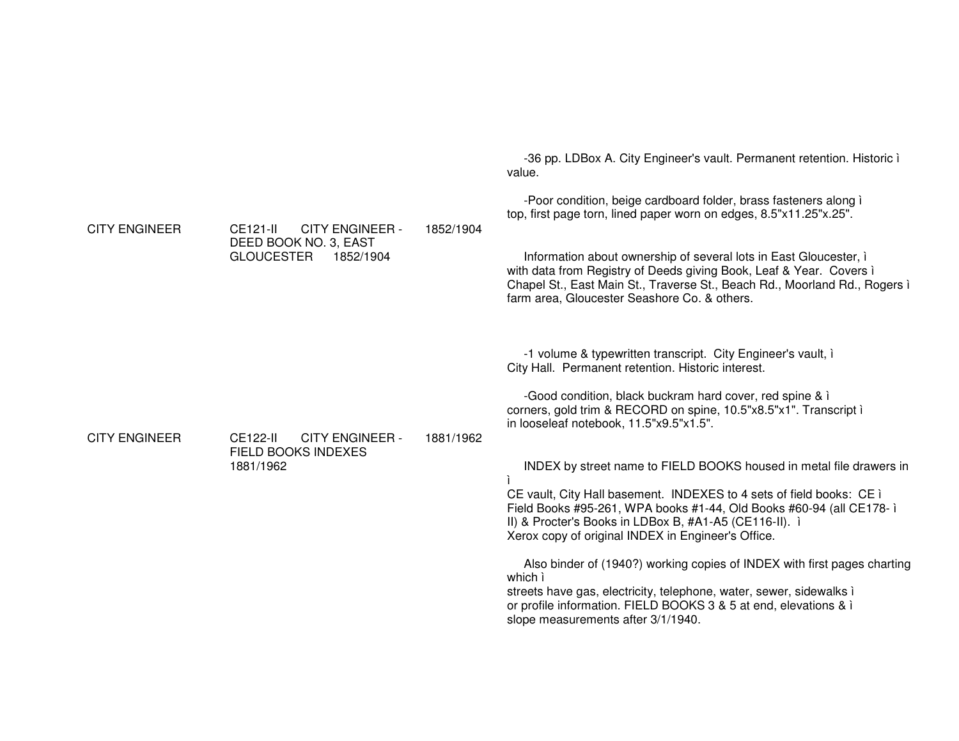| <b>CITY ENGINEER</b> | CE121-II<br><b>CITY ENGINEER -</b><br>DEED BOOK NO. 3, EAST<br><b>GLOUCESTER</b><br>1852/1904 | 1852/1904 | -36 pp. LDBox A. City Engineer's vault. Permanent retention. Historic i<br>value.<br>-Poor condition, beige cardboard folder, brass fasteners along i<br>top, first page torn, lined paper worn on edges, 8.5"x11.25"x.25".<br>Information about ownership of several lots in East Gloucester, i<br>with data from Registry of Deeds giving Book, Leaf & Year. Covers i<br>Chapel St., East Main St., Traverse St., Beach Rd., Moorland Rd., Rogers i<br>farm area, Gloucester Seashore Co. & others. |
|----------------------|-----------------------------------------------------------------------------------------------|-----------|-------------------------------------------------------------------------------------------------------------------------------------------------------------------------------------------------------------------------------------------------------------------------------------------------------------------------------------------------------------------------------------------------------------------------------------------------------------------------------------------------------|
| <b>CITY ENGINEER</b> | <b>CE122-II</b><br><b>CITY ENGINEER -</b><br><b>FIELD BOOKS INDEXES</b><br>1881/1962          | 1881/1962 | -1 volume & typewritten transcript. City Engineer's vault, i<br>City Hall. Permanent retention. Historic interest.<br>-Good condition, black buckram hard cover, red spine & i<br>corners, gold trim & RECORD on spine, 10.5"x8.5"x1". Transcript i<br>in looseleaf notebook, 11.5"x9.5"x1.5".                                                                                                                                                                                                        |
|                      |                                                                                               |           | INDEX by street name to FIELD BOOKS housed in metal file drawers in<br>CE vault, City Hall basement. INDEXES to 4 sets of field books: CE i<br>Field Books #95-261, WPA books #1-44, Old Books #60-94 (all CE178-1)<br>II) & Procter's Books in LDBox B, #A1-A5 (CE116-II). i<br>Xerox copy of original INDEX in Engineer's Office.                                                                                                                                                                   |
|                      |                                                                                               |           | Also binder of (1940?) working copies of INDEX with first pages charting<br>which ì<br>streets have gas, electricity, telephone, water, sewer, sidewalks i<br>or profile information. FIELD BOOKS 3 & 5 at end, elevations & ì<br>slope measurements after 3/1/1940.                                                                                                                                                                                                                                  |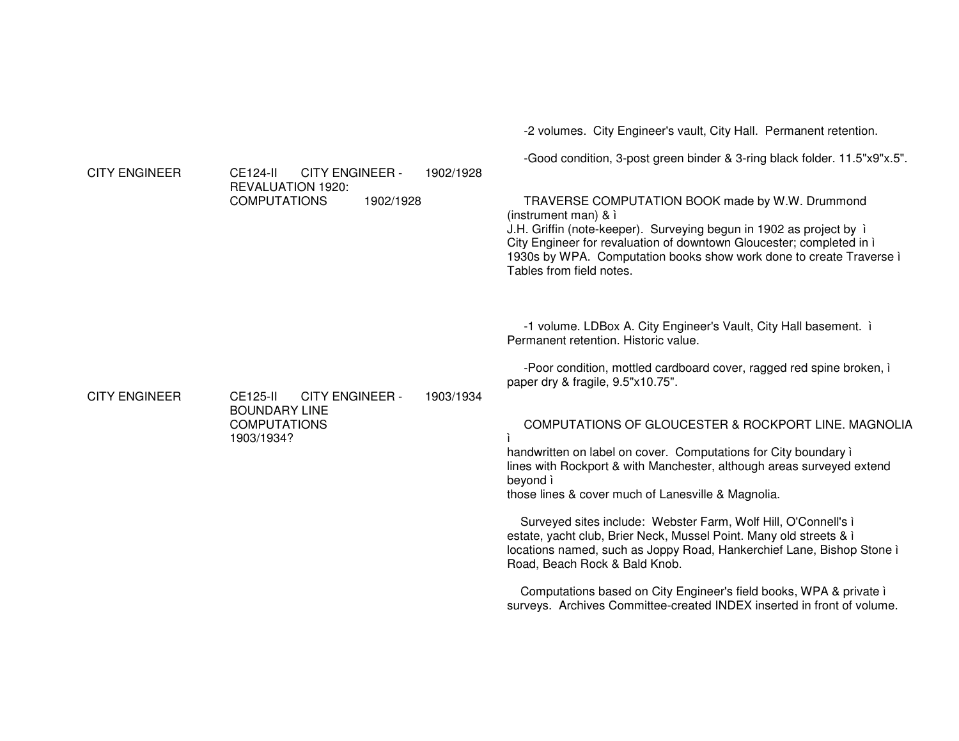-2 volumes. City Engineer's vault, City Hall. Permanent retention.

-Good condition, 3-post green binder & 3-ring black folder. 11.5"x9"x.5".

CITY ENGINEER CE124-II CITY ENGINEER - REVALUATION 1920: **COMPUTATIONS**  1902/1928 1902/1928TRAVERSE COMPUTATION BOOK made by W.W. Drummond (instrument man) & ì J.H. Griffin (note-keeper). Surveying begun in 1902 as project by ì City Engineer for revaluation of downtown Gloucester; completed in ì 1930s by WPA. Computation books show work done to create Traverse ì Tables from field notes. -1 volume. LDBox A. City Engineer's Vault, City Hall basement. ì Permanent retention. Historic value. -Poor condition, mottled cardboard cover, ragged red spine broken, ì paper dry & fragile, 9.5"x10.75". CITY ENGINEER CE125-II CITY ENGINEER - BOUNDARY LINE **COMPUTATIONS** 1903/1934?1903/1934COMPUTATIONS OF GLOUCESTER & ROCKPORT LINE. MAGNOLIA ìhandwritten on label on cover. Computations for City boundary ì lines with Rockport & with Manchester, although areas surveyed extend beyond ì those lines & cover much of Lanesville & Magnolia. Surveyed sites include: Webster Farm, Wolf Hill, O'Connell's ì estate, yacht club, Brier Neck, Mussel Point. Many old streets & ì locations named, such as Joppy Road, Hankerchief Lane, Bishop Stone ì Road, Beach Rock & Bald Knob. Computations based on City Engineer's field books, WPA & private ì surveys. Archives Committee-created INDEX inserted in front of volume.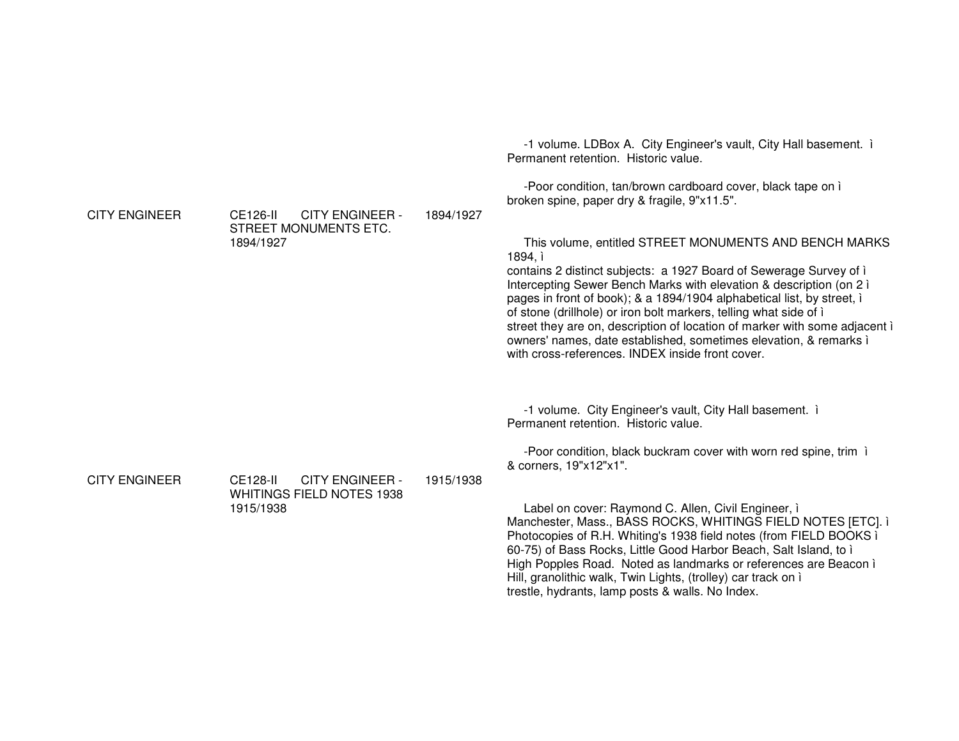-1 volume. LDBox A. City Engineer's vault, City Hall basement. ì Permanent retention. Historic value. -Poor condition, tan/brown cardboard cover, black tape on ì broken spine, paper dry & fragile, 9"x11.5". CITY ENGINEER CE126-II CITY ENGINEER - STREET MONUMENTS ETC. 1894/19271894/1927This volume, entitled STREET MONUMENTS AND BENCH MARKS 1894, ì contains 2 distinct subjects: <sup>a</sup> 1927 Board of Sewerage Survey of ì Intercepting Sewer Bench Marks with elevation & description (on 2 ì pages in front of book); & <sup>a</sup> 1894/1904 alphabetical list, by street, ì of stone (drillhole) or iron bolt markers, telling what side of ì street they are on, description of location of marker with some adjacent ì owners' names, date established, sometimes elevation, & remarks ì with cross-references. INDEX inside front cover. -1 volume. City Engineer's vault, City Hall basement. ì Permanent retention. Historic value. -Poor condition, black buckram cover with worn red spine, trim ì & corners, 19"x12"x1". CITY ENGINEER CE128-II CITY ENGINEER - WHITINGS FIELD NOTES 1938 1915/19381915/1938Label on cover: Raymond C. Allen, Civil Engineer, ì Manchester, Mass., BASS ROCKS, WHITINGS FIELD NOTES [ETC]. ì Photocopies of R.H. Whiting's 1938 field notes (from FIELD BOOKS ì 60-75) of Bass Rocks, Little Good Harbor Beach, Salt Island, to ì High Popples Road. Noted as landmarks or references are Beacon ì Hill, granolithic walk, Twin Lights, (trolley) car track on ì trestle, hydrants, lamp posts & walls. No Index.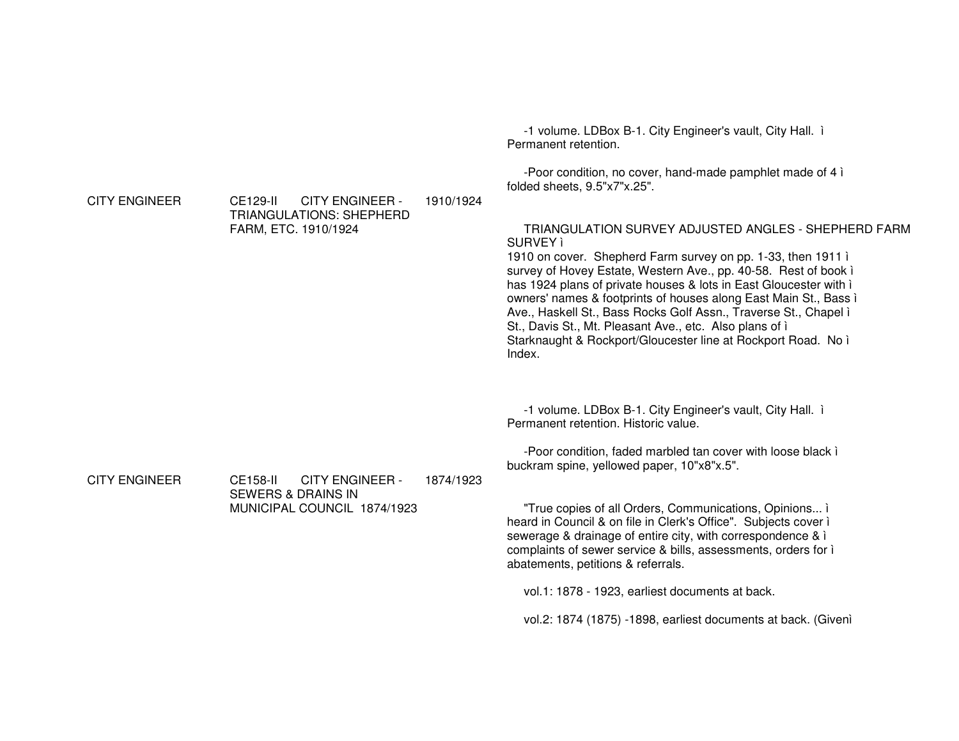|                      |                                                                                                    |           | -1 volume. LDBox B-1. City Engineer's vault, City Hall. i<br>Permanent retention.                                                                                                                                                                                                                                                                                                                                                                                                                                                                      |
|----------------------|----------------------------------------------------------------------------------------------------|-----------|--------------------------------------------------------------------------------------------------------------------------------------------------------------------------------------------------------------------------------------------------------------------------------------------------------------------------------------------------------------------------------------------------------------------------------------------------------------------------------------------------------------------------------------------------------|
| <b>CITY ENGINEER</b> | <b>CITY ENGINEER -</b><br>CE129-II                                                                 | 1910/1924 | -Poor condition, no cover, hand-made pamphlet made of 4 i<br>folded sheets, 9.5"x7"x.25".                                                                                                                                                                                                                                                                                                                                                                                                                                                              |
|                      | <b>TRIANGULATIONS: SHEPHERD</b><br>FARM, ETC. 1910/1924                                            |           | TRIANGULATION SURVEY ADJUSTED ANGLES - SHEPHERD FARM<br>SURVEY ì<br>1910 on cover. Shepherd Farm survey on pp. 1-33, then 1911 i<br>survey of Hovey Estate, Western Ave., pp. 40-58. Rest of book i<br>has 1924 plans of private houses & lots in East Gloucester with i<br>owners' names & footprints of houses along East Main St., Bass i<br>Ave., Haskell St., Bass Rocks Golf Assn., Traverse St., Chapel i<br>St., Davis St., Mt. Pleasant Ave., etc. Also plans of i<br>Starknaught & Rockport/Gloucester line at Rockport Road. No i<br>Index. |
|                      |                                                                                                    |           | -1 volume. LDBox B-1. City Engineer's vault, City Hall. i<br>Permanent retention. Historic value.                                                                                                                                                                                                                                                                                                                                                                                                                                                      |
| <b>CITY ENGINEER</b> | CE158-II<br><b>CITY ENGINEER -</b><br><b>SEWERS &amp; DRAINS IN</b><br>MUNICIPAL COUNCIL 1874/1923 | 1874/1923 | -Poor condition, faded marbled tan cover with loose black i<br>buckram spine, yellowed paper, 10"x8"x.5".                                                                                                                                                                                                                                                                                                                                                                                                                                              |
|                      |                                                                                                    |           | "True copies of all Orders, Communications, Opinions i<br>heard in Council & on file in Clerk's Office". Subjects cover i<br>sewerage & drainage of entire city, with correspondence & i<br>complaints of sewer service & bills, assessments, orders for i<br>abatements, petitions & referrals.                                                                                                                                                                                                                                                       |
|                      |                                                                                                    |           | vol.1: 1878 - 1923, earliest documents at back.                                                                                                                                                                                                                                                                                                                                                                                                                                                                                                        |
|                      |                                                                                                    |           | vol.2: 1874 (1875) -1898, earliest documents at back. (Given)                                                                                                                                                                                                                                                                                                                                                                                                                                                                                          |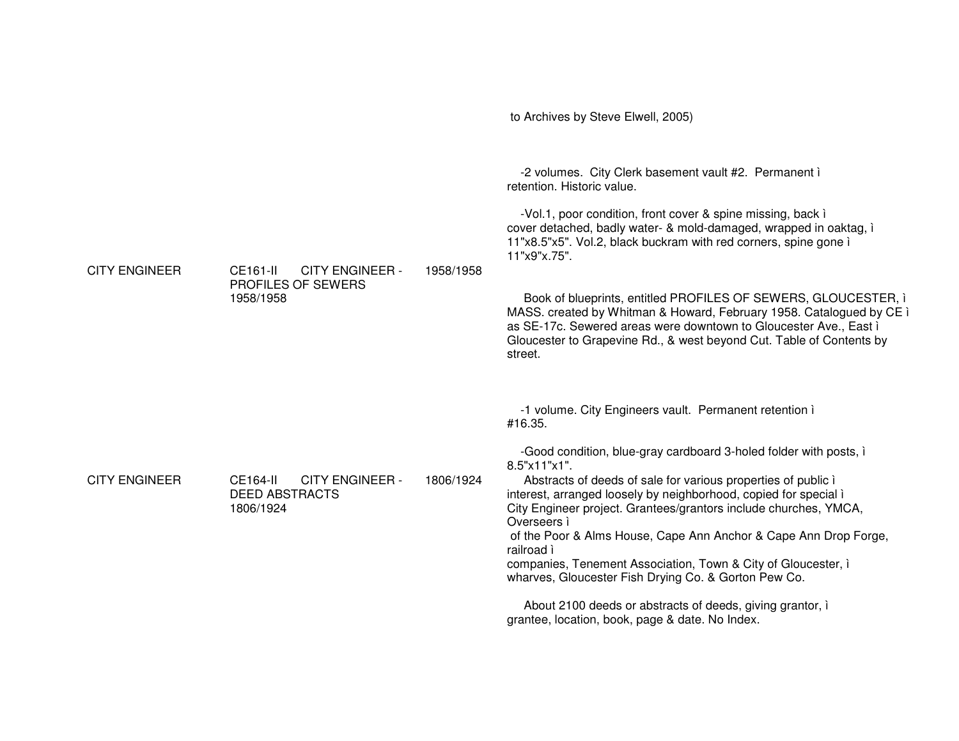|                      |                                                                          |           | to Archives by Steve Elwell, 2005)                                                                                                                                                                                                                                                                                                                                                                                                                                                                                                                                                                                                                                                                        |
|----------------------|--------------------------------------------------------------------------|-----------|-----------------------------------------------------------------------------------------------------------------------------------------------------------------------------------------------------------------------------------------------------------------------------------------------------------------------------------------------------------------------------------------------------------------------------------------------------------------------------------------------------------------------------------------------------------------------------------------------------------------------------------------------------------------------------------------------------------|
| <b>CITY ENGINEER</b> | CE161-II<br><b>CITY ENGINEER -</b><br>PROFILES OF SEWERS<br>1958/1958    | 1958/1958 | -2 volumes. City Clerk basement vault #2. Permanent i<br>retention. Historic value.<br>-Vol.1, poor condition, front cover & spine missing, back i<br>cover detached, badly water- & mold-damaged, wrapped in oaktag, i<br>11"x8.5"x5". Vol.2, black buckram with red corners, spine gone i<br>11"x9"x.75".<br>Book of blueprints, entitled PROFILES OF SEWERS, GLOUCESTER, i<br>MASS. created by Whitman & Howard, February 1958. Catalogued by CE i<br>as SE-17c. Sewered areas were downtown to Gloucester Ave., East i<br>Gloucester to Grapevine Rd., & west beyond Cut. Table of Contents by<br>street.                                                                                             |
| <b>CITY ENGINEER</b> | CE164-II<br><b>CITY ENGINEER -</b><br><b>DEED ABSTRACTS</b><br>1806/1924 | 1806/1924 | -1 volume. City Engineers vault. Permanent retention i<br>#16.35.<br>-Good condition, blue-gray cardboard 3-holed folder with posts, i<br>8.5"x11"x1".<br>Abstracts of deeds of sale for various properties of public i<br>interest, arranged loosely by neighborhood, copied for special i<br>City Engineer project. Grantees/grantors include churches, YMCA,<br>Overseers ì<br>of the Poor & Alms House, Cape Ann Anchor & Cape Ann Drop Forge,<br>railroad ì<br>companies, Tenement Association, Town & City of Gloucester, i<br>wharves, Gloucester Fish Drying Co. & Gorton Pew Co.<br>About 2100 deeds or abstracts of deeds, giving grantor, i<br>grantee, location, book, page & date. No Index. |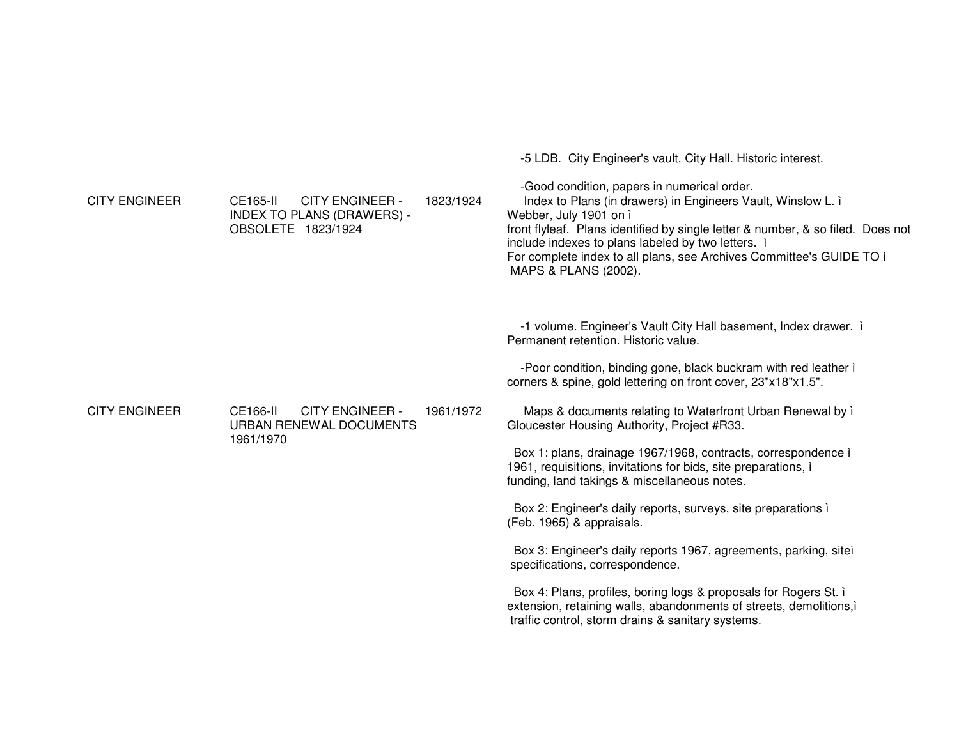-5 LDB. City Engineer's vault, City Hall. Historic interest. -Good condition, papers in numerical order. CITY ENGINEER CE165-II CITY ENGINEER - INDEX TO PLANS (DRAWERS) - OBSOLETE 1823/1924 1823/1924 Index to Plans (in drawers) in Engineers Vault, Winslow L. ì Webber, July 1901 on ì front flyleaf. Plans identified by single letter & number, & so filed. Does not include indexes to plans labeled by two letters. ì For complete index to all plans, see Archives Committee's GUIDE TO ì MAPS & PLANS (2002). -1 volume. Engineer's Vault City Hall basement, Index drawer. ì Permanent retention. Historic value. -Poor condition, binding gone, black buckram with red leather ì corners & spine, gold lettering on front cover, 23"x18"x1.5". CITY ENGINEER CE166-II CITY ENGINEER - URBAN RENEWAL DOCUMENTS 1961/19701961/1972 Maps & documents relating to Waterfront Urban Renewal by ì Gloucester Housing Authority, Project #R33. Box 1: plans, drainage 1967/1968, contracts, correspondence ì 1961, requisitions, invitations for bids, site preparations, ì funding, land takings & miscellaneous notes. Box 2: Engineer's daily reports, surveys, site preparations ì (Feb. 1965) & appraisals. Box 3: Engineer's daily reports 1967, agreements, parking, siteì specifications, correspondence. Box 4: Plans, profiles, boring logs & proposals for Rogers St. ì extension, retaining walls, abandonments of streets, demolitions,ì

traffic control, storm drains & sanitary systems.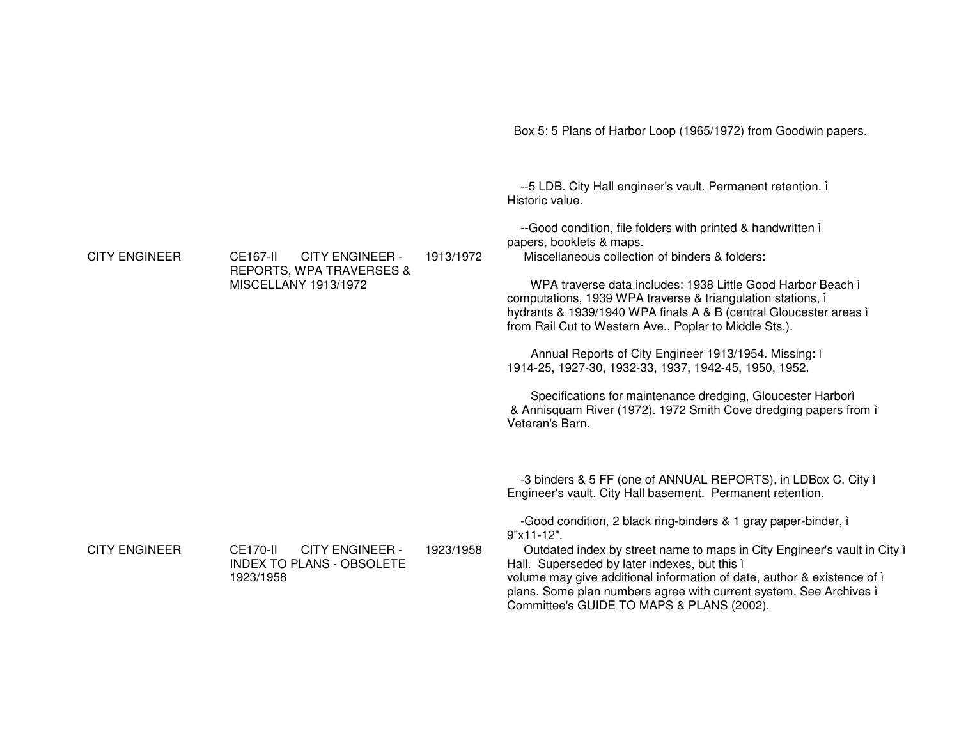Box 5: 5 Plans of Harbor Loop (1965/1972) from Goodwin papers. --5 LDB. City Hall engineer's vault. Permanent retention. i Historic value --Good condition, file folders with printed & handwritten i papers, booklets & maps. **CITY ENGINEER CITY ENGINEER -**Miscellaneous collection of binders & folders: CE167-II 1913/1972 **REPORTS, WPA TRAVERSES &** MISCELLANY 1913/1972 WPA traverse data includes: 1938 Little Good Harbor Beach i computations, 1939 WPA traverse & triangulation stations, i hydrants & 1939/1940 WPA finals A & B (central Gloucester areas i from Rail Cut to Western Ave., Poplar to Middle Sts.). Annual Reports of City Engineer 1913/1954. Missing: i 1914-25, 1927-30, 1932-33, 1937, 1942-45, 1950, 1952. Specifications for maintenance dredging, Gloucester Harbori & Annisquam River (1972). 1972 Smith Cove dredging papers from i Veteran's Barn. -3 binders & 5 FF (one of ANNUAL REPORTS), in LDBox C. City i Engineer's vault. City Hall basement. Permanent retention. -Good condition, 2 black ring-binders & 1 gray paper-binder, i  $9"x11-12".$ **CITY ENGINEER CITY ENGINEER -**1923/1958 CE170-II Outdated index by street name to maps in City Engineer's vault in City i **INDEX TO PLANS - OBSOLETE** Hall. Superseded by later indexes, but this i volume may give additional information of date, author & existence of i 1923/1958 plans. Some plan numbers agree with current system. See Archives i Committee's GUIDE TO MAPS & PLANS (2002).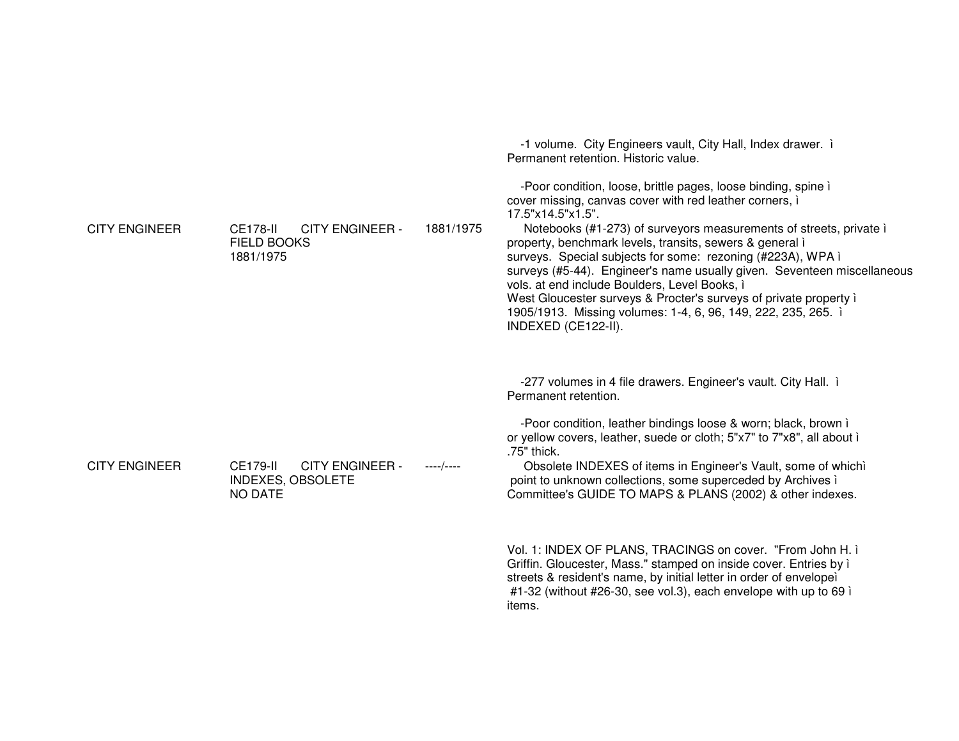| <b>CITY ENGINEER</b> | <b>CITY ENGINEER -</b><br>CE178-II<br><b>FIELD BOOKS</b><br>1881/1975                   | 1881/1975 | 17.5"x14.5"x1.5".<br>Notebooks (#1-273) of surveyors measurements of streets, private i<br>property, benchmark levels, transits, sewers & general i<br>surveys. Special subjects for some: rezoning (#223A), WPA i<br>surveys (#5-44). Engineer's name usually given. Seventeen miscellaneous<br>vols. at end include Boulders, Level Books, i<br>West Gloucester surveys & Procter's surveys of private property i<br>1905/1913. Missing volumes: 1-4, 6, 96, 149, 222, 235, 265. i<br>INDEXED (CE122-II).                                                                                                                                                                                                                 |
|----------------------|-----------------------------------------------------------------------------------------|-----------|-----------------------------------------------------------------------------------------------------------------------------------------------------------------------------------------------------------------------------------------------------------------------------------------------------------------------------------------------------------------------------------------------------------------------------------------------------------------------------------------------------------------------------------------------------------------------------------------------------------------------------------------------------------------------------------------------------------------------------|
| <b>CITY ENGINEER</b> | <b>CE179-II</b><br><b>CITY ENGINEER -</b><br><b>INDEXES, OBSOLETE</b><br><b>NO DATE</b> | ----/---- | -277 volumes in 4 file drawers. Engineer's vault. City Hall. i<br>Permanent retention.<br>-Poor condition, leather bindings loose & worn; black, brown i<br>or yellow covers, leather, suede or cloth; 5"x7" to 7"x8", all about i<br>.75" thick.<br>Obsolete INDEXES of items in Engineer's Vault, some of whichì<br>point to unknown collections, some superceded by Archives i<br>Committee's GUIDE TO MAPS & PLANS (2002) & other indexes.<br>Vol. 1: INDEX OF PLANS, TRACINGS on cover. "From John H. ì<br>Griffin. Gloucester, Mass." stamped on inside cover. Entries by i<br>streets & resident's name, by initial letter in order of envelope)<br>#1-32 (without #26-30, see vol.3), each envelope with up to 69 i |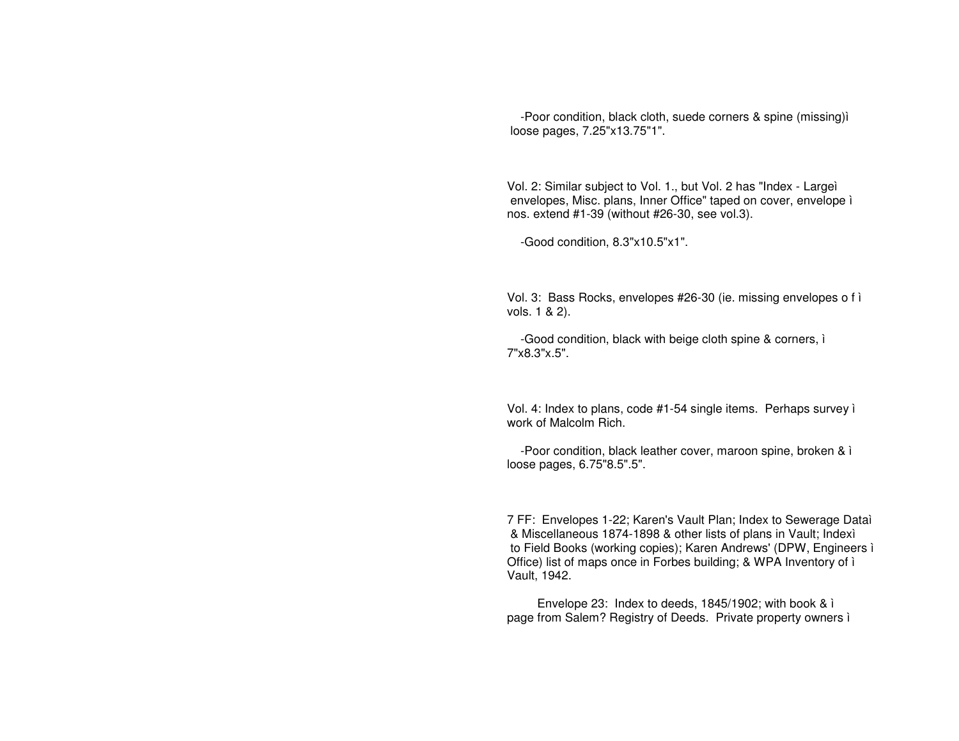-Poor condition, black cloth, suede corners & spine (missing)ì loose pages, 7.25"x13.75"1".

Vol. 2: Similar subject to Vol. 1., but Vol. 2 has "Index - Largeì envelopes, Misc. plans, Inner Office" taped on cover, envelope ì nos. extend #1-39 (without #26-30, see vol.3).

-Good condition, 8.3"x10.5"x1".

Vol. 3: Bass Rocks, envelopes #26-30 (ie. missing envelopes <sup>o</sup> f ì vols. 1 & 2).

-Good condition, black with beige cloth spine & corners, ì 7"x8.3"x.5".

Vol. 4: Index to plans, code #1-54 single items. Perhaps survey ì work of Malcolm Rich.

-Poor condition, black leather cover, maroon spine, broken & ì loose pages, 6.75"8.5".5".

7 FF: Envelopes 1-22; Karen's Vault Plan; Index to Sewerage Dataì & Miscellaneous 1874-1898 & other lists of plans in Vault; Indexì to Field Books (working copies); Karen Andrews' (DPW, Engineers ì Office) list of maps once in Forbes building; & WPA Inventory of ì Vault, 1942.

Envelope 23: Index to deeds, 1845/1902; with book & ì page from Salem? Registry of Deeds. Private property owners ì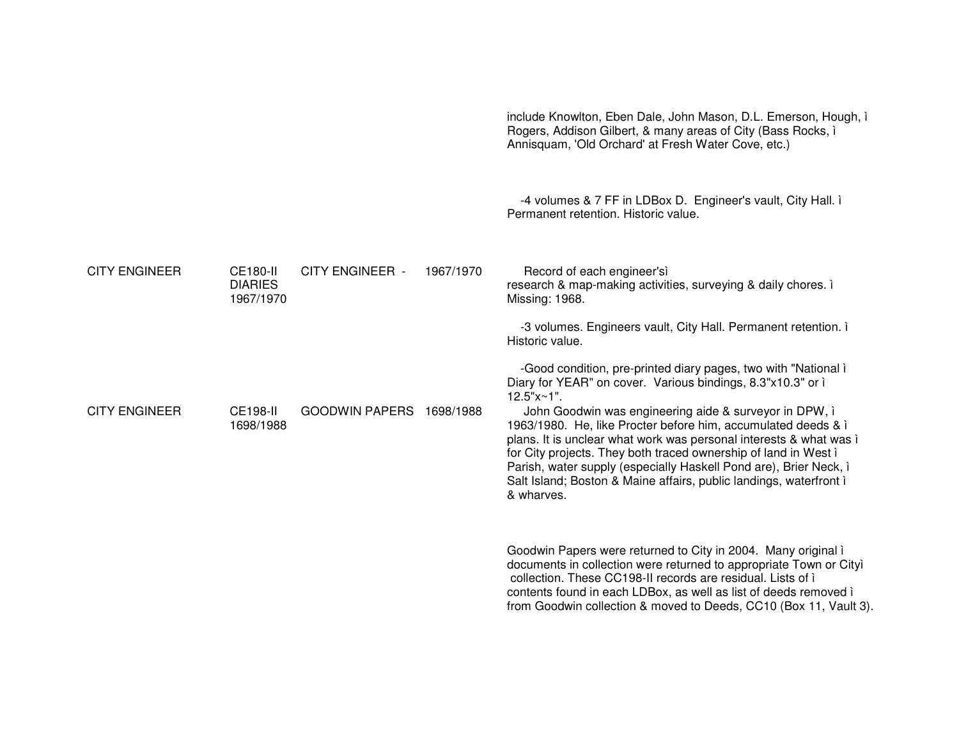|                      |                                                |                          |           | include Knowlton, Eben Dale, John Mason, D.L. Emerson, Hough, i<br>Rogers, Addison Gilbert, & many areas of City (Bass Rocks, i<br>Annisquam, 'Old Orchard' at Fresh Water Cove, etc.)                                                                                                                                                                                                                                    |
|----------------------|------------------------------------------------|--------------------------|-----------|---------------------------------------------------------------------------------------------------------------------------------------------------------------------------------------------------------------------------------------------------------------------------------------------------------------------------------------------------------------------------------------------------------------------------|
|                      |                                                |                          |           | -4 volumes & 7 FF in LDBox D. Engineer's vault, City Hall. i<br>Permanent retention. Historic value.                                                                                                                                                                                                                                                                                                                      |
| <b>CITY ENGINEER</b> | <b>CE180-II</b><br><b>DIARIES</b><br>1967/1970 | <b>CITY ENGINEER -</b>   | 1967/1970 | Record of each engineer'sì<br>research & map-making activities, surveying & daily chores. i<br>Missing: 1968.                                                                                                                                                                                                                                                                                                             |
|                      |                                                |                          |           | -3 volumes. Engineers vault, City Hall. Permanent retention. i<br>Historic value.                                                                                                                                                                                                                                                                                                                                         |
|                      |                                                |                          |           | -Good condition, pre-printed diary pages, two with "National i<br>Diary for YEAR" on cover. Various bindings, 8.3"x10.3" or i<br>$12.5"x~1"$ .                                                                                                                                                                                                                                                                            |
| <b>CITY ENGINEER</b> | <b>CE198-II</b><br>1698/1988                   | GOODWIN PAPERS 1698/1988 |           | John Goodwin was engineering aide & surveyor in DPW, i<br>1963/1980. He, like Procter before him, accumulated deeds & i<br>plans. It is unclear what work was personal interests & what was i<br>for City projects. They both traced ownership of land in West i<br>Parish, water supply (especially Haskell Pond are), Brier Neck, i<br>Salt Island; Boston & Maine affairs, public landings, waterfront i<br>& wharves. |
|                      |                                                |                          |           | Goodwin Papers were returned to City in 2004. Many original i<br>documents in collection were returned to appropriate Town or Cityì<br>collection. These CC198-II records are residual. Lists of i<br>contents found in each LDBox, as well as list of deeds removed i<br>from Goodwin collection & moved to Deeds, CC10 (Box 11, Vault 3).                                                                               |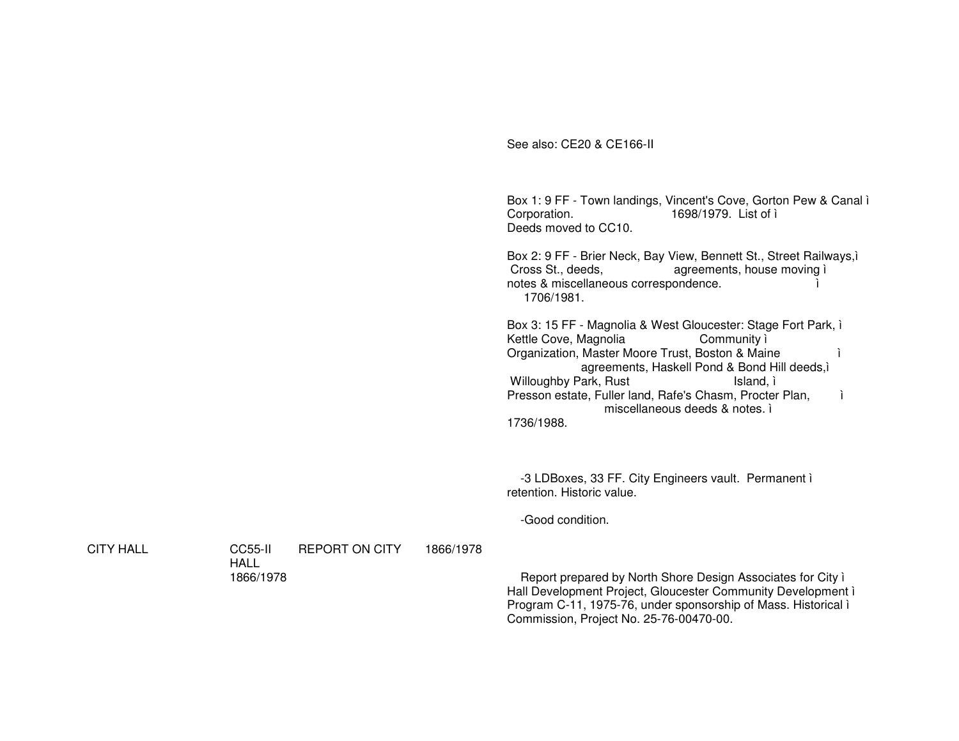See also: CE20 & CE166-II

Box 1: 9 FF - Town landings, Vincent's Cove, Gorton Pew & Canal i Corporation. 1698/1979. List of i Deeds moved to CC10.

Box 2: 9 FF - Brier Neck, Bay View, Bennett St., Street Railways, i Cross St., deeds, agreements, house moving i notes & miscellaneous correspondence. 1706/1981.

Box 3: 15 FF - Magnolia & West Gloucester: Stage Fort Park, i Kettle Cove, Magnolia Community ì Organization, Master Moore Trust, Boston & Maine i. agreements, Haskell Pond & Bond Hill deeds,i **Willoughby Park, Rust** Island, ì Presson estate, Fuller land, Rafe's Chasm, Procter Plan, j. miscellaneous deeds & notes. i

1736/1988.

-3 LDBoxes, 33 FF. City Engineers vault. Permanent i retention. Historic value.

-Good condition.

**CITY HALL** 

**CC55-II REPORT ON CITY** 1866/1978 **HALL** 1866/1978

Report prepared by North Shore Design Associates for City i Hall Development Project, Gloucester Community Development i Program C-11, 1975-76, under sponsorship of Mass. Historical i Commission, Project No. 25-76-00470-00.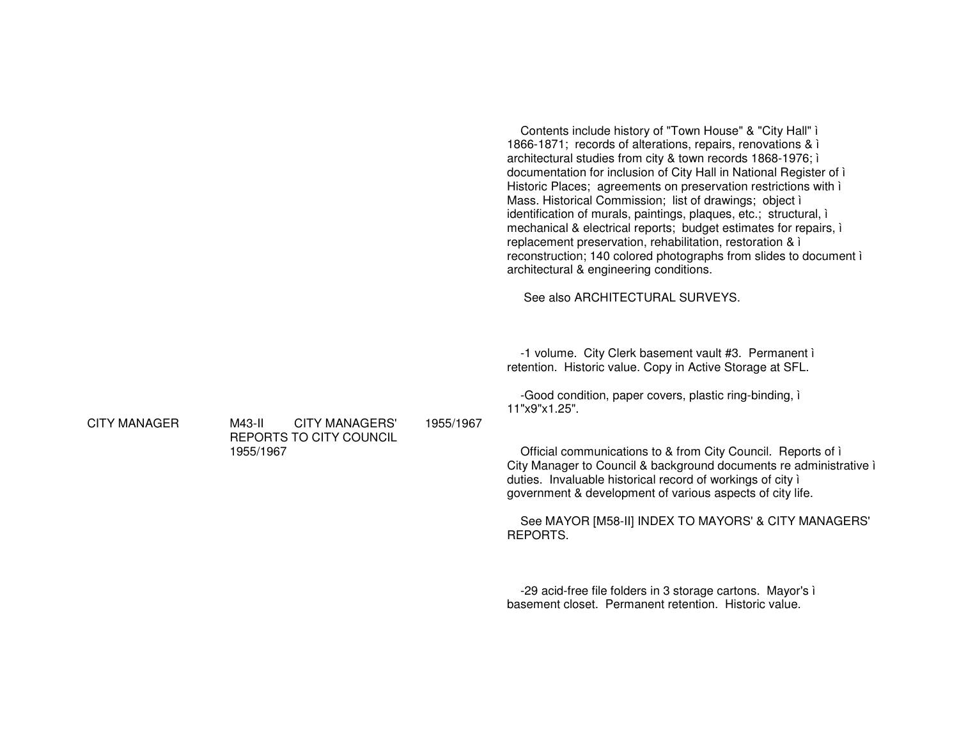Contents include history of "Town House" & "City Hall" ì 1866-1871; records of alterations, repairs, renovations & ì architectural studies from city & town records 1868-1976; ì documentation for inclusion of City Hall in National Register of ì Historic Places; agreements on preservation restrictions with ì Mass. Historical Commission; list of drawings; object ì identification of murals, paintings, plaques, etc.; structural, ì mechanical & electrical reports; budget estimates for repairs, ì replacement preservation, rehabilitation, restoration & ì reconstruction; 140 colored photographs from slides to document ì architectural & engineering conditions.

See also ARCHITECTURAL SURVEYS.

-1 volume. City Clerk basement vault #3. Permanent ì retention. Historic value. Copy in Active Storage at SFL.

-Good condition, paper covers, plastic ring-binding, ì 11"x9"x1.25".

Official communications to & from City Council. Reports of ì City Manager to Council & background documents re administrative ì duties. Invaluable historical record of workings of city ì government & development of various aspects of city life.

See MAYOR [M58-II] INDEX TO MAYORS' & CITY MANAGERS' REPORTS.

-29 acid-free file folders in 3 storage cartons. Mayor's ì basement closet. Permanent retention. Historic value.

CITY MANAGER

 M43-II CITY MANAGERS' REPORTS TO CITY COUNCIL 1955/19671955/1967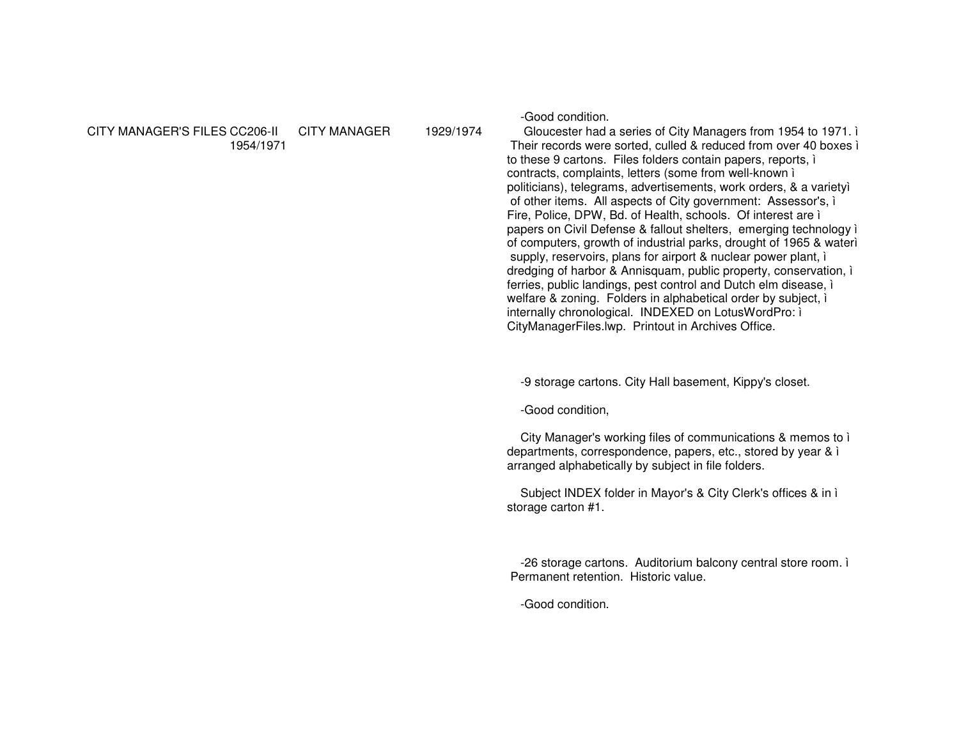#### CITY MANAGER'S FILES CC206-II CITY MANAGER1954/1971

1929/1974

-Good condition.

 Gloucester had <sup>a</sup> series of City Managers from 1954 to 1971. ì Their records were sorted, culled & reduced from over 40 boxes ì to these 9 cartons. Files folders contain papers, reports, ì contracts, complaints, letters (some from well-known ì politicians), telegrams, advertisements, work orders, & <sup>a</sup> varietyì of other items. All aspects of City government: Assessor's, ì Fire, Police, DPW, Bd. of Health, schools. Of interest are ì papers on Civil Defense & fallout shelters, emerging technology ì of computers, growth of industrial parks, drought of 1965 & waterì supply, reservoirs, plans for airport & nuclear power plant, ì dredging of harbor & Annisquam, public property, conservation, ì ferries, public landings, pest control and Dutch elm disease, ì welfare & zoning. Folders in alphabetical order by subject, ì internally chronological. INDEXED on LotusWordPro: ì CityManagerFiles.lwp. Printout in Archives Office.

-9 storage cartons. City Hall basement, Kippy's closet.

-Good condition,

City Manager's working files of communications & memos to ì departments, correspondence, papers, etc., stored by year & ì arranged alphabetically by subject in file folders.

Subject INDEX folder in Mayor's & City Clerk's offices & in ì storage carton #1.

-26 storage cartons. Auditorium balcony central store room. ì Permanent retention. Historic value.

-Good condition.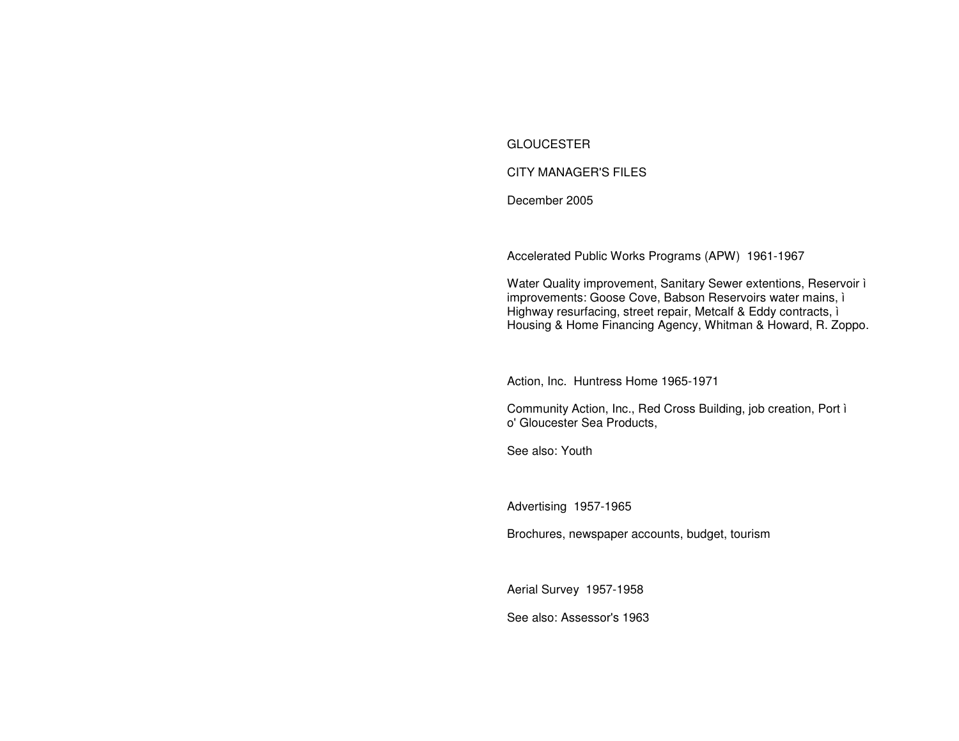# **GLOUCESTER**

# **CITY MANAGER'S FILES**

December 2005

Accelerated Public Works Programs (APW) 1961-1967

Water Quality improvement, Sanitary Sewer extentions, Reservoir i improvements: Goose Cove, Babson Reservoirs water mains, i Highway resurfacing, street repair, Metcalf & Eddy contracts, i Housing & Home Financing Agency, Whitman & Howard, R. Zoppo.

Action, Inc. Huntress Home 1965-1971

Community Action, Inc., Red Cross Building, job creation, Port i o' Gloucester Sea Products.

See also: Youth

Advertising 1957-1965

Brochures, newspaper accounts, budget, tourism

Aerial Survey 1957-1958

See also: Assessor's 1963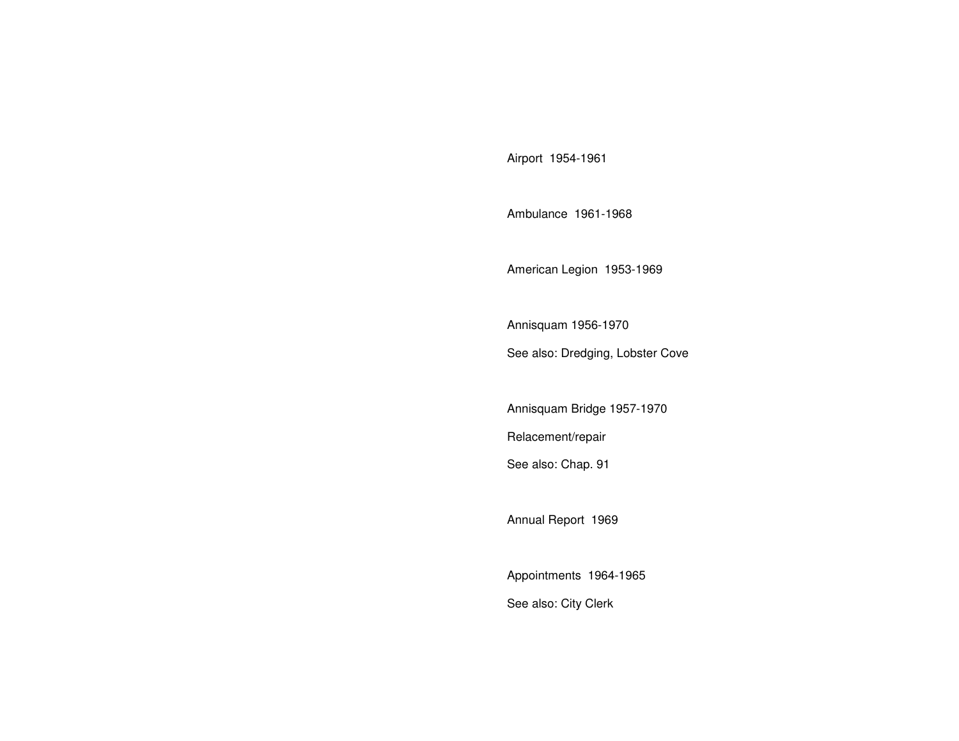Airport 1954-1961

Ambulance 1961-1968

American Legion 1953-1969

Annisquam 1956-1970 See also: Dredging, Lobster Cove

Annisquam Bridge 1957-1970 Relacement/repair See also: Chap. 91

Annual Report 1969

Appointments 1964-1965 See also: City Clerk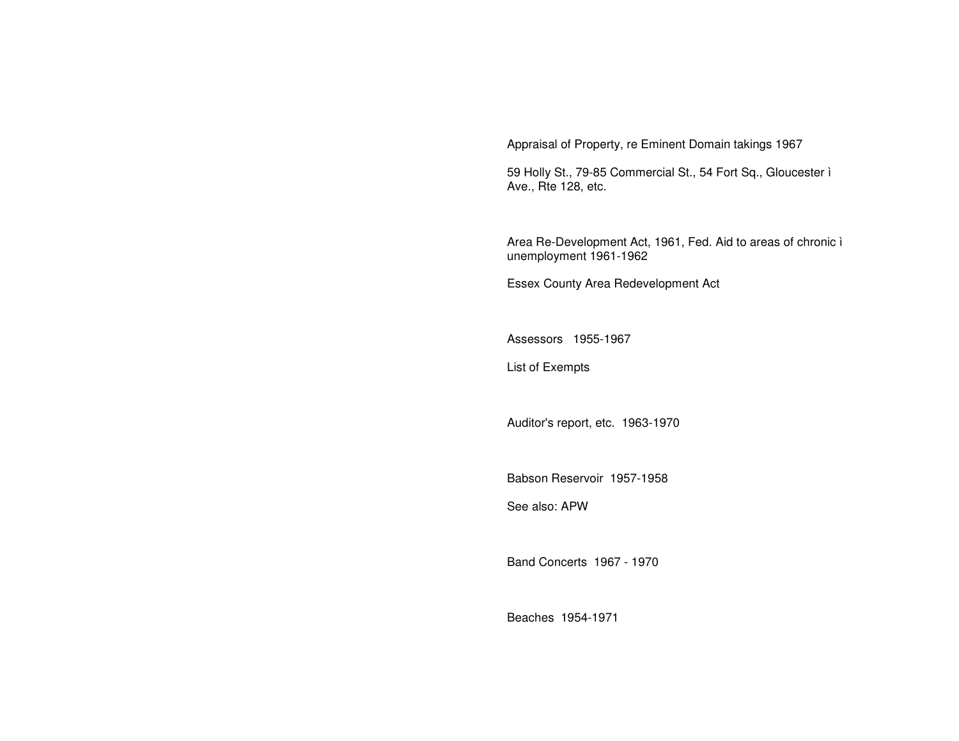Appraisal of Property, re Eminent Domain takings 1967

59 Holly St., 79-85 Commercial St., 54 Fort Sq., Gloucester ì Ave., Rte 128, etc.

Area Re-Development Act, 1961, Fed. Aid to areas of chronic ì unemployment 1961-1962

Essex County Area Redevelopment Act

Assessors 1955-1967

List of Exempts

Auditor's report, etc. 1963-1970

Babson Reservoir 1957-1958

See also: APW

Band Concerts 1967 - 1970

Beaches 1954-1971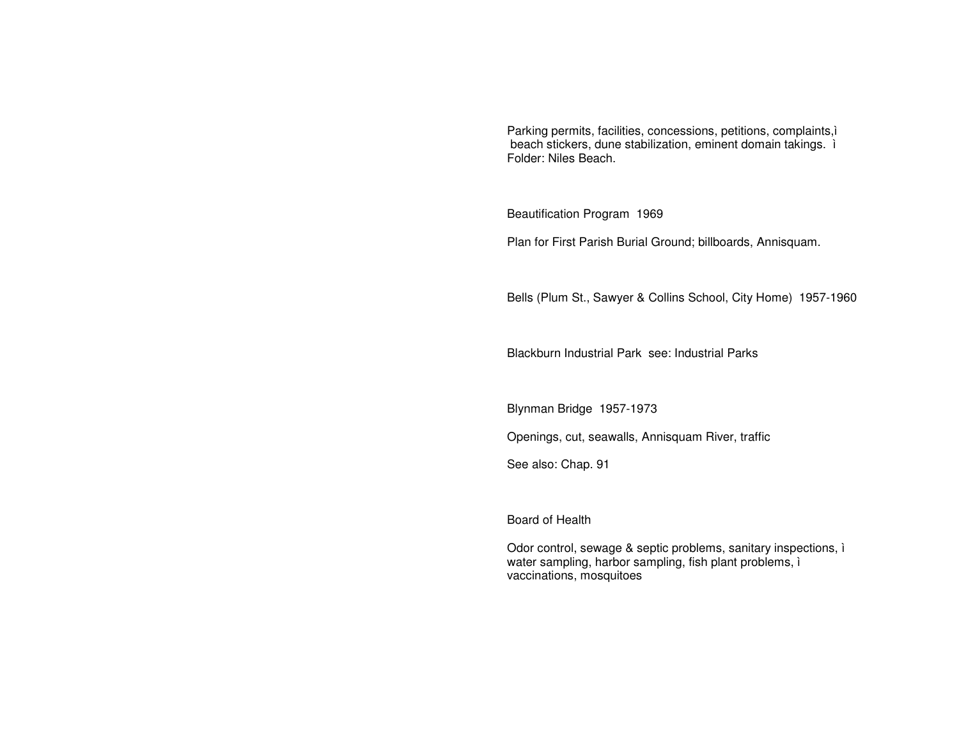Parking permits, facilities, concessions, petitions, complaints,ì beach stickers, dune stabilization, eminent domain takings. ì Folder: Niles Beach.

Beautification Program 1969

Plan for First Parish Burial Ground; billboards, Annisquam.

Bells (Plum St., Sawyer & Collins School, City Home) 1957-1960

Blackburn Industrial Park see: Industrial Parks

Blynman Bridge 1957-1973

Openings, cut, seawalls, Annisquam River, traffic

See also: Chap. 91

Board of Health

Odor control, sewage & septic problems, sanitary inspections, ì water sampling, harbor sampling, fish plant problems, ì vaccinations, mosquitoes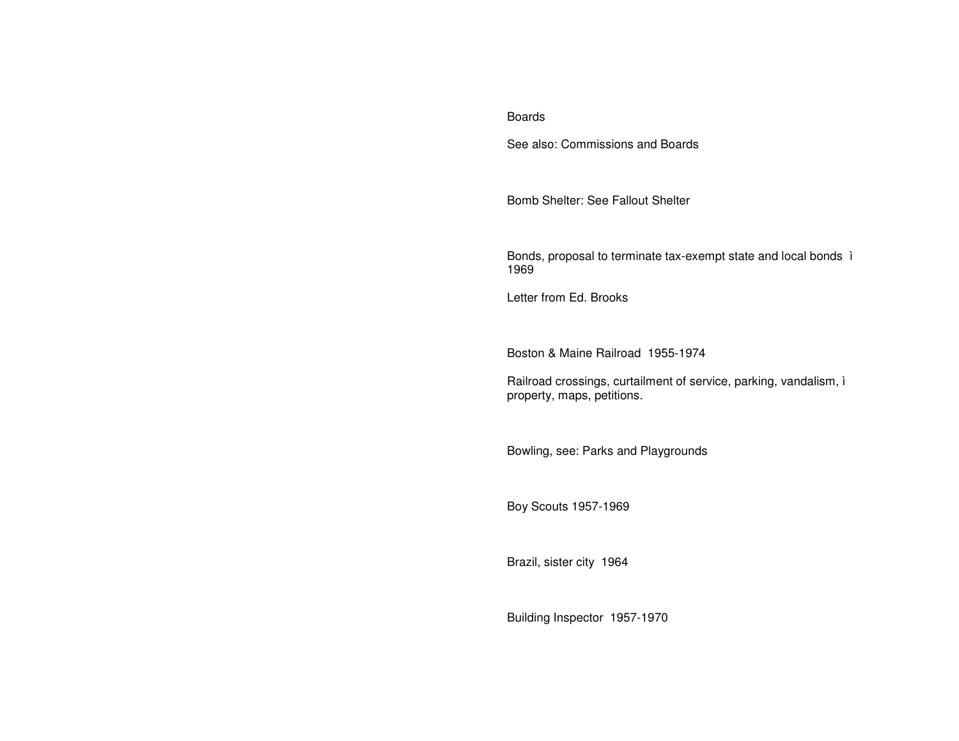#### Boards

See also: Commissions and Boards

Bomb Shelter: See Fallout Shelter

Bonds, proposal to terminate tax-exempt state and local bonds ì 1969

Letter from Ed. Brooks

Boston & Maine Railroad 1955-1974

Railroad crossings, curtailment of service, parking, vandalism, ì property, maps, petitions.

Bowling, see: Parks and Playgrounds

Boy Scouts 1957-1969

Brazil, sister city 1964

Building Inspector 1957-1970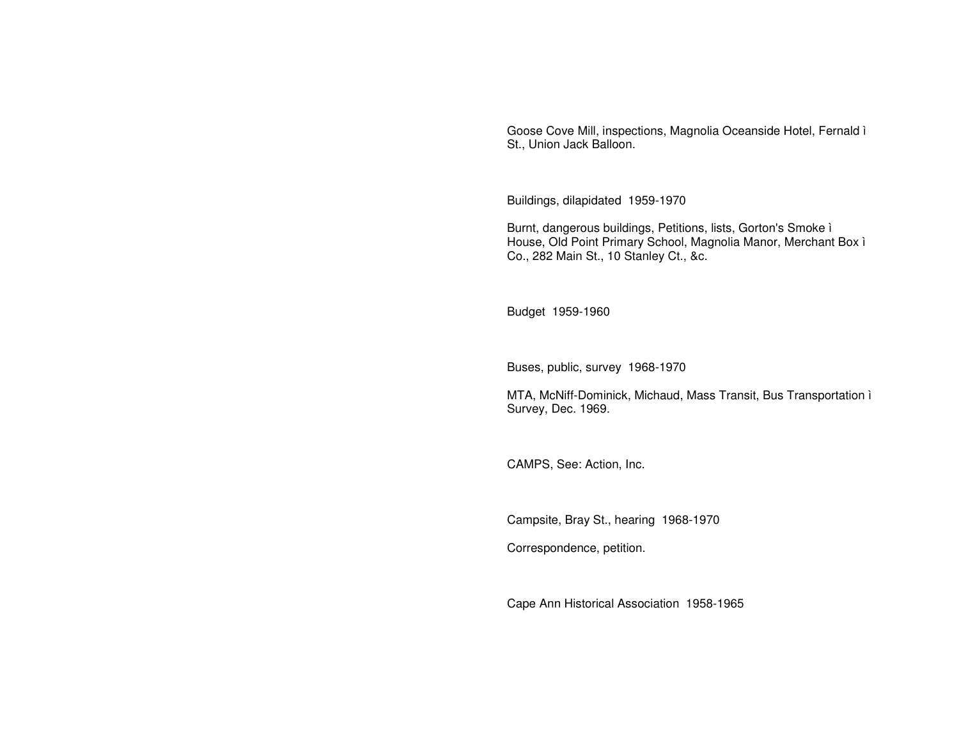Goose Cove Mill, inspections, Magnolia Oceanside Hotel, Fernald ì St., Union Jack Balloon.

Buildings, dilapidated 1959-1970

Burnt, dangerous buildings, Petitions, lists, Gorton's Smoke ì House, Old Point Primary School, Magnolia Manor, Merchant Box ì Co., 282 Main St., 10 Stanley Ct., &c.

Budget 1959-1960

Buses, public, survey 1968-1970

MTA, McNiff-Dominick, Michaud, Mass Transit, Bus Transportation ì Survey, Dec. 1969.

CAMPS, See: Action, Inc.

Campsite, Bray St., hearing 1968-1970

Correspondence, petition.

Cape Ann Historical Association 1958-1965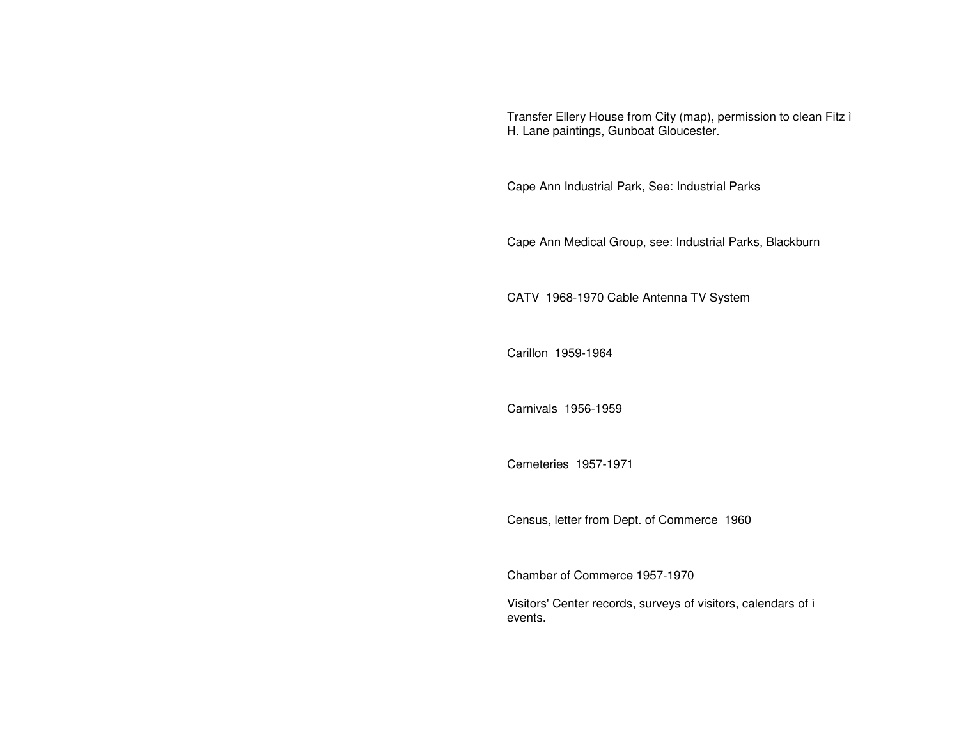Transfer Ellery House from City (map), permission to clean Fitz ì H. Lane paintings, Gunboat Gloucester.

Cape Ann Industrial Park, See: Industrial Parks

Cape Ann Medical Group, see: Industrial Parks, Blackburn

CATV 1968-1970 Cable Antenna TV System

Carillon 1959-1964

Carnivals 1956-1959

Cemeteries 1957-1971

Census, letter from Dept. of Commerce 1960

Chamber of Commerce 1957-1970

Visitors' Center records, surveys of visitors, calendars of ì events.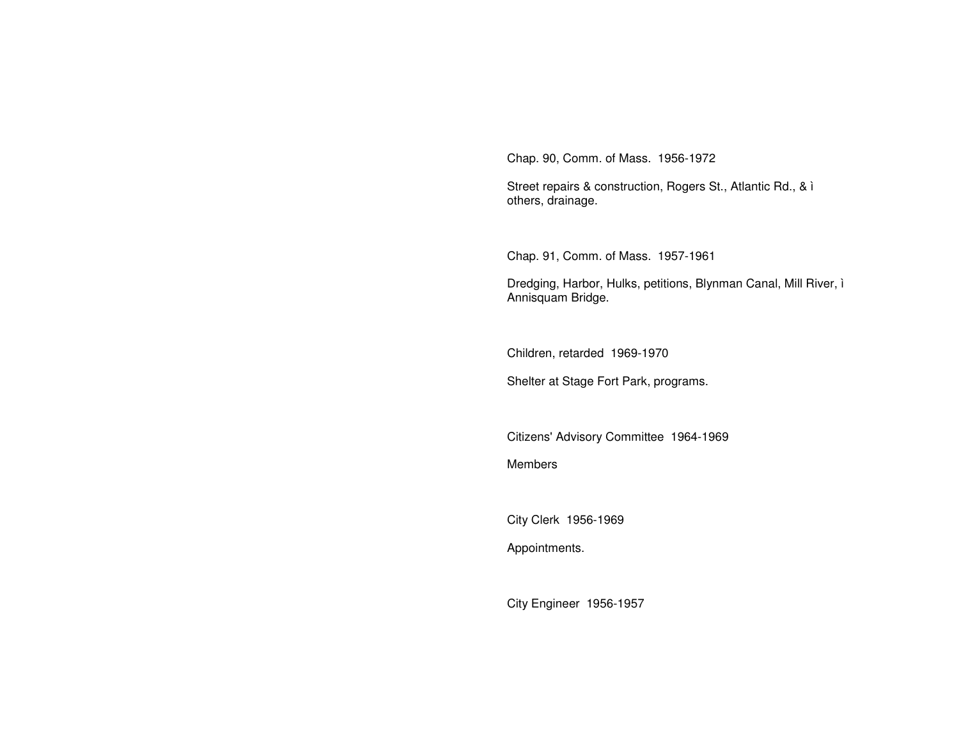Chap. 90, Comm. of Mass. 1956-1972

Street repairs & construction, Rogers St., Atlantic Rd., & ì others, drainage.

Chap. 91, Comm. of Mass. 1957-1961

Dredging, Harbor, Hulks, petitions, Blynman Canal, Mill River, ì Annisquam Bridge.

Children, retarded 1969-1970

Shelter at Stage Fort Park, programs.

Citizens' Advisory Committee 1964-1969

Members

City Clerk 1956-1969

Appointments.

City Engineer 1956-1957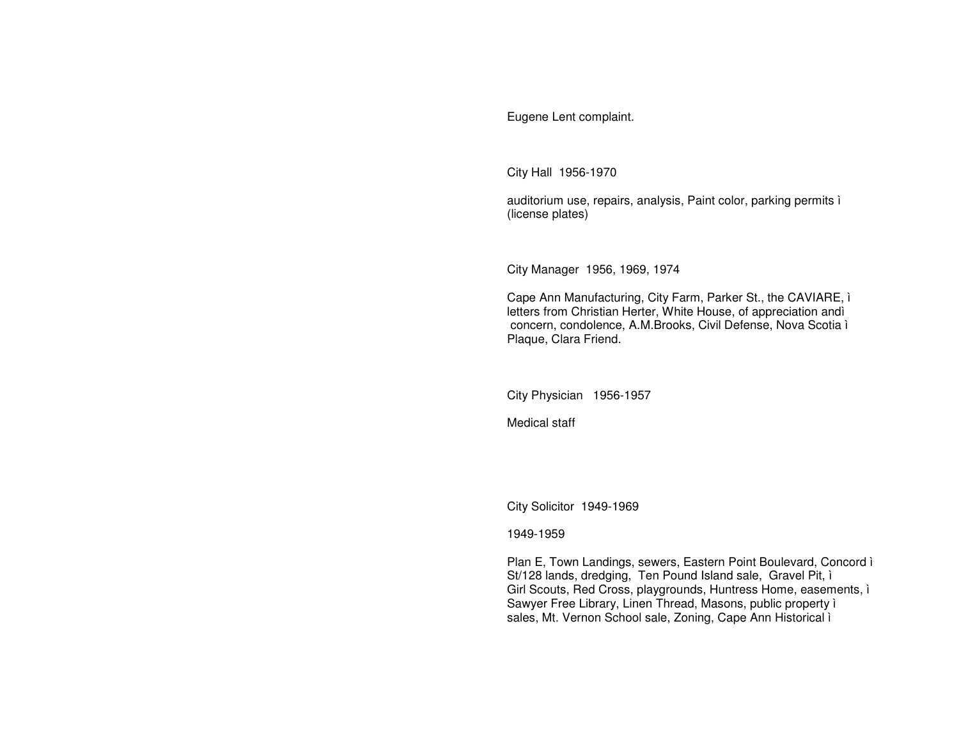Eugene Lent complaint.

City Hall 1956-1970

auditorium use, repairs, analysis, Paint color, parking permits i (license plates)

City Manager 1956, 1969, 1974

Cape Ann Manufacturing, City Farm, Parker St., the CAVIARE, i letters from Christian Herter, White House, of appreciation andì concern, condolence, A.M.Brooks, Civil Defense, Nova Scotia ì Plaque, Clara Friend.

City Physician 1956-1957

Medical staff

City Solicitor 1949-1969

1949-1959

Plan E, Town Landings, sewers, Eastern Point Boulevard, Concord i St/128 lands, dredging, Ten Pound Island sale, Gravel Pit, i Girl Scouts, Red Cross, playgrounds, Huntress Home, easements, i Sawyer Free Library, Linen Thread, Masons, public property i sales, Mt. Vernon School sale, Zoning, Cape Ann Historical i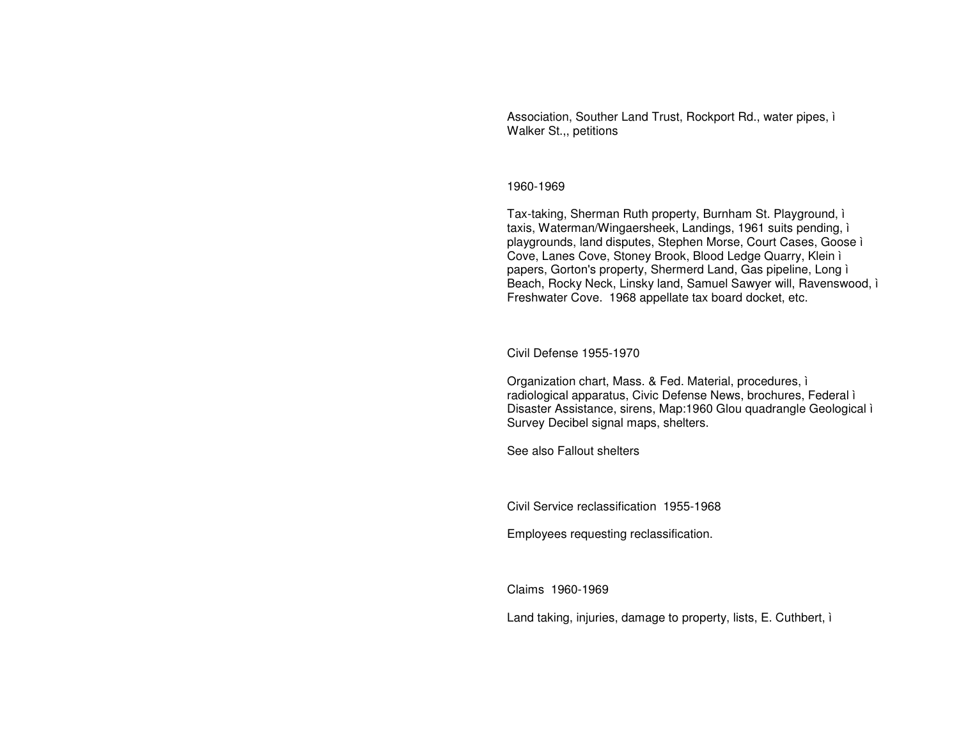Association, Souther Land Trust, Rockport Rd., water pipes, i Walker St.,, petitions

#### 1960-1969

Tax-taking, Sherman Ruth property, Burnham St. Playground, i taxis, Waterman/Wingaersheek, Landings, 1961 suits pending, i playgrounds, land disputes, Stephen Morse, Court Cases, Goose i Cove, Lanes Cove, Stoney Brook, Blood Ledge Quarry, Klein ì papers, Gorton's property, Shermerd Land, Gas pipeline, Long i Beach, Rocky Neck, Linsky land, Samuel Sawyer will, Ravenswood, i Freshwater Cove. 1968 appellate tax board docket, etc.

Civil Defense 1955-1970

Organization chart, Mass. & Fed. Material, procedures, i radiological apparatus, Civic Defense News, brochures, Federal i Disaster Assistance, sirens, Map:1960 Glou quadrangle Geological i Survey Decibel signal maps, shelters.

See also Fallout shelters

Civil Service reclassification 1955-1968

Employees requesting reclassification.

Claims 1960-1969

Land taking, injuries, damage to property, lists, E. Cuthbert, i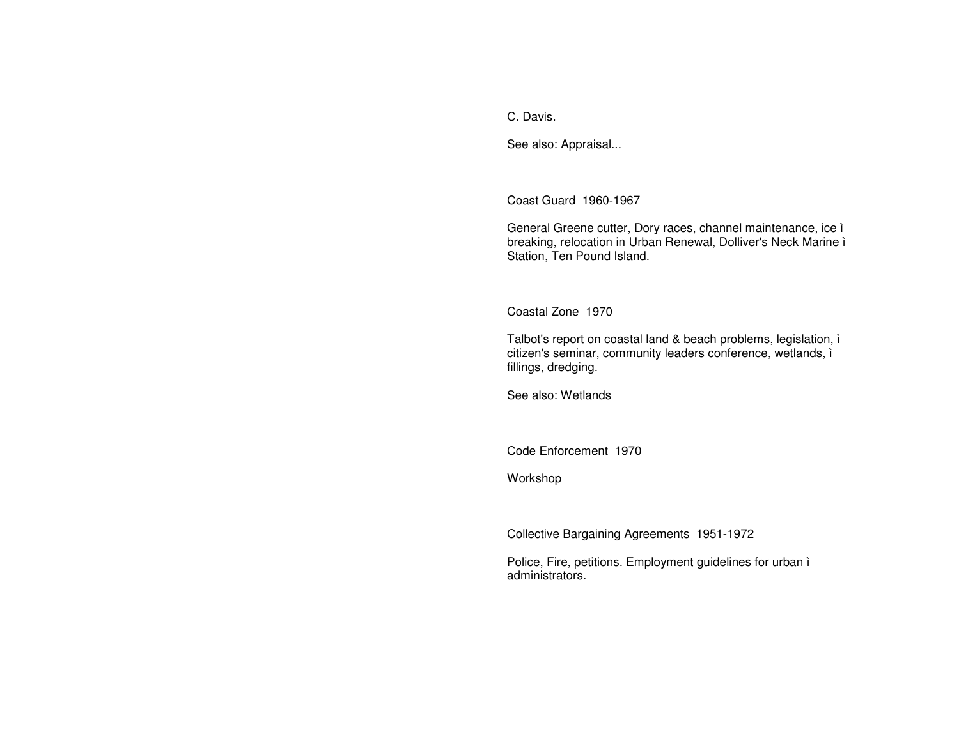C. Davis.

See also: Appraisal...

Coast Guard 1960-1967

General Greene cutter, Dory races, channel maintenance, ice ì breaking, relocation in Urban Renewal, Dolliver's Neck Marine ì Station, Ten Pound Island.

Coastal Zone 1970

Talbot's report on coastal land & beach problems, legislation, ì citizen's seminar, community leaders conference, wetlands, ì fillings, dredging.

See also: Wetlands

Code Enforcement 1970

Workshop

Collective Bargaining Agreements 1951-1972

Police, Fire, petitions. Employment guidelines for urban ì administrators.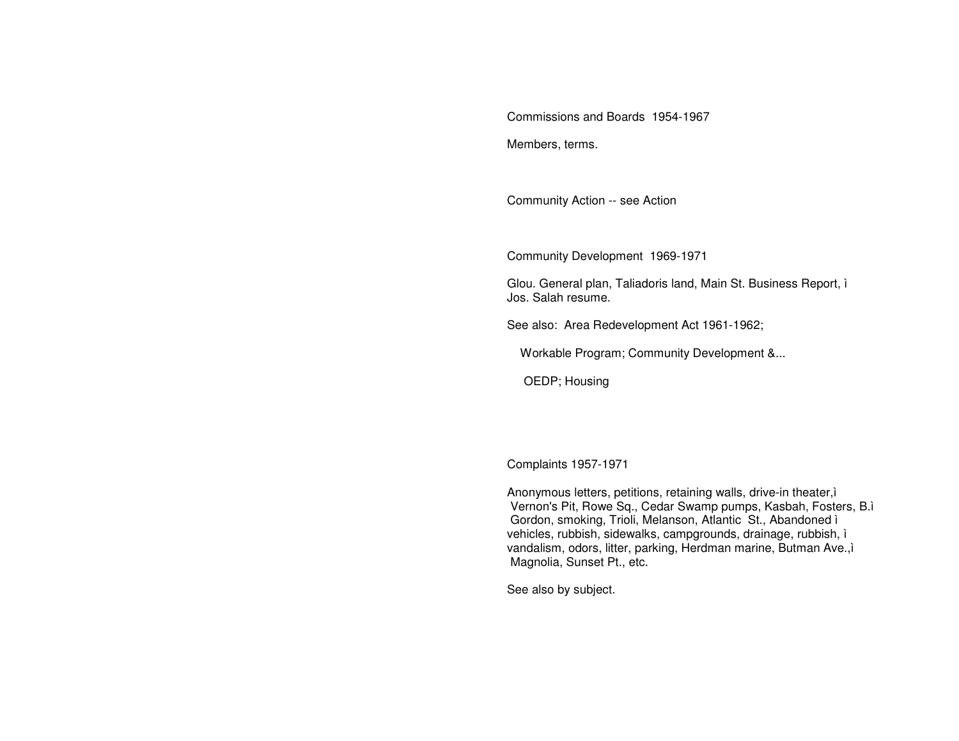Commissions and Boards 1954-1967

Members, terms.

Community Action -- see Action

Community Development 1969-1971

Glou. General plan, Taliadoris land, Main St. Business Report, ì Jos. Salah resume.

See also: Area Redevelopment Act 1961-1962;

Workable Program; Community Development &...

OEDP; Housing

Complaints 1957-1971

Anonymous letters, petitions, retaining walls, drive-in theater,ì Vernon's Pit, Rowe Sq., Cedar Swamp pumps, Kasbah, Fosters, B.ì Gordon, smoking, Trioli, Melanson, Atlantic St., Abandoned ì vehicles, rubbish, sidewalks, campgrounds, drainage, rubbish, ì vandalism, odors, litter, parking, Herdman marine, Butman Ave.,ì Magnolia, Sunset Pt., etc.

See also by subject.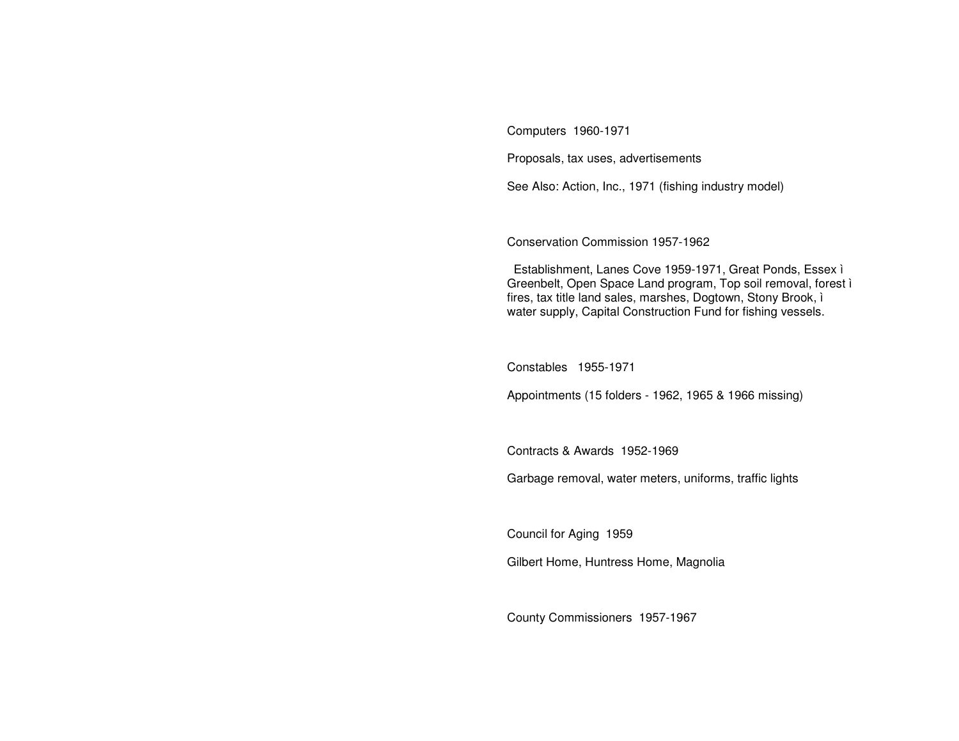Computers 1960-1971

Proposals, tax uses, advertisements

See Also: Action, Inc., 1971 (fishing industry model)

Conservation Commission 1957-1962

Establishment, Lanes Cove 1959-1971, Great Ponds, Essex ì Greenbelt, Open Space Land program, Top soil removal, forest ì fires, tax title land sales, marshes, Dogtown, Stony Brook, ì water supply, Capital Construction Fund for fishing vessels.

Constables 1955-1971

Appointments (15 folders - 1962, 1965 & 1966 missing)

Contracts & Awards 1952-1969

Garbage removal, water meters, uniforms, traffic lights

Council for Aging 1959

Gilbert Home, Huntress Home, Magnolia

County Commissioners 1957-1967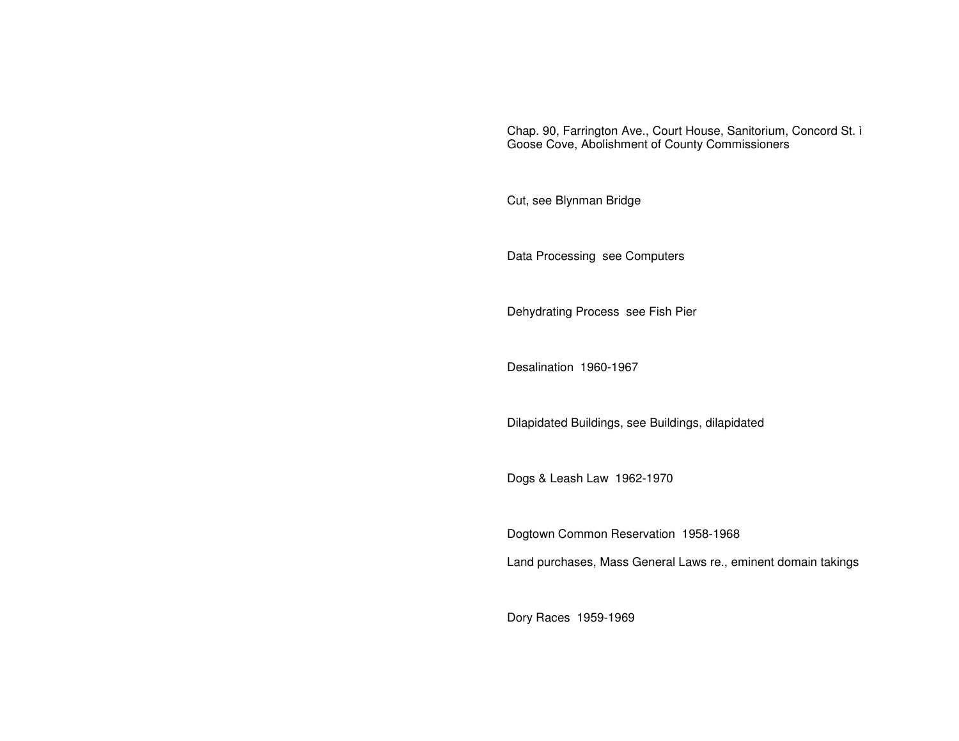Chap. 90, Farrington Ave., Court House, Sanitorium, Concord St. ì Goose Cove, Abolishment of County Commissioners

Cut, see Blynman Bridge

Data Processing see Computers

Dehydrating Process see Fish Pier

Desalination 1960-1967

Dilapidated Buildings, see Buildings, dilapidated

Dogs & Leash Law 1962-1970

Dogtown Common Reservation 1958-1968 Land purchases, Mass General Laws re., eminent domain takings

Dory Races 1959-1969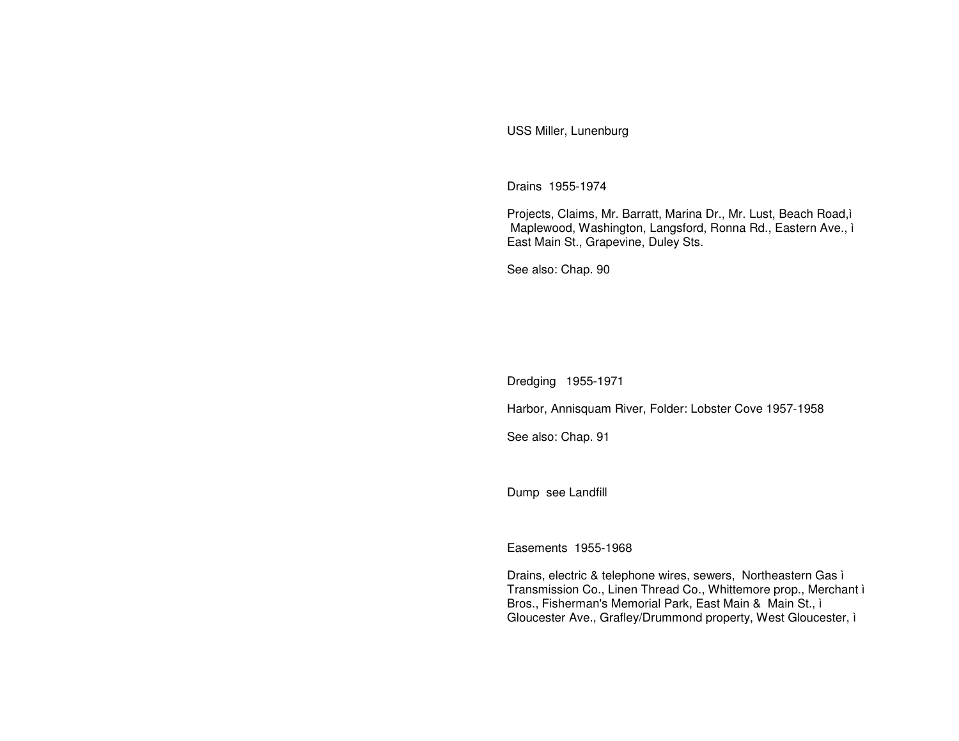USS Miller, Lunenburg

Drains 1955-1974

Projects, Claims, Mr. Barratt, Marina Dr., Mr. Lust, Beach Road,ì Maplewood, Washington, Langsford, Ronna Rd., Eastern Ave., ì East Main St., Grapevine, Duley Sts.

See also: Chap. 90

Dredging 1955-1971

Harbor, Annisquam River, Folder: Lobster Cove 1957-1958

See also: Chap. 91

Dump see Landfill

Easements 1955-1968

Drains, electric & telephone wires, sewers, Northeastern Gas ì Transmission Co., Linen Thread Co., Whittemore prop., Merchant ì Bros., Fisherman's Memorial Park, East Main & Main St., ì Gloucester Ave., Grafley/Drummond property, West Gloucester, ì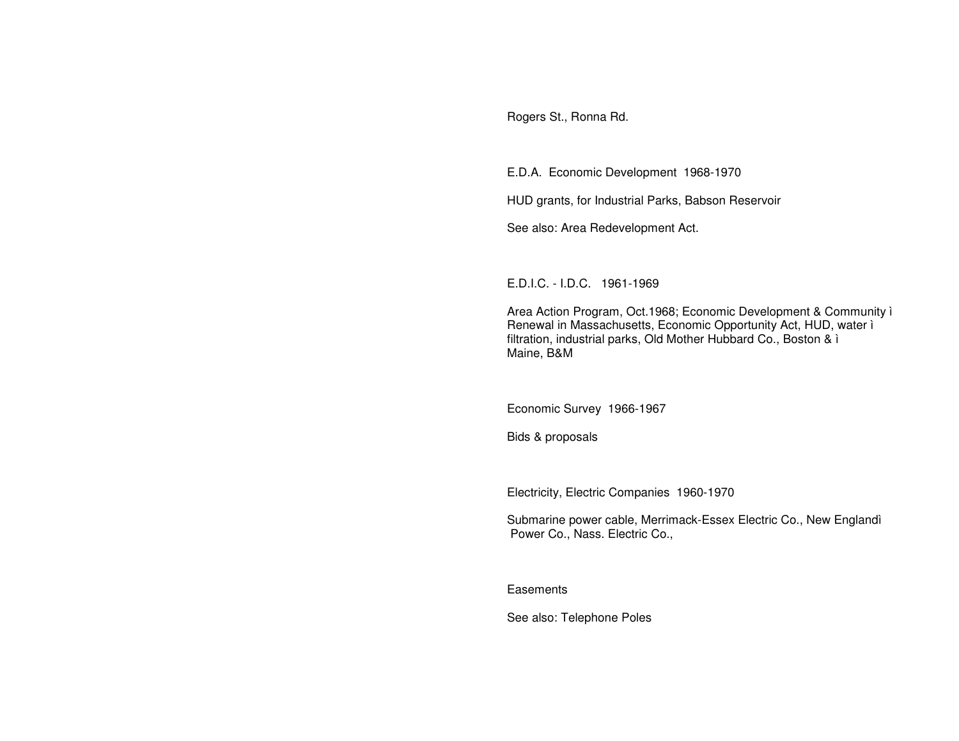Rogers St., Ronna Rd.

E.D.A. Economic Development 1968-1970

HUD grants, for Industrial Parks, Babson Reservoir

See also: Area Redevelopment Act.

E.D.I.C. - I.D.C. 1961-1969

Area Action Program, Oct.1968; Economic Development & Community ì Renewal in Massachusetts, Economic Opportunity Act, HUD, water ì filtration, industrial parks, Old Mother Hubbard Co., Boston & ì Maine, B&M

Economic Survey 1966-1967

Bids & proposals

Electricity, Electric Companies 1960-1970

Submarine power cable, Merrimack-Essex Electric Co., New Englandì Power Co., Nass. Electric Co.,

**Easements** 

See also: Telephone Poles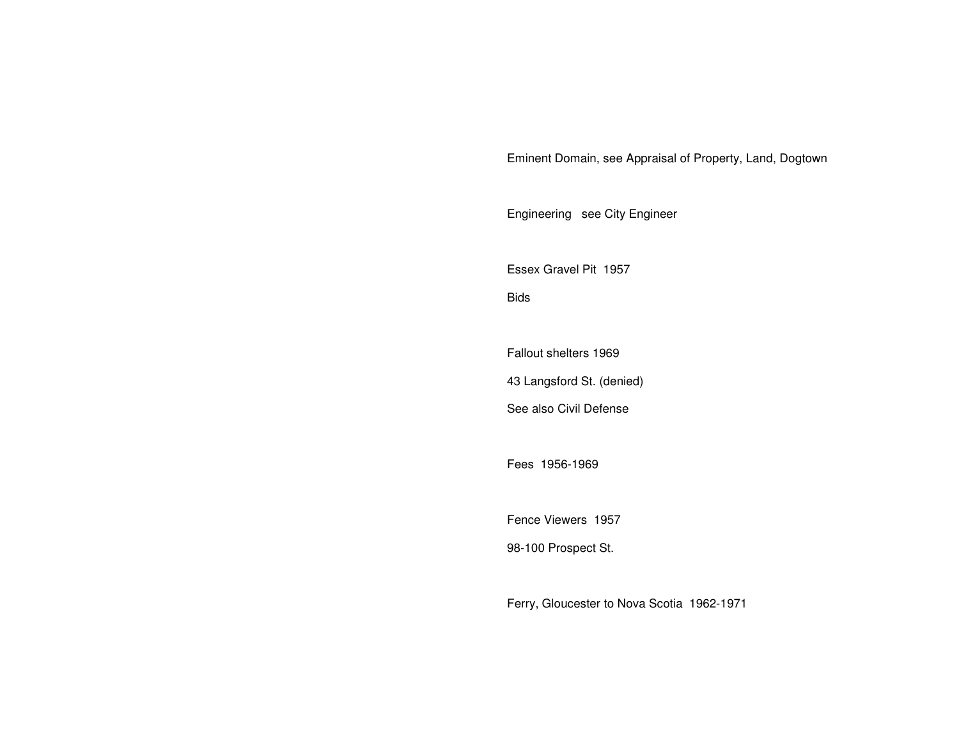Eminent Domain, see Appraisal of Property, Land, Dogtown

Engineering see City Engineer

Essex Gravel Pit 1957

Bids

Fallout shelters 1969

43 Langsford St. (denied)

See also Civil Defense

Fees 1956-1969

Fence Viewers 1957

98-100 Prospect St.

Ferry, Gloucester to Nova Scotia 1962-1971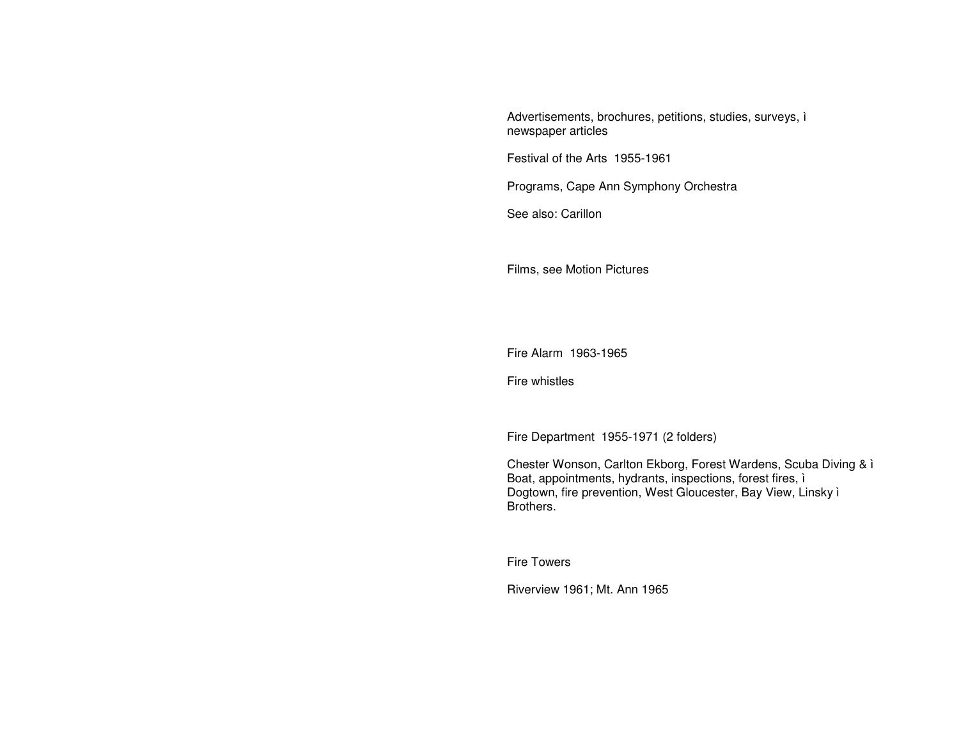Advertisements, brochures, petitions, studies, surveys, ì newspaper articles

Festival of the Arts 1955-1961

Programs, Cape Ann Symphony Orchestra

See also: Carillon

Films, see Motion Pictures

Fire Alarm 1963-1965

Fire whistles

Fire Department 1955-1971 (2 folders)

Chester Wonson, Carlton Ekborg, Forest Wardens, Scuba Diving & ì Boat, appointments, hydrants, inspections, forest fires, ì Dogtown, fire prevention, West Gloucester, Bay View, Linsky ì Brothers.

Fire Towers

Riverview 1961; Mt. Ann 1965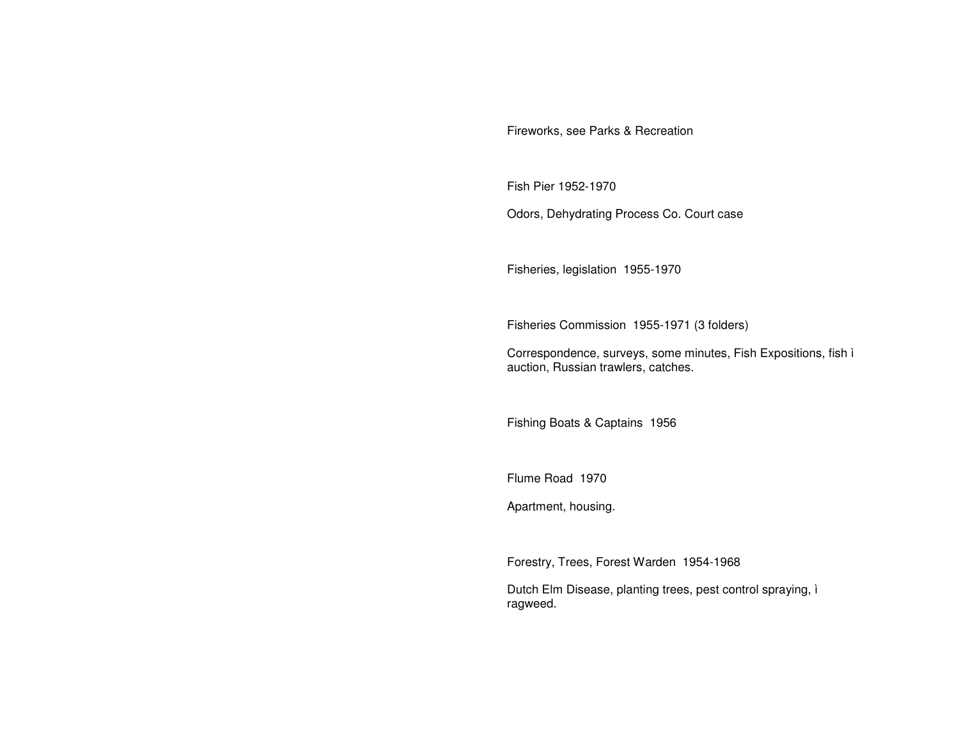Fireworks, see Parks & Recreation

Fish Pier 1952-1970

Odors, Dehydrating Process Co. Court case

Fisheries, legislation 1955-1970

Fisheries Commission 1955-1971 (3 folders)

Correspondence, surveys, some minutes, Fish Expositions, fish ì auction, Russian trawlers, catches.

Fishing Boats & Captains 1956

Flume Road 1970

Apartment, housing.

Forestry, Trees, Forest Warden 1954-1968

Dutch Elm Disease, planting trees, pest control spraying, ì ragweed.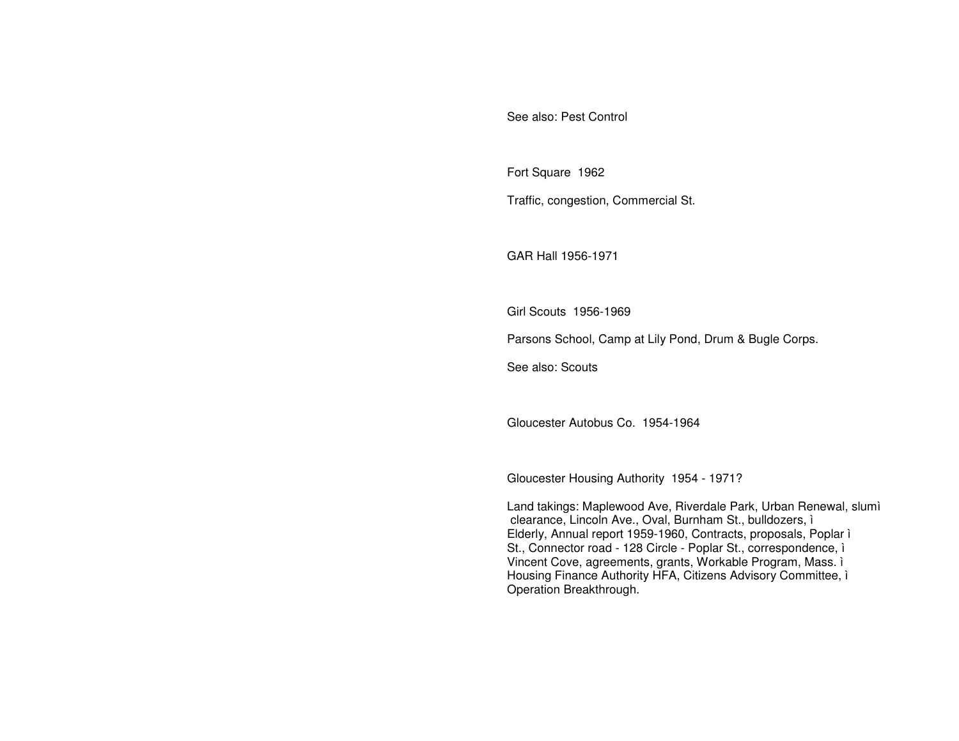See also: Pest Control

Fort Square 1962 Traffic, congestion, Commercial St.

GAR Hall 1956-1971

Girl Scouts 1956-1969

Parsons School, Camp at Lily Pond, Drum & Bugle Corps.

See also: Scouts

Gloucester Autobus Co. 1954-1964

Gloucester Housing Authority 1954 - 1971?

Land takings: Maplewood Ave, Riverdale Park, Urban Renewal, slumì clearance, Lincoln Ave., Oval, Burnham St., bulldozers, i Elderly, Annual report 1959-1960, Contracts, proposals, Poplar i St., Connector road - 128 Circle - Poplar St., correspondence, i Vincent Cove, agreements, grants, Workable Program, Mass. i Housing Finance Authority HFA, Citizens Advisory Committee, i Operation Breakthrough.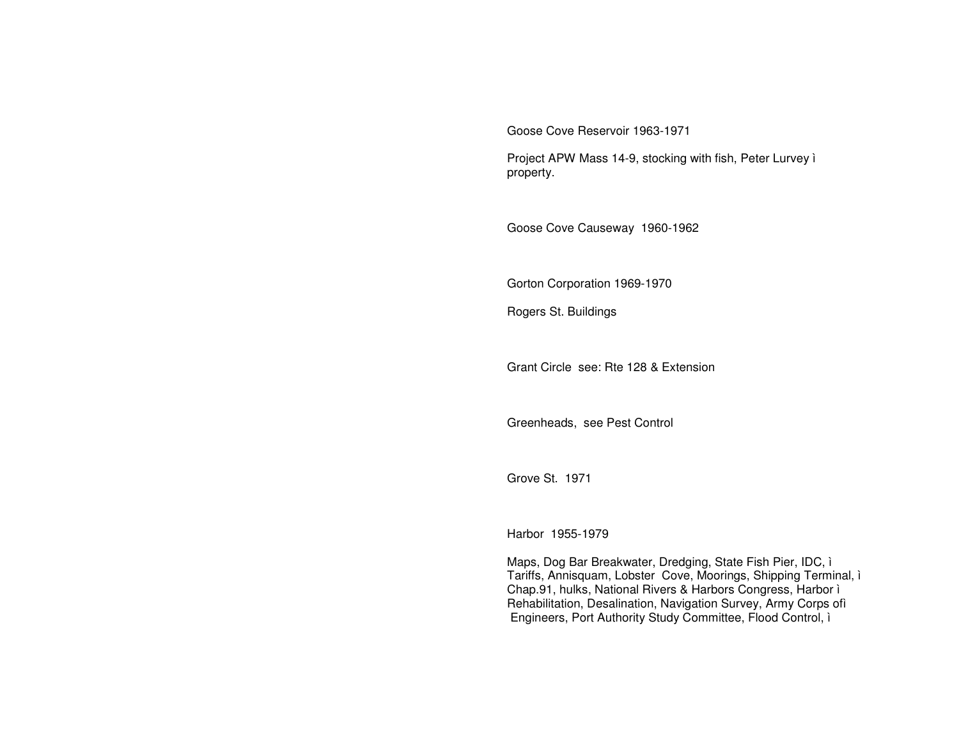Goose Cove Reservoir 1963-1971

Project APW Mass 14-9, stocking with fish, Peter Lurvey ì property.

Goose Cove Causeway 1960-1962

Gorton Corporation 1969-1970

Rogers St. Buildings

Grant Circle see: Rte 128 & Extension

Greenheads, see Pest Control

Grove St. 1971

Harbor 1955-1979

Maps, Dog Bar Breakwater, Dredging, State Fish Pier, IDC, ì Tariffs, Annisquam, Lobster Cove, Moorings, Shipping Terminal, ì Chap.91, hulks, National Rivers & Harbors Congress, Harbor ì Rehabilitation, Desalination, Navigation Survey, Army Corps ofì Engineers, Port Authority Study Committee, Flood Control, ì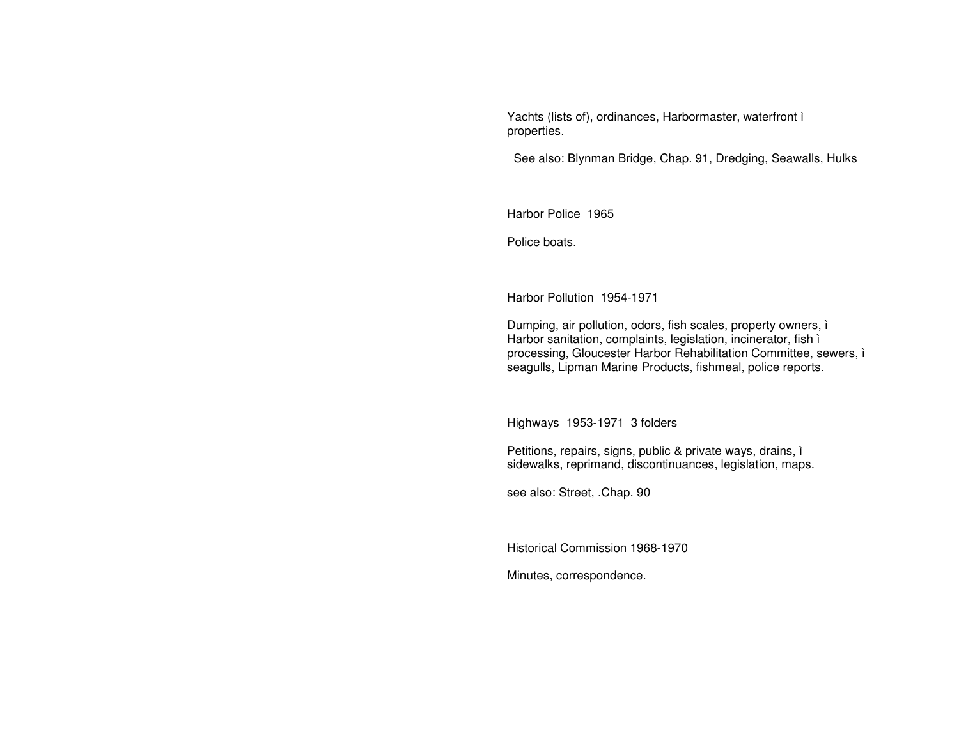Yachts (lists of), ordinances, Harbormaster, waterfront ì properties.

See also: Blynman Bridge, Chap. 91, Dredging, Seawalls, Hulks

Harbor Police 1965

Police boats.

Harbor Pollution 1954-1971

Dumping, air pollution, odors, fish scales, property owners, ì Harbor sanitation, complaints, legislation, incinerator, fish ì processing, Gloucester Harbor Rehabilitation Committee, sewers, ì seagulls, Lipman Marine Products, fishmeal, police reports.

Highways 1953-1971 3 folders

Petitions, repairs, signs, public & private ways, drains, ì sidewalks, reprimand, discontinuances, legislation, maps.

see also: Street, .Chap. 90

Historical Commission 1968-1970

Minutes, correspondence.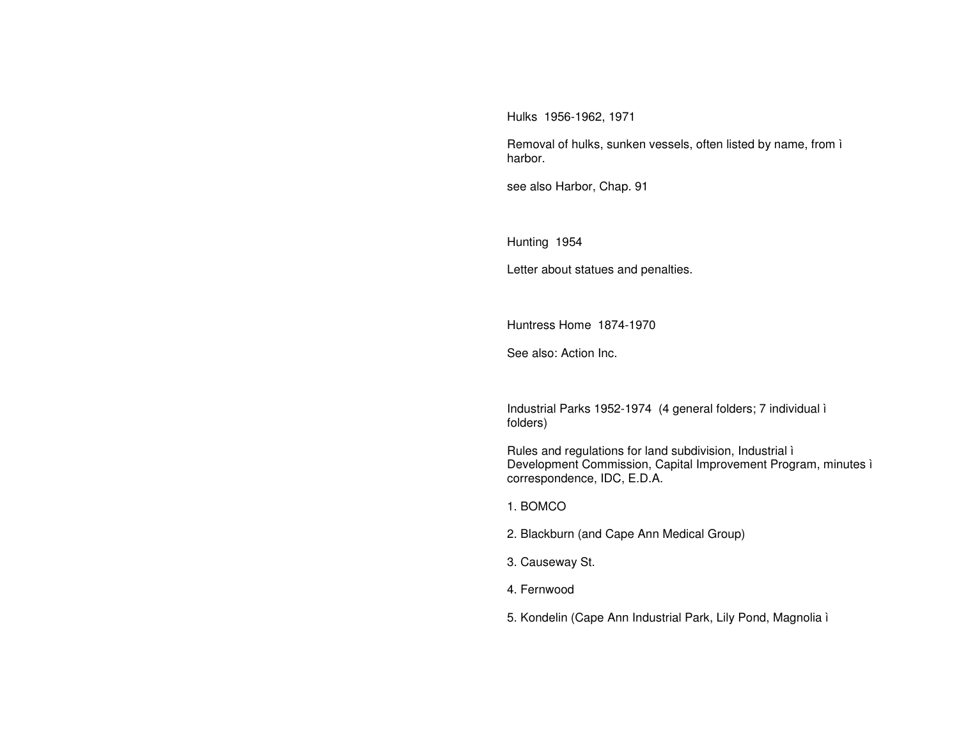Hulks 1956-1962, 1971

Removal of hulks, sunken vessels, often listed by name, from i harbor.

see also Harbor, Chap. 91

Hunting 1954

Letter about statues and penalties.

Huntress Home 1874-1970

See also: Action Inc.

Industrial Parks 1952-1974 (4 general folders; 7 individual i folders)

Rules and regulations for land subdivision, Industrial i Development Commission, Capital Improvement Program, minutes i correspondence, IDC, E.D.A.

1. BOMCO

2. Blackburn (and Cape Ann Medical Group)

3. Causeway St.

4. Fernwood

5. Kondelin (Cape Ann Industrial Park, Lily Pond, Magnolia ì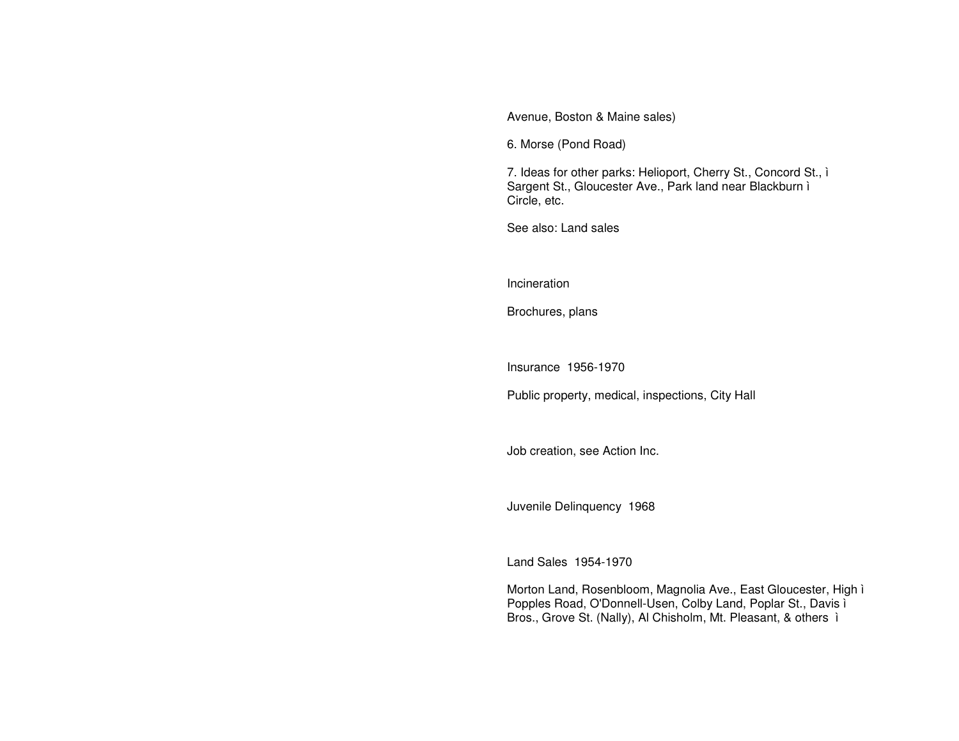Avenue, Boston & Maine sales)

6. Morse (Pond Road)

7. Ideas for other parks: Helioport, Cherry St., Concord St., ì Sargent St., Gloucester Ave., Park land near Blackburn ì Circle, etc.

See also: Land sales

**Incineration** 

Brochures, plans

Insurance 1956-1970

Public property, medical, inspections, City Hall

Job creation, see Action Inc.

Juvenile Delinquency 1968

Land Sales 1954-1970

Morton Land, Rosenbloom, Magnolia Ave., East Gloucester, High ì Popples Road, O'Donnell-Usen, Colby Land, Poplar St., Davis ì Bros., Grove St. (Nally), Al Chisholm, Mt. Pleasant, & others ì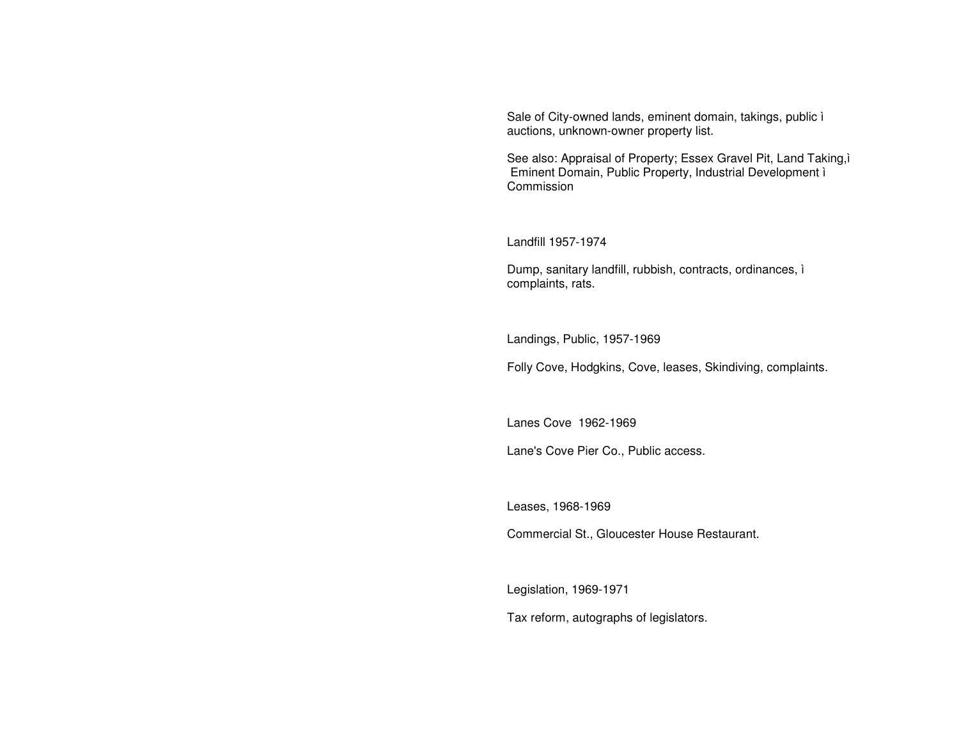Sale of City-owned lands, eminent domain, takings, public ì auctions, unknown-owner property list.

See also: Appraisal of Property; Essex Gravel Pit, Land Taking,ì Eminent Domain, Public Property, Industrial Development ì Commission

Landfill 1957-1974

Dump, sanitary landfill, rubbish, contracts, ordinances, ì complaints, rats.

Landings, Public, 1957-1969

Folly Cove, Hodgkins, Cove, leases, Skindiving, complaints.

Lanes Cove 1962-1969

Lane's Cove Pier Co., Public access.

Leases, 1968-1969

Commercial St., Gloucester House Restaurant.

Legislation, 1969-1971

Tax reform, autographs of legislators.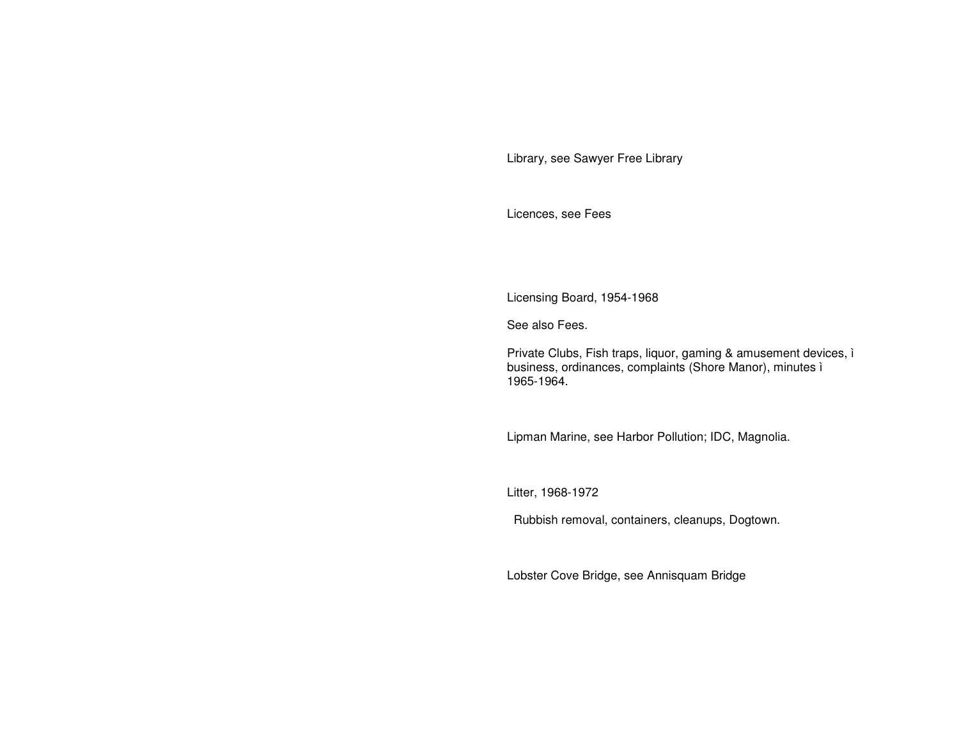Library, see Sawyer Free Library

Licences, see Fees

Licensing Board, 1954-1968

See also Fees.

Private Clubs, Fish traps, liquor, gaming & amusement devices, ì business, ordinances, complaints (Shore Manor), minutes ì 1965-1964.

Lipman Marine, see Harbor Pollution; IDC, Magnolia.

Litter, 1968-1972

Rubbish removal, containers, cleanups, Dogtown.

Lobster Cove Bridge, see Annisquam Bridge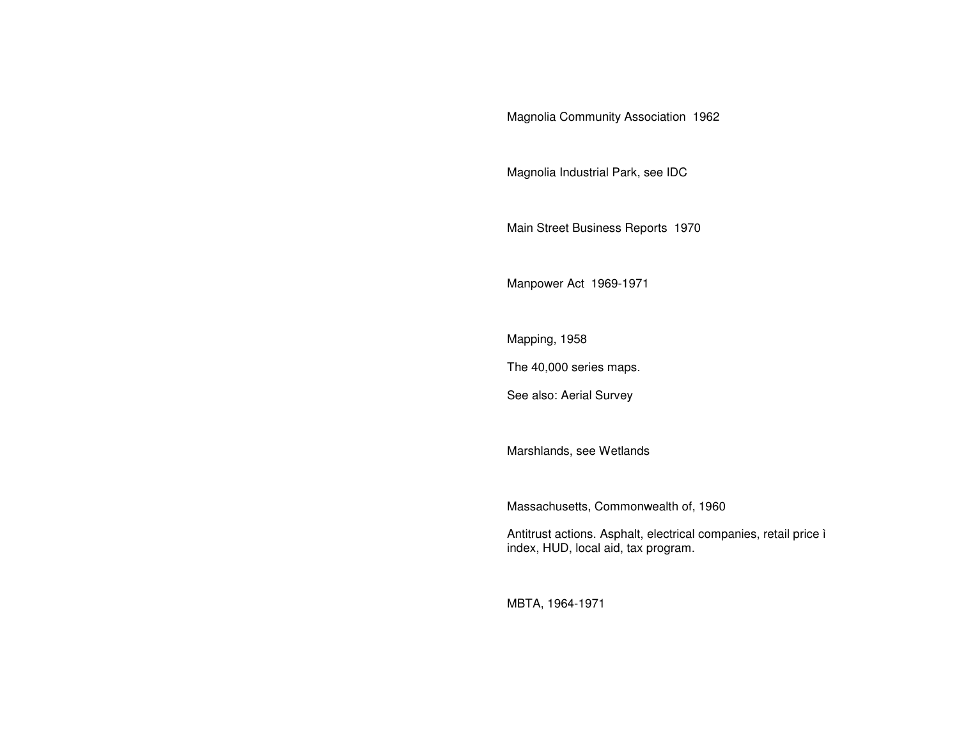# Magnolia Community Association 1962

Magnolia Industrial Park, see IDC

Main Street Business Reports 1970

Manpower Act 1969-1971

Mapping, 1958

The 40,000 series maps.

See also: Aerial Survey

Marshlands, see Wetlands

Massachusetts, Commonwealth of, 1960

Antitrust actions. Asphalt, electrical companies, retail price ì index, HUD, local aid, tax program.

MBTA, 1964-1971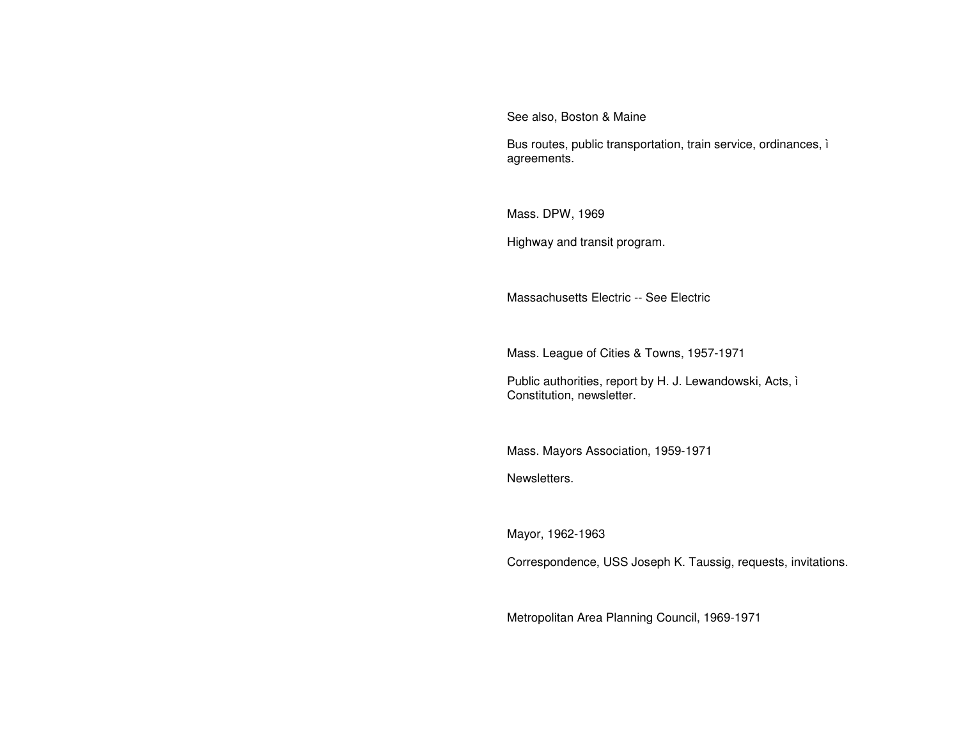See also, Boston & Maine

Bus routes, public transportation, train service, ordinances, ì agreements.

Mass. DPW, 1969

Highway and transit program.

Massachusetts Electric -- See Electric

Mass. League of Cities & Towns, 1957-1971

Public authorities, report by H. J. Lewandowski, Acts, ì Constitution, newsletter.

Mass. Mayors Association, 1959-1971

Newsletters.

Mayor, 1962-1963

Correspondence, USS Joseph K. Taussig, requests, invitations.

Metropolitan Area Planning Council, 1969-1971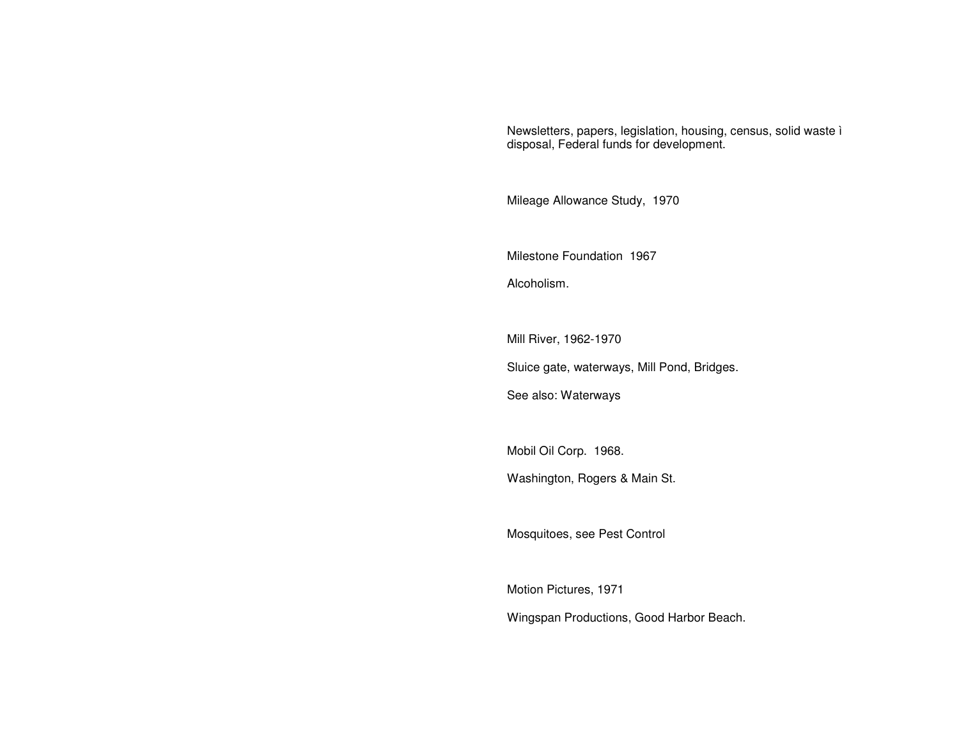Newsletters, papers, legislation, housing, census, solid waste ì disposal, Federal funds for development.

Mileage Allowance Study, 1970

Milestone Foundation 1967

Alcoholism.

Mill River, 1962-1970

Sluice gate, waterways, Mill Pond, Bridges.

See also: Waterways

Mobil Oil Corp. 1968.

Washington, Rogers & Main St.

Mosquitoes, see Pest Control

Motion Pictures, 1971 Wingspan Productions, Good Harbor Beach.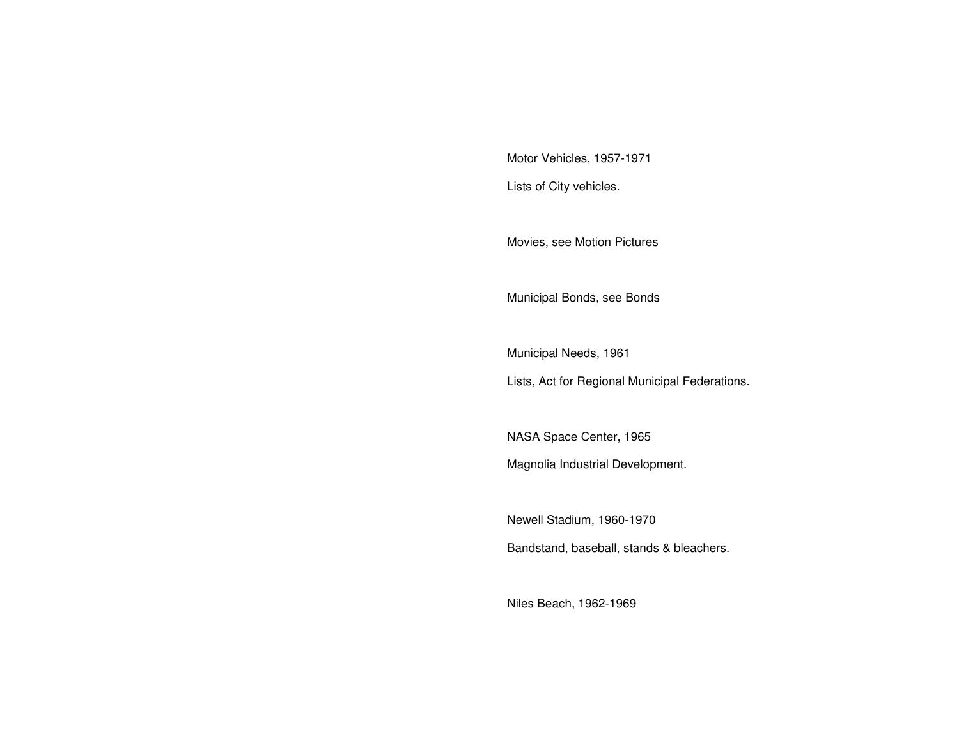Motor Vehicles, 1957-1971 Lists of City vehicles.

Movies, see Motion Pictures

Municipal Bonds, see Bonds

Municipal Needs, 1961 Lists, Act for Regional Municipal Federations.

NASA Space Center, 1965 Magnolia Industrial Development.

Newell Stadium, 1960-1970

Bandstand, baseball, stands & bleachers.

Niles Beach, 1962-1969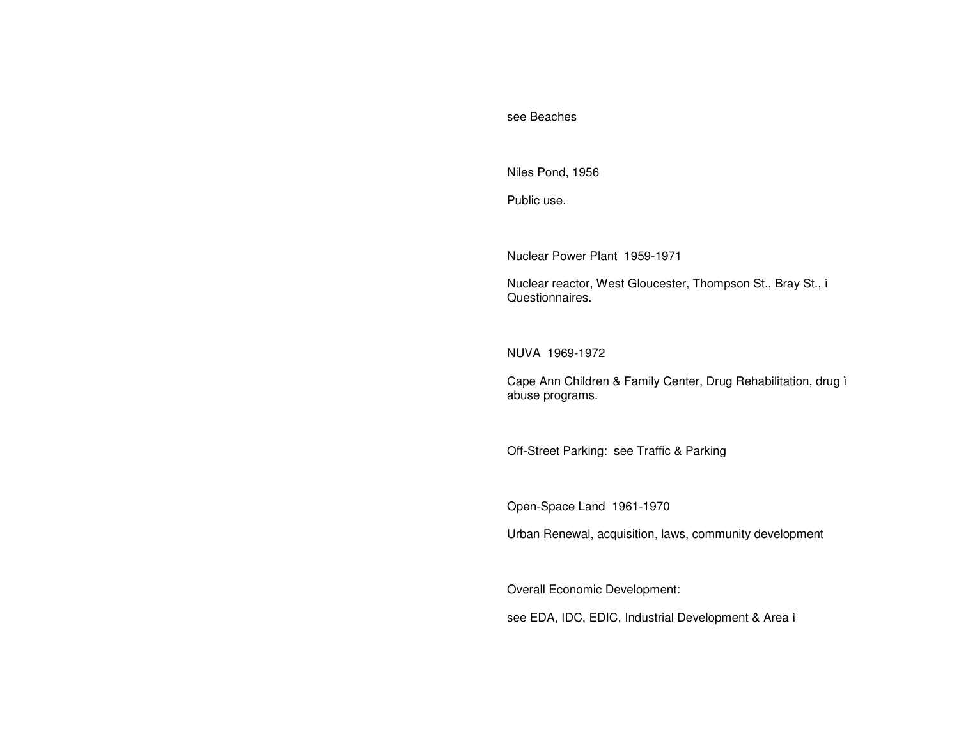#### see Beaches

Niles Pond, 1956

Public use.

Nuclear Power Plant 1959-1971

Nuclear reactor, West Gloucester, Thompson St., Bray St., ì Questionnaires.

NUVA 1969-1972

Cape Ann Children & Family Center, Drug Rehabilitation, drug ì abuse programs.

Off-Street Parking: see Traffic & Parking

Open-Space Land 1961-1970

Urban Renewal, acquisition, laws, community development

Overall Economic Development:

see EDA, IDC, EDIC, Industrial Development & Area ì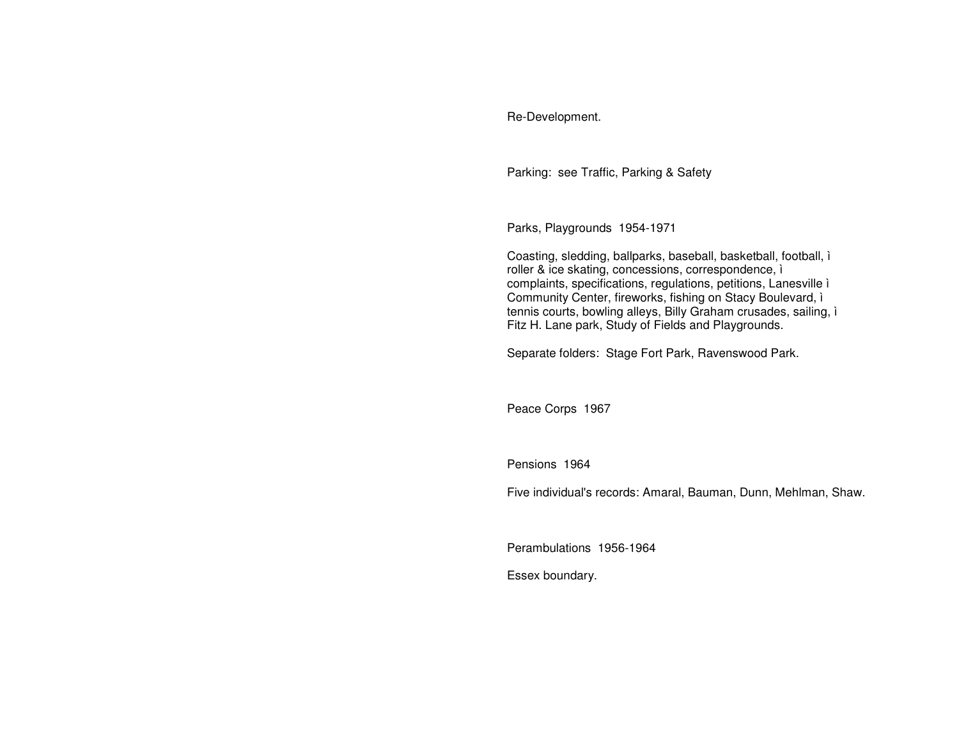# Re-Development.

Parking: see Traffic, Parking & Safety

Parks, Playgrounds 1954-1971

Coasting, sledding, ballparks, baseball, basketball, football, ì roller & ice skating, concessions, correspondence, ì complaints, specifications, regulations, petitions, Lanesville ì Community Center, fireworks, fishing on Stacy Boulevard, ì tennis courts, bowling alleys, Billy Graham crusades, sailing, ì Fitz H. Lane park, Study of Fields and Playgrounds.

Separate folders: Stage Fort Park, Ravenswood Park.

Peace Corps 1967

Pensions 1964

Five individual's records: Amaral, Bauman, Dunn, Mehlman, Shaw.

Perambulations 1956-1964

Essex boundary.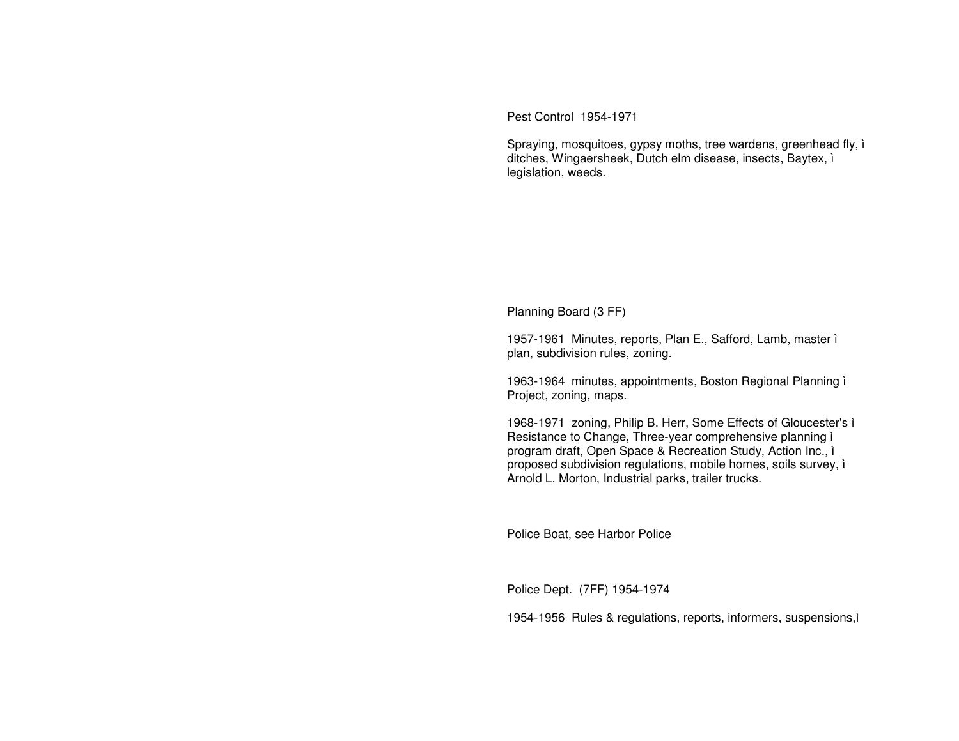Pest Control 1954-1971

Spraying, mosquitoes, gypsy moths, tree wardens, greenhead fly, ì ditches, Wingaersheek, Dutch elm disease, insects, Baytex, ì legislation, weeds.

Planning Board (3 FF)

1957-1961 Minutes, reports, Plan E., Safford, Lamb, master ì plan, subdivision rules, zoning.

1963-1964 minutes, appointments, Boston Regional Planning ì Project, zoning, maps.

1968-1971 zoning, Philip B. Herr, Some Effects of Gloucester's ì Resistance to Change, Three-year comprehensive planning ì program draft, Open Space & Recreation Study, Action Inc., ì proposed subdivision regulations, mobile homes, soils survey, ì Arnold L. Morton, Industrial parks, trailer trucks.

Police Boat, see Harbor Police

Police Dept. (7FF) 1954-1974

1954-1956 Rules & regulations, reports, informers, suspensions,ì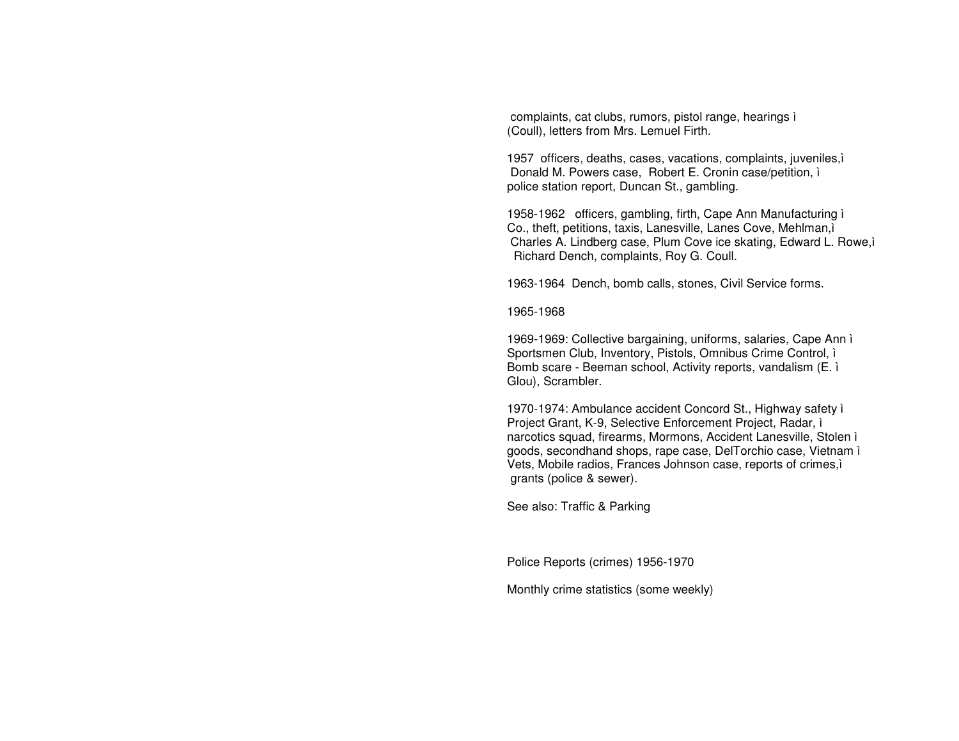complaints, cat clubs, rumors, pistol range, hearings i (Coull), letters from Mrs. Lemuel Firth.

1957 officers, deaths, cases, vacations, complaints, juveniles, i Donald M. Powers case, Robert E. Cronin case/petition, i police station report, Duncan St., gambling.

1958-1962 officers, gambling, firth, Cape Ann Manufacturing i Co., theft, petitions, taxis, Lanesville, Lanes Cove, Mehlman, i Charles A. Lindberg case, Plum Cove ice skating, Edward L. Rowe,i Richard Dench, complaints, Roy G. Coull.

1963-1964 Dench, bomb calls, stones, Civil Service forms.

1965-1968

1969-1969: Collective bargaining, uniforms, salaries, Cape Ann ì Sportsmen Club, Inventory, Pistols, Omnibus Crime Control, i Bomb scare - Beeman school, Activity reports, vandalism (E. i. Glou), Scrambler.

1970-1974: Ambulance accident Concord St., Highway safety i Project Grant, K-9, Selective Enforcement Project, Radar, i narcotics squad, firearms, Mormons, Accident Lanesville, Stolen i goods, secondhand shops, rape case, DelTorchio case, Vietnam i Vets, Mobile radios, Frances Johnson case, reports of crimes, i grants (police & sewer).

See also: Traffic & Parking

Police Reports (crimes) 1956-1970

Monthly crime statistics (some weekly)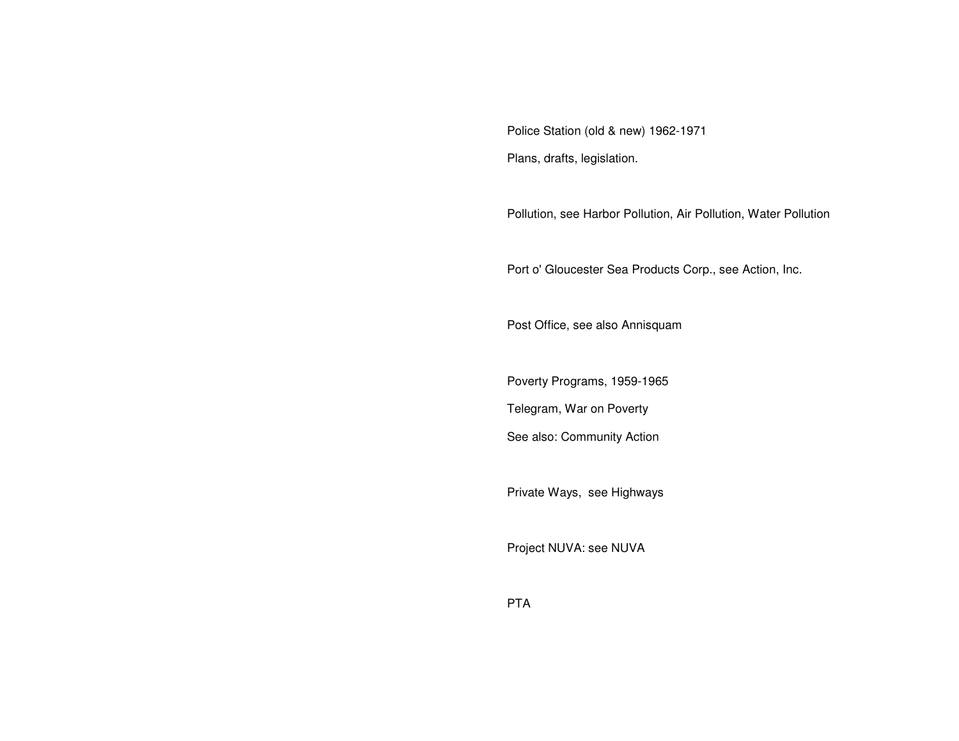Police Station (old & new) 1962-1971 Plans, drafts, legislation.

Pollution, see Harbor Pollution, Air Pollution, Water Pollution

Port o' Gloucester Sea Products Corp., see Action, Inc.

Post Office, see also Annisquam

Poverty Programs, 1959-1965

Telegram, War on Poverty

See also: Community Action

Private Ways, see Highways

Project NUVA: see NUVA

PTA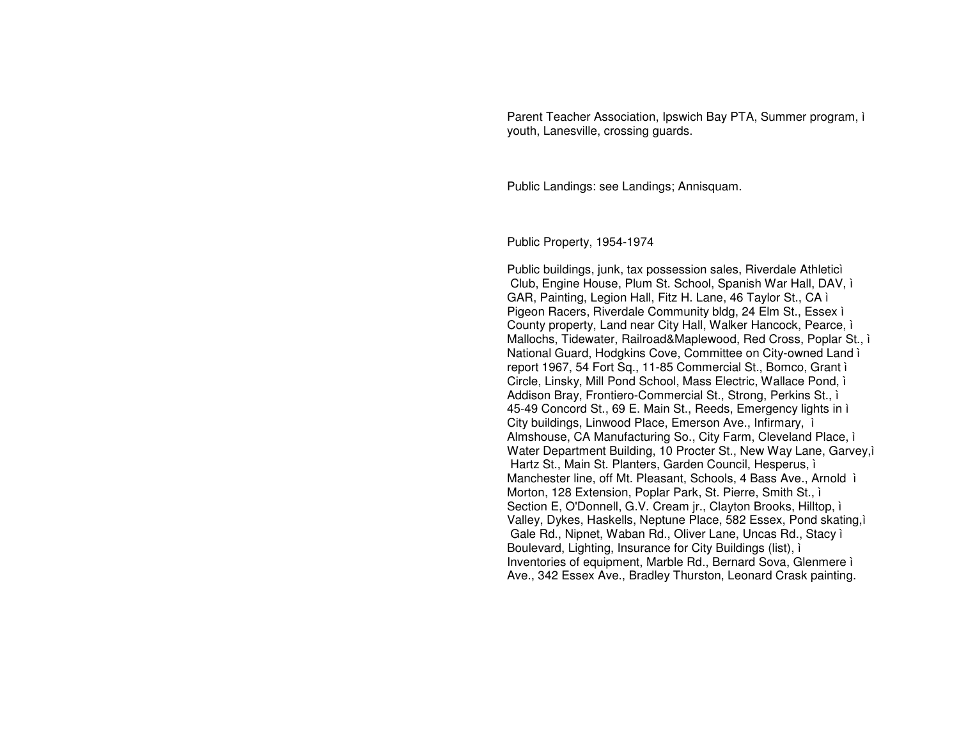Parent Teacher Association, Ipswich Bay PTA, Summer program, i youth, Lanesville, crossing guards.

Public Landings: see Landings; Annisquam.

Public Property, 1954-1974

Public buildings, junk, tax possession sales, Riverdale Athletici Club, Engine House, Plum St. School, Spanish War Hall, DAV, i GAR, Painting, Legion Hall, Fitz H. Lane, 46 Taylor St., CA i Pigeon Racers, Riverdale Community bldg, 24 Elm St., Essex ì County property, Land near City Hall, Walker Hancock, Pearce, i Mallochs, Tidewater, Railroad&Maplewood, Red Cross, Poplar St., i National Guard, Hodgkins Cove, Committee on City-owned Land i report 1967, 54 Fort Sq., 11-85 Commercial St., Bomco, Grant i Circle, Linsky, Mill Pond School, Mass Electric, Wallace Pond, i Addison Bray, Frontiero-Commercial St., Strong, Perkins St., i 45-49 Concord St., 69 E. Main St., Reeds, Emergency lights in i City buildings, Linwood Place, Emerson Ave., Infirmary, i Almshouse, CA Manufacturing So., City Farm, Cleveland Place, i Water Department Building, 10 Procter St., New Way Lane, Garvey, i Hartz St., Main St. Planters, Garden Council, Hesperus, i Manchester line, off Mt. Pleasant, Schools, 4 Bass Ave., Arnold i Morton, 128 Extension, Poplar Park, St. Pierre, Smith St., i Section E, O'Donnell, G.V. Cream jr., Clayton Brooks, Hilltop, i Valley, Dykes, Haskells, Neptune Place, 582 Essex, Pond skating, i Gale Rd., Nipnet, Waban Rd., Oliver Lane, Uncas Rd., Stacy i Boulevard, Lighting, Insurance for City Buildings (list), i Inventories of equipment, Marble Rd., Bernard Sova, Glenmere i Ave., 342 Essex Ave., Bradley Thurston, Leonard Crask painting.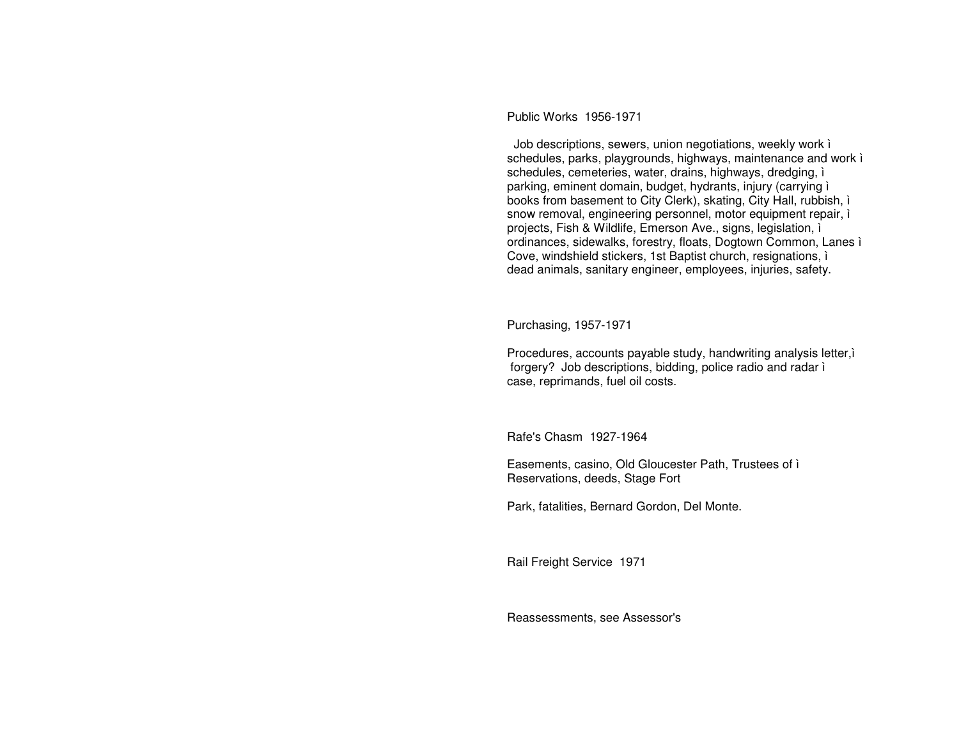Public Works 1956-1971

Job descriptions, sewers, union negotiations, weekly work i schedules, parks, playgrounds, highways, maintenance and work i schedules, cemeteries, water, drains, highways, dredging, i parking, eminent domain, budget, hydrants, injury (carrying i books from basement to City Clerk), skating, City Hall, rubbish, i snow removal, engineering personnel, motor equipment repair, i projects, Fish & Wildlife, Emerson Ave., signs, legislation, i ordinances, sidewalks, forestry, floats, Dogtown Common, Lanes i Cove, windshield stickers, 1st Baptist church, resignations, i dead animals, sanitary engineer, employees, injuries, safety.

Purchasing, 1957-1971

Procedures, accounts payable study, handwriting analysis letter, forgery? Job descriptions, bidding, police radio and radar i case, reprimands, fuel oil costs.

Rafe's Chasm 1927-1964

Easements, casino, Old Gloucester Path, Trustees of i Reservations, deeds, Stage Fort

Park, fatalities, Bernard Gordon, Del Monte.

Rail Freight Service 1971

Reassessments, see Assessor's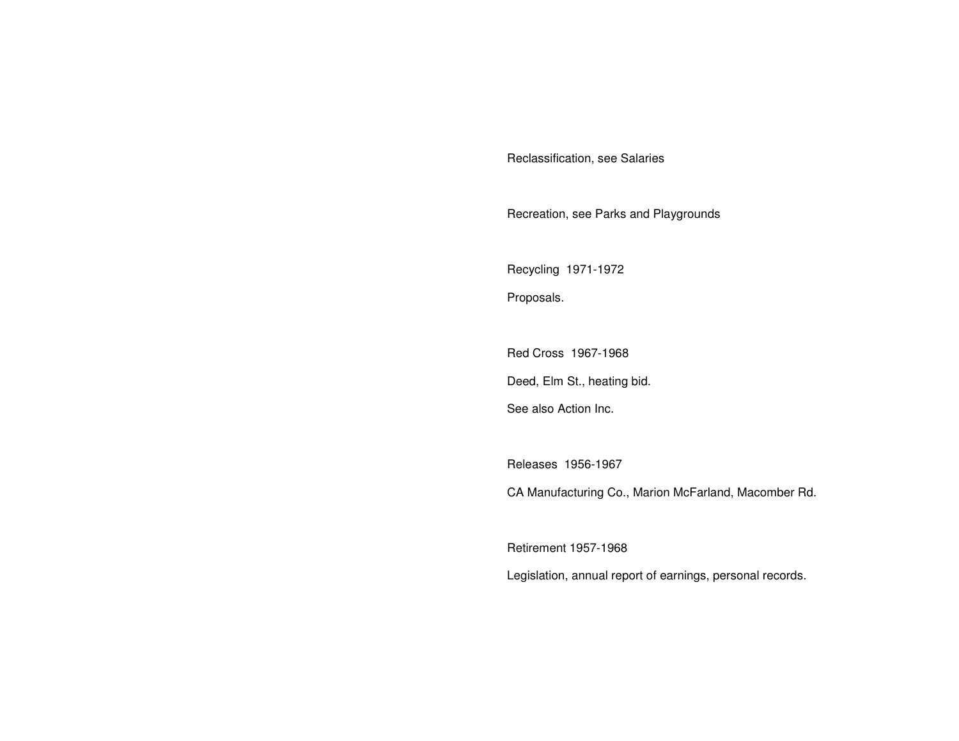Reclassification, see Salaries

Recreation, see Parks and Playgrounds

Recycling 1971-1972

Proposals.

Red Cross 1967-1968 Deed, Elm St., heating bid.

See also Action Inc.

Releases 1956-1967

CA Manufacturing Co., Marion McFarland, Macomber Rd.

Retirement 1957-1968

Legislation, annual report of earnings, personal records.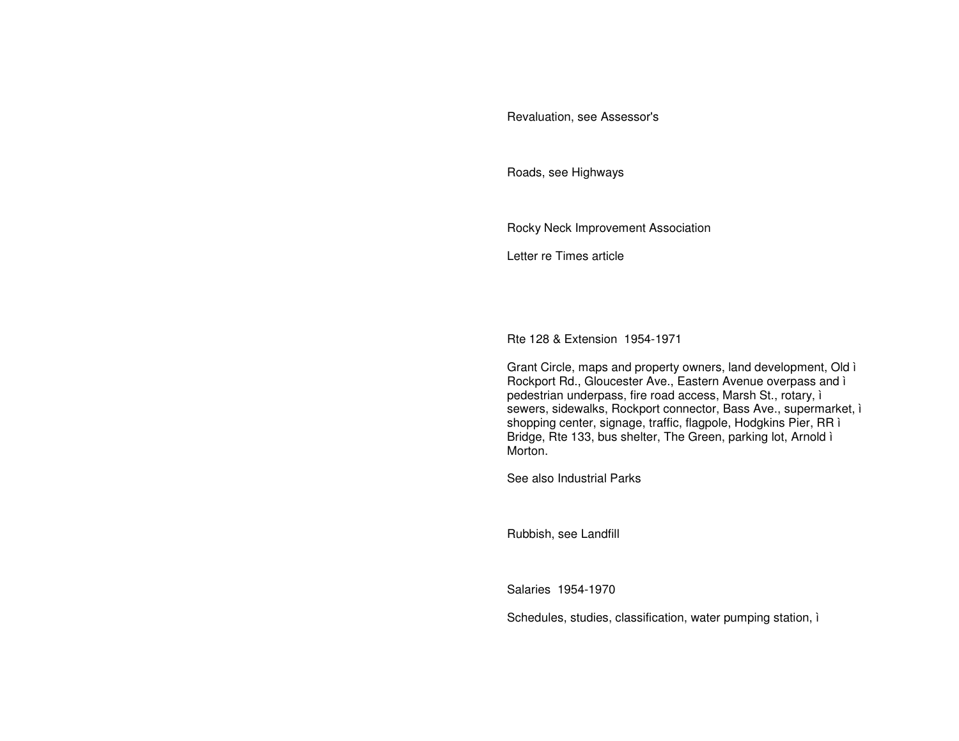## Revaluation, see Assessor's

Roads, see Highways

Rocky Neck Improvement Association

Letter re Times article

Rte 128 & Extension 1954-1971

Grant Circle, maps and property owners, land development, Old ì Rockport Rd., Gloucester Ave., Eastern Avenue overpass and ì pedestrian underpass, fire road access, Marsh St., rotary, ì sewers, sidewalks, Rockport connector, Bass Ave., supermarket, i shopping center, signage, traffic, flagpole, Hodgkins Pier, RR ì Bridge, Rte 133, bus shelter, The Green, parking lot, Arnold ì Morton.

See also Industrial Parks

Rubbish, see Landfill

Salaries 1954-1970

Schedules, studies, classification, water pumping station, ì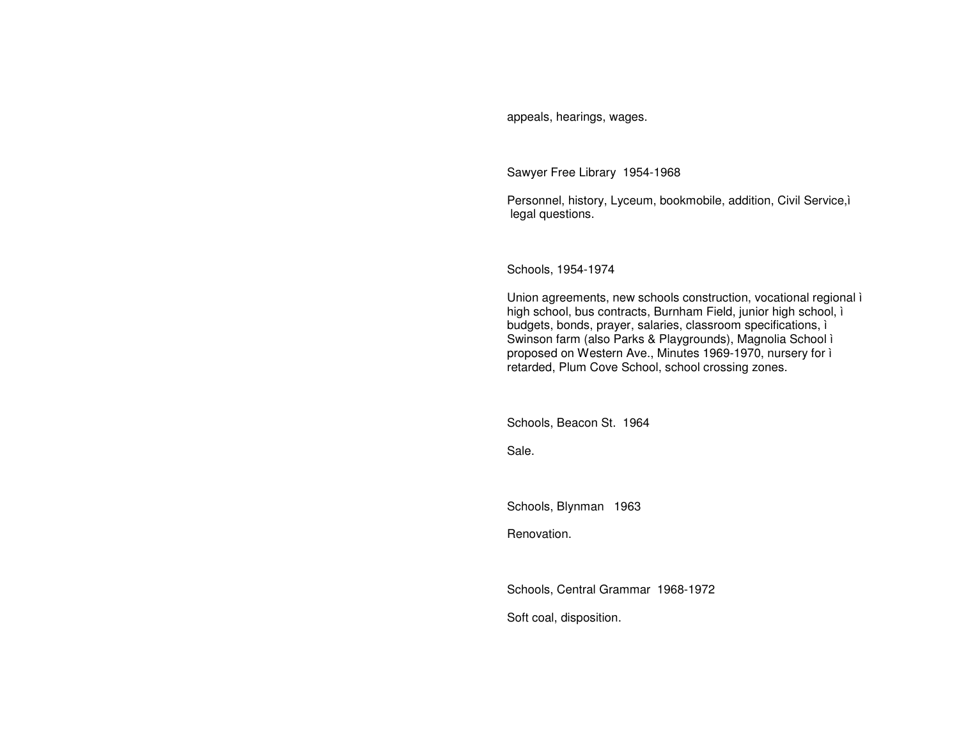appeals, hearings, wages.

Sawyer Free Library 1954-1968

Personnel, history, Lyceum, bookmobile, addition, Civil Service,ì legal questions.

Schools, 1954-1974

Union agreements, new schools construction, vocational regional ì high school, bus contracts, Burnham Field, junior high school, ì budgets, bonds, prayer, salaries, classroom specifications, ì Swinson farm (also Parks & Playgrounds), Magnolia School ì proposed on Western Ave., Minutes 1969-1970, nursery for ì retarded, Plum Cove School, school crossing zones.

Schools, Beacon St. 1964

Sale.

Schools, Blynman 1963

Renovation.

Schools, Central Grammar 1968-1972

Soft coal, disposition.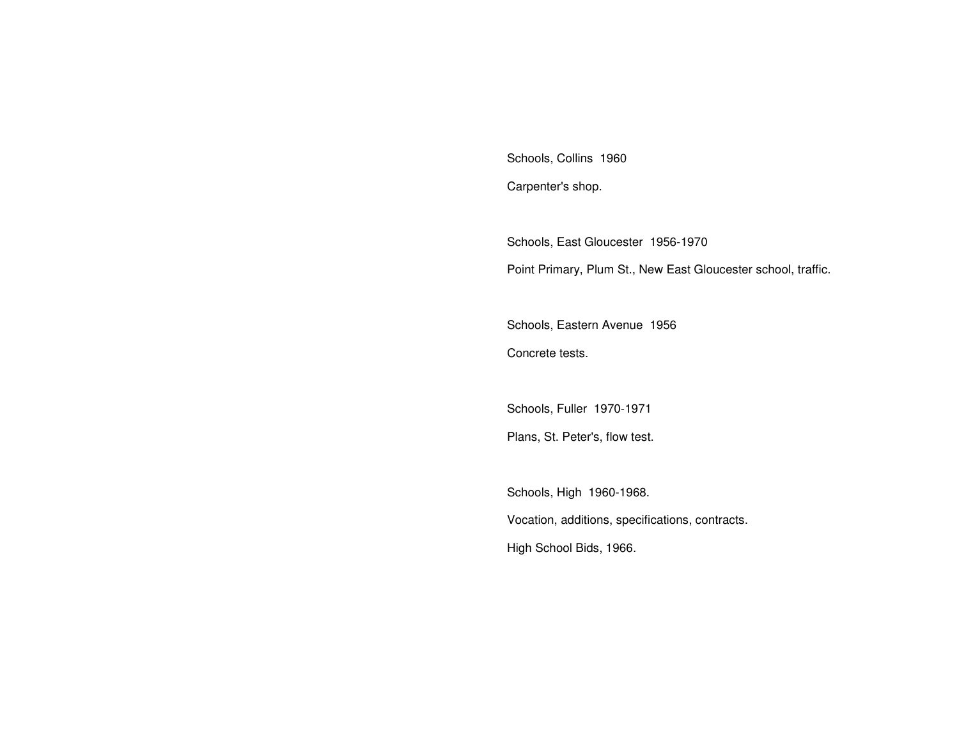Schools, Collins 1960 Carpenter's shop.

Schools, East Gloucester 1956-1970 Point Primary, Plum St., New East Gloucester school, traffic.

Schools, Eastern Avenue 1956 Concrete tests.

Schools, Fuller 1970-1971 Plans, St. Peter's, flow test.

Schools, High 1960-1968. Vocation, additions, specifications, contracts. High School Bids, 1966.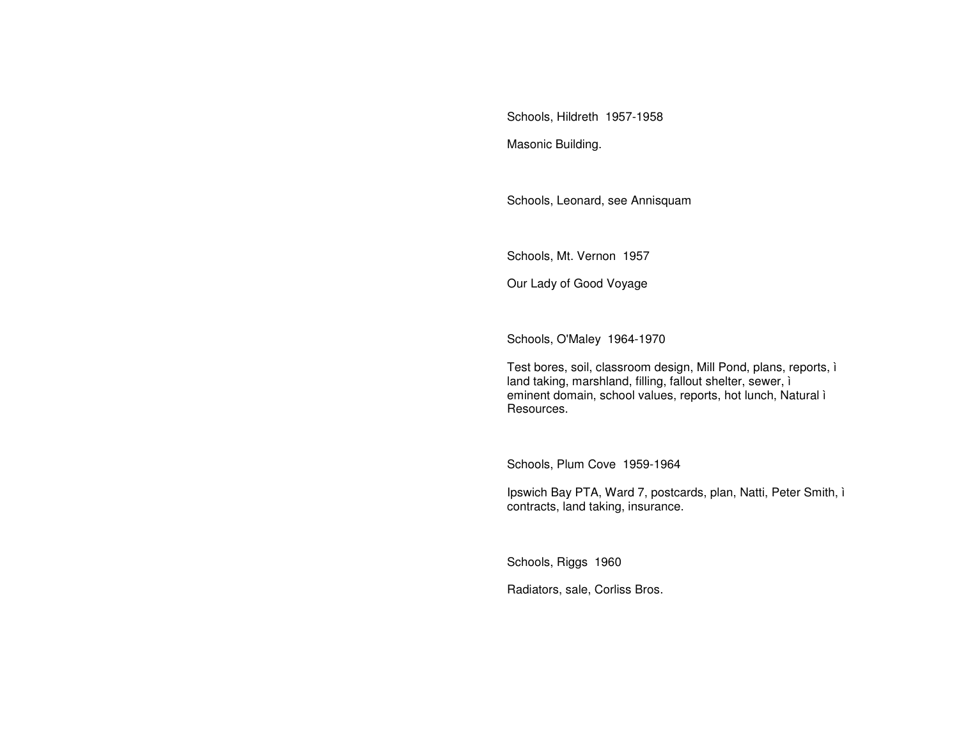Schools, Hildreth 1957-1958

Masonic Building.

Schools, Leonard, see Annisquam

Schools, Mt. Vernon 1957

Our Lady of Good Voyage

Schools, O'Maley 1964-1970

Test bores, soil, classroom design, Mill Pond, plans, reports, ì land taking, marshland, filling, fallout shelter, sewer, ì eminent domain, school values, reports, hot lunch, Natural ì Resources.

Schools, Plum Cove 1959-1964

Ipswich Bay PTA, Ward 7, postcards, plan, Natti, Peter Smith, ì contracts, land taking, insurance.

Schools, Riggs 1960

Radiators, sale, Corliss Bros.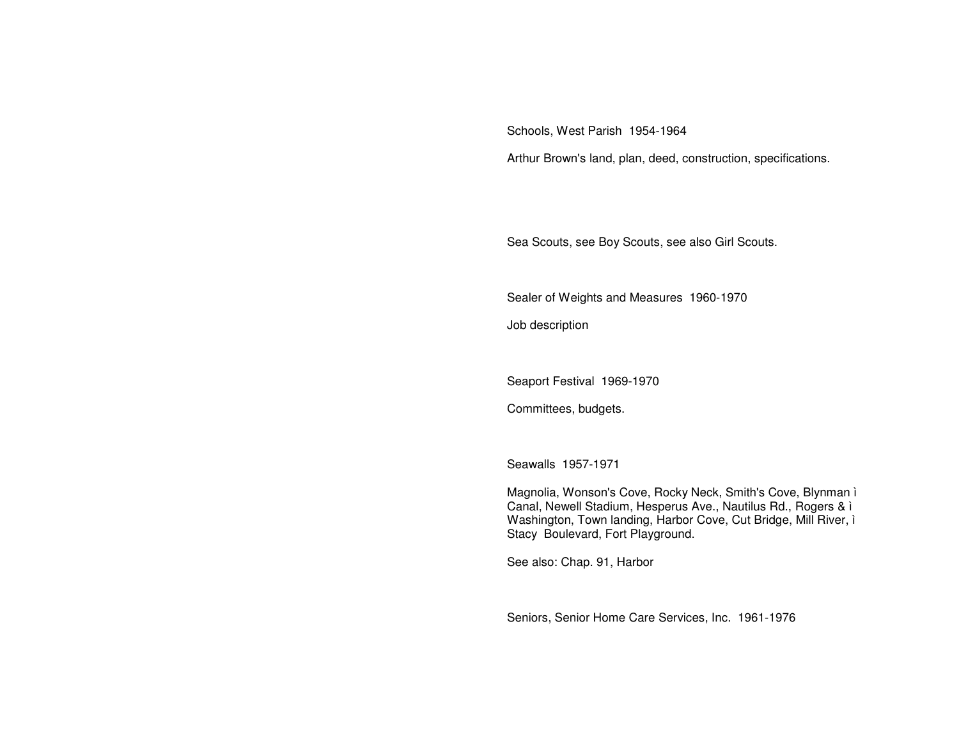Schools, West Parish 1954-1964

Arthur Brown's land, plan, deed, construction, specifications.

Sea Scouts, see Boy Scouts, see also Girl Scouts.

Sealer of Weights and Measures 1960-1970

Job description

Seaport Festival 1969-1970

Committees, budgets.

Seawalls 1957-1971

Magnolia, Wonson's Cove, Rocky Neck, Smith's Cove, Blynman ì Canal, Newell Stadium, Hesperus Ave., Nautilus Rd., Rogers & ì Washington, Town landing, Harbor Cove, Cut Bridge, Mill River, ì Stacy Boulevard, Fort Playground.

See also: Chap. 91, Harbor

Seniors, Senior Home Care Services, Inc. 1961-1976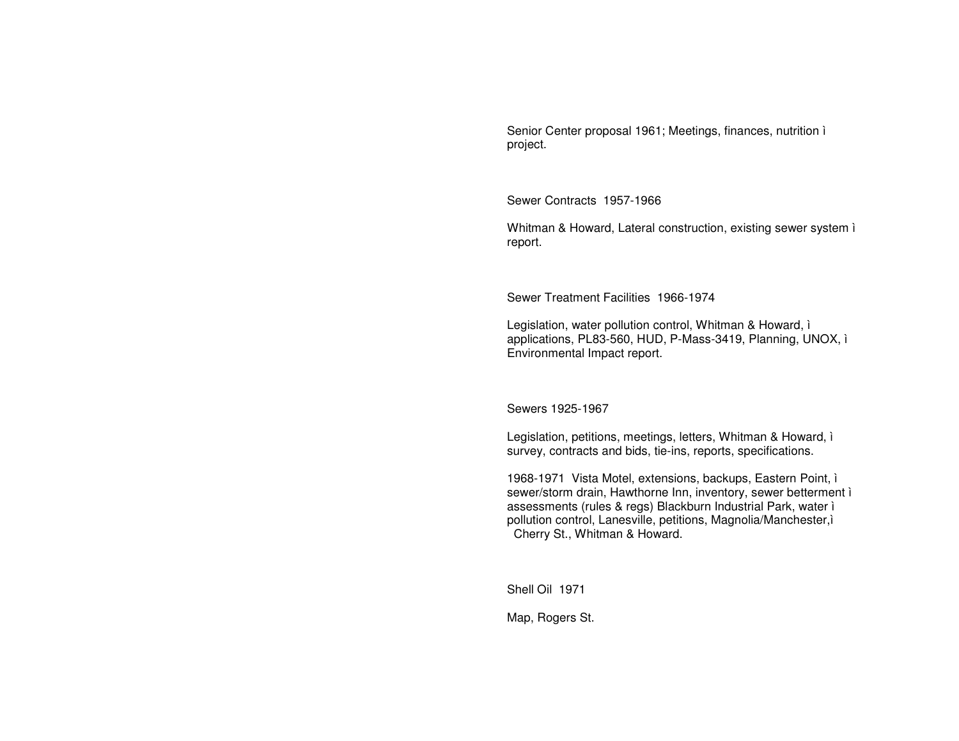Senior Center proposal 1961; Meetings, finances, nutrition ì project.

Sewer Contracts 1957-1966

Whitman & Howard, Lateral construction, existing sewer system ì report.

Sewer Treatment Facilities 1966-1974

Legislation, water pollution control, Whitman & Howard, ì applications, PL83-560, HUD, P-Mass-3419, Planning, UNOX, ì Environmental Impact report.

Sewers 1925-1967

Legislation, petitions, meetings, letters, Whitman & Howard, ì survey, contracts and bids, tie-ins, reports, specifications.

1968-1971 Vista Motel, extensions, backups, Eastern Point, ì sewer/storm drain, Hawthorne Inn, inventory, sewer betterment ì assessments (rules & regs) Blackburn Industrial Park, water ì pollution control, Lanesville, petitions, Magnolia/Manchester,ì Cherry St., Whitman & Howard.

Shell Oil 1971

Map, Rogers St.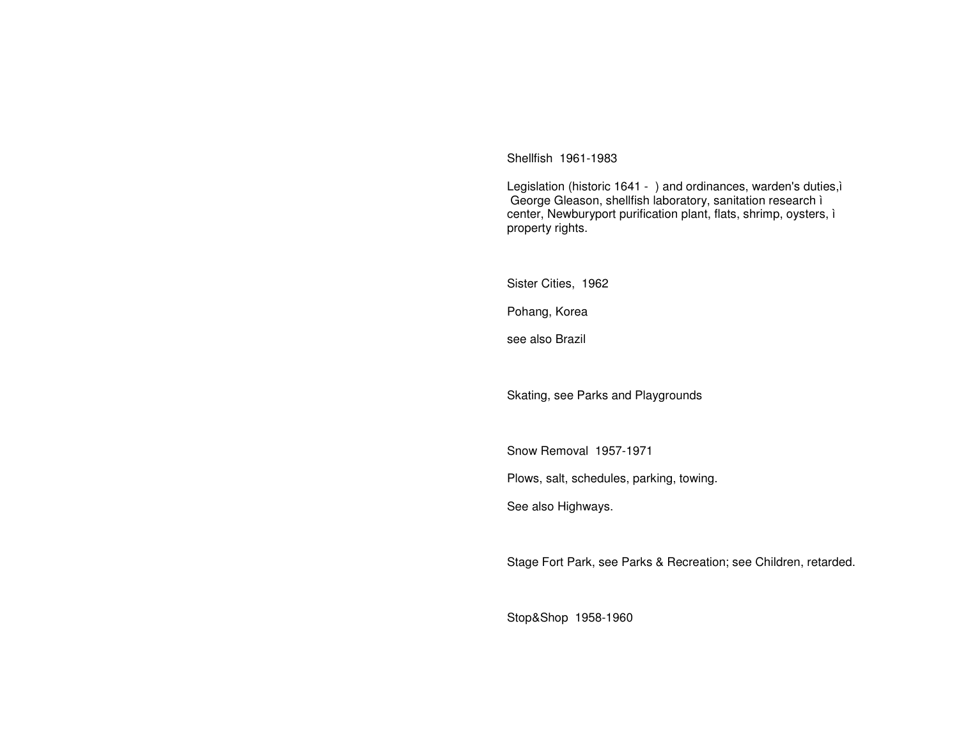Shellfish 1961-1983

Legislation (historic 1641 - ) and ordinances, warden's duties, i George Gleason, shellfish laboratory, sanitation research ì center, Newburyport purification plant, flats, shrimp, oysters, ì property rights.

Sister Cities, 1962

Pohang, Korea

see also Brazil

Skating, see Parks and Playgrounds

Snow Removal 1957-1971

Plows, salt, schedules, parking, towing.

See also Highways.

Stage Fort Park, see Parks & Recreation; see Children, retarded.

Stop&Shop 1958-1960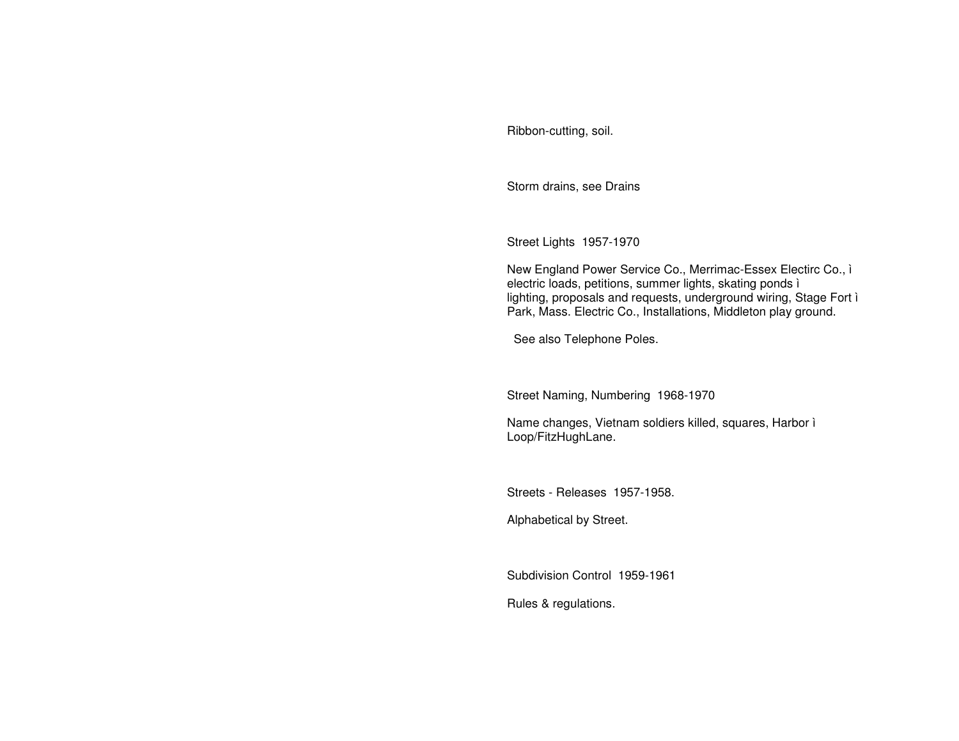Ribbon-cutting, soil.

Storm drains, see Drains

Street Lights 1957-1970

New England Power Service Co., Merrimac-Essex Electirc Co., ì electric loads, petitions, summer lights, skating ponds ì lighting, proposals and requests, underground wiring, Stage Fort ì Park, Mass. Electric Co., Installations, Middleton play ground.

See also Telephone Poles.

Street Naming, Numbering 1968-1970

Name changes, Vietnam soldiers killed, squares, Harbor ì Loop/FitzHughLane.

Streets - Releases 1957-1958.

Alphabetical by Street.

Subdivision Control 1959-1961

Rules & regulations.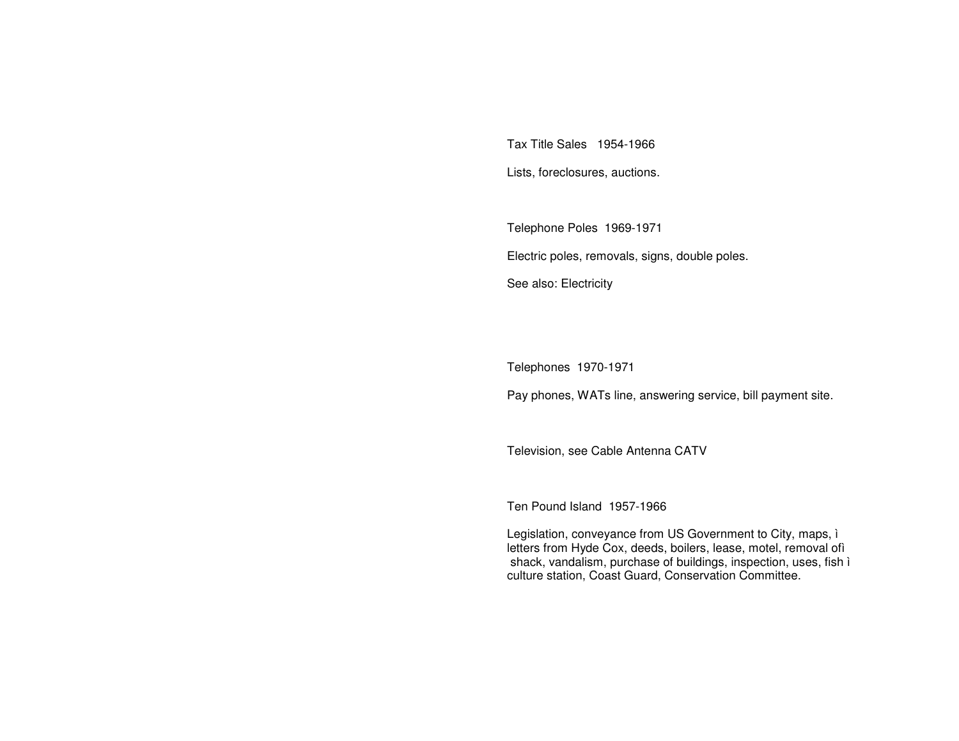Tax Title Sales 1954-1966

Lists, foreclosures, auctions.

Telephone Poles 1969-1971 Electric poles, removals, signs, double poles. See also: Electricity

Telephones 1970-1971

Pay phones, WATs line, answering service, bill payment site.

Television, see Cable Antenna CATV

Ten Pound Island 1957-1966

Legislation, conveyance from US Government to City, maps, ì letters from Hyde Cox, deeds, boilers, lease, motel, removal ofì shack, vandalism, purchase of buildings, inspection, uses, fish ì culture station, Coast Guard, Conservation Committee.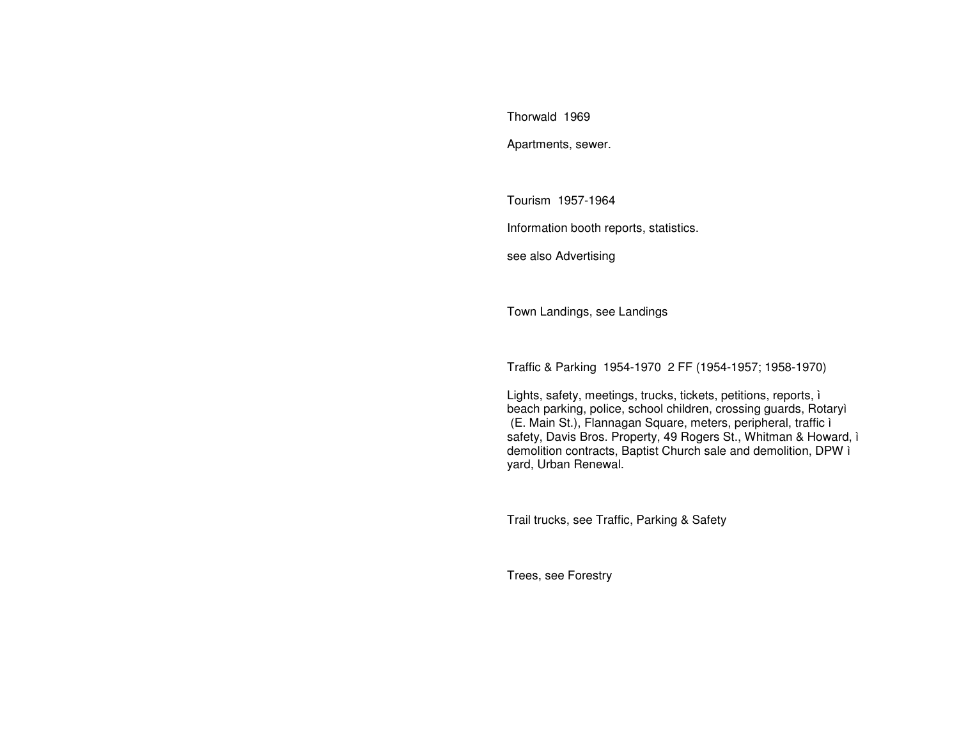Thorwald 1969

Apartments, sewer.

Tourism 1957-1964

Information booth reports, statistics.

see also Advertising

Town Landings, see Landings

Traffic & Parking 1954-1970 2 FF (1954-1957; 1958-1970)

Lights, safety, meetings, trucks, tickets, petitions, reports, ì beach parking, police, school children, crossing guards, Rotaryì (E. Main St.), Flannagan Square, meters, peripheral, traffic ì safety, Davis Bros. Property, 49 Rogers St., Whitman & Howard, ì demolition contracts, Baptist Church sale and demolition, DPW ì yard, Urban Renewal.

Trail trucks, see Traffic, Parking & Safety

Trees, see Forestry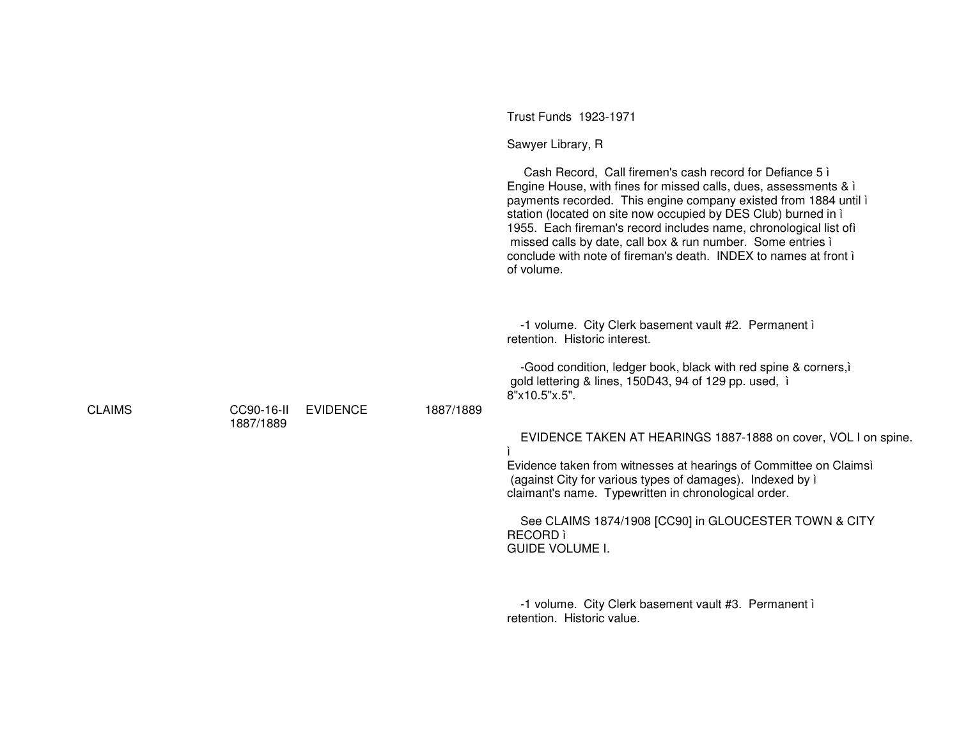|               |                         |                 |           | Trust Funds 1923-1971                                                                                                                                                                                                                                                                                                                                                                                                                                                                     |
|---------------|-------------------------|-----------------|-----------|-------------------------------------------------------------------------------------------------------------------------------------------------------------------------------------------------------------------------------------------------------------------------------------------------------------------------------------------------------------------------------------------------------------------------------------------------------------------------------------------|
|               |                         |                 |           | Sawyer Library, R                                                                                                                                                                                                                                                                                                                                                                                                                                                                         |
|               |                         |                 |           | Cash Record, Call firemen's cash record for Defiance 5 i<br>Engine House, with fines for missed calls, dues, assessments & i<br>payments recorded. This engine company existed from 1884 until i<br>station (located on site now occupied by DES Club) burned in i<br>1955. Each fireman's record includes name, chronological list ofì<br>missed calls by date, call box & run number. Some entries i<br>conclude with note of fireman's death. INDEX to names at front in<br>of volume. |
|               |                         |                 |           | -1 volume. City Clerk basement vault #2. Permanent i<br>retention. Historic interest.                                                                                                                                                                                                                                                                                                                                                                                                     |
|               |                         |                 |           | -Good condition, ledger book, black with red spine & corners, i<br>gold lettering & lines, 150D43, 94 of 129 pp. used, i<br>8"x10.5"x.5".                                                                                                                                                                                                                                                                                                                                                 |
| <b>CLAIMS</b> | CC90-16-II<br>1887/1889 | <b>EVIDENCE</b> | 1887/1889 |                                                                                                                                                                                                                                                                                                                                                                                                                                                                                           |
|               |                         |                 |           | EVIDENCE TAKEN AT HEARINGS 1887-1888 on cover, VOL I on spine.                                                                                                                                                                                                                                                                                                                                                                                                                            |
|               |                         |                 |           | Evidence taken from witnesses at hearings of Committee on Claimsì<br>(against City for various types of damages). Indexed by i<br>claimant's name. Typewritten in chronological order.                                                                                                                                                                                                                                                                                                    |
|               |                         |                 |           | See CLAIMS 1874/1908 [CC90] in GLOUCESTER TOWN & CITY<br><b>RECORD</b> ì<br><b>GUIDE VOLUME I.</b>                                                                                                                                                                                                                                                                                                                                                                                        |
|               |                         |                 |           | -1 volume. City Clerk basement vault #3. Permanent i<br>retention. Historic value.                                                                                                                                                                                                                                                                                                                                                                                                        |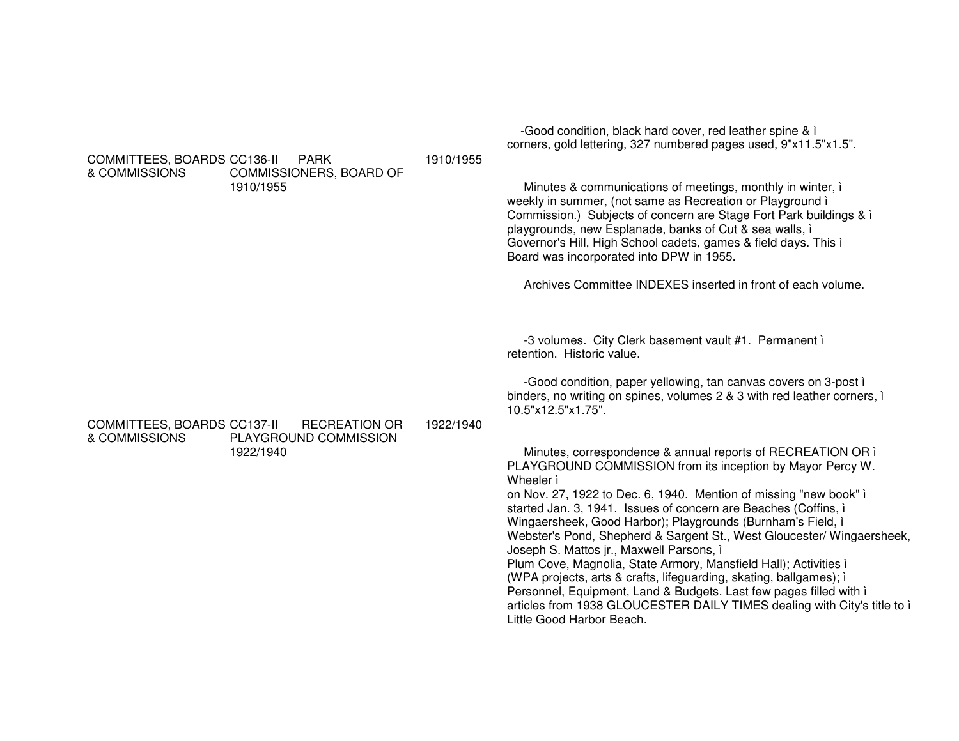|                                                                                                     |           | corners, gold lettering, 327 numbered pages used, 9"x11.5"x1.5".                                                                                                                                                                                                                                                                                                                                                                                                                                                                                                                                                                                                                                                                                                                             |
|-----------------------------------------------------------------------------------------------------|-----------|----------------------------------------------------------------------------------------------------------------------------------------------------------------------------------------------------------------------------------------------------------------------------------------------------------------------------------------------------------------------------------------------------------------------------------------------------------------------------------------------------------------------------------------------------------------------------------------------------------------------------------------------------------------------------------------------------------------------------------------------------------------------------------------------|
| COMMITTEES, BOARDS CC136-II<br><b>PARK</b><br>& COMMISSIONS<br>COMMISSIONERS, BOARD OF<br>1910/1955 | 1910/1955 | Minutes & communications of meetings, monthly in winter, i<br>weekly in summer, (not same as Recreation or Playground i<br>Commission.) Subjects of concern are Stage Fort Park buildings & i<br>playgrounds, new Esplanade, banks of Cut & sea walls, i<br>Governor's Hill, High School cadets, games & field days. This i<br>Board was incorporated into DPW in 1955.<br>Archives Committee INDEXES inserted in front of each volume.                                                                                                                                                                                                                                                                                                                                                      |
| COMMITTEES, BOARDS CC137-II<br><b>RECREATION OR</b>                                                 | 1922/1940 | -3 volumes. City Clerk basement vault #1. Permanent i<br>retention. Historic value.<br>-Good condition, paper yellowing, tan canvas covers on 3-post i<br>binders, no writing on spines, volumes 2 & 3 with red leather corners, i<br>10.5"x12.5"x1.75".                                                                                                                                                                                                                                                                                                                                                                                                                                                                                                                                     |
| & COMMISSIONS<br>PLAYGROUND COMMISSION<br>1922/1940                                                 |           | Minutes, correspondence & annual reports of RECREATION OR i<br>PLAYGROUND COMMISSION from its inception by Mayor Percy W.<br>Wheeler i<br>on Nov. 27, 1922 to Dec. 6, 1940. Mention of missing "new book" i<br>started Jan. 3, 1941. Issues of concern are Beaches (Coffins, i<br>Wingaersheek, Good Harbor); Playgrounds (Burnham's Field, i<br>Webster's Pond, Shepherd & Sargent St., West Gloucester/ Wingaersheek,<br>Joseph S. Mattos jr., Maxwell Parsons, i<br>Plum Cove, Magnolia, State Armory, Mansfield Hall); Activities i<br>(WPA projects, arts & crafts, lifeguarding, skating, ballgames); i<br>Personnel, Equipment, Land & Budgets. Last few pages filled with i<br>articles from 1938 GLOUCESTER DAILY TIMES dealing with City's title to i<br>Little Good Harbor Beach. |

-Good condition, black hard cover, red leather spine & ì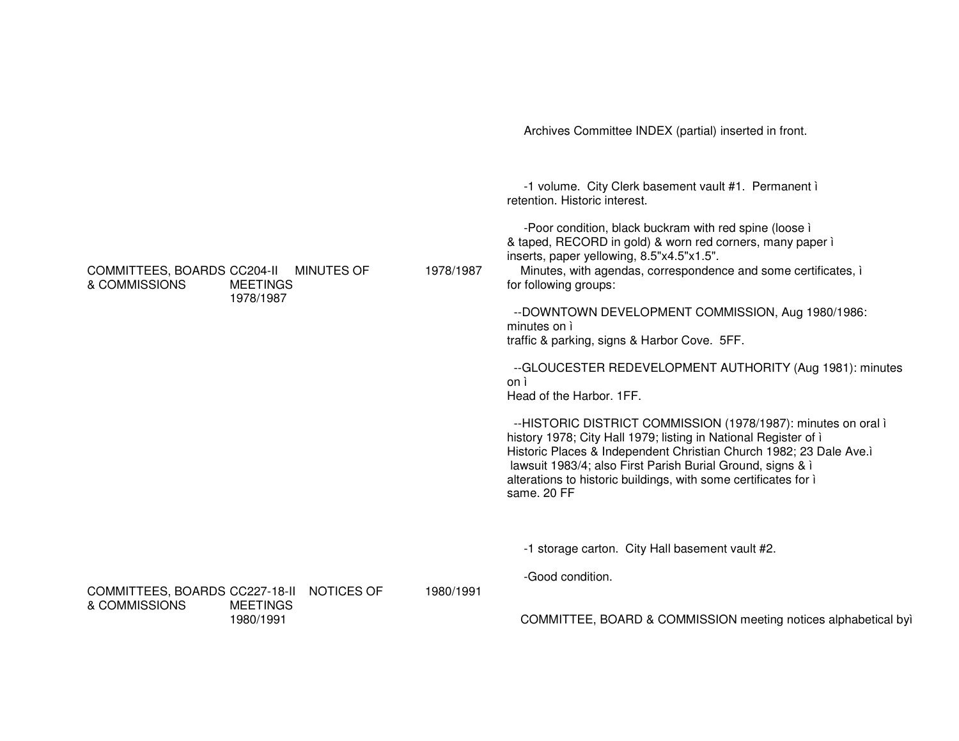Archives Committee INDEX (partial) inserted in front. -1 volume. City Clerk basement vault #1. Permanent ì retention. Historic interest. -Poor condition, black buckram with red spine (loose ì & taped, RECORD in gold) & worn red corners, many paper ì inserts, paper yellowing, 8.5"x4.5"x1.5". COMMITTEES, BOARDS CC204-II MINUTES OF & COMMISSIONS MEETINGS1978/19871978/1987 Minutes, with agendas, correspondence and some certificates, ì for following groups: --DOWNTOWN DEVELOPMENT COMMISSION, Aug 1980/1986: minutes on ì traffic & parking, signs & Harbor Cove. 5FF. --GLOUCESTER REDEVELOPMENT AUTHORITY (Aug 1981): minutes on ì Head of the Harbor. 1FF. --HISTORIC DISTRICT COMMISSION (1978/1987): minutes on oral ì history 1978; City Hall 1979; listing in National Register of *i* Historic Places & Independent Christian Church 1982; 23 Dale Ave.ì lawsuit 1983/4; also First Parish Burial Ground, signs & ì alterations to historic buildings, with some certificates for ì same. 20 FF-1 storage carton. City Hall basement vault #2. -Good condition. COMMITTEES, BOARDS CC227-18-II NOTICES OF & COMMISSIONS MEETINGS1980/19911980/1991COMMITTEE, BOARD & COMMISSION meeting notices alphabetical byì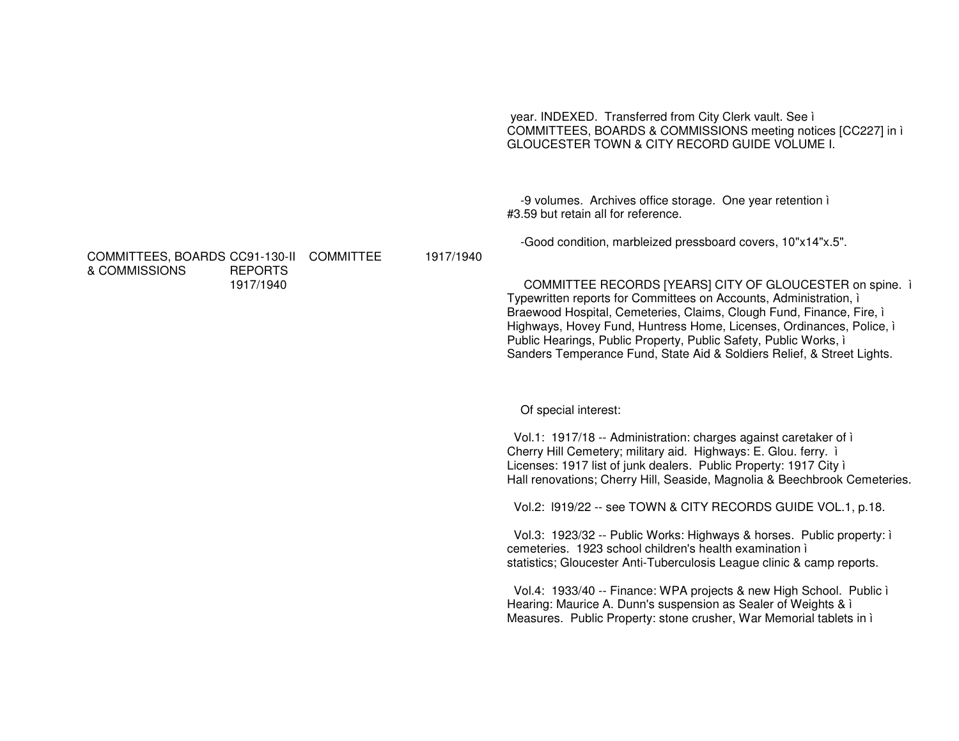year. INDEXED. Transferred from City Clerk vault. See ì COMMITTEES, BOARDS & COMMISSIONS meeting notices [CC227] in ì GLOUCESTER TOWN & CITY RECORD GUIDE VOLUME I.

-9 volumes. Archives office storage. One year retention ì #3.59 but retain all for reference.

-Good condition, marbleized pressboard covers, 10"x14"x.5".

COMMITTEE RECORDS [YEARS] CITY OF GLOUCESTER on spine. ì Typewritten reports for Committees on Accounts, Administration, ì Braewood Hospital, Cemeteries, Claims, Clough Fund, Finance, Fire, ì Highways, Hovey Fund, Huntress Home, Licenses, Ordinances, Police, ì Public Hearings, Public Property, Public Safety, Public Works, ì Sanders Temperance Fund, State Aid & Soldiers Relief, & Street Lights.

Of special interest:

Vol.1: 1917/18 -- Administration: charges against caretaker of ì Cherry Hill Cemetery; military aid. Highways: E. Glou. ferry. ì Licenses: 1917 list of junk dealers. Public Property: 1917 City ì Hall renovations; Cherry Hill, Seaside, Magnolia & Beechbrook Cemeteries.

Vol.2: l919/22 -- see TOWN & CITY RECORDS GUIDE VOL.1, p.18.

Vol.3: 1923/32 -- Public Works: Highways & horses. Public property: ì cemeteries. 1923 school children's health examination ì statistics; Gloucester Anti-Tuberculosis League clinic & camp reports.

Vol.4: 1933/40 -- Finance: WPA projects & new High School. Public ì Hearing: Maurice A. Dunn's suspension as Sealer of Weights & ì Measures. Public Property: stone crusher, War Memorial tablets in ì

COMMITTEES, BOARDS CC91-130-II COMMITTEE & COMMISSIONS REPORTS1917/1940

1917/1940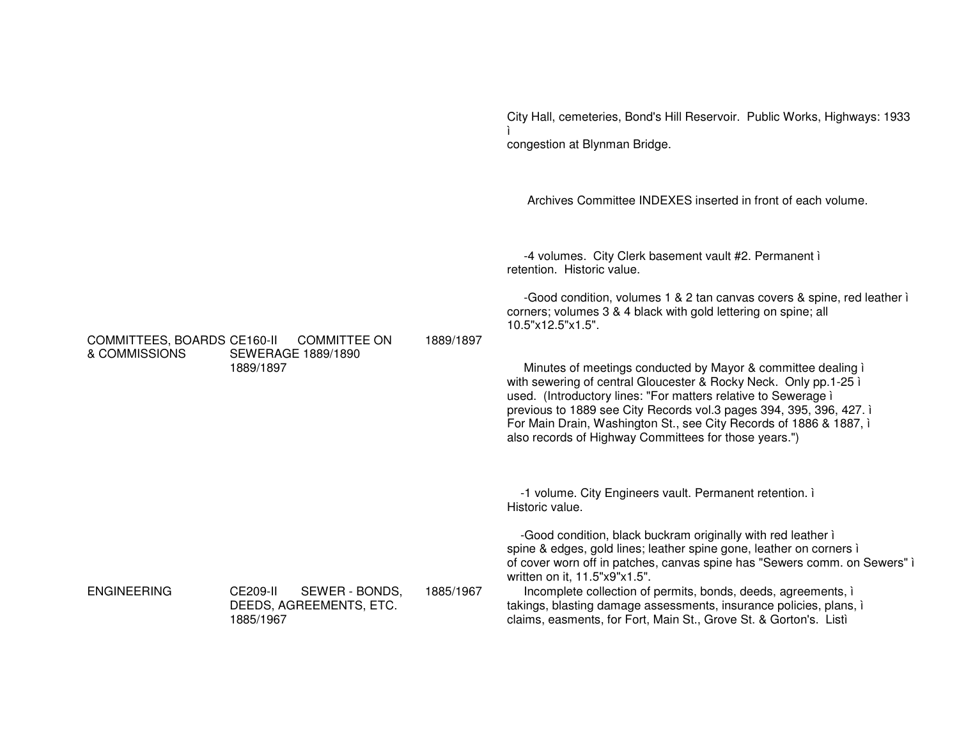City Hall, cemeteries, Bond's Hill Reservoir. Public Works, Highways: 1933 congestion at Blynman Bridge.

Archives Committee INDEXES inserted in front of each volume.

-4 volumes. City Clerk basement vault #2. Permanent i retention. Historic value.

-Good condition, volumes 1 & 2 tan canvas covers & spine, red leather i corners; volumes 3 & 4 black with gold lettering on spine; all 10.5"x12.5"x1.5".

Minutes of meetings conducted by Mayor & committee dealing i with sewering of central Gloucester & Rocky Neck. Only pp.1-25 i used. (Introductory lines: "For matters relative to Sewerage i previous to 1889 see City Records vol.3 pages 394, 395, 396, 427. i For Main Drain, Washington St., see City Records of 1886 & 1887, i also records of Highway Committees for those years.")

-1 volume. City Engineers vault. Permanent retention. i Historic value.

-Good condition, black buckram originally with red leather i spine & edges, gold lines; leather spine gone, leather on corners i of cover worn off in patches, canvas spine has "Sewers comm. on Sewers" i written on it. 11.5"x9"x1.5".

Incomplete collection of permits, bonds, deeds, agreements, i takings, blasting damage assessments, insurance policies, plans, i claims, easments, for Fort, Main St., Grove St. & Gorton's. Listi

COMMITTEES, BOARDS CE160-II COMMITTEE ON 1889/1897 & COMMISSIONS **SEWERAGE 1889/1890** 1889/1897

**ENGINEERING** 

CE209-II SEWER - BONDS, 1885/1967 DEEDS, AGREEMENTS, ETC. 1885/1967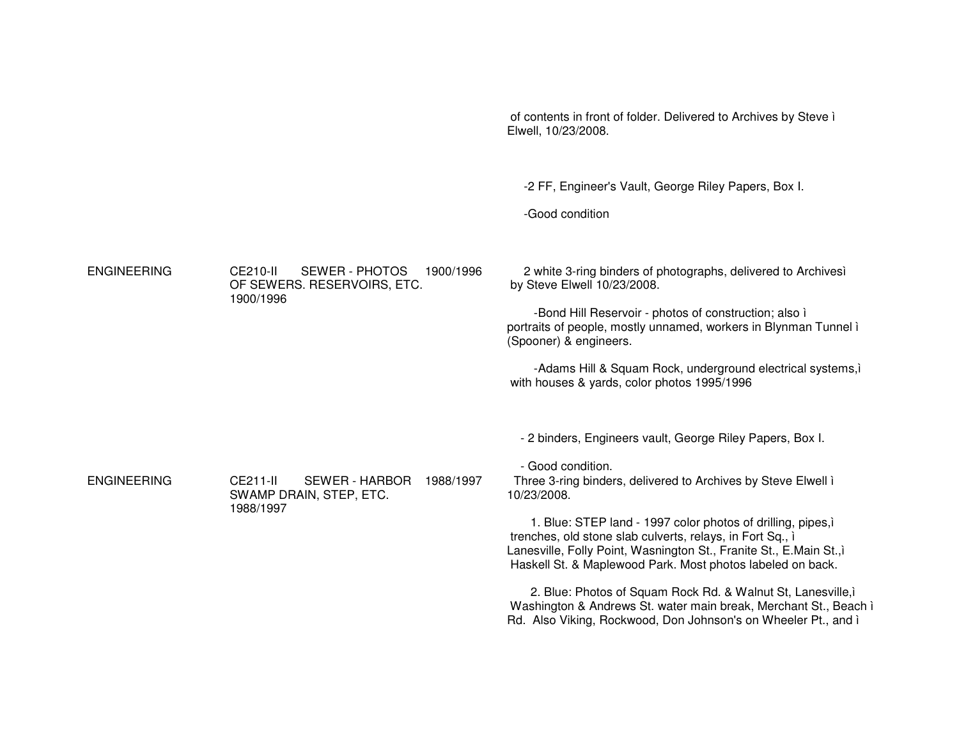Elwell, 10/23/2008. -2 FF, Engineer's Vault, George Riley Papers, Box I. -Good condition ENGINEERING CE210-II SEWER - PHOTOS 1900/1996OF SEWERS. RESERVOIRS, ETC. 1900/1996 2 white 3-ring binders of photographs, delivered to Archivesì by Steve Elwell 10/23/2008. -Bond Hill Reservoir - photos of construction; also ì portraits of people, mostly unnamed, workers in Blynman Tunnel ì (Spooner) & engineers. -Adams Hill & Squam Rock, underground electrical systems,ì with houses & yards, color photos 1995/1996 - 2 binders, Engineers vault, George Riley Papers, Box I. - Good condition. ENGINEERING CE211-II SEWER - HARBOR 1988/1997SWAMP DRAIN, STEP, ETC. 1988/1997 Three 3-ring binders, delivered to Archives by Steve Elwell ì 10/23/2008.1. Blue: STEP land - 1997 color photos of drilling, pipes,ì trenches, old stone slab culverts, relays, in Fort Sq., ì Lanesville, Folly Point, Wasnington St., Franite St., E.Main St.,ì Haskell St. & Maplewood Park. Most photos labeled on back. 2. Blue: Photos of Squam Rock Rd. & Walnut St, Lanesville,ì Washington & Andrews St. water main break, Merchant St., Beach ì Rd. Also Viking, Rockwood, Don Johnson's on Wheeler Pt., and ì

of contents in front of folder. Delivered to Archives by Steve ì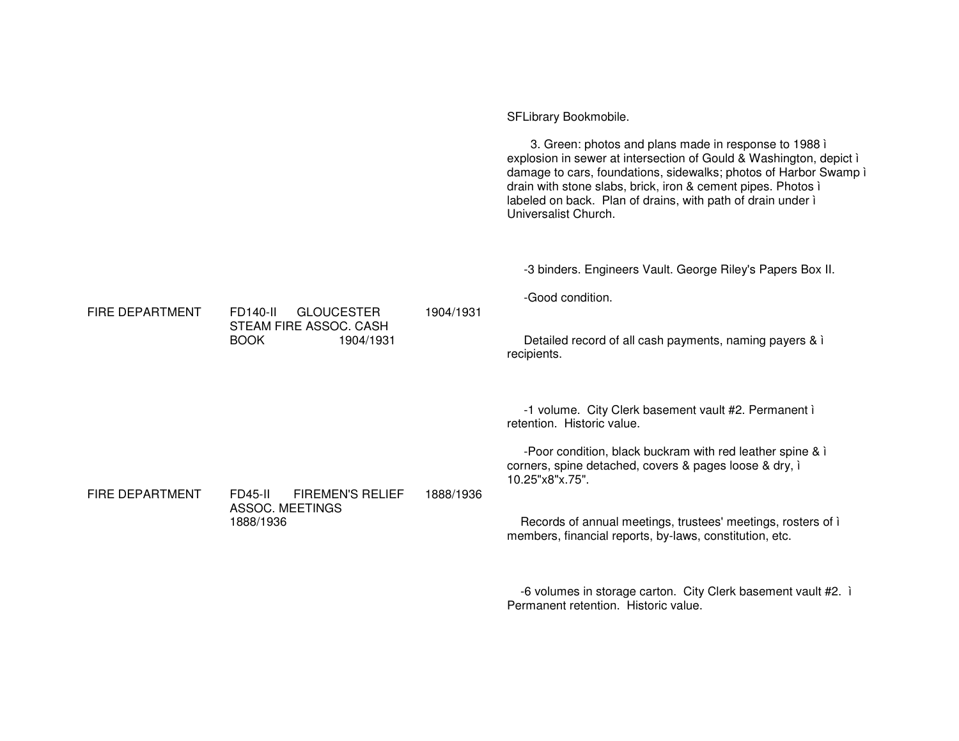SFLibrary Bookmobile. 3. Green: photos and plans made in response to 1988 i explosion in sewer at intersection of Gould & Washington, depict i damage to cars, foundations, sidewalks; photos of Harbor Swamp i drain with stone slabs, brick, iron & cement pipes. Photos i labeled on back. Plan of drains, with path of drain under i Universalist Church. -3 binders. Engineers Vault. George Riley's Papers Box II. -Good condition. FIRE DEPARTMENT **FD140-II GLOUCESTER** 1904/1931 STEAM FIRE ASSOC. CASH **BOOK** 1904/1931 Detailed record of all cash payments, naming payers & i recipients. -1 volume. City Clerk basement vault #2. Permanent i retention. Historic value. -Poor condition, black buckram with red leather spine & i corners, spine detached, covers & pages loose & dry, i 10.25"x8"x.75". FIRE DEPARTMENT **FD45-II FIREMEN'S RELIEF** 1888/1936 ASSOC. MEETINGS 1888/1936 Records of annual meetings, trustees' meetings, rosters of i members, financial reports, by-laws, constitution, etc.

-6 volumes in storage carton. City Clerk basement vault #2. i Permanent retention. Historic value.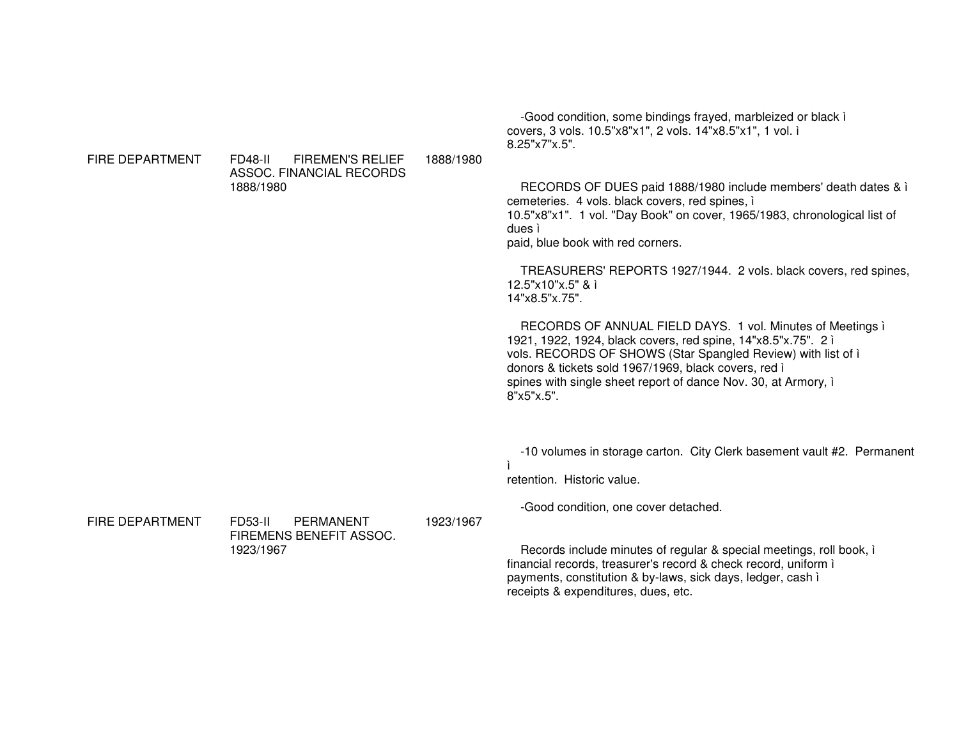8.25"x7"x.5".FD48-II FIREMEN'S RELIEF ASSOC. FINANCIAL RECORDS1888/19801888/1980RECORDS OF DUES paid 1888/1980 include members' death dates & ì cemeteries. 4 vols. black covers, red spines, ì 10.5"x8"x1". 1 vol. "Day Book" on cover, 1965/1983, chronological list of dues ì paid, blue book with red corners. TREASURERS' REPORTS 1927/1944. 2 vols. black covers, red spines, 12.5"x10"x.5" & ì 14"x8.5"x.75".RECORDS OF ANNUAL FIELD DAYS. 1 vol. Minutes of Meetings ì 1921, 1922, 1924, black covers, red spine, 14"x8.5"x.75". 2 ì vols. RECORDS OF SHOWS (Star Spangled Review) with list of ì donors & tickets sold 1967/1969, black covers, red ì spines with single sheet report of dance Nov. 30, at Armory, ì 8"x5"x.5".-10 volumes in storage carton. City Clerk basement vault #2. Permanent ìretention. Historic value. -Good condition, one cover detached.

FIRE DEPARTMENT FD53-II PERMANENT FIREMENS BENEFIT ASSOC. 1923/19671923/1967

**FIRE DEPARTMENT** 

Records include minutes of regular & special meetings, roll book, ì financial records, treasurer's record & check record, uniform ì payments, constitution & by-laws, sick days, ledger, cash ì receipts & expenditures, dues, etc.

-Good condition, some bindings frayed, marbleized or black ì

covers, 3 vols. 10.5"x8"x1", 2 vols. 14"x8.5"x1", 1 vol. ì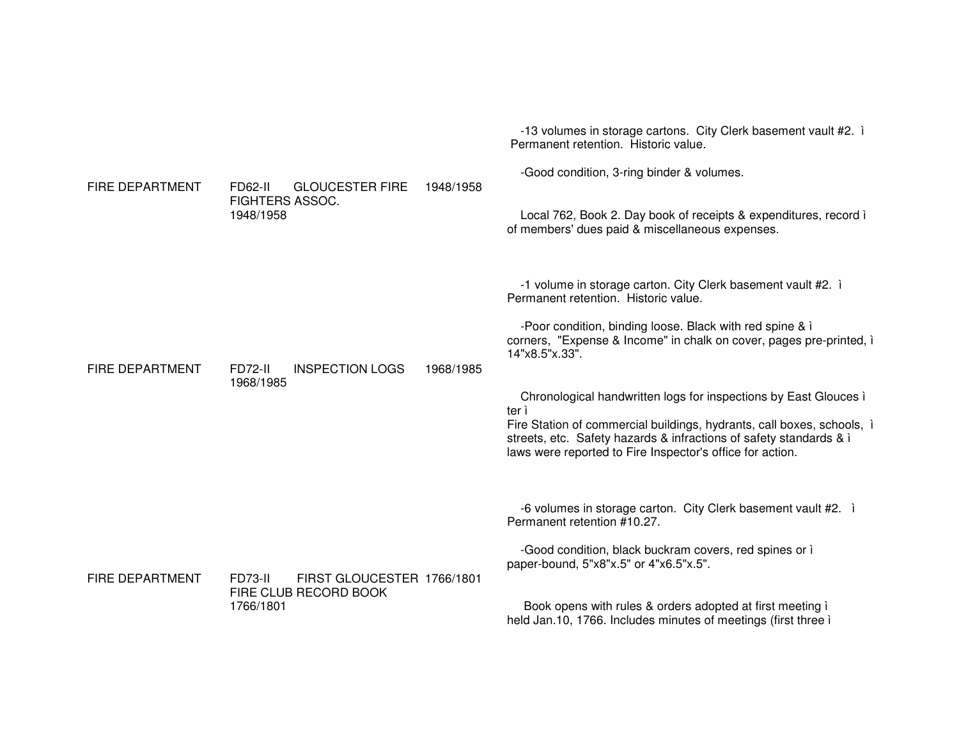|                        |                                       |                             | -13 volumes in storage cartons. City Clerk basement vault #2. i<br>Permanent retention. Historic value.                                                                                                                                                                       |
|------------------------|---------------------------------------|-----------------------------|-------------------------------------------------------------------------------------------------------------------------------------------------------------------------------------------------------------------------------------------------------------------------------|
| <b>FIRE DEPARTMENT</b> | <b>GLOUCESTER FIRE</b><br>FD62-II     | 1948/1958                   | -Good condition, 3-ring binder & volumes.                                                                                                                                                                                                                                     |
|                        | <b>FIGHTERS ASSOC.</b><br>1948/1958   |                             | Local 762, Book 2. Day book of receipts & expenditures, record i<br>of members' dues paid & miscellaneous expenses.                                                                                                                                                           |
|                        |                                       |                             | -1 volume in storage carton. City Clerk basement vault #2. i<br>Permanent retention. Historic value.                                                                                                                                                                          |
| <b>FIRE DEPARTMENT</b> | <b>INSPECTION LOGS</b><br>FD72-II     | 14"x8.5"x.33".<br>1968/1985 | -Poor condition, binding loose. Black with red spine & i<br>corners, "Expense & Income" in chalk on cover, pages pre-printed, i                                                                                                                                               |
|                        | 1968/1985                             | ter i                       | Chronological handwritten logs for inspections by East Glouces i<br>Fire Station of commercial buildings, hydrants, call boxes, schools, i<br>streets, etc. Safety hazards & infractions of safety standards & i<br>laws were reported to Fire Inspector's office for action. |
|                        |                                       |                             | -6 volumes in storage carton. City Clerk basement vault #2. i<br>Permanent retention #10.27.                                                                                                                                                                                  |
| <b>FIRE DEPARTMENT</b> | FIRST GLOUCESTER 1766/1801<br>FD73-II |                             | -Good condition, black buckram covers, red spines or i<br>paper-bound, 5"x8"x.5" or 4"x6.5"x.5".                                                                                                                                                                              |
|                        | FIRE CLUB RECORD BOOK<br>1766/1801    |                             | Book opens with rules & orders adopted at first meeting i<br>held Jan.10, 1766. Includes minutes of meetings (first three i                                                                                                                                                   |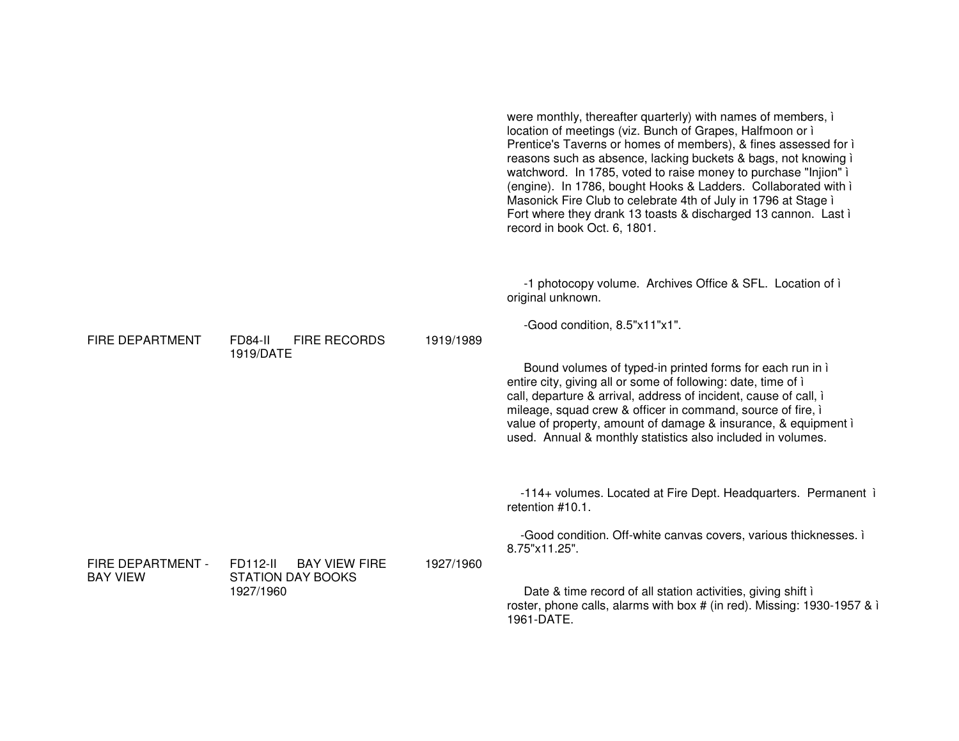|                                      |                                                                           |           | were monthly, thereafter quarterly) with names of members, i<br>location of meetings (viz. Bunch of Grapes, Halfmoon or i<br>Prentice's Taverns or homes of members), & fines assessed for i<br>reasons such as absence, lacking buckets & bags, not knowing i<br>watchword. In 1785, voted to raise money to purchase "Injion" i<br>(engine). In 1786, bought Hooks & Ladders. Collaborated with i<br>Masonick Fire Club to celebrate 4th of July in 1796 at Stage i<br>Fort where they drank 13 toasts & discharged 13 cannon. Last i<br>record in book Oct. 6, 1801. |
|--------------------------------------|---------------------------------------------------------------------------|-----------|-------------------------------------------------------------------------------------------------------------------------------------------------------------------------------------------------------------------------------------------------------------------------------------------------------------------------------------------------------------------------------------------------------------------------------------------------------------------------------------------------------------------------------------------------------------------------|
| <b>FIRE DEPARTMENT</b>               | <b>FIRE RECORDS</b><br>FD84-II<br>1919/DATE                               | 1919/1989 | -1 photocopy volume. Archives Office & SFL. Location of i<br>original unknown.<br>-Good condition, 8.5"x11"x1".<br>Bound volumes of typed-in printed forms for each run in i<br>entire city, giving all or some of following: date, time of i<br>call, departure & arrival, address of incident, cause of call, i<br>mileage, squad crew & officer in command, source of fire, i<br>value of property, amount of damage & insurance, & equipment i<br>used. Annual & monthly statistics also included in volumes.                                                       |
| FIRE DEPARTMENT -<br><b>BAY VIEW</b> | FD112-II<br><b>BAY VIEW FIRE</b><br><b>STATION DAY BOOKS</b><br>1927/1960 | 1927/1960 | -114+ volumes. Located at Fire Dept. Headquarters. Permanent i<br>retention #10.1.<br>-Good condition. Off-white canvas covers, various thicknesses. i<br>8.75"x11.25".<br>Date & time record of all station activities, giving shift i<br>roster, phone calls, alarms with box # (in red). Missing: 1930-1957 & i<br>1961-DATE.                                                                                                                                                                                                                                        |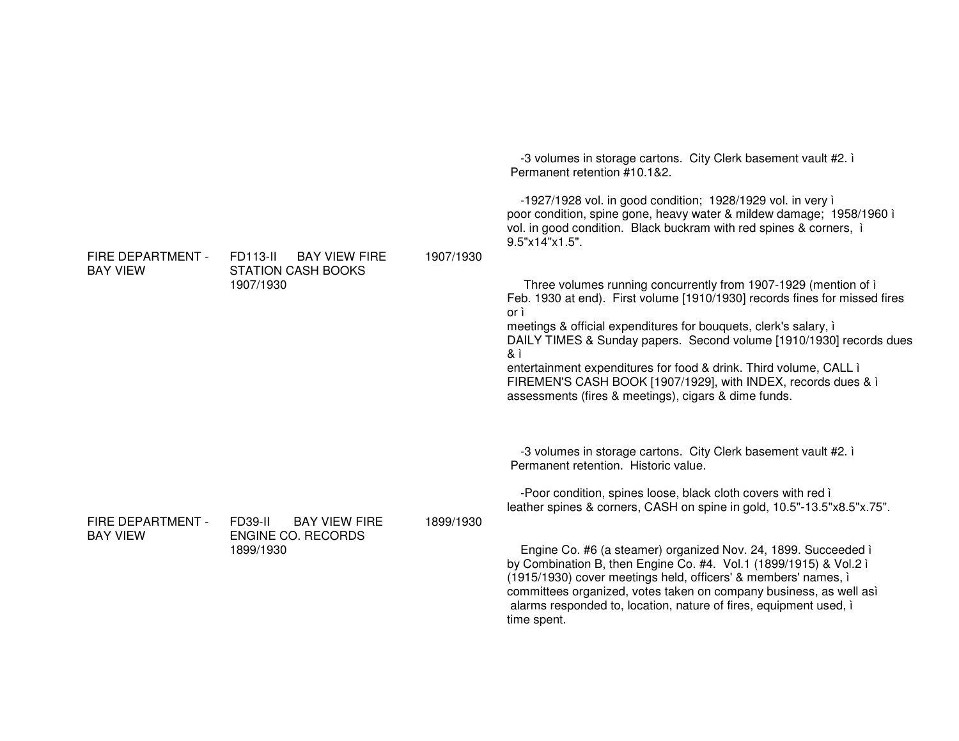| FIRE DEPARTMENT -<br><b>BAY VIEW</b> | <b>BAY VIEW FIRE</b><br>FD113-II<br><b>STATION CASH BOOKS</b><br>1907/1930 | 1907/1930 | -3 volumes in storage cartons. City Clerk basement vault #2. i<br>Permanent retention #10.1&2.<br>-1927/1928 vol. in good condition; 1928/1929 vol. in very i<br>poor condition, spine gone, heavy water & mildew damage; 1958/1960 i<br>vol. in good condition. Black buckram with red spines & corners, i<br>9.5"x14"x1.5".<br>Three volumes running concurrently from 1907-1929 (mention of i<br>Feb. 1930 at end). First volume [1910/1930] records fines for missed fires<br>or ì<br>meetings & official expenditures for bouquets, clerk's salary, i<br>DAILY TIMES & Sunday papers. Second volume [1910/1930] records dues<br>& ì<br>entertainment expenditures for food & drink. Third volume, CALL i<br>FIREMEN'S CASH BOOK [1907/1929], with INDEX, records dues & i<br>assessments (fires & meetings), cigars & dime funds. |
|--------------------------------------|----------------------------------------------------------------------------|-----------|----------------------------------------------------------------------------------------------------------------------------------------------------------------------------------------------------------------------------------------------------------------------------------------------------------------------------------------------------------------------------------------------------------------------------------------------------------------------------------------------------------------------------------------------------------------------------------------------------------------------------------------------------------------------------------------------------------------------------------------------------------------------------------------------------------------------------------------|
| FIRE DEPARTMENT -<br><b>BAY VIEW</b> | FD39-II<br><b>BAY VIEW FIRE</b><br><b>ENGINE CO. RECORDS</b><br>1899/1930  | 1899/1930 | -3 volumes in storage cartons. City Clerk basement vault #2. i<br>Permanent retention. Historic value.<br>-Poor condition, spines loose, black cloth covers with red i<br>leather spines & corners, CASH on spine in gold, 10.5"-13.5"x8.5"x.75".<br>Engine Co. #6 (a steamer) organized Nov. 24, 1899. Succeeded i<br>by Combination B, then Engine Co. #4. Vol.1 (1899/1915) & Vol.2 ì<br>(1915/1930) cover meetings held, officers' & members' names, i<br>committees organized, votes taken on company business, as well asì<br>alarms responded to, location, nature of fires, equipment used, i<br>time spent.                                                                                                                                                                                                                   |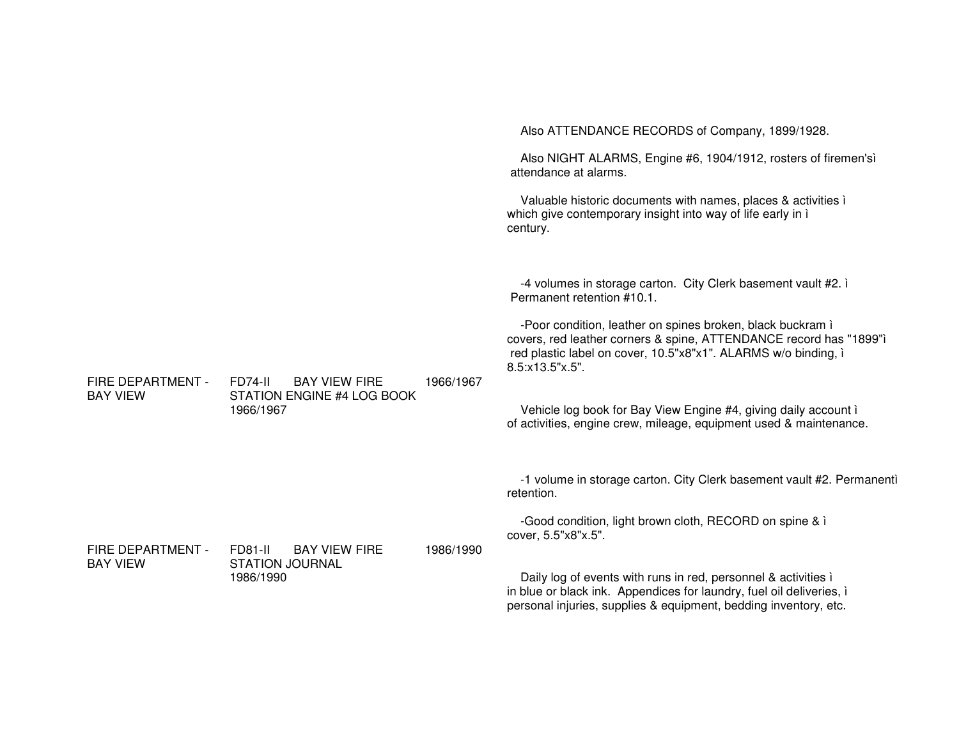|                   |                                                             |           | Also ATTENDANCE RECORDS of Company, 1899/1928.                                                                                                                                                                        |
|-------------------|-------------------------------------------------------------|-----------|-----------------------------------------------------------------------------------------------------------------------------------------------------------------------------------------------------------------------|
|                   |                                                             |           | Also NIGHT ALARMS, Engine #6, 1904/1912, rosters of firemen'sì<br>attendance at alarms.                                                                                                                               |
|                   |                                                             |           | Valuable historic documents with names, places & activities i<br>which give contemporary insight into way of life early in i<br>century.                                                                              |
|                   |                                                             |           | -4 volumes in storage carton. City Clerk basement vault #2. i<br>Permanent retention #10.1.                                                                                                                           |
| FIRE DEPARTMENT - | <b>BAY VIEW FIRE</b><br>FD74-II                             | 1966/1967 | -Poor condition, leather on spines broken, black buckram i<br>covers, red leather corners & spine, ATTENDANCE record has "1899"ì<br>red plastic label on cover, 10.5"x8"x1". ALARMS w/o binding, i<br>8.5:x13.5"x.5". |
| <b>BAY VIEW</b>   | STATION ENGINE #4 LOG BOOK<br>1966/1967                     |           | Vehicle log book for Bay View Engine #4, giving daily account i<br>of activities, engine crew, mileage, equipment used & maintenance.                                                                                 |
|                   |                                                             |           | -1 volume in storage carton. City Clerk basement vault #2. Permanenti<br>retention.                                                                                                                                   |
| FIRE DEPARTMENT - | FD81-II                                                     |           | -Good condition, light brown cloth, RECORD on spine & i<br>cover, 5.5"x8"x.5".                                                                                                                                        |
| <b>BAY VIEW</b>   | <b>BAY VIEW FIRE</b><br><b>STATION JOURNAL</b><br>1986/1990 | 1986/1990 | Daily log of events with runs in red, personnel & activities i<br>in blue or black ink. Appendices for laundry, fuel oil deliveries, i<br>personal injuries, supplies & equipment, bedding inventory, etc.            |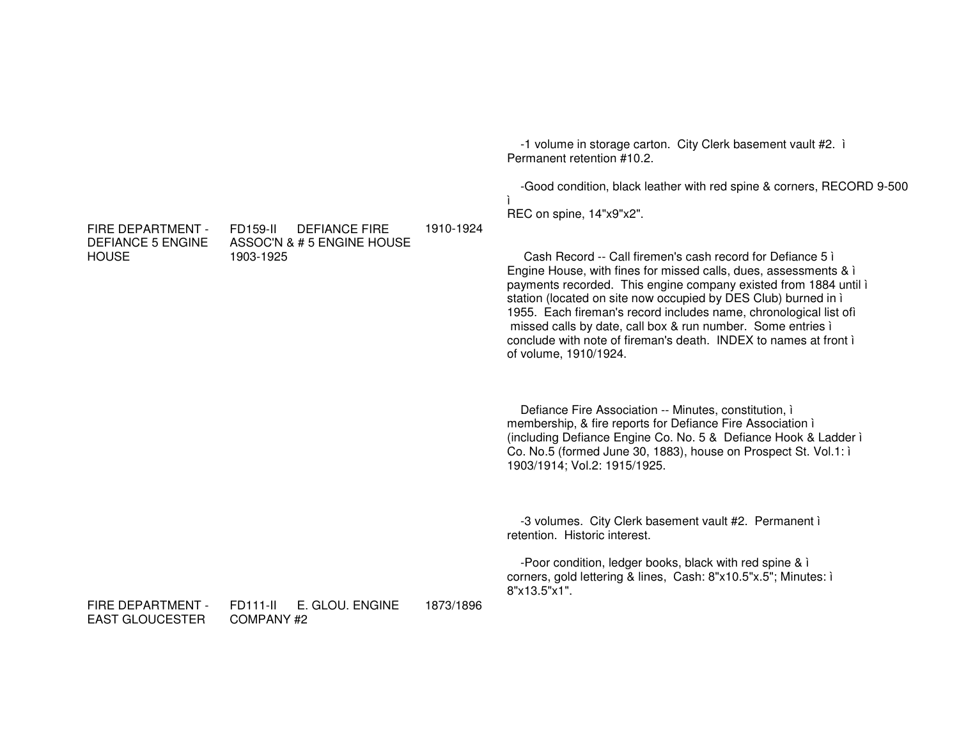-1 volume in storage carton. City Clerk basement vault #2. i Permanent retention #10.2. -Good condition, black leather with red spine & corners, RECORD 9-500 ì. REC on spine, 14"x9"x2". FIRE DEPARTMENT -FD159-II DEFIANCE FIRE 1910-1924 **DEFIANCE 5 ENGINE** ASSOC'N & # 5 ENGINE HOUSE **HOUSE** Cash Record -- Call firemen's cash record for Defiance 5 i 1903-1925 Engine House, with fines for missed calls, dues, assessments & i payments recorded. This engine company existed from 1884 until i station (located on site now occupied by DES Club) burned in i 1955. Each fireman's record includes name, chronological list off missed calls by date, call box & run number. Some entries i conclude with note of fireman's death. INDEX to names at front i of volume, 1910/1924. Defiance Fire Association -- Minutes, constitution, i membership, & fire reports for Defiance Fire Association i (including Defiance Engine Co. No. 5 & Defiance Hook & Ladder i Co. No.5 (formed June 30, 1883), house on Prospect St. Vol.1: i 1903/1914; Vol.2: 1915/1925. -3 volumes. City Clerk basement vault #2. Permanent i retention. Historic interest. -Poor condition, ledger books, black with red spine & i corners, gold lettering & lines, Cash: 8"x10.5"x.5"; Minutes: i 8"x13.5"x1". FIRE DEPARTMENT -FD111-II E. GLOU. ENGINE 1873/1896 **EAST GLOUGESTER** COMPANY<sub>#2</sub>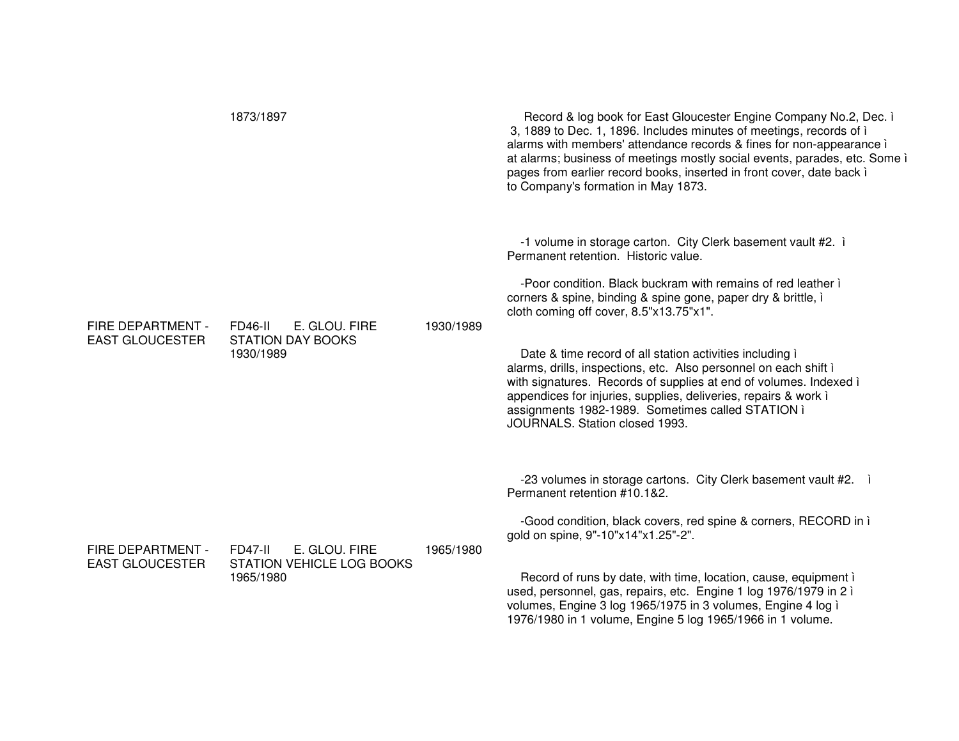|                                             | 1873/1897                                                                 |           | Record & log book for East Gloucester Engine Company No.2, Dec. i<br>3, 1889 to Dec. 1, 1896. Includes minutes of meetings, records of i<br>alarms with members' attendance records & fines for non-appearance i<br>at alarms; business of meetings mostly social events, parades, etc. Some i<br>pages from earlier record books, inserted in front cover, date back i<br>to Company's formation in May 1873.                                                                                                                                                                                                                                  |
|---------------------------------------------|---------------------------------------------------------------------------|-----------|-------------------------------------------------------------------------------------------------------------------------------------------------------------------------------------------------------------------------------------------------------------------------------------------------------------------------------------------------------------------------------------------------------------------------------------------------------------------------------------------------------------------------------------------------------------------------------------------------------------------------------------------------|
| FIRE DEPARTMENT -<br><b>EAST GLOUCESTER</b> | E. GLOU. FIRE<br>FD46-II<br><b>STATION DAY BOOKS</b><br>1930/1989         | 1930/1989 | -1 volume in storage carton. City Clerk basement vault #2. i<br>Permanent retention. Historic value.<br>-Poor condition. Black buckram with remains of red leather i<br>corners & spine, binding & spine gone, paper dry & brittle, i<br>cloth coming off cover, 8.5"x13.75"x1".<br>Date & time record of all station activities including i<br>alarms, drills, inspections, etc. Also personnel on each shift i<br>with signatures. Records of supplies at end of volumes. Indexed i<br>appendices for injuries, supplies, deliveries, repairs & work i<br>assignments 1982-1989. Sometimes called STATION i<br>JOURNALS. Station closed 1993. |
| FIRE DEPARTMENT -<br><b>EAST GLOUCESTER</b> | E. GLOU. FIRE<br><b>FD47-II</b><br>STATION VEHICLE LOG BOOKS<br>1965/1980 | 1965/1980 | -23 volumes in storage cartons. City Clerk basement vault #2.<br>Permanent retention #10.1&2.<br>-Good condition, black covers, red spine & corners, RECORD in i<br>gold on spine, 9"-10"x14"x1.25"-2".<br>Record of runs by date, with time, location, cause, equipment i<br>used, personnel, gas, repairs, etc. Engine 1 log 1976/1979 in 2 ì<br>volumes, Engine 3 log 1965/1975 in 3 volumes, Engine 4 log i<br>1976/1980 in 1 volume, Engine 5 log 1965/1966 in 1 volume.                                                                                                                                                                   |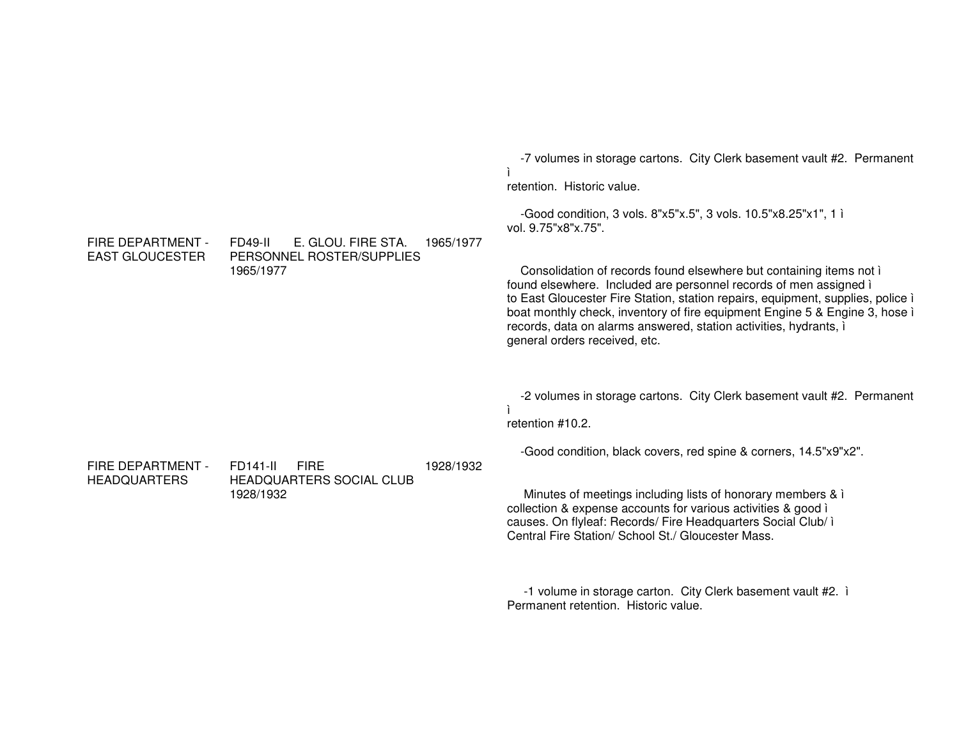-7 volumes in storage cartons. City Clerk basement vault #2. Permanent ìretention. Historic value.

-Good condition, 3 vols. 8"x5"x.5", 3 vols. 10.5"x8.25"x1", 1 ì vol. 9.75"x8"x.75".

Consolidation of records found elsewhere but containing items not ì found elsewhere. Included are personnel records of men assigned ì to East Gloucester Fire Station, station repairs, equipment, supplies, police ì boat monthly check, inventory of fire equipment Engine 5 & Engine 3, hose ì records, data on alarms answered, station activities, hydrants, ì general orders received, etc.

-2 volumes in storage cartons. City Clerk basement vault #2. Permanent ì

retention #10.2.

-Good condition, black covers, red spine & corners, 14.5"x9"x2".

Minutes of meetings including lists of honorary members & ì collection & expense accounts for various activities & good ì causes. On flyleaf: Records/ Fire Headquarters Social Club/ ì Central Fire Station/ School St./ Gloucester Mass.

-1 volume in storage carton. City Clerk basement vault #2. ì Permanent retention. Historic value.

FIRE DEPARTMENT - EAST GLOUCESTERFD49-II E. GLOU. FIRE STA. PERSONNEL ROSTER/SUPPLIES 1965/19771965/1977

FIRE DEPARTMENT - HEADQUARTERS

FD141-II FIREHEADQUARTERS SOCIAL CLUB 1928/19321928/1932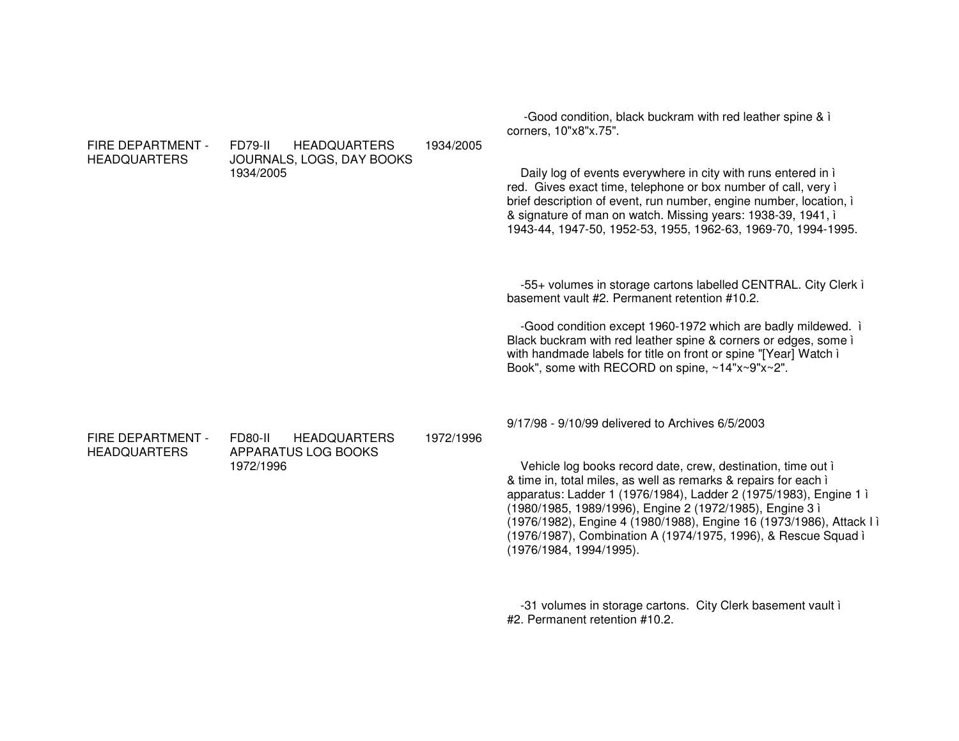| FIRE DEPARTMENT -<br><b>HEADQUARTERS</b> | FD79-II<br><b>HEADQUARTERS</b><br>JOURNALS, LOGS, DAY BOOKS<br>1934/2005 | 1934/2005 | -Good condition, black buckram with red leather spine & i<br>corners, 10"x8"x.75".<br>Daily log of events everywhere in city with runs entered in i<br>red. Gives exact time, telephone or box number of call, very i<br>brief description of event, run number, engine number, location, i<br>& signature of man on watch. Missing years: 1938-39, 1941, i<br>1943-44, 1947-50, 1952-53, 1955, 1962-63, 1969-70, 1994-1995.                                                              |
|------------------------------------------|--------------------------------------------------------------------------|-----------|-------------------------------------------------------------------------------------------------------------------------------------------------------------------------------------------------------------------------------------------------------------------------------------------------------------------------------------------------------------------------------------------------------------------------------------------------------------------------------------------|
|                                          |                                                                          |           | -55+ volumes in storage cartons labelled CENTRAL. City Clerk i<br>basement vault #2. Permanent retention #10.2.<br>-Good condition except 1960-1972 which are badly mildewed. i<br>Black buckram with red leather spine & corners or edges, some i<br>with handmade labels for title on front or spine "[Year] Watch i<br>Book", some with RECORD on spine, ~14"x~9"x~2".                                                                                                                 |
| FIRE DEPARTMENT -<br><b>HEADQUARTERS</b> | FD80-II<br><b>HEADQUARTERS</b><br>APPARATUS LOG BOOKS<br>1972/1996       | 1972/1996 | 9/17/98 - 9/10/99 delivered to Archives 6/5/2003<br>Vehicle log books record date, crew, destination, time out i<br>& time in, total miles, as well as remarks & repairs for each i<br>apparatus: Ladder 1 (1976/1984), Ladder 2 (1975/1983), Engine 1 i<br>(1980/1985, 1989/1996), Engine 2 (1972/1985), Engine 3 ì<br>(1976/1982), Engine 4 (1980/1988), Engine 16 (1973/1986), Attack I i<br>(1976/1987), Combination A (1974/1975, 1996), & Rescue Squad ì<br>(1976/1984, 1994/1995). |
|                                          |                                                                          |           | -31 volumes in storage cartons. City Clerk basement vault i<br>#2. Permanent retention #10.2.                                                                                                                                                                                                                                                                                                                                                                                             |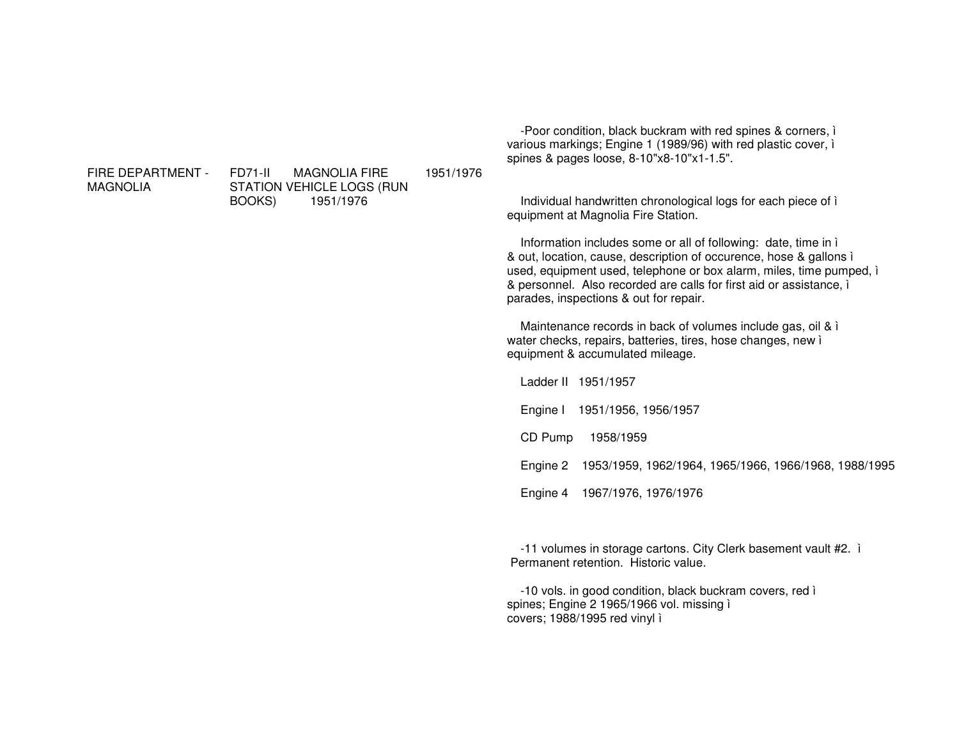FIRE DEPARTMENT - MAGNOLIA

FD71-II MAGNOLIA FIRE STATION VEHICLE LOGS (RUN BOOKS) 1951/1976 1951/1976

-Poor condition, black buckram with red spines & corners, ì various markings; Engine 1 (1989/96) with red plastic cover, ì spines & pages loose, 8-10"x8-10"x1-1.5".

Individual handwritten chronological logs for each piece of ì equipment at Magnolia Fire Station.

Information includes some or all of following: date, time in ì & out, location, cause, description of occurence, hose & gallons ì used, equipment used, telephone or box alarm, miles, time pumped, ì & personnel. Also recorded are calls for first aid or assistance, ì parades, inspections & out for repair.

Maintenance records in back of volumes include gas, oil & ì water checks, repairs, batteries, tires, hose changes, new ì equipment & accumulated mileage.

Ladder II 1951/1957Engine I 1951/1956, 1956/1957 CD Pump 1958/1959 Engine 2 1953/1959, 1962/1964, 1965/1966, 1966/1968, 1988/1995 Engine 4 1967/1976, 1976/1976

-11 volumes in storage cartons. City Clerk basement vault #2. ì Permanent retention. Historic value.

-10 vols. in good condition, black buckram covers, red ì spines; Engine 2 1965/1966 vol. missing ì covers; 1988/1995 red vinyl ì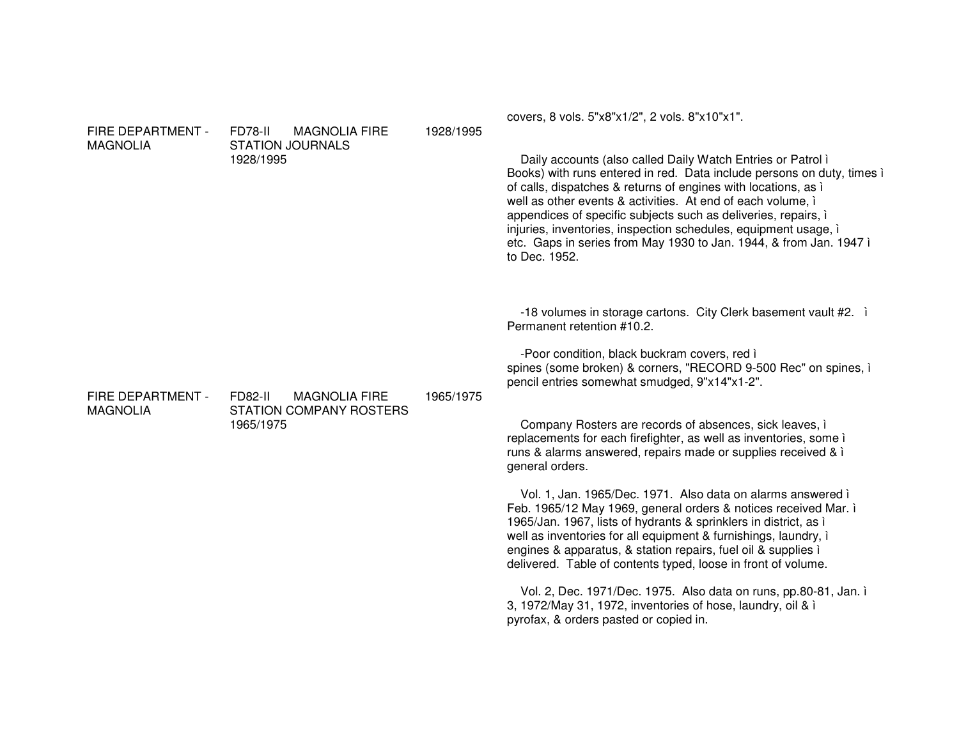| FIRE DEPARTMENT -<br><b>MAGNOLIA</b> | FD78-II<br><b>MAGNOLIA FIRE</b><br><b>STATION JOURNALS</b><br>1928/1995 | 1928/1995 | covers, 8 vols. 5"x8"x1/2", 2 vols. 8"x10"x1".<br>Daily accounts (also called Daily Watch Entries or Patrol i<br>Books) with runs entered in red. Data include persons on duty, times i<br>of calls, dispatches & returns of engines with locations, as i<br>well as other events & activities. At end of each volume, i<br>appendices of specific subjects such as deliveries, repairs, i<br>injuries, inventories, inspection schedules, equipment usage, i<br>etc. Gaps in series from May 1930 to Jan. 1944, & from Jan. 1947 i<br>to Dec. 1952. |
|--------------------------------------|-------------------------------------------------------------------------|-----------|------------------------------------------------------------------------------------------------------------------------------------------------------------------------------------------------------------------------------------------------------------------------------------------------------------------------------------------------------------------------------------------------------------------------------------------------------------------------------------------------------------------------------------------------------|
| FIRE DEPARTMENT -<br><b>MAGNOLIA</b> | FD82-II<br><b>MAGNOLIA FIRE</b><br><b>STATION COMPANY ROSTERS</b>       | 1965/1975 | -18 volumes in storage cartons. City Clerk basement vault #2. i<br>Permanent retention #10.2.<br>-Poor condition, black buckram covers, red i<br>spines (some broken) & corners, "RECORD 9-500 Rec" on spines, i<br>pencil entries somewhat smudged, 9"x14"x1-2".                                                                                                                                                                                                                                                                                    |
|                                      | 1965/1975                                                               |           | Company Rosters are records of absences, sick leaves, i<br>replacements for each firefighter, as well as inventories, some i<br>runs & alarms answered, repairs made or supplies received & i<br>general orders.                                                                                                                                                                                                                                                                                                                                     |
|                                      |                                                                         |           | Vol. 1, Jan. 1965/Dec. 1971. Also data on alarms answered i<br>Feb. 1965/12 May 1969, general orders & notices received Mar. i<br>1965/Jan. 1967, lists of hydrants & sprinklers in district, as i<br>well as inventories for all equipment & furnishings, laundry, i<br>engines & apparatus, & station repairs, fuel oil & supplies i<br>delivered. Table of contents typed, loose in front of volume.                                                                                                                                              |
|                                      |                                                                         |           | Vol. 2, Dec. 1971/Dec. 1975. Also data on runs, pp.80-81, Jan. i<br>3, 1972/May 31, 1972, inventories of hose, laundry, oil & i<br>pyrofax, & orders pasted or copied in.                                                                                                                                                                                                                                                                                                                                                                            |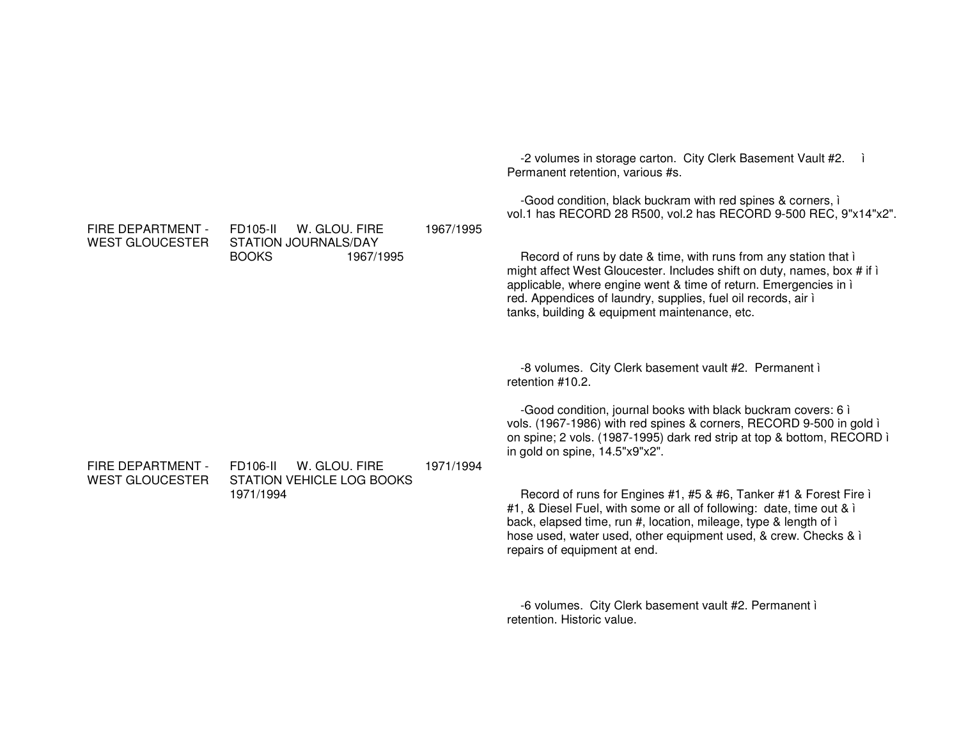Permanent retention, various #s. -Good condition, black buckram with red spines & corners, ì vol.1 has RECORD 28 R500, vol.2 has RECORD 9-500 REC, 9"x14"x2". FIRE DEPARTMENT - WEST GLOUCESTERFD105-II W. GLOU. FIRESTATION JOURNALS/DAY BOOKS 1967/1995 1967/1995Record of runs by date & time, with runs from any station that ì might affect West Gloucester. Includes shift on duty, names, box # if ì applicable, where engine went & time of return. Emergencies in ì red. Appendices of laundry, supplies, fuel oil records, air ì tanks, building & equipment maintenance, etc. -8 volumes. City Clerk basement vault #2. Permanent ì retention #10.2. -Good condition, journal books with black buckram covers: 6 ì vols. (1967-1986) with red spines & corners, RECORD 9-500 in gold ì on spine; 2 vols. (1987-1995) dark red strip at top & bottom, RECORD ì in gold on spine, 14.5"x9"x2". FIRE DEPARTMENT - WEST GLOUCESTERFD106-II W. GLOU. FIRESTATION VEHICLE LOG BOOKS 1971/19941971/1994Record of runs for Engines #1, #5 & #6, Tanker #1 & Forest Fire ì #1, & Diesel Fuel, with some or all of following: date, time out & i back, elapsed time, run #, location, mileage, type & length of ì hose used, water used, other equipment used, & crew. Checks & ì repairs of equipment at end. -6 volumes. City Clerk basement vault #2. Permanent ì retention. Historic value.

-2 volumes in storage carton. City Clerk Basement Vault #2. ì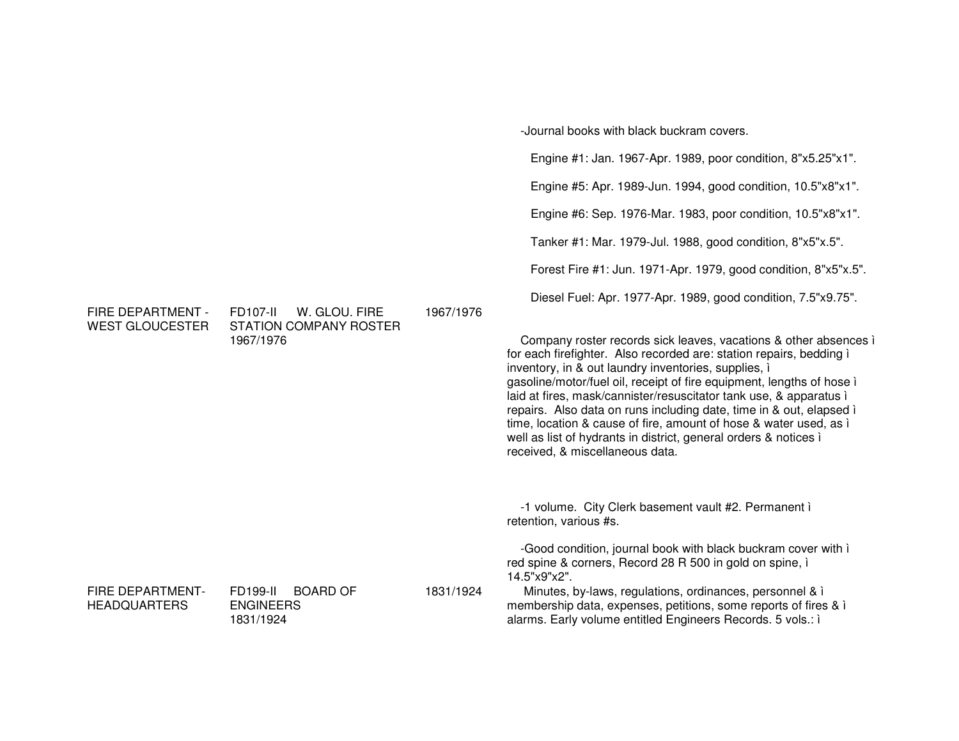|                                                |                                                                                |           | Engine #1: Jan. 1967-Apr. 1989, poor condition, 8"x5.25"x1".                                                                                                                                                                                                                                                                                                                                                                                                                                                                                                                                      |
|------------------------------------------------|--------------------------------------------------------------------------------|-----------|---------------------------------------------------------------------------------------------------------------------------------------------------------------------------------------------------------------------------------------------------------------------------------------------------------------------------------------------------------------------------------------------------------------------------------------------------------------------------------------------------------------------------------------------------------------------------------------------------|
|                                                |                                                                                | 1967/1976 | Engine #5: Apr. 1989-Jun. 1994, good condition, 10.5"x8"x1".                                                                                                                                                                                                                                                                                                                                                                                                                                                                                                                                      |
|                                                |                                                                                |           | Engine #6: Sep. 1976-Mar. 1983, poor condition, 10.5"x8"x1".                                                                                                                                                                                                                                                                                                                                                                                                                                                                                                                                      |
|                                                |                                                                                |           | Tanker #1: Mar. 1979-Jul. 1988, good condition, 8"x5"x.5".                                                                                                                                                                                                                                                                                                                                                                                                                                                                                                                                        |
|                                                |                                                                                |           | Forest Fire #1: Jun. 1971-Apr. 1979, good condition, 8"x5"x.5".                                                                                                                                                                                                                                                                                                                                                                                                                                                                                                                                   |
| FIRE DEPARTMENT -                              | <b>FD107-II</b><br>W. GLOU. FIRE<br><b>STATION COMPANY ROSTER</b><br>1967/1976 |           | Diesel Fuel: Apr. 1977-Apr. 1989, good condition, 7.5"x9.75".                                                                                                                                                                                                                                                                                                                                                                                                                                                                                                                                     |
| <b>WEST GLOUCESTER</b>                         |                                                                                |           | Company roster records sick leaves, vacations & other absences i<br>for each firefighter. Also recorded are: station repairs, bedding i<br>inventory, in & out laundry inventories, supplies, i<br>gasoline/motor/fuel oil, receipt of fire equipment, lengths of hose i<br>laid at fires, mask/cannister/resuscitator tank use, & apparatus i<br>repairs. Also data on runs including date, time in & out, elapsed i<br>time, location & cause of fire, amount of hose & water used, as i<br>well as list of hydrants in district, general orders & notices i<br>received, & miscellaneous data. |
|                                                |                                                                                |           | -1 volume. City Clerk basement vault #2. Permanent i<br>retention, various #s.                                                                                                                                                                                                                                                                                                                                                                                                                                                                                                                    |
|                                                |                                                                                |           | -Good condition, journal book with black buckram cover with i<br>red spine & corners, Record 28 R 500 in gold on spine, i<br>14.5"x9"x2".                                                                                                                                                                                                                                                                                                                                                                                                                                                         |
| <b>FIRE DEPARTMENT-</b><br><b>HEADQUARTERS</b> | <b>FD199-II</b><br><b>BOARD OF</b><br><b>ENGINEERS</b><br>1831/1924            | 1831/1924 | Minutes, by-laws, regulations, ordinances, personnel & i<br>membership data, expenses, petitions, some reports of fires & i<br>alarms. Early volume entitled Engineers Records. 5 vols.: i                                                                                                                                                                                                                                                                                                                                                                                                        |

-Journal books with black buckram covers.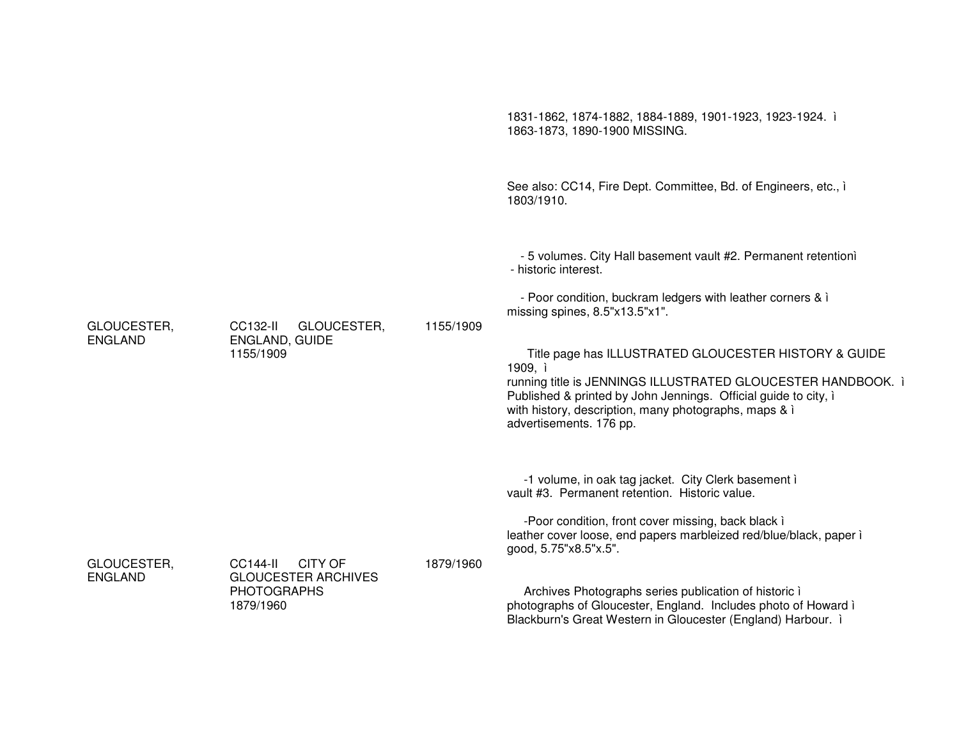|                               |                                                                                                    |           | 1831-1862, 1874-1882, 1884-1889, 1901-1923, 1923-1924. i<br>1863-1873, 1890-1900 MISSING.                                                                                                                                                                                                                                                                                                                                                                                         |
|-------------------------------|----------------------------------------------------------------------------------------------------|-----------|-----------------------------------------------------------------------------------------------------------------------------------------------------------------------------------------------------------------------------------------------------------------------------------------------------------------------------------------------------------------------------------------------------------------------------------------------------------------------------------|
|                               |                                                                                                    |           | See also: CC14, Fire Dept. Committee, Bd. of Engineers, etc., i<br>1803/1910.                                                                                                                                                                                                                                                                                                                                                                                                     |
| GLOUCESTER,<br><b>ENGLAND</b> | CC132-II<br>GLOUCESTER,<br><b>ENGLAND, GUIDE</b><br>1155/1909                                      | 1155/1909 | - 5 volumes. City Hall basement vault #2. Permanent retentioni<br>- historic interest.<br>- Poor condition, buckram ledgers with leather corners & i<br>missing spines, 8.5"x13.5"x1".<br>Title page has ILLUSTRATED GLOUCESTER HISTORY & GUIDE<br>1909, ì<br>running title is JENNINGS ILLUSTRATED GLOUCESTER HANDBOOK. i<br>Published & printed by John Jennings. Official guide to city, i<br>with history, description, many photographs, maps & i<br>advertisements. 176 pp. |
|                               |                                                                                                    |           | -1 volume, in oak tag jacket. City Clerk basement i<br>vault #3. Permanent retention. Historic value.<br>-Poor condition, front cover missing, back black i<br>leather cover loose, end papers marbleized red/blue/black, paper i                                                                                                                                                                                                                                                 |
| GLOUCESTER,<br><b>ENGLAND</b> | <b>CC144-II</b><br><b>CITY OF</b><br><b>GLOUCESTER ARCHIVES</b><br><b>PHOTOGRAPHS</b><br>1879/1960 | 1879/1960 | good, 5.75"x8.5"x.5".<br>Archives Photographs series publication of historic i<br>photographs of Gloucester, England. Includes photo of Howard i<br>Blackburn's Great Western in Gloucester (England) Harbour. i                                                                                                                                                                                                                                                                  |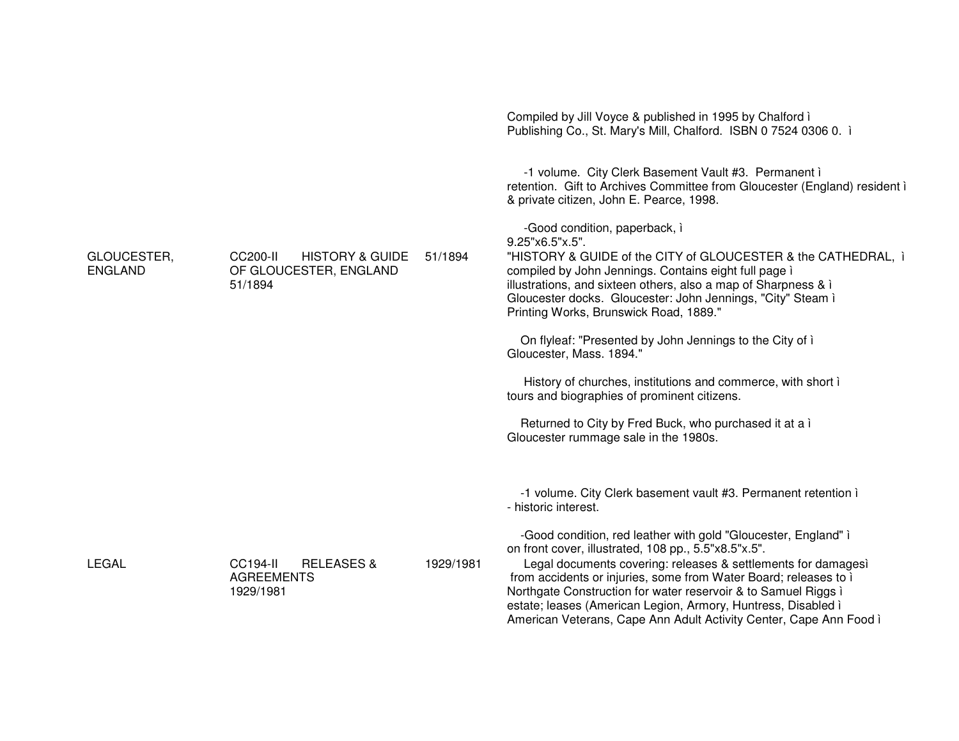|                               |                                                                             |           | Compiled by Jill Voyce & published in 1995 by Chalford i<br>Publishing Co., St. Mary's Mill, Chalford. ISBN 0 7524 0306 0. i                                                                                                                                                                                                                          |
|-------------------------------|-----------------------------------------------------------------------------|-----------|-------------------------------------------------------------------------------------------------------------------------------------------------------------------------------------------------------------------------------------------------------------------------------------------------------------------------------------------------------|
|                               |                                                                             |           | -1 volume. City Clerk Basement Vault #3. Permanent i<br>retention. Gift to Archives Committee from Gloucester (England) resident i<br>& private citizen, John E. Pearce, 1998.                                                                                                                                                                        |
| GLOUCESTER,<br><b>ENGLAND</b> | <b>HISTORY &amp; GUIDE</b><br>CC200-II<br>OF GLOUCESTER, ENGLAND<br>51/1894 | 51/1894   | -Good condition, paperback, i<br>9.25"x6.5"x.5".<br>"HISTORY & GUIDE of the CITY of GLOUCESTER & the CATHEDRAL, i<br>compiled by John Jennings. Contains eight full page i<br>illustrations, and sixteen others, also a map of Sharpness & i<br>Gloucester docks. Gloucester: John Jennings, "City" Steam i<br>Printing Works, Brunswick Road, 1889." |
|                               |                                                                             |           | On flyleaf: "Presented by John Jennings to the City of i<br>Gloucester, Mass. 1894."                                                                                                                                                                                                                                                                  |
|                               |                                                                             |           | History of churches, institutions and commerce, with short i<br>tours and biographies of prominent citizens.                                                                                                                                                                                                                                          |
|                               |                                                                             |           | Returned to City by Fred Buck, who purchased it at a i<br>Gloucester rummage sale in the 1980s.                                                                                                                                                                                                                                                       |
|                               |                                                                             |           | -1 volume. City Clerk basement vault #3. Permanent retention i<br>- historic interest.                                                                                                                                                                                                                                                                |
|                               |                                                                             |           | -Good condition, red leather with gold "Gloucester, England" i<br>on front cover, illustrated, 108 pp., 5.5"x8.5"x.5".                                                                                                                                                                                                                                |
| <b>LEGAL</b>                  | <b>CC194-II</b><br><b>RELEASES &amp;</b><br><b>AGREEMENTS</b><br>1929/1981  | 1929/1981 | Legal documents covering: releases & settlements for damages)<br>from accidents or injuries, some from Water Board; releases to i<br>Northgate Construction for water reservoir & to Samuel Riggs i<br>estate; leases (American Legion, Armory, Huntress, Disabled i<br>American Veterans, Cape Ann Adult Activity Center, Cape Ann Food ì            |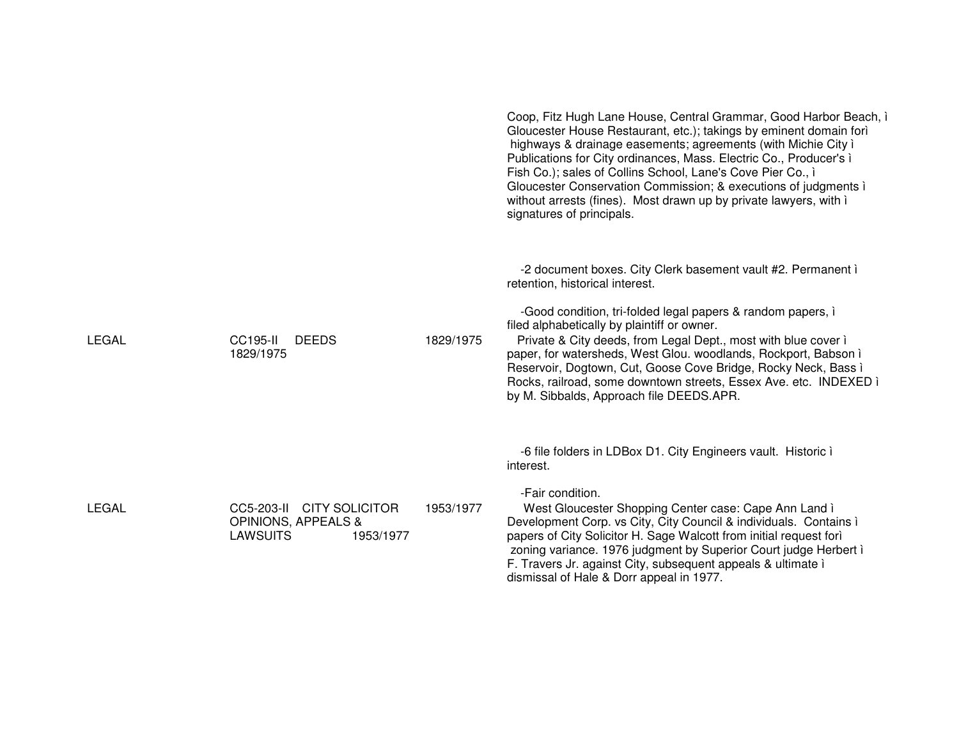|              |                                                                                             |           | Coop, Fitz Hugh Lane House, Central Grammar, Good Harbor Beach, i<br>Gloucester House Restaurant, etc.); takings by eminent domain forì<br>highways & drainage easements; agreements (with Michie City i<br>Publications for City ordinances, Mass. Electric Co., Producer's i<br>Fish Co.); sales of Collins School, Lane's Cove Pier Co., i<br>Gloucester Conservation Commission; & executions of judgments i<br>without arrests (fines). Most drawn up by private lawyers, with i<br>signatures of principals. |
|--------------|---------------------------------------------------------------------------------------------|-----------|--------------------------------------------------------------------------------------------------------------------------------------------------------------------------------------------------------------------------------------------------------------------------------------------------------------------------------------------------------------------------------------------------------------------------------------------------------------------------------------------------------------------|
| LEGAL        | <b>CC195-II</b><br><b>DEEDS</b><br>1829/1975                                                | 1829/1975 | -2 document boxes. City Clerk basement vault #2. Permanent i<br>retention, historical interest.<br>-Good condition, tri-folded legal papers & random papers, i<br>filed alphabetically by plaintiff or owner.<br>Private & City deeds, from Legal Dept., most with blue cover i<br>paper, for watersheds, West Glou. woodlands, Rockport, Babson i                                                                                                                                                                 |
|              |                                                                                             |           | Reservoir, Dogtown, Cut, Goose Cove Bridge, Rocky Neck, Bass ì<br>Rocks, railroad, some downtown streets, Essex Ave. etc. INDEXED i<br>by M. Sibbalds, Approach file DEEDS.APR.                                                                                                                                                                                                                                                                                                                                    |
|              |                                                                                             |           | -6 file folders in LDBox D1. City Engineers vault. Historic i<br>interest.                                                                                                                                                                                                                                                                                                                                                                                                                                         |
| <b>LEGAL</b> | CC5-203-II CITY SOLICITOR<br><b>OPINIONS, APPEALS &amp;</b><br><b>LAWSUITS</b><br>1953/1977 | 1953/1977 | -Fair condition.<br>West Gloucester Shopping Center case: Cape Ann Land i<br>Development Corp. vs City, City Council & individuals. Contains i<br>papers of City Solicitor H. Sage Walcott from initial request forì<br>zoning variance. 1976 judgment by Superior Court judge Herbert i<br>F. Travers Jr. against City, subsequent appeals & ultimate i<br>dismissal of Hale & Dorr appeal in 1977.                                                                                                               |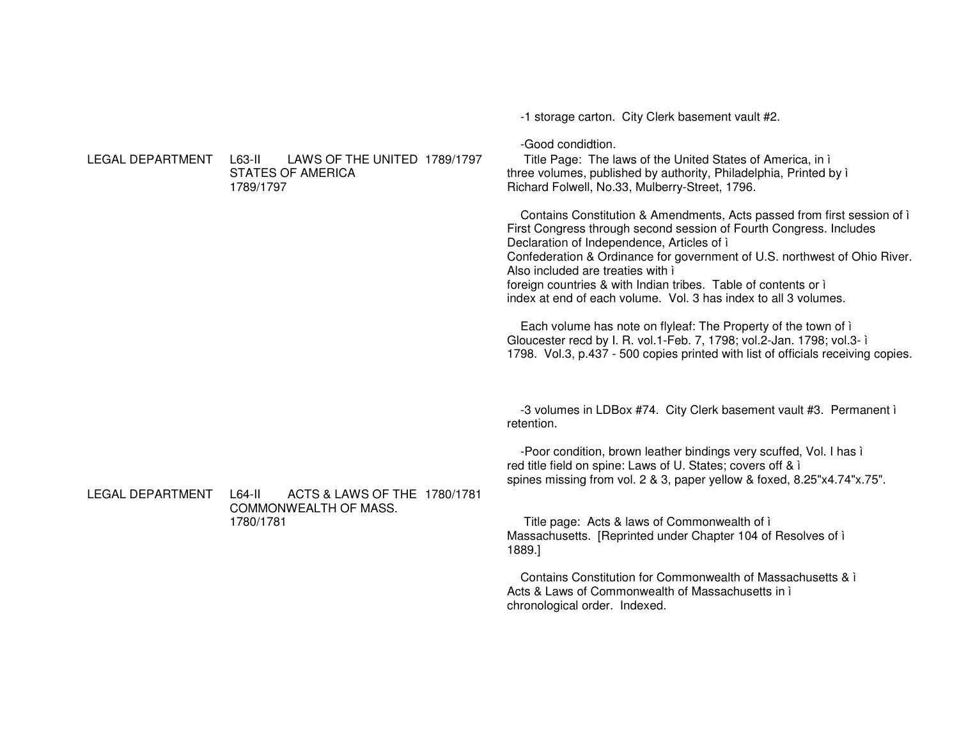-1 storage carton. City Clerk basement vault #2. -Good condiditon. LEGAL DEPARTMENT L63-II LAWS OF THE UNITED 1789/1797 Title Page: The laws of the United States of America, in i three volumes, published by authority, Philadelphia, Printed by i **STATES OF AMERICA** Richard Folwell, No.33, Mulberry-Street, 1796. 1789/1797 Contains Constitution & Amendments, Acts passed from first session of i First Congress through second session of Fourth Congress. Includes Declaration of Independence, Articles of i Confederation & Ordinance for government of U.S. northwest of Ohio River. Also included are treaties with i foreign countries & with Indian tribes. Table of contents or i index at end of each volume. Vol. 3 has index to all 3 volumes. Each volume has note on flyleaf: The Property of the town of i Gloucester recd by I. R. vol.1-Feb. 7, 1798; vol.2-Jan. 1798; vol.3- i 1798. Vol.3, p.437 - 500 copies printed with list of officials receiving copies. -3 volumes in LDBox #74. City Clerk basement vault #3. Permanent i retention. -Poor condition, brown leather bindings very scuffed, Vol. I has i red title field on spine: Laws of U. States; covers off & i spines missing from vol. 2 & 3, paper yellow & foxed, 8.25"x4.74"x.75". **LEGAL DEPARTMENT**  $\overline{64}$ -II ACTS & LAWS OF THE 1780/1781 COMMONWEALTH OF MASS. 1780/1781 Title page: Acts & laws of Commonwealth of i Massachusetts. [Reprinted under Chapter 104 of Resolves of i 1889.] Contains Constitution for Commonwealth of Massachusetts & i Acts & Laws of Commonwealth of Massachusetts in i

chronological order. Indexed.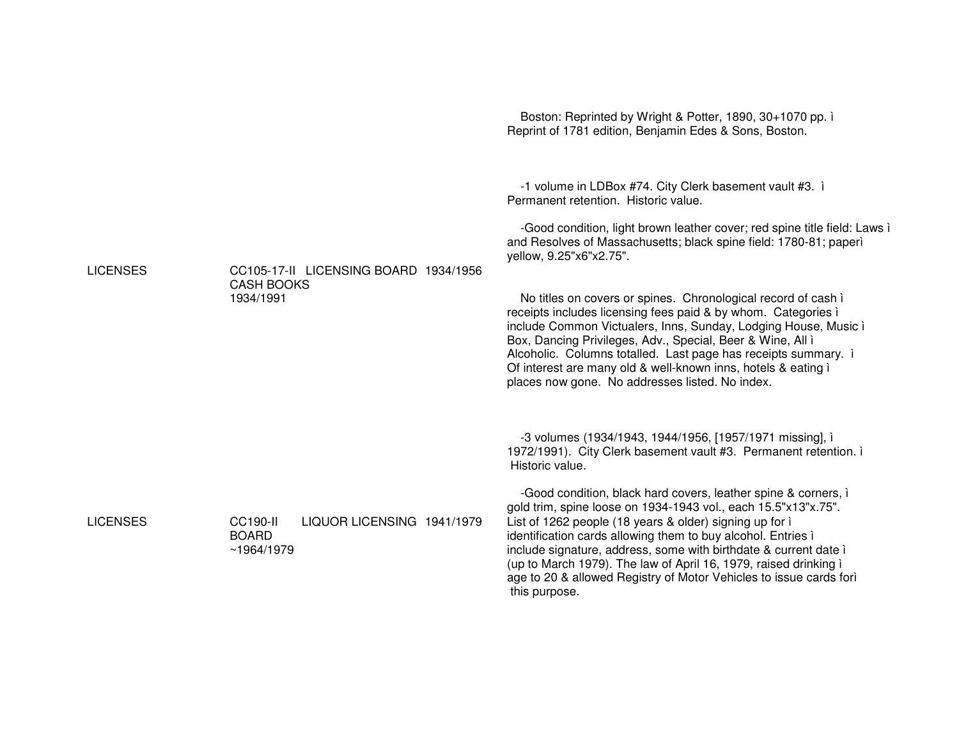|                 |                                                                             | Boston: Reprinted by Wright & Potter, 1890, 30+1070 pp. i<br>Reprint of 1781 edition, Benjamin Edes & Sons, Boston.                                                                                                                                                                                                                                                                                                                                                                                                                                                                                                                                                                                                                   |
|-----------------|-----------------------------------------------------------------------------|---------------------------------------------------------------------------------------------------------------------------------------------------------------------------------------------------------------------------------------------------------------------------------------------------------------------------------------------------------------------------------------------------------------------------------------------------------------------------------------------------------------------------------------------------------------------------------------------------------------------------------------------------------------------------------------------------------------------------------------|
| <b>LICENSES</b> | CC105-17-II LICENSING BOARD 1934/1956<br><b>CASH BOOKS</b><br>1934/1991     | -1 volume in LDBox #74. City Clerk basement vault #3. i<br>Permanent retention. Historic value.<br>-Good condition, light brown leather cover; red spine title field: Laws i<br>and Resolves of Massachusetts; black spine field: 1780-81; paperì<br>yellow, 9.25"x6"x2.75".<br>No titles on covers or spines. Chronological record of cash i<br>receipts includes licensing fees paid & by whom. Categories i<br>include Common Victualers, Inns, Sunday, Lodging House, Music i<br>Box, Dancing Privileges, Adv., Special, Beer & Wine, All i<br>Alcoholic. Columns totalled. Last page has receipts summary. i<br>Of interest are many old & well-known inns, hotels & eating i<br>places now gone. No addresses listed. No index. |
|                 |                                                                             | -3 volumes (1934/1943, 1944/1956, [1957/1971 missing], i<br>1972/1991). City Clerk basement vault #3. Permanent retention. i<br>Historic value.                                                                                                                                                                                                                                                                                                                                                                                                                                                                                                                                                                                       |
| <b>LICENSES</b> | <b>CC190-II</b><br>LIQUOR LICENSING 1941/1979<br><b>BOARD</b><br>~1964/1979 | -Good condition, black hard covers, leather spine & corners, i<br>gold trim, spine loose on 1934-1943 vol., each 15.5"x13"x.75".<br>List of 1262 people (18 years & older) signing up for i<br>identification cards allowing them to buy alcohol. Entries i<br>include signature, address, some with birthdate & current date i<br>(up to March 1979). The law of April 16, 1979, raised drinking i<br>age to 20 & allowed Registry of Motor Vehicles to issue cards forì<br>this purpose.                                                                                                                                                                                                                                            |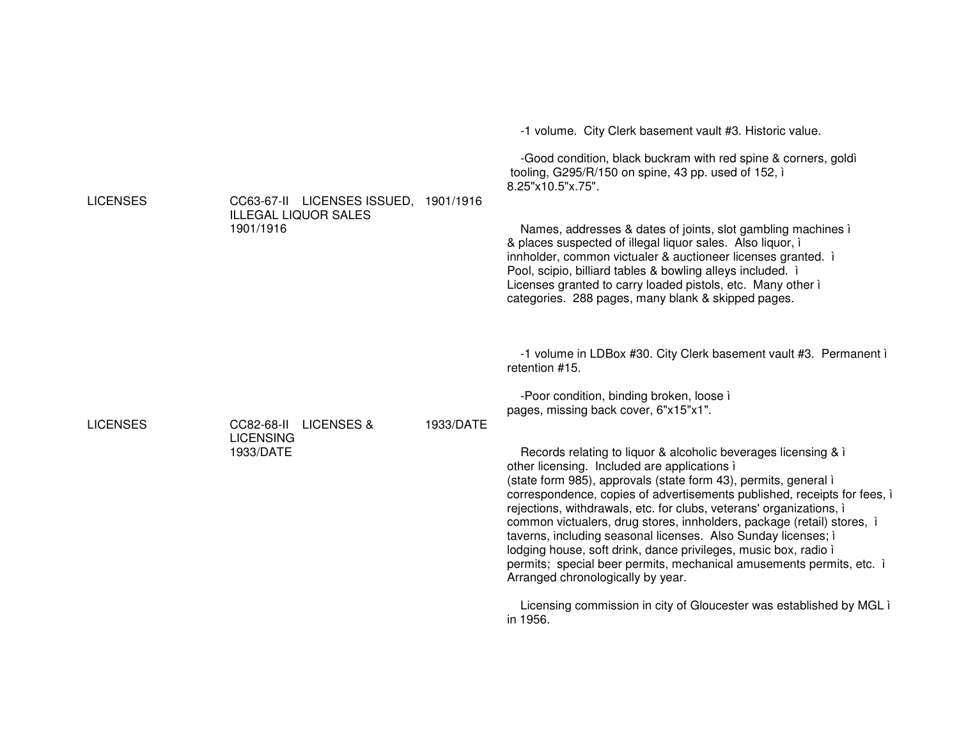| <b>LICENSES</b> | CC63-67-II LICENSES ISSUED, 1901/1916<br><b>ILLEGAL LIQUOR SALES</b><br>1901/1916 |           | -Good condition, black buckram with red spine & corners, goldi<br>tooling, G295/R/150 on spine, 43 pp. used of 152, i<br>8.25"x10.5"x.75".<br>Names, addresses & dates of joints, slot gambling machines in<br>& places suspected of illegal liquor sales. Also liquor, i<br>innholder, common victualer & auctioneer licenses granted. i<br>Pool, scipio, billiard tables & bowling alleys included. i<br>Licenses granted to carry loaded pistols, etc. Many other i<br>categories. 288 pages, many blank & skipped pages.                                                                                                                                                                                                                                                                                                                                                                                                   |
|-----------------|-----------------------------------------------------------------------------------|-----------|--------------------------------------------------------------------------------------------------------------------------------------------------------------------------------------------------------------------------------------------------------------------------------------------------------------------------------------------------------------------------------------------------------------------------------------------------------------------------------------------------------------------------------------------------------------------------------------------------------------------------------------------------------------------------------------------------------------------------------------------------------------------------------------------------------------------------------------------------------------------------------------------------------------------------------|
| <b>LICENSES</b> | CC82-68-II<br><b>LICENSES &amp;</b><br><b>LICENSING</b><br>1933/DATE              | 1933/DATE | -1 volume in LDBox #30. City Clerk basement vault #3. Permanent i<br>retention #15.<br>-Poor condition, binding broken, loose i<br>pages, missing back cover, 6"x15"x1".<br>Records relating to liquor & alcoholic beverages licensing & i<br>other licensing. Included are applications i<br>(state form 985), approvals (state form 43), permits, general i<br>correspondence, copies of advertisements published, receipts for fees, i<br>rejections, withdrawals, etc. for clubs, veterans' organizations, i<br>common victualers, drug stores, innholders, package (retail) stores, i<br>taverns, including seasonal licenses. Also Sunday licenses; i<br>lodging house, soft drink, dance privileges, music box, radio i<br>permits; special beer permits, mechanical amusements permits, etc. i<br>Arranged chronologically by year.<br>Licensing commission in city of Gloucester was established by MGL i<br>in 1956. |

-1 volume. City Clerk basement vault #3. Historic value.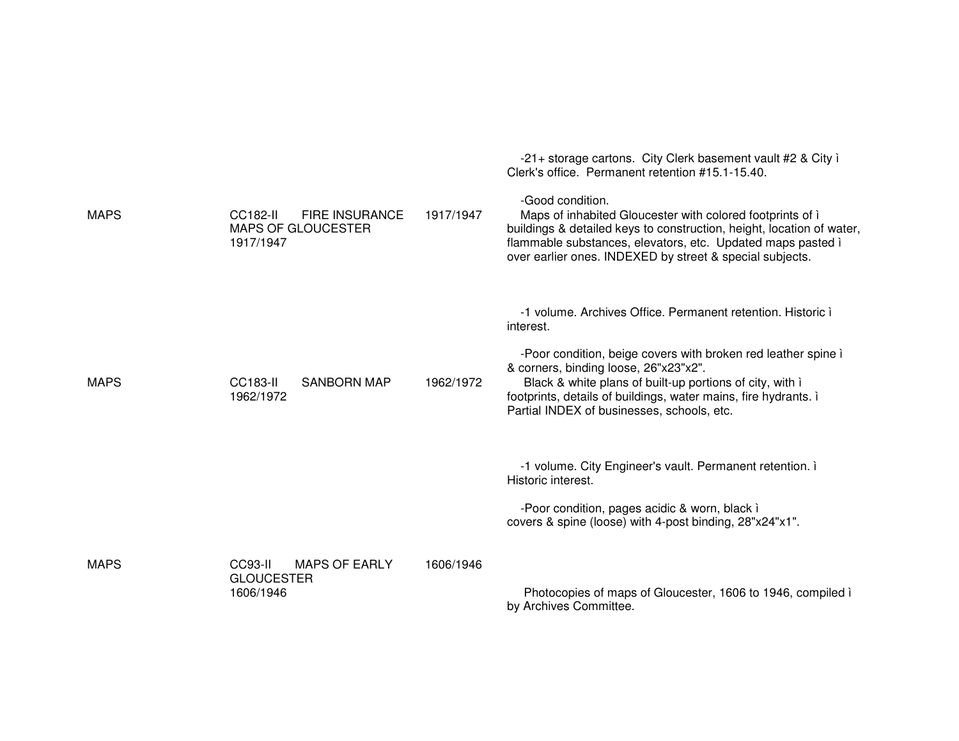|             |                                                                             |           | Clerk's office. Permanent retention #15.1-15.40.                                                                                                                                                                                                                                                                                                                |
|-------------|-----------------------------------------------------------------------------|-----------|-----------------------------------------------------------------------------------------------------------------------------------------------------------------------------------------------------------------------------------------------------------------------------------------------------------------------------------------------------------------|
| <b>MAPS</b> | <b>FIRE INSURANCE</b><br>CC182-II<br><b>MAPS OF GLOUCESTER</b><br>1917/1947 | 1917/1947 | -Good condition.<br>Maps of inhabited Gloucester with colored footprints of i<br>buildings & detailed keys to construction, height, location of water,<br>flammable substances, elevators, etc. Updated maps pasted i<br>over earlier ones. INDEXED by street & special subjects.                                                                               |
| <b>MAPS</b> | <b>CC183-II</b><br><b>SANBORN MAP</b><br>1962/1972                          | 1962/1972 | -1 volume. Archives Office. Permanent retention. Historic i<br>interest.<br>-Poor condition, beige covers with broken red leather spine i<br>& corners, binding loose, 26"x23"x2".<br>Black & white plans of built-up portions of city, with i<br>footprints, details of buildings, water mains, fire hydrants. i<br>Partial INDEX of businesses, schools, etc. |
|             |                                                                             |           | -1 volume. City Engineer's vault. Permanent retention. i<br>Historic interest.<br>-Poor condition, pages acidic & worn, black i<br>covers & spine (loose) with 4-post binding, 28"x24"x1".                                                                                                                                                                      |
| <b>MAPS</b> | <b>MAPS OF EARLY</b><br>CC93-II<br><b>GLOUCESTER</b><br>1606/1946           | 1606/1946 | Photocopies of maps of Gloucester, 1606 to 1946, compiled i<br>by Archives Committee.                                                                                                                                                                                                                                                                           |

-21+ storage cartons. City Clerk basement vault #2 & City ì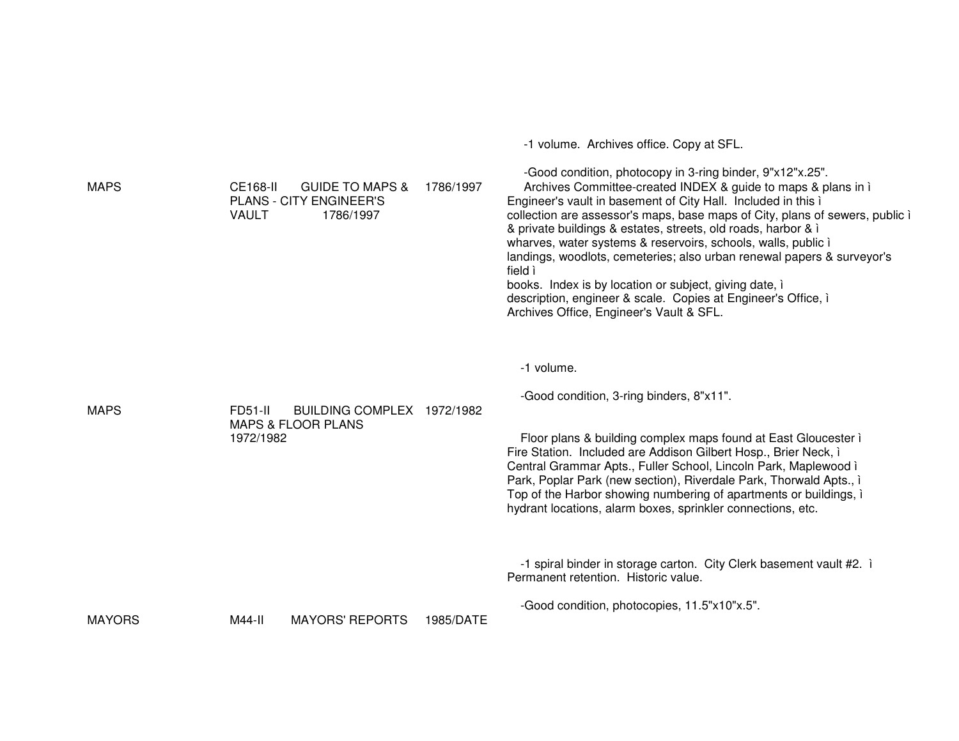-1 volume. Archives office. Copy at SFL. -Good condition, photocopy in 3-ring binder, 9"x12"x.25". MAPS CE168-II GUIDE TO MAPS & 1786/1997PLANS - CITY ENGINEER'S VAULT 1786/1997 Archives Committee-created INDEX & guide to maps & plans in ì Engineer's vault in basement of City Hall. Included in this ì collection are assessor's maps, base maps of City, plans of sewers, public ì & private buildings & estates, streets, old roads, harbor & ì wharves, water systems & reservoirs, schools, walls, public i landings, woodlots, cemeteries; also urban renewal papers & surveyor's field ì books. Index is by location or subject, giving date, ì description, engineer & scale. Copies at Engineer's Office, ì Archives Office, Engineer's Vault & SFL. -1 volume. -Good condition, 3-ring binders, 8"x11". MAPS FD51-II BUILDING COMPLEX 1972/1982MAPS & FLOOR PLANS 1972/1982Floor plans & building complex maps found at East Gloucester ì Fire Station. Included are Addison Gilbert Hosp., Brier Neck, ì Central Grammar Apts., Fuller School, Lincoln Park, Maplewood ì Park, Poplar Park (new section), Riverdale Park, Thorwald Apts., ì Top of the Harbor showing numbering of apartments or buildings, ì hydrant locations, alarm boxes, sprinkler connections, etc. -1 spiral binder in storage carton. City Clerk basement vault #2. ì Permanent retention. Historic value. -Good condition, photocopies, 11.5"x10"x.5". **MAYORS** M44-II MAYORS' REPORTS 1985/DATE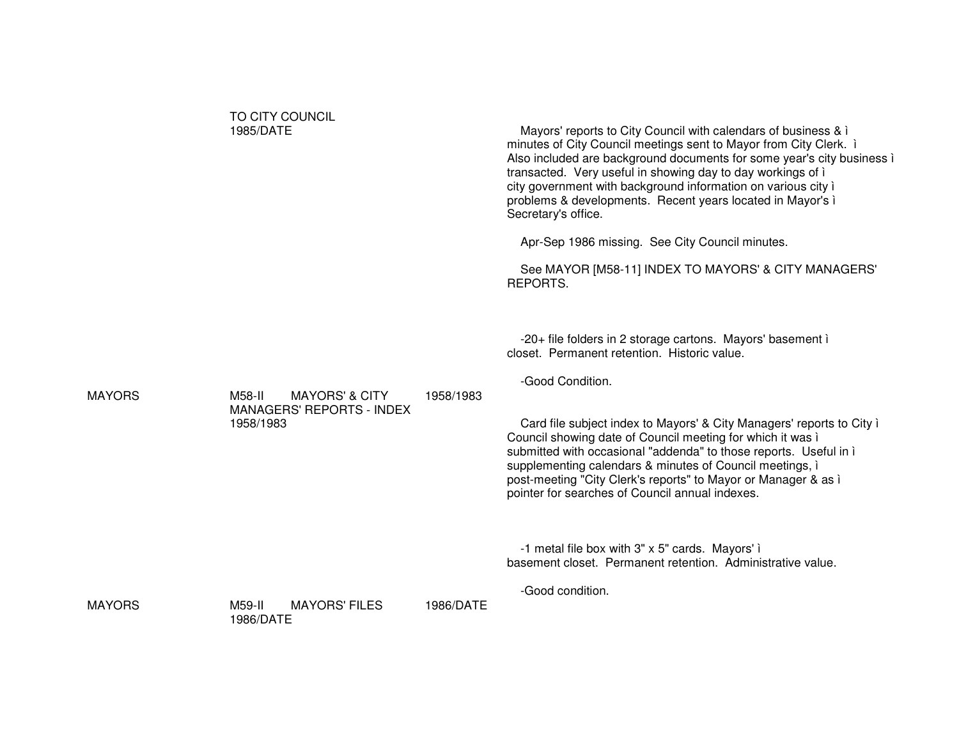|               | TO CITY COUNCIL<br>1985/DATE                                                         |           | Mayors' reports to City Council with calendars of business & i<br>minutes of City Council meetings sent to Mayor from City Clerk. i<br>Also included are background documents for some year's city business i<br>transacted. Very useful in showing day to day workings of i<br>city government with background information on various city i<br>problems & developments. Recent years located in Mayor's i<br>Secretary's office.<br>Apr-Sep 1986 missing. See City Council minutes.<br>See MAYOR [M58-11] INDEX TO MAYORS' & CITY MANAGERS'<br>REPORTS. |
|---------------|--------------------------------------------------------------------------------------|-----------|-----------------------------------------------------------------------------------------------------------------------------------------------------------------------------------------------------------------------------------------------------------------------------------------------------------------------------------------------------------------------------------------------------------------------------------------------------------------------------------------------------------------------------------------------------------|
| <b>MAYORS</b> | M58-II<br><b>MAYORS' &amp; CITY</b><br><b>MANAGERS' REPORTS - INDEX</b><br>1958/1983 | 1958/1983 | -20+ file folders in 2 storage cartons. Mayors' basement i<br>closet. Permanent retention. Historic value.<br>-Good Condition.<br>Card file subject index to Mayors' & City Managers' reports to City i<br>Council showing date of Council meeting for which it was i<br>submitted with occasional "addenda" to those reports. Useful in i<br>supplementing calendars & minutes of Council meetings, i<br>post-meeting "City Clerk's reports" to Mayor or Manager & as i<br>pointer for searches of Council annual indexes.                               |
| <b>MAYORS</b> | <b>MAYORS' FILES</b><br>M59-II<br>1986/DATE                                          | 1986/DATE | -1 metal file box with 3" x 5" cards. Mayors' i<br>basement closet. Permanent retention. Administrative value.<br>-Good condition.                                                                                                                                                                                                                                                                                                                                                                                                                        |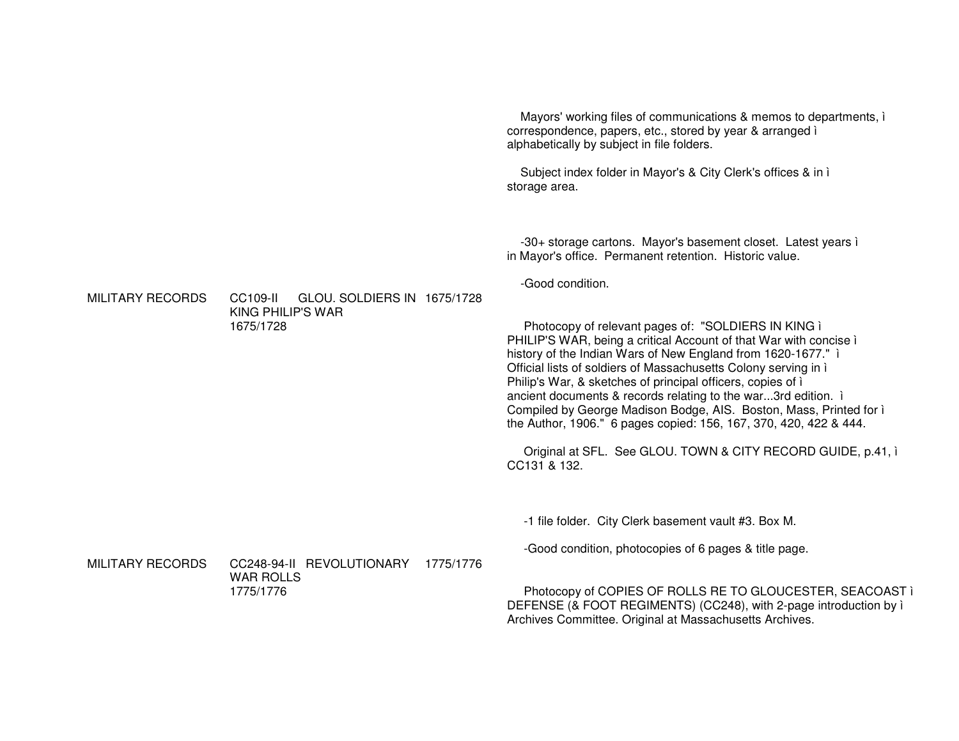Mayors' working files of communications & memos to departments, i correspondence, papers, etc., stored by year & arranged i alphabetically by subject in file folders. Subject index folder in Mayor's & City Clerk's offices & in ì storage area. -30+ storage cartons. Mayor's basement closet. Latest years i in Mayor's office. Permanent retention. Historic value. -Good condition **MILITARY RECORDS** CC109-II GLOU. SOLDIERS IN 1675/1728 KING PHILIP'S WAR 1675/1728 Photocopy of relevant pages of: "SOLDIERS IN KING i PHILIP'S WAR, being a critical Account of that War with concise i history of the Indian Wars of New England from 1620-1677." i Official lists of soldiers of Massachusetts Colony serving in i Philip's War, & sketches of principal officers, copies of i ancient documents & records relating to the war...3rd edition. i Compiled by George Madison Bodge, AIS. Boston, Mass, Printed for i the Author, 1906." 6 pages copied: 156, 167, 370, 420, 422 & 444. Original at SFL. See GLOU. TOWN & CITY RECORD GUIDE, p.41, i CC131 & 132. -1 file folder. City Clerk basement vault #3. Box M. -Good condition, photocopies of 6 pages & title page. **MILITARY RECORDS** CC248-94-II REVOLUTIONARY 1775/1776 **WAR ROLLS** 1775/1776 Photocopy of COPIES OF ROLLS RE TO GLOUCESTER, SEACOAST i DEFENSE (& FOOT REGIMENTS) (CC248), with 2-page introduction by i Archives Committee. Original at Massachusetts Archives.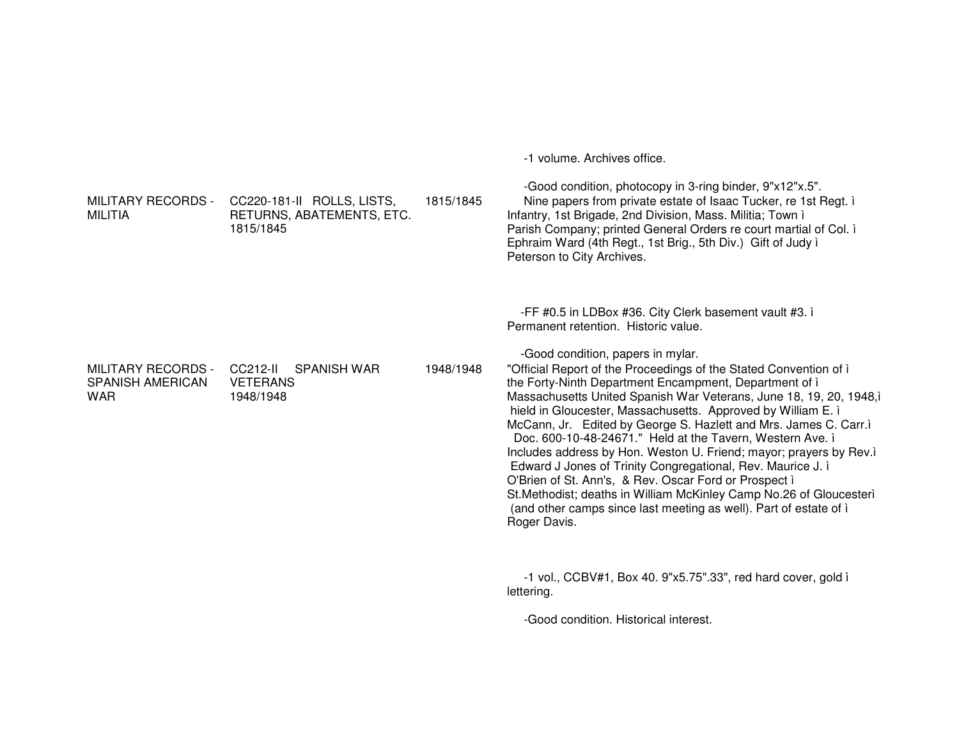-1 volume. Archives office.

| <b>MILITARY RECORDS -</b><br><b>MILITIA</b>                        | CC220-181-II ROLLS, LISTS,<br>RETURNS, ABATEMENTS, ETC.<br>1815/1845 | 1815/1845 | -Good condition, photocopy in 3-ring binder, 9"x12"x.5".<br>Nine papers from private estate of Isaac Tucker, re 1st Regt. i<br>Infantry, 1st Brigade, 2nd Division, Mass. Militia; Town i<br>Parish Company; printed General Orders re court martial of Col. i<br>Ephraim Ward (4th Regt., 1st Brig., 5th Div.) Gift of Judy i<br>Peterson to City Archives.                                                                                                                                                                                                                                                                                                                                                                                                                                                                                                                                        |
|--------------------------------------------------------------------|----------------------------------------------------------------------|-----------|-----------------------------------------------------------------------------------------------------------------------------------------------------------------------------------------------------------------------------------------------------------------------------------------------------------------------------------------------------------------------------------------------------------------------------------------------------------------------------------------------------------------------------------------------------------------------------------------------------------------------------------------------------------------------------------------------------------------------------------------------------------------------------------------------------------------------------------------------------------------------------------------------------|
| <b>MILITARY RECORDS -</b><br><b>SPANISH AMERICAN</b><br><b>WAR</b> | CC212-II<br><b>SPANISH WAR</b><br><b>VETERANS</b><br>1948/1948       | 1948/1948 | -FF #0.5 in LDBox #36. City Clerk basement vault #3. i<br>Permanent retention. Historic value.<br>-Good condition, papers in mylar.<br>"Official Report of the Proceedings of the Stated Convention of i<br>the Forty-Ninth Department Encampment, Department of i<br>Massachusetts United Spanish War Veterans, June 18, 19, 20, 1948,<br>hield in Gloucester, Massachusetts. Approved by William E. i<br>McCann, Jr. Edited by George S. Hazlett and Mrs. James C. Carr.i<br>Doc. 600-10-48-24671." Held at the Tavern, Western Ave. i<br>Includes address by Hon. Weston U. Friend; mayor; prayers by Rev.i<br>Edward J Jones of Trinity Congregational, Rev. Maurice J. i<br>O'Brien of St. Ann's, & Rev. Oscar Ford or Prospect i<br>St. Methodist; deaths in William McKinley Camp No. 26 of Gloucesteri<br>(and other camps since last meeting as well). Part of estate of i<br>Roger Davis. |
|                                                                    |                                                                      |           | $-1$ vol., CCBV#1, Box 40. 9"x5.75".33", red hard cover, gold i<br>lettering.                                                                                                                                                                                                                                                                                                                                                                                                                                                                                                                                                                                                                                                                                                                                                                                                                       |
|                                                                    |                                                                      |           | -Good condition. Historical interest.                                                                                                                                                                                                                                                                                                                                                                                                                                                                                                                                                                                                                                                                                                                                                                                                                                                               |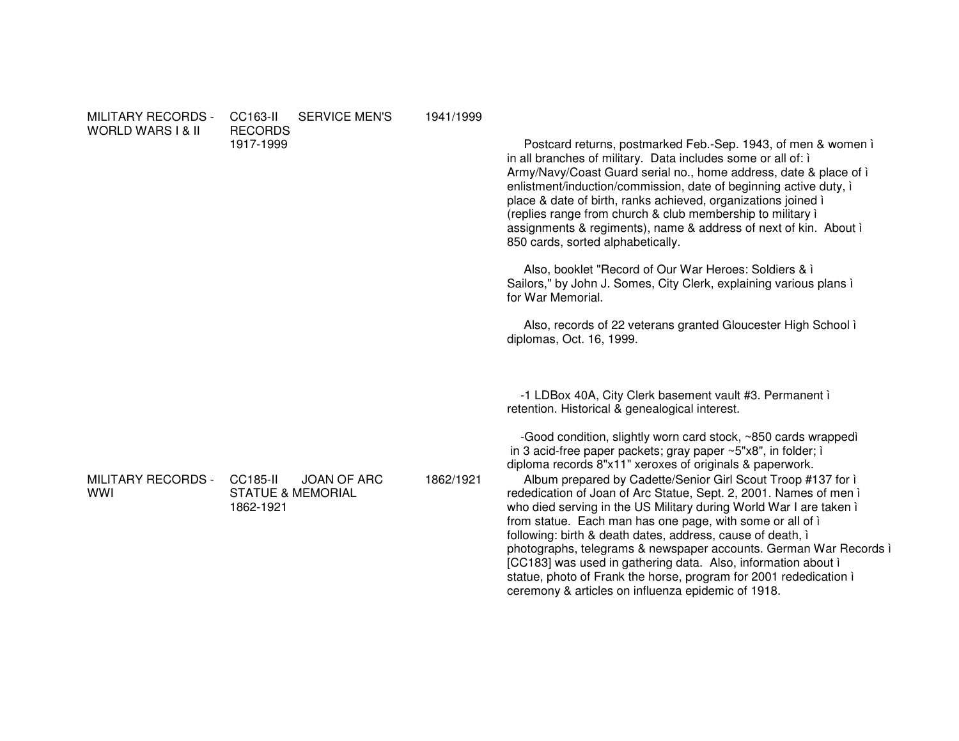| <b>MILITARY RECORDS -</b><br><b>WORLD WARS I &amp; II</b> | <b>SERVICE MEN'S</b><br>CC163-II<br><b>RECORDS</b><br>1917-1999             | 1941/1999 | Postcard returns, postmarked Feb.-Sep. 1943, of men & women i<br>in all branches of military. Data includes some or all of: i<br>Army/Navy/Coast Guard serial no., home address, date & place of i<br>enlistment/induction/commission, date of beginning active duty, i<br>place & date of birth, ranks achieved, organizations joined i<br>(replies range from church & club membership to military i<br>assignments & regiments), name & address of next of kin. About i<br>850 cards, sorted alphabetically.<br>Also, booklet "Record of Our War Heroes: Soldiers & i<br>Sailors," by John J. Somes, City Clerk, explaining various plans i<br>for War Memorial.<br>Also, records of 22 veterans granted Gloucester High School i<br>diplomas, Oct. 16, 1999.                                                                                                                                                |
|-----------------------------------------------------------|-----------------------------------------------------------------------------|-----------|-----------------------------------------------------------------------------------------------------------------------------------------------------------------------------------------------------------------------------------------------------------------------------------------------------------------------------------------------------------------------------------------------------------------------------------------------------------------------------------------------------------------------------------------------------------------------------------------------------------------------------------------------------------------------------------------------------------------------------------------------------------------------------------------------------------------------------------------------------------------------------------------------------------------|
| <b>MILITARY RECORDS -</b><br><b>WWI</b>                   | <b>CC185-II</b><br>JOAN OF ARC<br><b>STATUE &amp; MEMORIAL</b><br>1862-1921 | 1862/1921 | -1 LDBox 40A, City Clerk basement vault #3. Permanent i<br>retention. Historical & genealogical interest.<br>-Good condition, slightly worn card stock, ~850 cards wrappedì<br>in 3 acid-free paper packets; gray paper ~5"x8", in folder; i<br>diploma records 8"x11" xeroxes of originals & paperwork.<br>Album prepared by Cadette/Senior Girl Scout Troop #137 for i<br>rededication of Joan of Arc Statue, Sept. 2, 2001. Names of men i<br>who died serving in the US Military during World War I are taken i<br>from statue. Each man has one page, with some or all of i<br>following: birth & death dates, address, cause of death, i<br>photographs, telegrams & newspaper accounts. German War Records i<br>[CC183] was used in gathering data. Also, information about i<br>statue, photo of Frank the horse, program for 2001 rededication i<br>ceremony & articles on influenza epidemic of 1918. |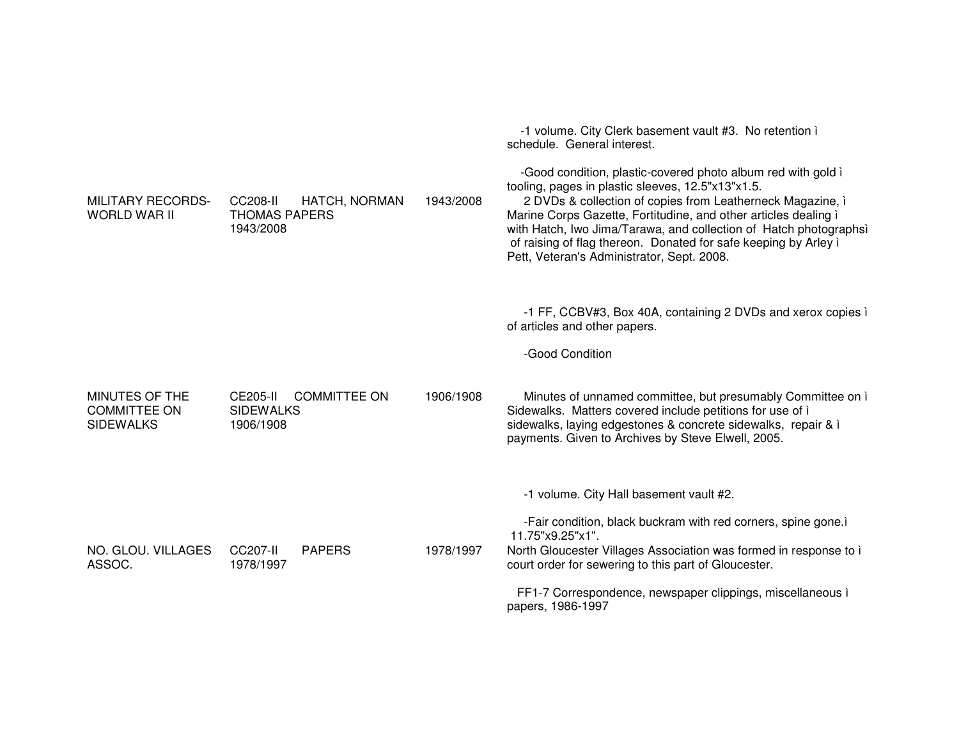|                                                           |                                                                  |           | -1 volume. City Clerk basement vault #3. No retention i<br>schedule. General interest.                                                                                                                                                                                                                                                                                                                                                   |
|-----------------------------------------------------------|------------------------------------------------------------------|-----------|------------------------------------------------------------------------------------------------------------------------------------------------------------------------------------------------------------------------------------------------------------------------------------------------------------------------------------------------------------------------------------------------------------------------------------------|
| <b>MILITARY RECORDS-</b><br><b>WORLD WAR II</b>           | CC208-II<br>HATCH, NORMAN<br><b>THOMAS PAPERS</b><br>1943/2008   | 1943/2008 | -Good condition, plastic-covered photo album red with gold i<br>tooling, pages in plastic sleeves, 12.5"x13"x1.5.<br>2 DVDs & collection of copies from Leatherneck Magazine, i<br>Marine Corps Gazette, Fortitudine, and other articles dealing i<br>with Hatch, Iwo Jima/Tarawa, and collection of Hatch photographsi<br>of raising of flag thereon. Donated for safe keeping by Arley i<br>Pett, Veteran's Administrator, Sept. 2008. |
|                                                           |                                                                  |           | -1 FF, CCBV#3, Box 40A, containing 2 DVDs and xerox copies i<br>of articles and other papers.                                                                                                                                                                                                                                                                                                                                            |
|                                                           |                                                                  |           | -Good Condition                                                                                                                                                                                                                                                                                                                                                                                                                          |
| MINUTES OF THE<br><b>COMMITTEE ON</b><br><b>SIDEWALKS</b> | <b>COMMITTEE ON</b><br>CE205-II<br><b>SIDEWALKS</b><br>1906/1908 | 1906/1908 | Minutes of unnamed committee, but presumably Committee on i<br>Sidewalks. Matters covered include petitions for use of i<br>sidewalks, laying edgestones & concrete sidewalks, repair & i<br>payments. Given to Archives by Steve Elwell, 2005.                                                                                                                                                                                          |
|                                                           |                                                                  |           | -1 volume. City Hall basement vault #2.                                                                                                                                                                                                                                                                                                                                                                                                  |
|                                                           |                                                                  |           | -Fair condition, black buckram with red corners, spine gone.ì<br>11.75"x9.25"x1".                                                                                                                                                                                                                                                                                                                                                        |
| NO. GLOU. VILLAGES<br>ASSOC.                              | CC207-II<br><b>PAPERS</b><br>1978/1997                           | 1978/1997 | North Gloucester Villages Association was formed in response to i<br>court order for sewering to this part of Gloucester.                                                                                                                                                                                                                                                                                                                |
|                                                           |                                                                  |           | FF1-7 Correspondence, newspaper clippings, miscellaneous i<br>papers, 1986-1997                                                                                                                                                                                                                                                                                                                                                          |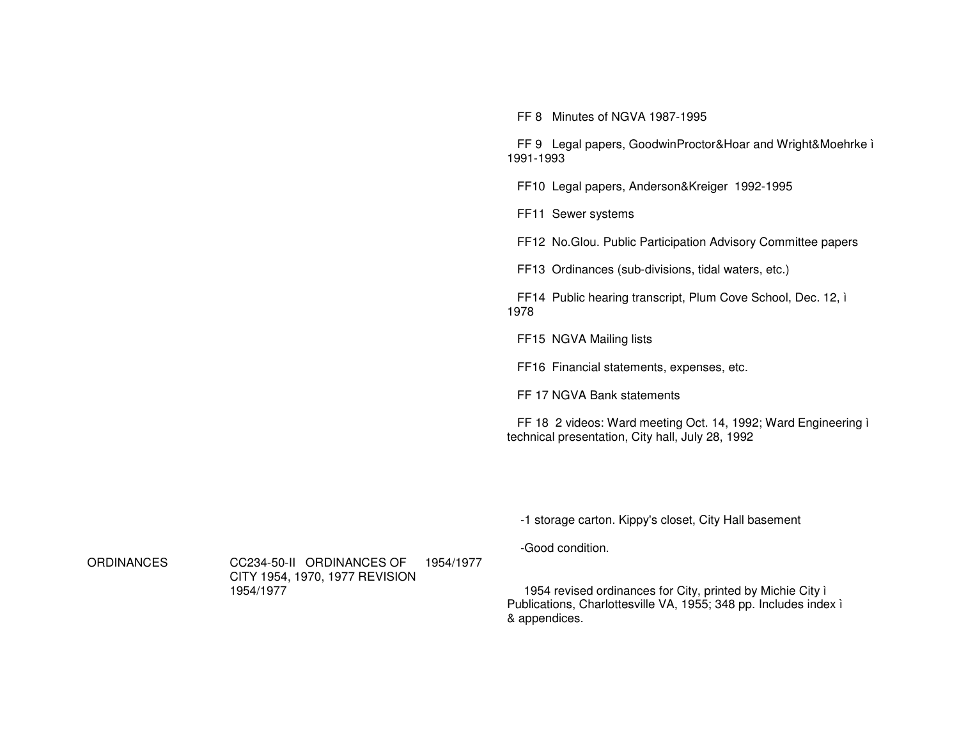FF 8 Minutes of NGVA 1987-1995

FF 9 Legal papers, GoodwinProctor&Hoar and Wright&Moehrke ì 1991-1993

FF10 Legal papers, Anderson&Kreiger 1992-1995

FF11 Sewer systems

FF12 No.Glou. Public Participation Advisory Committee papers

FF13 Ordinances (sub-divisions, tidal waters, etc.)

FF14 Public hearing transcript, Plum Cove School, Dec. 12, ì 1978

FF15 NGVA Mailing lists

FF16 Financial statements, expenses, etc.

FF 17 NGVA Bank statements

FF 18 2 videos: Ward meeting Oct. 14, 1992; Ward Engineering ì technical presentation, City hall, July 28, 1992

-1 storage carton. Kippy's closet, City Hall basement

-Good condition.

**ORDINANCES** 

 CC234-50-II ORDINANCES OF CITY 1954, 1970, 1977 REVISION 1954/19771954/1977

1954 revised ordinances for City, printed by Michie City ì Publications, Charlottesville VA, 1955; 348 pp. Includes index ì & appendices.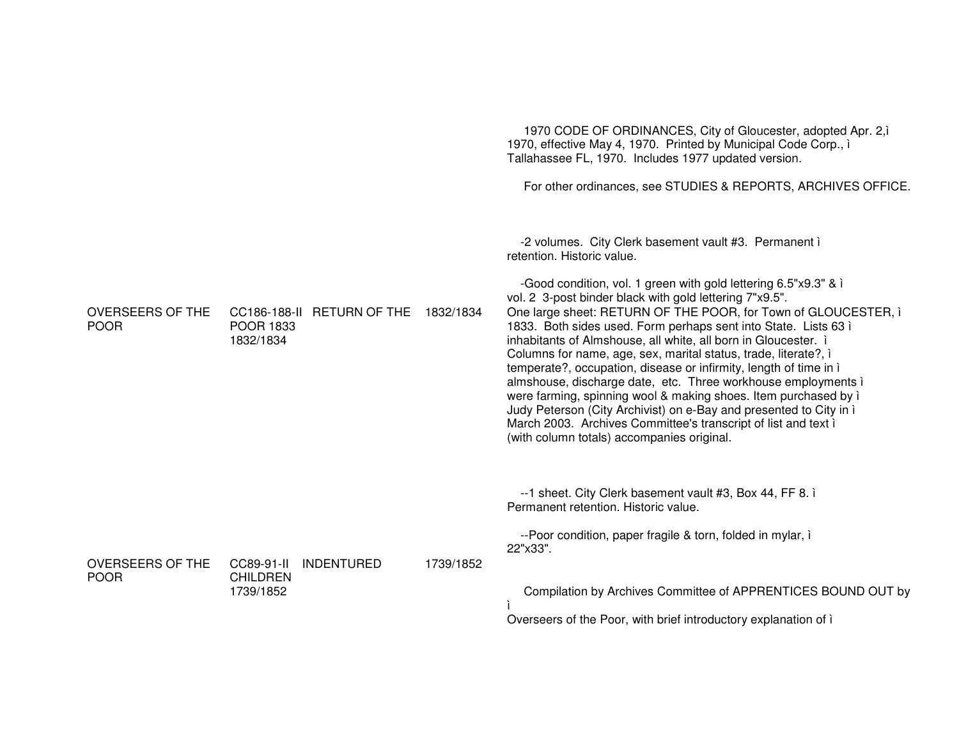|                                        |                                                                       |           | 1970 CODE OF ORDINANCES, City of Gloucester, adopted Apr. 2,<br>1970, effective May 4, 1970. Printed by Municipal Code Corp., i<br>Tallahassee FL, 1970. Includes 1977 updated version.<br>For other ordinances, see STUDIES & REPORTS, ARCHIVES OFFICE.                                                                                                                                                                                                                                                                                                                                                                                                                                                                                                                                                                                                                                   |
|----------------------------------------|-----------------------------------------------------------------------|-----------|--------------------------------------------------------------------------------------------------------------------------------------------------------------------------------------------------------------------------------------------------------------------------------------------------------------------------------------------------------------------------------------------------------------------------------------------------------------------------------------------------------------------------------------------------------------------------------------------------------------------------------------------------------------------------------------------------------------------------------------------------------------------------------------------------------------------------------------------------------------------------------------------|
| <b>OVERSEERS OF THE</b><br><b>POOR</b> | CC186-188-II RETURN OF THE 1832/1834<br><b>POOR 1833</b><br>1832/1834 |           | -2 volumes. City Clerk basement vault #3. Permanent i<br>retention. Historic value.<br>-Good condition, vol. 1 green with gold lettering 6.5"x9.3" & i<br>vol. 2 3-post binder black with gold lettering 7"x9.5".<br>One large sheet: RETURN OF THE POOR, for Town of GLOUCESTER, i<br>1833. Both sides used. Form perhaps sent into State. Lists 63 ì<br>inhabitants of Almshouse, all white, all born in Gloucester. i<br>Columns for name, age, sex, marital status, trade, literate?, i<br>temperate?, occupation, disease or infirmity, length of time in i<br>almshouse, discharge date, etc. Three workhouse employments i<br>were farming, spinning wool & making shoes. Item purchased by i<br>Judy Peterson (City Archivist) on e-Bay and presented to City in i<br>March 2003. Archives Committee's transcript of list and text i<br>(with column totals) accompanies original. |
| OVERSEERS OF THE<br><b>POOR</b>        | <b>INDENTURED</b><br>CC89-91-II<br><b>CHILDREN</b><br>1739/1852       | 1739/1852 | --1 sheet. City Clerk basement vault #3, Box 44, FF 8. i<br>Permanent retention. Historic value.<br>--Poor condition, paper fragile & torn, folded in mylar, i<br>22"x33".<br>Compilation by Archives Committee of APPRENTICES BOUND OUT by<br>Overseers of the Poor, with brief introductory explanation of i                                                                                                                                                                                                                                                                                                                                                                                                                                                                                                                                                                             |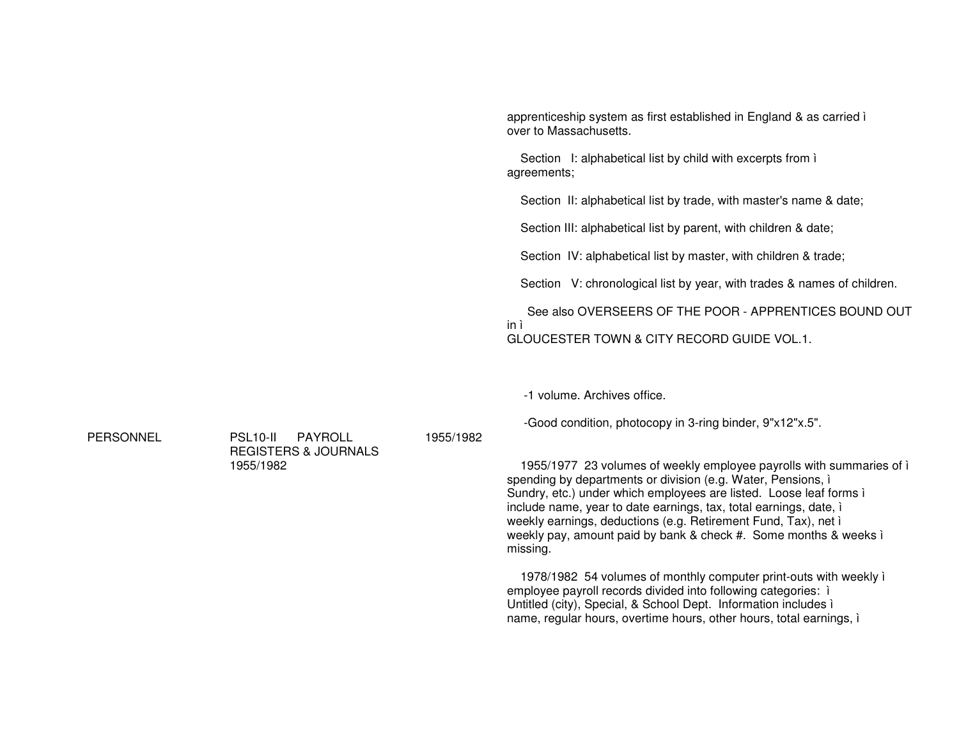apprenticeship system as first established in England & as carried ì over to Massachusetts.

Section I: alphabetical list by child with excerpts from ì agreements;

Section II: alphabetical list by trade, with master's name & date;

Section III: alphabetical list by parent, with children & date;

Section IV: alphabetical list by master, with children & trade;

Section V: chronological list by year, with trades & names of children.

See also OVERSEERS OF THE POOR - APPRENTICES BOUND OUT in ì GLOUCESTER TOWN & CITY RECORD GUIDE VOL.1.

-1 volume. Archives office.

-Good condition, photocopy in 3-ring binder, 9"x12"x.5".

1955/1977 23 volumes of weekly employee payrolls with summaries of ì spending by departments or division (e.g. Water, Pensions, *i* Sundry, etc.) under which employees are listed. Loose leaf forms i include name, year to date earnings, tax, total earnings, date, ì weekly earnings, deductions (e.g. Retirement Fund, Tax), net ì weekly pay, amount paid by bank & check #. Some months & weeks ì missing.

1978/1982 54 volumes of monthly computer print-outs with weekly ì employee payroll records divided into following categories: ì Untitled (city), Special, & School Dept. Information includes ì name, regular hours, overtime hours, other hours, total earnings, ì

PERSONNEL

 PSL10-II PAYROLL REGISTERS & JOURNALS 1955/1982

1955/1982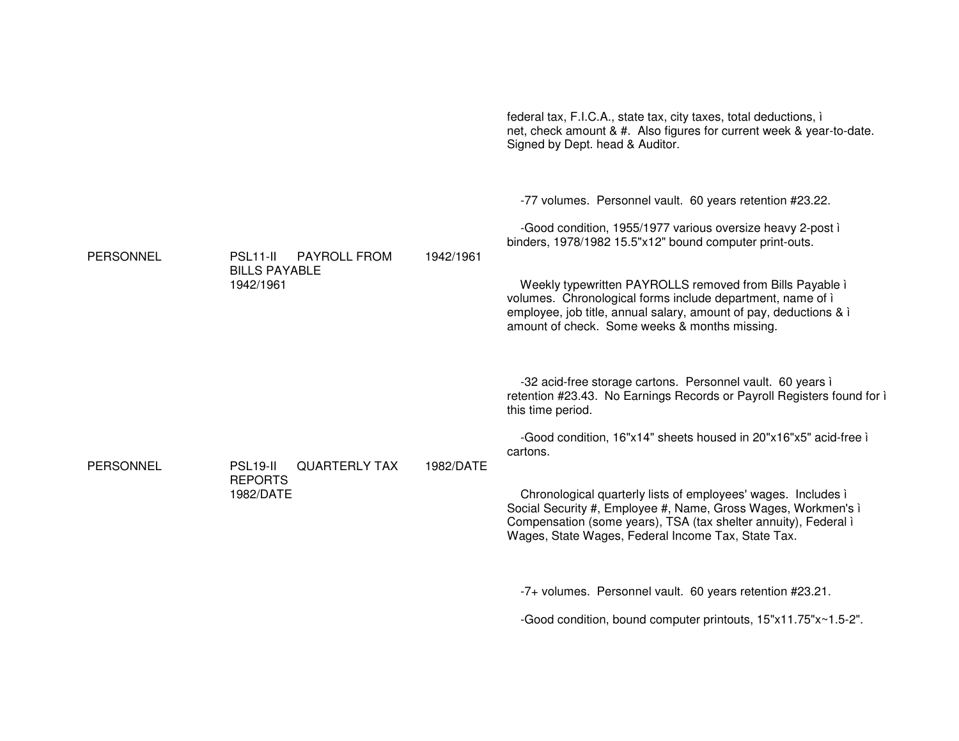|                  |                                                                                   |           | federal tax, F.I.C.A., state tax, city taxes, total deductions, i<br>net, check amount & #. Also figures for current week & year-to-date.<br>Signed by Dept. head & Auditor.                                                                                                                                                                                                                                                                                                                         |
|------------------|-----------------------------------------------------------------------------------|-----------|------------------------------------------------------------------------------------------------------------------------------------------------------------------------------------------------------------------------------------------------------------------------------------------------------------------------------------------------------------------------------------------------------------------------------------------------------------------------------------------------------|
| PERSONNEL        | PSL <sub>11</sub> -II<br><b>PAYROLL FROM</b><br><b>BILLS PAYABLE</b><br>1942/1961 | 1942/1961 | -77 volumes. Personnel vault. 60 years retention #23.22.<br>-Good condition, 1955/1977 various oversize heavy 2-post i<br>binders, 1978/1982 15.5"x12" bound computer print-outs.<br>Weekly typewritten PAYROLLS removed from Bills Payable i<br>volumes. Chronological forms include department, name of i<br>employee, job title, annual salary, amount of pay, deductions & i<br>amount of check. Some weeks & months missing.                                                                    |
| <b>PERSONNEL</b> | <b>PSL19-II</b><br><b>QUARTERLY TAX</b><br><b>REPORTS</b><br>1982/DATE            | 1982/DATE | -32 acid-free storage cartons. Personnel vault. 60 years i<br>retention #23.43. No Earnings Records or Payroll Registers found for i<br>this time period.<br>-Good condition, 16"x14" sheets housed in 20"x16"x5" acid-free i<br>cartons.<br>Chronological quarterly lists of employees' wages. Includes i<br>Social Security #, Employee #, Name, Gross Wages, Workmen's i<br>Compensation (some years), TSA (tax shelter annuity), Federal i<br>Wages, State Wages, Federal Income Tax, State Tax. |
|                  |                                                                                   |           | -7+ volumes. Personnel vault. 60 years retention #23.21.<br>-Good condition, bound computer printouts, 15"x11.75"x~1.5-2".                                                                                                                                                                                                                                                                                                                                                                           |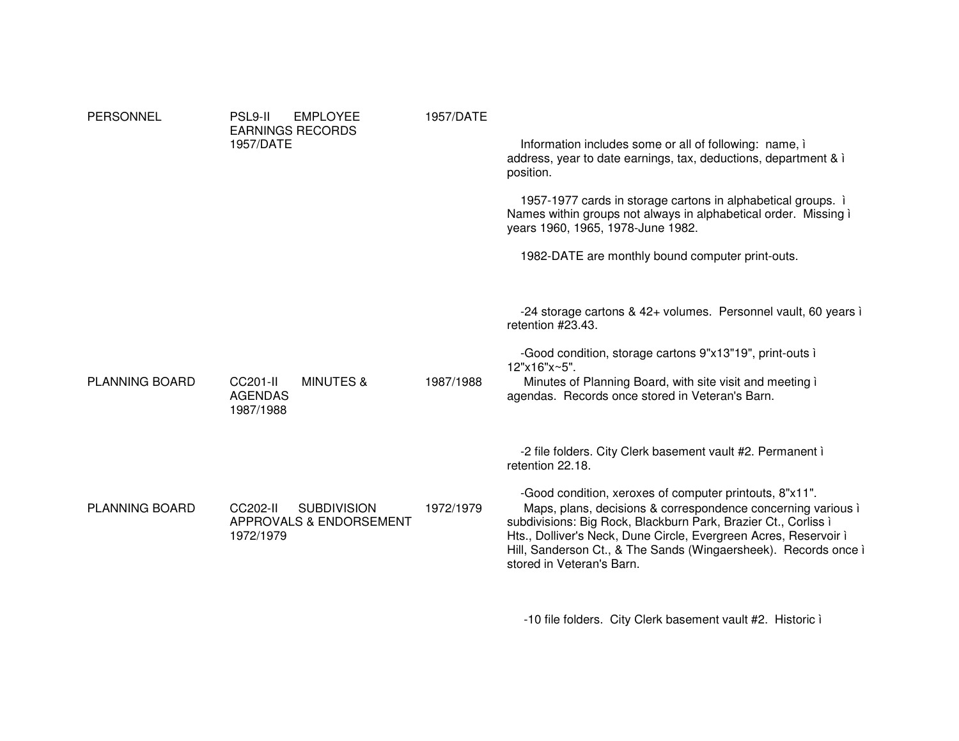| <b>PERSONNEL</b>      | <b>EMPLOYEE</b><br>PSL9-II<br><b>EARNINGS RECORDS</b><br>1957/DATE     | 1957/DATE | Information includes some or all of following: name, i<br>address, year to date earnings, tax, deductions, department & i<br>position.<br>1957-1977 cards in storage cartons in alphabetical groups. i<br>Names within groups not always in alphabetical order. Missing i<br>years 1960, 1965, 1978-June 1982.<br>1982-DATE are monthly bound computer print-outs.                                                                              |
|-----------------------|------------------------------------------------------------------------|-----------|-------------------------------------------------------------------------------------------------------------------------------------------------------------------------------------------------------------------------------------------------------------------------------------------------------------------------------------------------------------------------------------------------------------------------------------------------|
| <b>PLANNING BOARD</b> | CC201-II<br><b>MINUTES &amp;</b><br><b>AGENDAS</b><br>1987/1988        | 1987/1988 | -24 storage cartons & 42+ volumes. Personnel vault, 60 years i<br>retention #23.43.<br>-Good condition, storage cartons 9"x13"19", print-outs i<br>12"x16"x~5".<br>Minutes of Planning Board, with site visit and meeting i<br>agendas. Records once stored in Veteran's Barn.                                                                                                                                                                  |
| PLANNING BOARD        | CC202-II<br><b>SUBDIVISION</b><br>APPROVALS & ENDORSEMENT<br>1972/1979 | 1972/1979 | -2 file folders. City Clerk basement vault #2. Permanent i<br>retention 22.18.<br>-Good condition, xeroxes of computer printouts, 8"x11".<br>Maps, plans, decisions & correspondence concerning various i<br>subdivisions: Big Rock, Blackburn Park, Brazier Ct., Corliss i<br>Hts., Dolliver's Neck, Dune Circle, Evergreen Acres, Reservoir i<br>Hill, Sanderson Ct., & The Sands (Wingaersheek). Records once i<br>stored in Veteran's Barn. |

-10 file folders. City Clerk basement vault #2. Historic i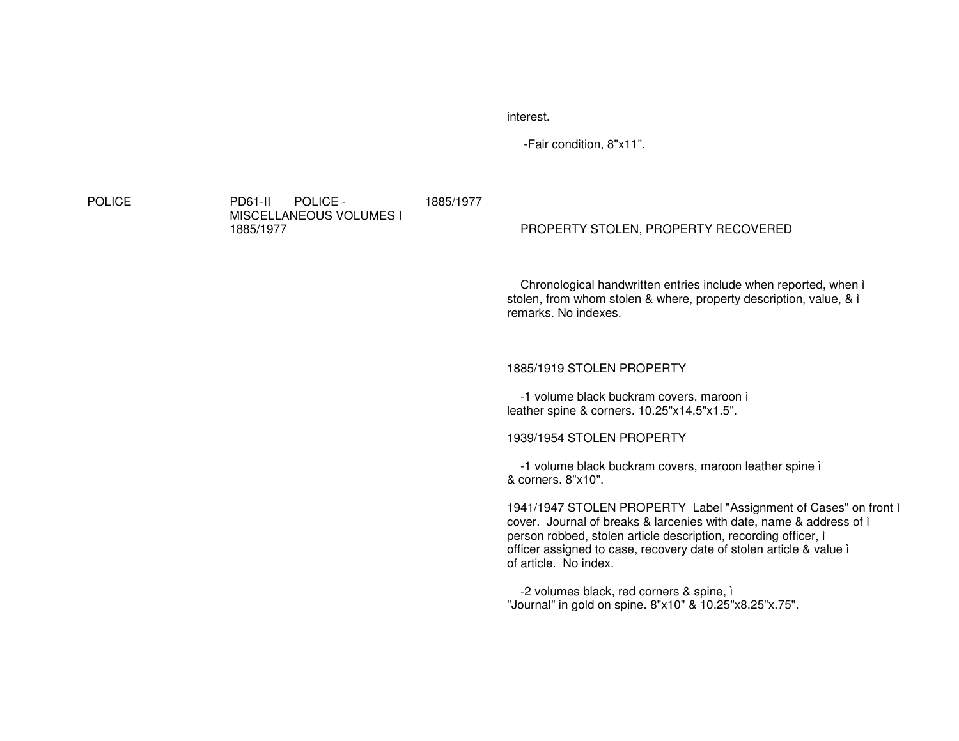interest.

-Fair condition, 8"x11".

**POLICE** 

 PD61-II POLICE - MISCELLANEOUS VOLUMES I 1885/1977

# 1885/1977

### PROPERTY STOLEN, PROPERTY RECOVERED

Chronological handwritten entries include when reported, when ì stolen, from whom stolen & where, property description, value, & ì remarks. No indexes.

### 1885/1919 STOLEN PROPERTY

-1 volume black buckram covers, maroon ì leather spine & corners. 10.25"x14.5"x1.5".

### 1939/1954 STOLEN PROPERTY

-1 volume black buckram covers, maroon leather spine ì & corners. 8"x10".

1941/1947 STOLEN PROPERTY Label "Assignment of Cases" on front ì cover. Journal of breaks & larcenies with date, name & address of ì person robbed, stolen article description, recording officer, ì officer assigned to case, recovery date of stolen article & value ì of article. No index.

-2 volumes black, red corners & spine, ì "Journal" in gold on spine. 8"x10" & 10.25"x8.25"x.75".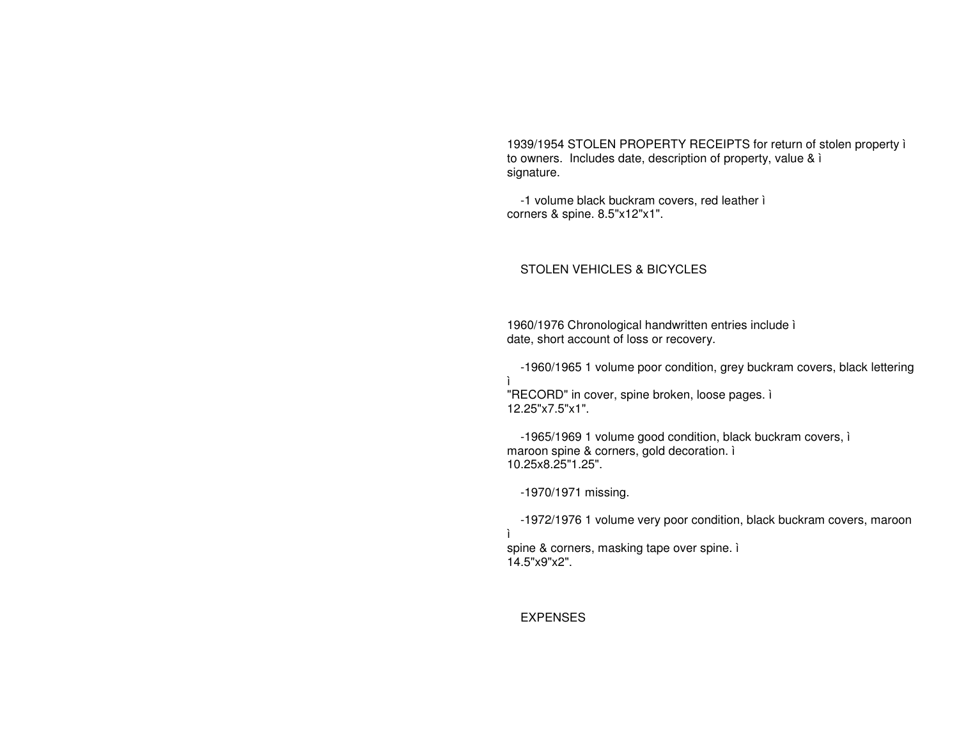1939/1954 STOLEN PROPERTY RECEIPTS for return of stolen property ì to owners. Includes date, description of property, value & ì signature.

-1 volume black buckram covers, red leather ì corners & spine. 8.5"x12"x1".

# STOLEN VEHICLES & BICYCLES

1960/1976 Chronological handwritten entries include ì date, short account of loss or recovery.

-1960/1965 1 volume poor condition, grey buckram covers, black lettering

 "RECORD" in cover, spine broken, loose pages. ì 12.25"x7.5"x1".

-1965/1969 1 volume good condition, black buckram covers, ì maroon spine & corners, gold decoration. ì 10.25x8.25"1.25".

-1970/1971 missing.

-1972/1976 1 volume very poor condition, black buckram covers, maroon ìspine & corners, masking tape over spine. ì

14.5"x9"x2".

ì

EXPENSES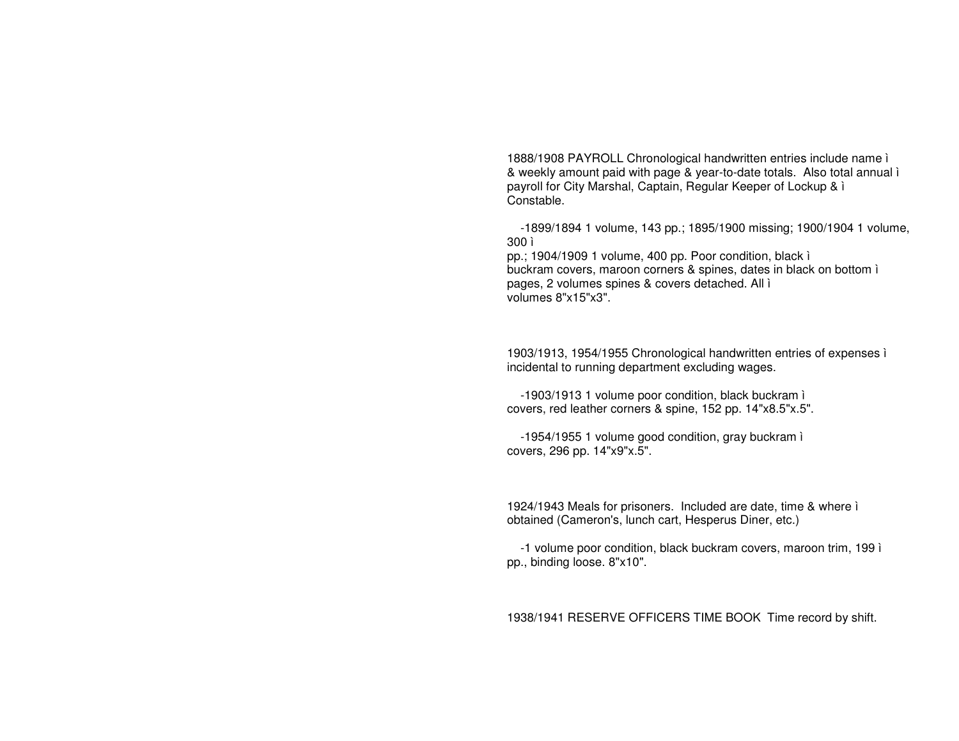1888/1908 PAYROLL Chronological handwritten entries include name ì & weekly amount paid with page & year-to-date totals. Also total annual ì payroll for City Marshal, Captain, Regular Keeper of Lockup & ì Constable.

-1899/1894 1 volume, 143 pp.; 1895/1900 missing; 1900/1904 1 volume, 300 ì

pp.; 1904/1909 1 volume, 400 pp. Poor condition, black ì buckram covers, maroon corners & spines, dates in black on bottom ì pages, 2 volumes spines & covers detached. All ì volumes 8"x15"x3".

1903/1913, 1954/1955 Chronological handwritten entries of expenses ì incidental to running department excluding wages.

-1903/1913 1 volume poor condition, black buckram ì covers, red leather corners & spine, 152 pp. 14"x8.5"x.5".

-1954/1955 1 volume good condition, gray buckram ì covers, 296 pp. 14"x9"x.5".

1924/1943 Meals for prisoners. Included are date, time & where ì obtained (Cameron's, lunch cart, Hesperus Diner, etc.)

-1 volume poor condition, black buckram covers, maroon trim, 199 ì pp., binding loose. 8"x10".

1938/1941 RESERVE OFFICERS TIME BOOK Time record by shift.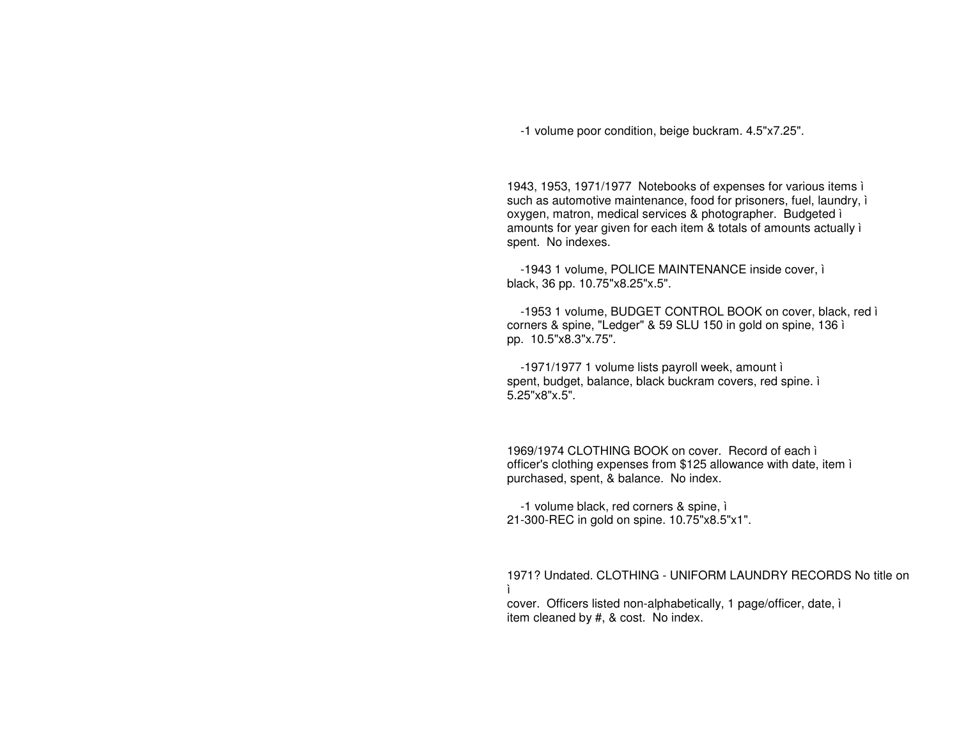-1 volume poor condition, beige buckram. 4.5"x7.25".

1943, 1953, 1971/1977 Notebooks of expenses for various items ì such as automotive maintenance, food for prisoners, fuel, laundry, ì oxygen, matron, medical services & photographer. Budgeted ì amounts for year given for each item & totals of amounts actually ì spent. No indexes.

-1943 1 volume, POLICE MAINTENANCE inside cover, ì black, 36 pp. 10.75"x8.25"x.5".

-1953 1 volume, BUDGET CONTROL BOOK on cover, black, red ì corners & spine, "Ledger" & 59 SLU 150 in gold on spine, 136 ì pp. 10.5"x8.3"x.75".

-1971/1977 1 volume lists payroll week, amount ì spent, budget, balance, black buckram covers, red spine. ì 5.25"x8"x.5".

1969/1974 CLOTHING BOOK on cover. Record of each ì officer's clothing expenses from \$125 allowance with date, item ì purchased, spent, & balance. No index.

-1 volume black, red corners & spine, ì 21-300-REC in gold on spine. 10.75"x8.5"x1".

1971? Undated. CLOTHING - UNIFORM LAUNDRY RECORDS No title on ì

cover. Officers listed non-alphabetically, 1 page/officer, date, ì item cleaned by #, & cost. No index.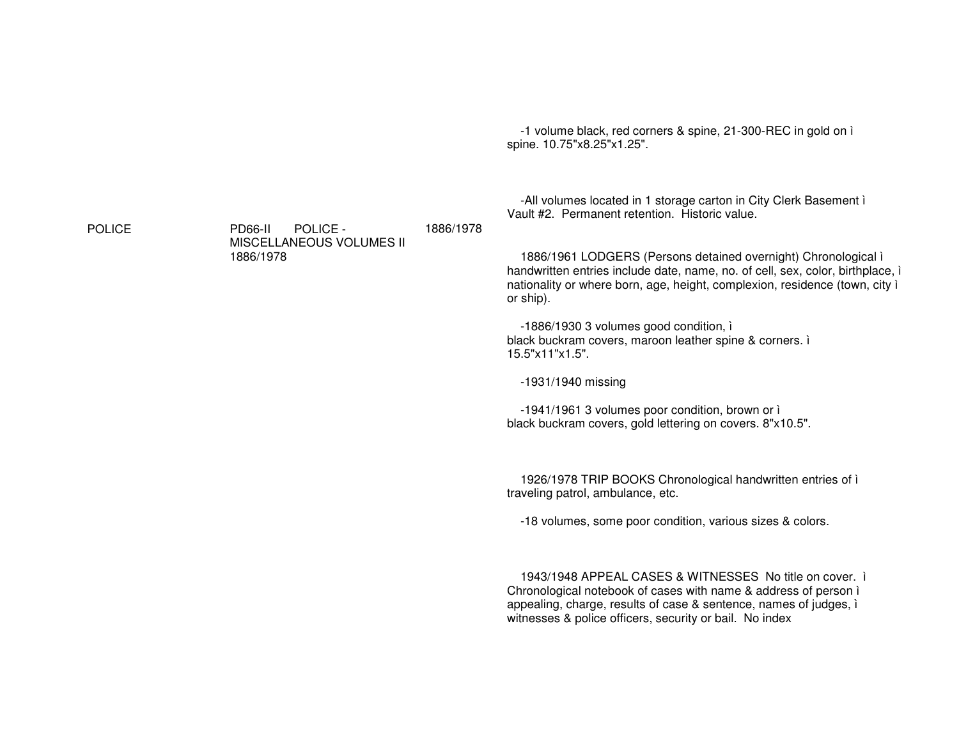-1 volume black, red corners & spine, 21-300-REC in gold on ì spine. 10.75"x8.25"x1.25".

-All volumes located in 1 storage carton in City Clerk Basement ì Vault #2. Permanent retention. Historic value.

1886/1961 LODGERS (Persons detained overnight) Chronological ì handwritten entries include date, name, no. of cell, sex, color, birthplace, ì nationality or where born, age, height, complexion, residence (town, city ì or ship).

-1886/1930 3 volumes good condition, ì black buckram covers, maroon leather spine & corners. ì 15.5"x11"x1.5".

-1931/1940 missing

-1941/1961 3 volumes poor condition, brown or ì black buckram covers, gold lettering on covers. 8"x10.5".

1926/1978 TRIP BOOKS Chronological handwritten entries of ì traveling patrol, ambulance, etc.

-18 volumes, some poor condition, various sizes & colors.

1943/1948 APPEAL CASES & WITNESSES No title on cover. ì Chronological notebook of cases with name & address of person ì appealing, charge, results of case & sentence, names of judges, ì witnesses & police officers, security or bail. No index

**POLICE** 

 PD66-II POLICE - MISCELLANEOUS VOLUMES II 1886/1978

1886/1978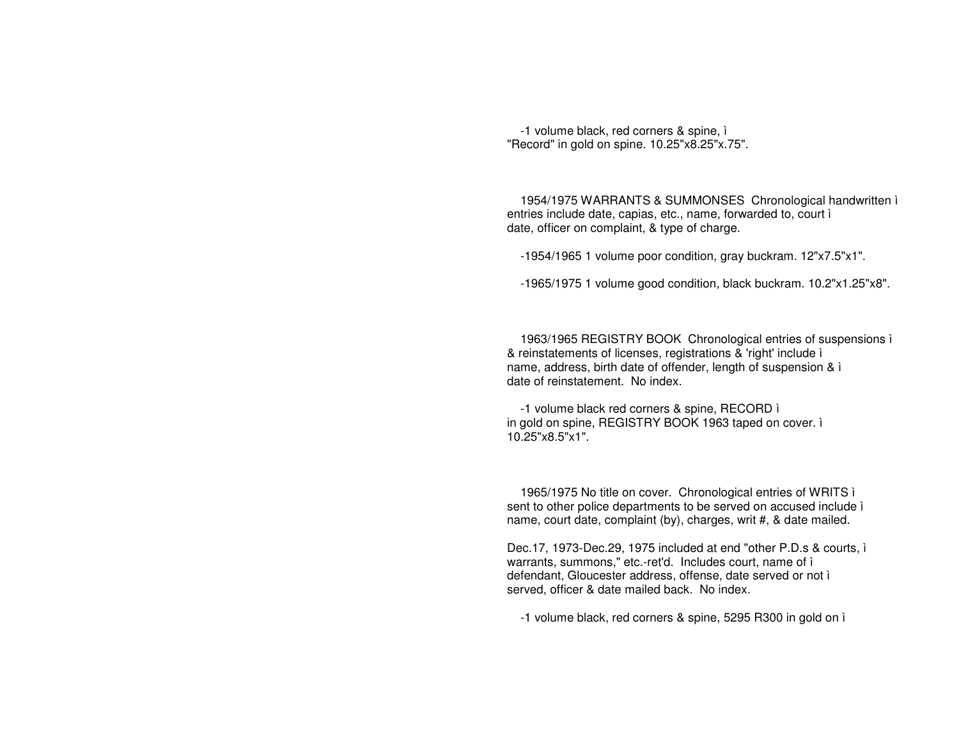-1 volume black, red corners & spine, ì "Record" in gold on spine. 10.25"x8.25"x.75".

1954/1975 WARRANTS & SUMMONSES Chronological handwritten ì entries include date, capias, etc., name, forwarded to, court ì date, officer on complaint, & type of charge.

-1954/1965 1 volume poor condition, gray buckram. 12"x7.5"x1".

-1965/1975 1 volume good condition, black buckram. 10.2"x1.25"x8".

1963/1965 REGISTRY BOOK Chronological entries of suspensions ì & reinstatements of licenses, registrations & 'right' include ì name, address, birth date of offender, length of suspension & ì date of reinstatement. No index.

-1 volume black red corners & spine, RECORD ì in gold on spine, REGISTRY BOOK 1963 taped on cover. ì 10.25"x8.5"x1".

1965/1975 No title on cover. Chronological entries of WRITS ì sent to other police departments to be served on accused include ì name, court date, complaint (by), charges, writ #, & date mailed.

Dec.17, 1973-Dec.29, 1975 included at end "other P.D.s & courts, ì warrants, summons," etc.-ret'd. Includes court, name of ì defendant, Gloucester address, offense, date served or not ì served, officer & date mailed back. No index.

-1 volume black, red corners & spine, 5295 R300 in gold on ì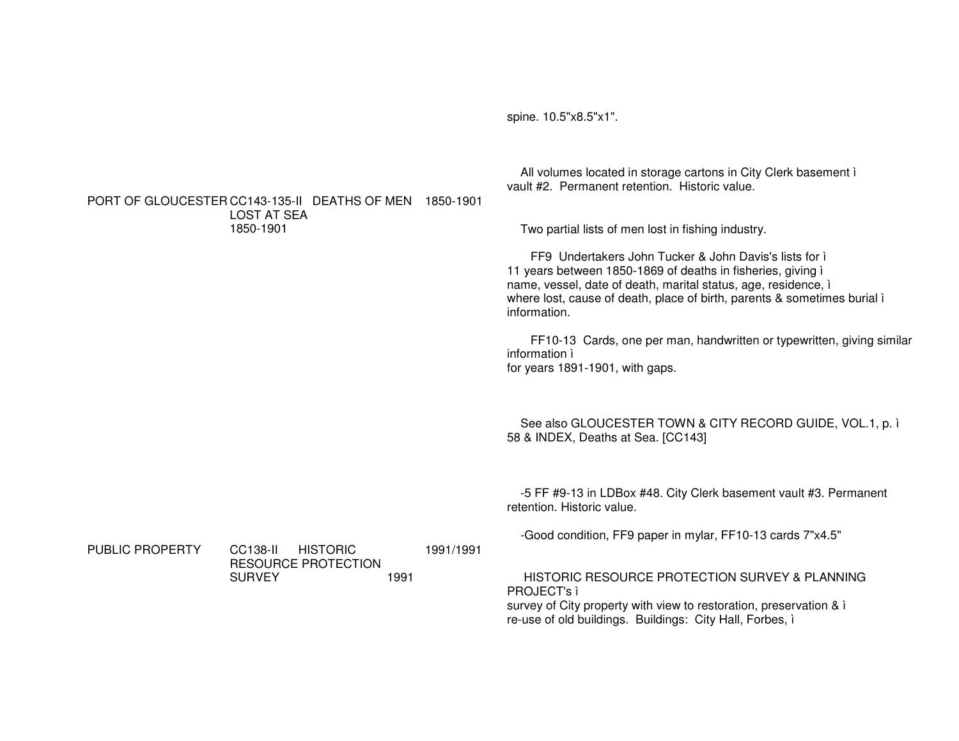spine. 10.5"x8.5"x1".

All volumes located in storage cartons in City Clerk basement i vault #2. Permanent retention. Historic value. PORT OF GLOUCESTER CC143-135-II DEATHS OF MEN 1850-1901 **LOST AT SEA** 1850-1901 Two partial lists of men lost in fishing industry. FF9 Undertakers John Tucker & John Davis's lists for i 11 years between 1850-1869 of deaths in fisheries, giving i name, vessel, date of death, marital status, age, residence, i where lost, cause of death, place of birth, parents & sometimes burial i information. FF10-13 Cards, one per man, handwritten or typewritten, giving similar information i for years 1891-1901, with gaps. See also GLOUCESTER TOWN & CITY RECORD GUIDE, VOL.1, p. i 58 & INDEX, Deaths at Sea. [CC143] -5 FF #9-13 in LDBox #48. City Clerk basement vault #3. Permanent retention. Historic value. -Good condition, FF9 paper in mylar, FF10-13 cards 7"x4.5" PUBLIC PROPERTY CC138-II HISTORIC 1991/1991 **RESOURCE PROTECTION SURVEY** HISTORIC RESOURCE PROTECTION SURVEY & PLANNING 1991 PROJECT's ì

survey of City property with view to restoration, preservation & i re-use of old buildings. Buildings: City Hall, Forbes, i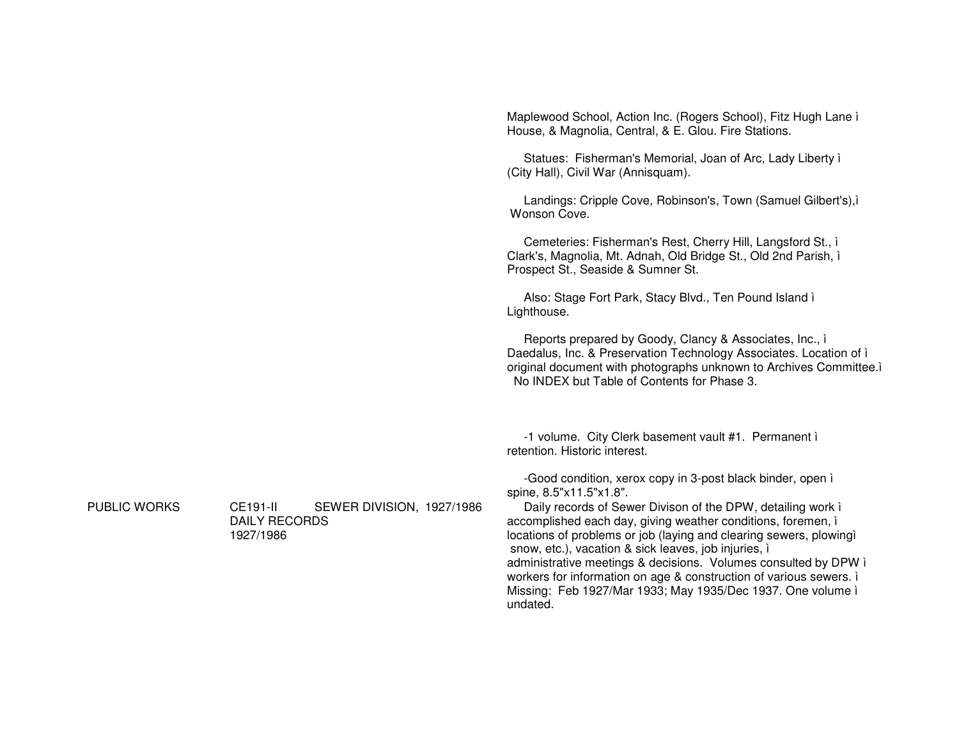Maplewood School, Action Inc. (Rogers School), Fitz Hugh Lane i House, & Magnolia, Central, & E. Glou. Fire Stations.

Statues: Fisherman's Memorial, Joan of Arc, Lady Liberty i (City Hall), Civil War (Annisquam).

Landings: Cripple Cove, Robinson's, Town (Samuel Gilbert's), i Wonson Cove.

Cemeteries: Fisherman's Rest, Cherry Hill, Langsford St., i Clark's, Magnolia, Mt. Adnah, Old Bridge St., Old 2nd Parish, i Prospect St., Seaside & Sumner St.

Also: Stage Fort Park, Stacy Blvd., Ten Pound Island i Lighthouse.

Reports prepared by Goody, Clancy & Associates, Inc., i Daedalus, Inc. & Preservation Technology Associates. Location of i original document with photographs unknown to Archives Committee. No INDEX but Table of Contents for Phase 3.

-1 volume. City Clerk basement vault #1. Permanent i retention. Historic interest.

-Good condition, xerox copy in 3-post black binder, open i spine, 8.5"x11.5"x1.8".

Daily records of Sewer Divison of the DPW, detailing work i accomplished each day, giving weather conditions, foremen, i locations of problems or job (laying and clearing sewers, plowing) snow, etc.), vacation & sick leaves, job injuries, i administrative meetings & decisions. Volumes consulted by DPW i workers for information on age & construction of various sewers. Missing: Feb 1927/Mar 1933; May 1935/Dec 1937. One volume i undated.

**PUBLIC WORKS** 

**CE191-II** SEWER DIVISION, 1927/1986 **DAILY RECORDS** 1927/1986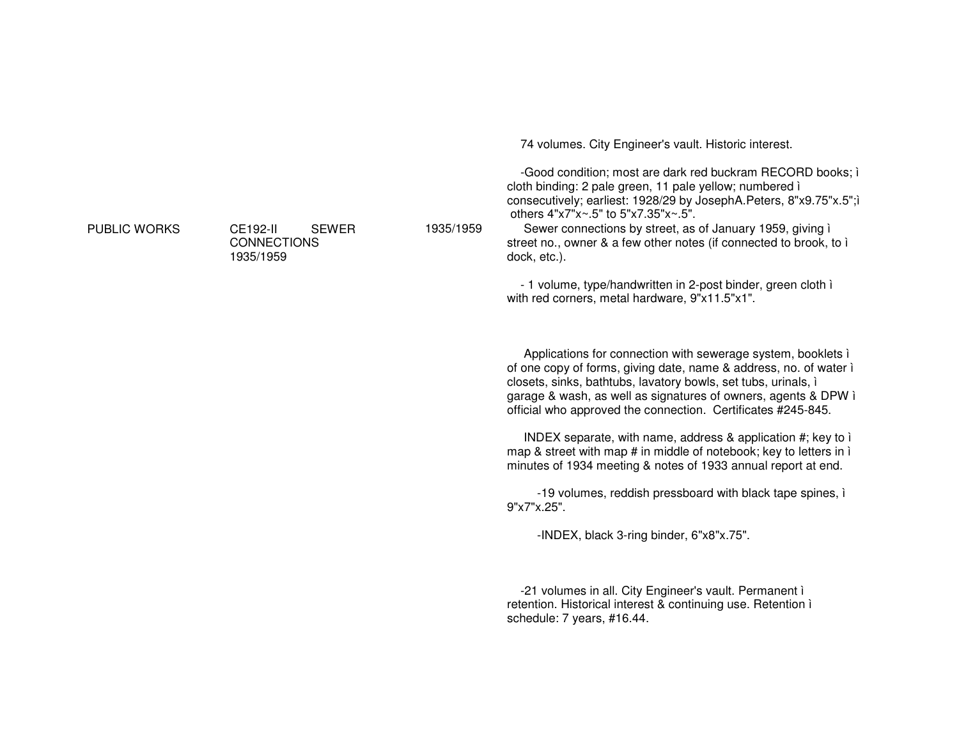PUBLIC WORKS CE192-II SEWER CONNECTIONS1935/1959

1935/1959

74 volumes. City Engineer's vault. Historic interest.

-Good condition; most are dark red buckram RECORD books; ì cloth binding: 2 pale green, 11 pale yellow; numbered ì consecutively; earliest: 1928/29 by JosephA.Peters, 8"x9.75"x.5";ì others 4"x7"x~.5" to 5"x7.35"x~.5".

 Sewer connections by street, as of January 1959, giving ì street no., owner & <sup>a</sup> few other notes (if connected to brook, to ì dock, etc.).

- 1 volume, type/handwritten in 2-post binder, green cloth ì with red corners, metal hardware, 9"x11.5"x1".

Applications for connection with sewerage system, booklets ì of one copy of forms, giving date, name & address, no. of water ì closets, sinks, bathtubs, lavatory bowls, set tubs, urinals, ì garage & wash, as well as signatures of owners, agents & DPW ì official who approved the connection. Certificates #245-845.

INDEX separate, with name, address & application #; key to ì map & street with map # in middle of notebook; key to letters in ì minutes of 1934 meeting & notes of 1933 annual report at end.

-19 volumes, reddish pressboard with black tape spines, ì 9"x7"x.25".

-INDEX, black 3-ring binder, 6"x8"x.75".

-21 volumes in all. City Engineer's vault. Permanent ì retention. Historical interest & continuing use. Retention ì schedule: 7 years, #16.44.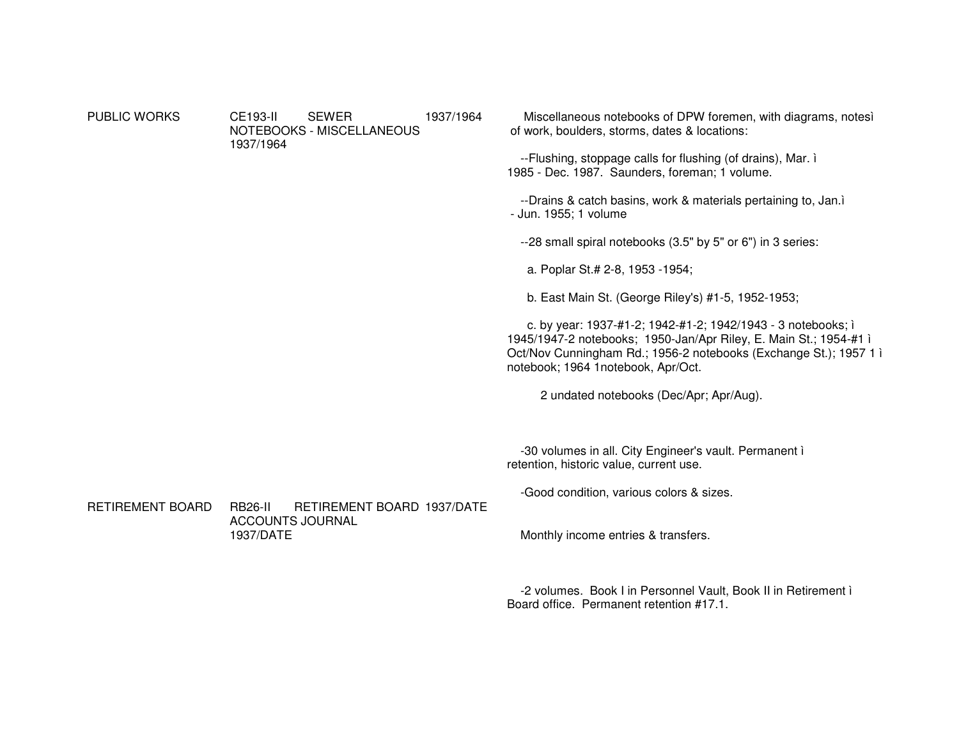PUBLIC WORKS CE193-II SEWER NOTEBOOKS - MISCELLANEOUS 1937/19641937/1964 Miscellaneous notebooks of DPW foremen, with diagrams, notesì of work, boulders, storms, dates & locations: --Flushing, stoppage calls for flushing (of drains), Mar. ì 1985 - Dec. 1987. Saunders, foreman; 1 volume. --Drains & catch basins, work & materials pertaining to, Jan.ì - Jun. 1955; 1 volume --28 small spiral notebooks (3.5" by 5" or 6") in 3 series: a. Poplar St.# 2-8, 1953 -1954; b. East Main St. (George Riley's) #1-5, 1952-1953; c. by year: 1937-#1-2; 1942-#1-2; 1942/1943 - 3 notebooks; ì 1945/1947-2 notebooks; 1950-Jan/Apr Riley, E. Main St.; 1954-#1 ì Oct/Nov Cunningham Rd.; 1956-2 notebooks (Exchange St.); 1957 1 ì

2 undated notebooks (Dec/Apr; Apr/Aug).

-30 volumes in all. City Engineer's vault. Permanent ì retention, historic value, current use.

-Good condition, various colors & sizes.

RETIREMENT BOARD RB26-II RETIREMENT BOARD 1937/DATEACCOUNTS JOURNAL 1937/DATE

Monthly income entries & transfers.

notebook; 1964 1notebook, Apr/Oct.

-2 volumes. Book I in Personnel Vault, Book II in Retirement ì Board office. Permanent retention #17.1.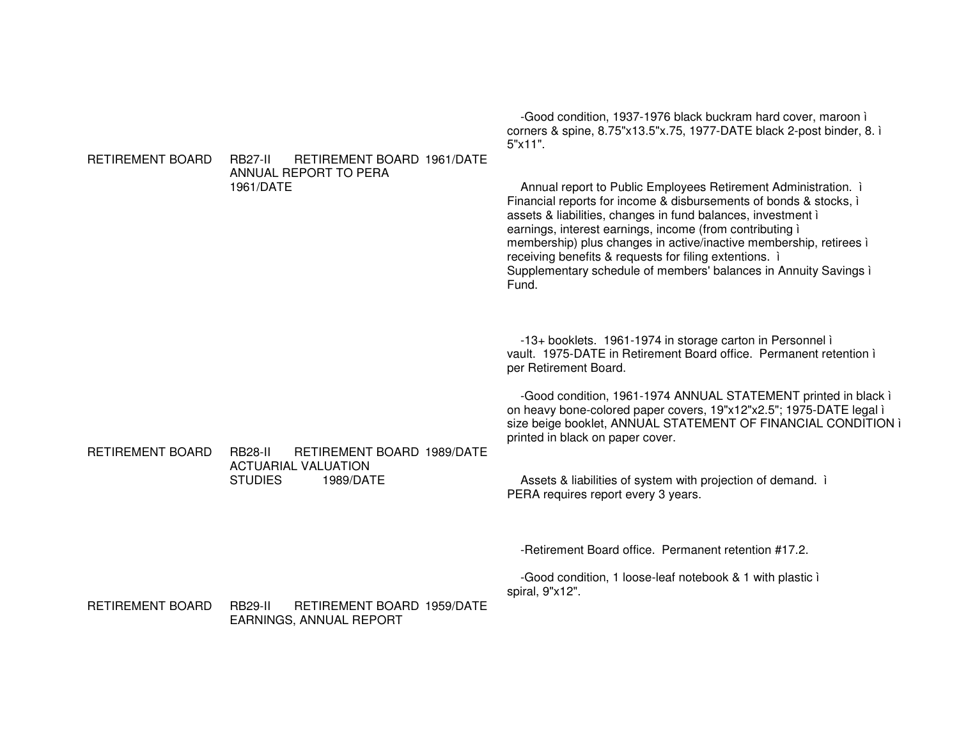-Good condition, 1937-1976 black buckram hard cover, maroon i corners & spine, 8.75"x13.5"x.75, 1977-DATE black 2-post binder, 8. i  $5"x11"$ . RETIREMENT BOARD **RB27-II** RETIREMENT BOARD 1961/DATE ANNUAL REPORT TO PERA Annual report to Public Employees Retirement Administration. i 1961/DATE Financial reports for income & disbursements of bonds & stocks, i assets & liabilities, changes in fund balances, investment i earnings, interest earnings, income (from contributing i membership) plus changes in active/inactive membership, retirees i receiving benefits & requests for filing extentions. i Supplementary schedule of members' balances in Annuity Savings i Fund. -13+ booklets. 1961-1974 in storage carton in Personnel i vault. 1975-DATE in Retirement Board office. Permanent retention i per Retirement Board. -Good condition, 1961-1974 ANNUAL STATEMENT printed in black i on heavy bone-colored paper covers, 19"x12"x2.5"; 1975-DATE legal i size beige booklet, ANNUAL STATEMENT OF FINANCIAL CONDITION i printed in black on paper cover. **RETIREMENT BOARD** RETIREMENT BOARD 1989/DATE **RB28-II ACTUARIAL VALUATION** Assets & liabilities of system with projection of demand. i **STUDIES** 1989/DATE PERA requires report every 3 years. -Retirement Board office. Permanent retention #17.2. -Good condition, 1 loose-leaf notebook & 1 with plastic i spiral, 9"x12". RETIREMENT BOARD RETIREMENT BOARD 1959/DATE **RB29-II EARNINGS, ANNUAL REPORT**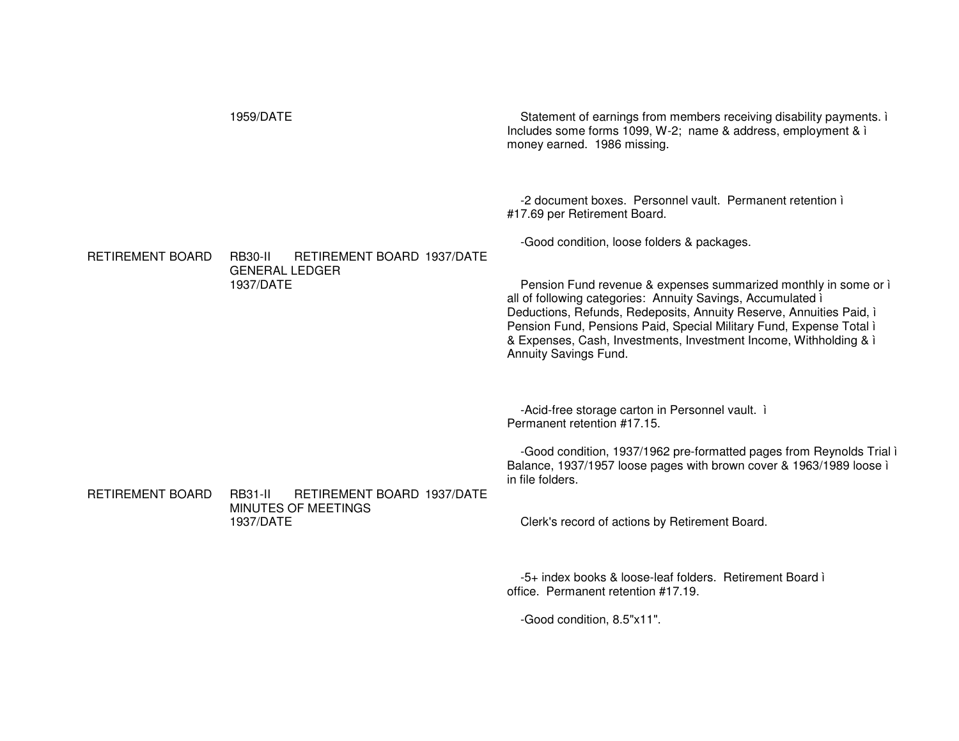|                         | 1959/DATE                                                                               | Statement of earnings from members receiving disability payments. i<br>Includes some forms 1099, W-2; name & address, employment & i<br>money earned. 1986 missing.                                                                                                                                                                                                                                                                                                                                                   |
|-------------------------|-----------------------------------------------------------------------------------------|-----------------------------------------------------------------------------------------------------------------------------------------------------------------------------------------------------------------------------------------------------------------------------------------------------------------------------------------------------------------------------------------------------------------------------------------------------------------------------------------------------------------------|
| <b>RETIREMENT BOARD</b> | RETIREMENT BOARD 1937/DATE<br><b>RB30-II</b><br><b>GENERAL LEDGER</b><br>1937/DATE      | -2 document boxes. Personnel vault. Permanent retention i<br>#17.69 per Retirement Board.<br>-Good condition, loose folders & packages.<br>Pension Fund revenue & expenses summarized monthly in some or i<br>all of following categories: Annuity Savings, Accumulated i<br>Deductions, Refunds, Redeposits, Annuity Reserve, Annuities Paid, i<br>Pension Fund, Pensions Paid, Special Military Fund, Expense Total i<br>& Expenses, Cash, Investments, Investment Income, Withholding & i<br>Annuity Savings Fund. |
| RETIREMENT BOARD        | RETIREMENT BOARD 1937/DATE<br><b>RB31-II</b><br><b>MINUTES OF MEETINGS</b><br>1937/DATE | -Acid-free storage carton in Personnel vault. i<br>Permanent retention #17.15.<br>-Good condition, 1937/1962 pre-formatted pages from Reynolds Trial i<br>Balance, 1937/1957 loose pages with brown cover & 1963/1989 loose i<br>in file folders.<br>Clerk's record of actions by Retirement Board.<br>-5+ index books & loose-leaf folders. Retirement Board i<br>office. Permanent retention #17.19.                                                                                                                |

-Good condition, 8.5"x11".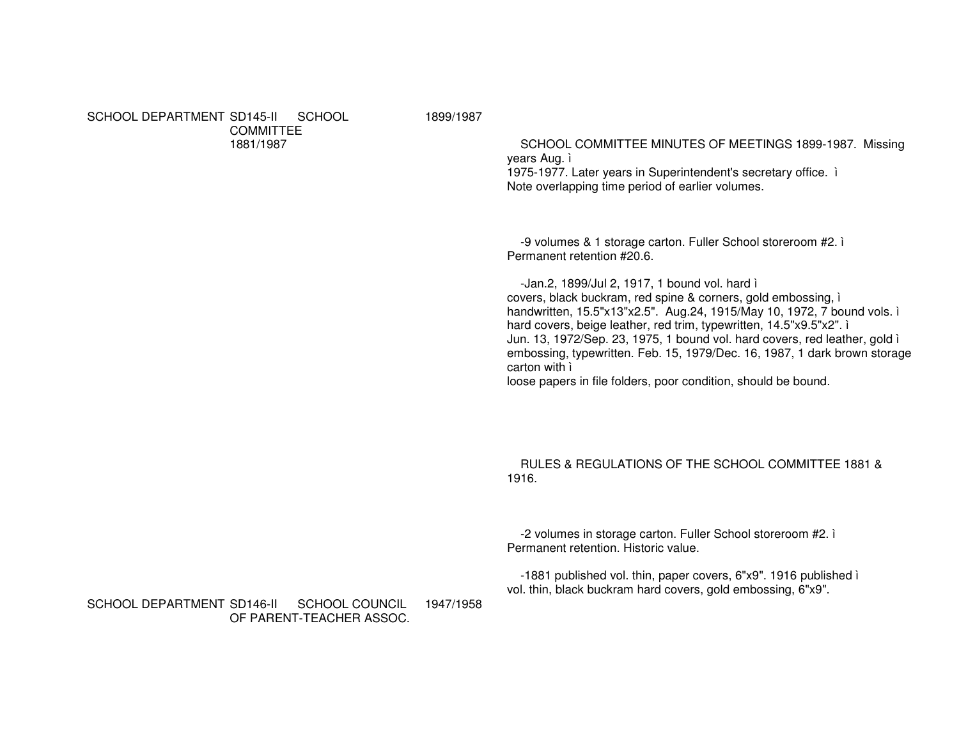SCHOOL DEPARTMENT SD145-II SCHOOL COMMITTEE1881/1987

1899/1987

SCHOOL COMMITTEE MINUTES OF MEETINGS 1899-1987. Missing years Aug. ì

1975-1977. Later years in Superintendent's secretary office. ì Note overlapping time period of earlier volumes.

-9 volumes & 1 storage carton. Fuller School storeroom #2. ì Permanent retention #20.6.

-Jan.2, 1899/Jul 2, 1917, 1 bound vol. hard ì covers, black buckram, red spine & corners, gold embossing, ì handwritten, 15.5"x13"x2.5". Aug.24, 1915/May 10, 1972, 7 bound vols. ì hard covers, beige leather, red trim, typewritten, 14.5"x9.5"x2". ì Jun. 13, 1972/Sep. 23, 1975, 1 bound vol. hard covers, red leather, gold ì embossing, typewritten. Feb. 15, 1979/Dec. 16, 1987, 1 dark brown storage carton with ì

loose papers in file folders, poor condition, should be bound.

RULES & REGULATIONS OF THE SCHOOL COMMITTEE 1881 & 1916.

-2 volumes in storage carton. Fuller School storeroom #2. ì Permanent retention. Historic value.

-1881 published vol. thin, paper covers, 6"x9". 1916 published ì vol. thin, black buckram hard covers, gold embossing, 6"x9".

SCHOOL DEPARTMENT SD146-II SCHOOL COUNCIL OF PARENT-TEACHER ASSOC. 1947/1958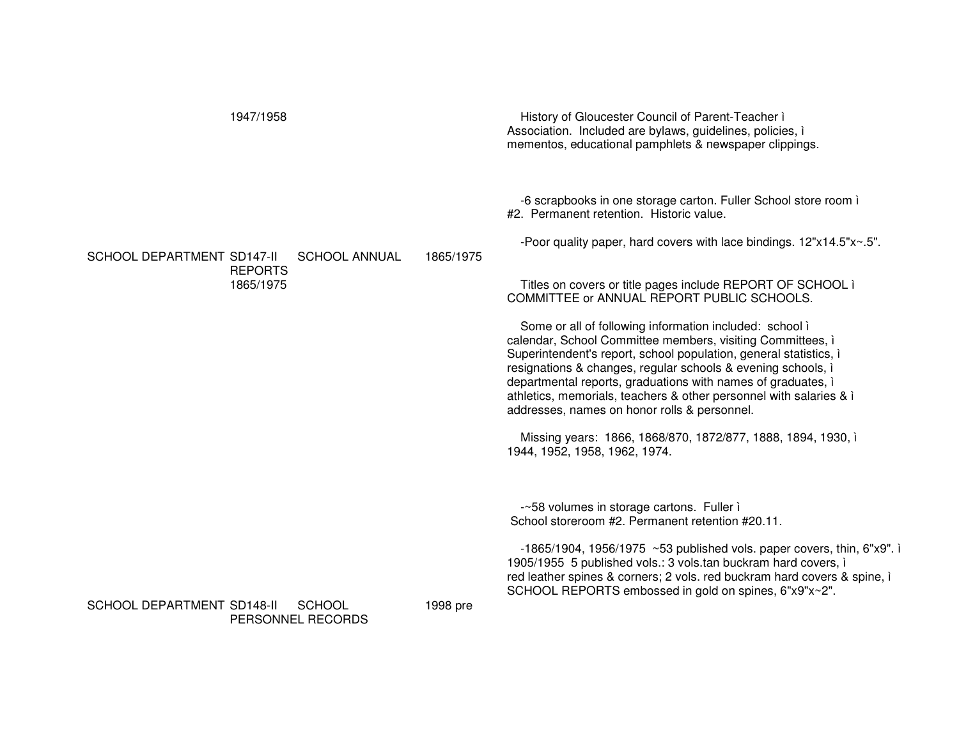| 1947/1958                                                               |           | History of Gloucester Council of Parent-Teacher i<br>Association. Included are bylaws, guidelines, policies, i<br>mementos, educational pamphlets & newspaper clippings.                                                                                                                                                                                                                                                                         |
|-------------------------------------------------------------------------|-----------|--------------------------------------------------------------------------------------------------------------------------------------------------------------------------------------------------------------------------------------------------------------------------------------------------------------------------------------------------------------------------------------------------------------------------------------------------|
|                                                                         |           | -6 scrapbooks in one storage carton. Fuller School store room i<br>#2. Permanent retention. Historic value.                                                                                                                                                                                                                                                                                                                                      |
| SCHOOL DEPARTMENT SD147-II<br><b>SCHOOL ANNUAL</b><br><b>REPORTS</b>    | 1865/1975 | -Poor quality paper, hard covers with lace bindings. 12"x14.5"x~.5".                                                                                                                                                                                                                                                                                                                                                                             |
| 1865/1975                                                               |           | Titles on covers or title pages include REPORT OF SCHOOL i<br>COMMITTEE or ANNUAL REPORT PUBLIC SCHOOLS.                                                                                                                                                                                                                                                                                                                                         |
|                                                                         |           | Some or all of following information included: school i<br>calendar, School Committee members, visiting Committees, i<br>Superintendent's report, school population, general statistics, i<br>resignations & changes, regular schools & evening schools, i<br>departmental reports, graduations with names of graduates, i<br>athletics, memorials, teachers & other personnel with salaries & i<br>addresses, names on honor rolls & personnel. |
|                                                                         |           | Missing years: 1866, 1868/870, 1872/877, 1888, 1894, 1930, i<br>1944, 1952, 1958, 1962, 1974.                                                                                                                                                                                                                                                                                                                                                    |
|                                                                         |           | -~58 volumes in storage cartons. Fuller i<br>School storeroom #2. Permanent retention #20.11.                                                                                                                                                                                                                                                                                                                                                    |
|                                                                         |           | $-1865/1904$ , 1956/1975 ~53 published vols. paper covers, thin, 6"x9". i<br>1905/1955 5 published vols.: 3 vols.tan buckram hard covers, i<br>red leather spines & corners; 2 vols. red buckram hard covers & spine, i<br>SCHOOL REPORTS embossed in gold on spines, 6"x9"x~2".                                                                                                                                                                 |
| <b>SCHOOL DEPARTMENT SD148-II</b><br><b>SCHOOL</b><br>PERSONNEL RECORDS | 1998 pre  |                                                                                                                                                                                                                                                                                                                                                                                                                                                  |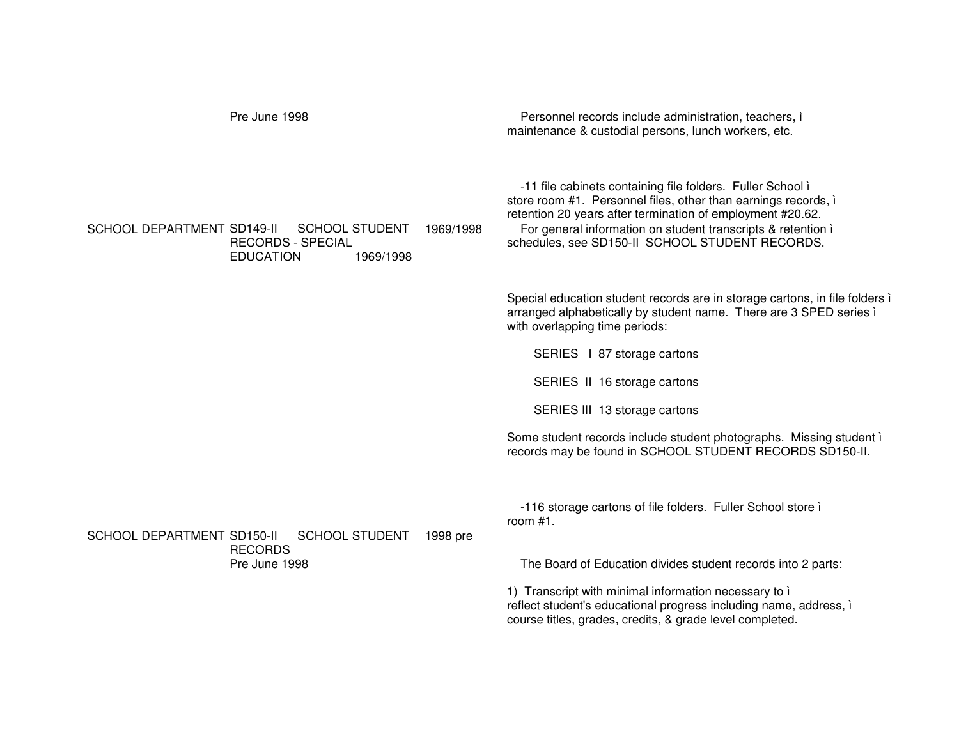| Pre June 1998                                                                                                                 | Personnel records include administration, teachers, i<br>maintenance & custodial persons, lunch workers, etc.                                                                                                                                                                                                 |
|-------------------------------------------------------------------------------------------------------------------------------|---------------------------------------------------------------------------------------------------------------------------------------------------------------------------------------------------------------------------------------------------------------------------------------------------------------|
| SCHOOL DEPARTMENT SD149-II<br><b>SCHOOL STUDENT</b><br>1969/1998<br><b>RECORDS - SPECIAL</b><br><b>EDUCATION</b><br>1969/1998 | -11 file cabinets containing file folders. Fuller School i<br>store room #1. Personnel files, other than earnings records, i<br>retention 20 years after termination of employment #20.62.<br>For general information on student transcripts & retention i<br>schedules, see SD150-II SCHOOL STUDENT RECORDS. |
|                                                                                                                               | Special education student records are in storage cartons, in file folders i<br>arranged alphabetically by student name. There are 3 SPED series i<br>with overlapping time periods:                                                                                                                           |
|                                                                                                                               | SERIES   87 storage cartons                                                                                                                                                                                                                                                                                   |
|                                                                                                                               | SERIES II 16 storage cartons                                                                                                                                                                                                                                                                                  |
|                                                                                                                               | SERIES III 13 storage cartons                                                                                                                                                                                                                                                                                 |
|                                                                                                                               | Some student records include student photographs. Missing student i<br>records may be found in SCHOOL STUDENT RECORDS SD150-II.                                                                                                                                                                               |
| <b>SCHOOL DEPARTMENT SD150-II</b><br><b>SCHOOL STUDENT</b><br>1998 pre                                                        | -116 storage cartons of file folders. Fuller School store i<br>room $#1$ .                                                                                                                                                                                                                                    |
| <b>RECORDS</b><br>Pre June 1998                                                                                               | The Board of Education divides student records into 2 parts:                                                                                                                                                                                                                                                  |
|                                                                                                                               | 1) Transcript with minimal information necessary to i<br>reflect student's educational progress including name, address, i<br>course titles, grades, credits, & grade level completed.                                                                                                                        |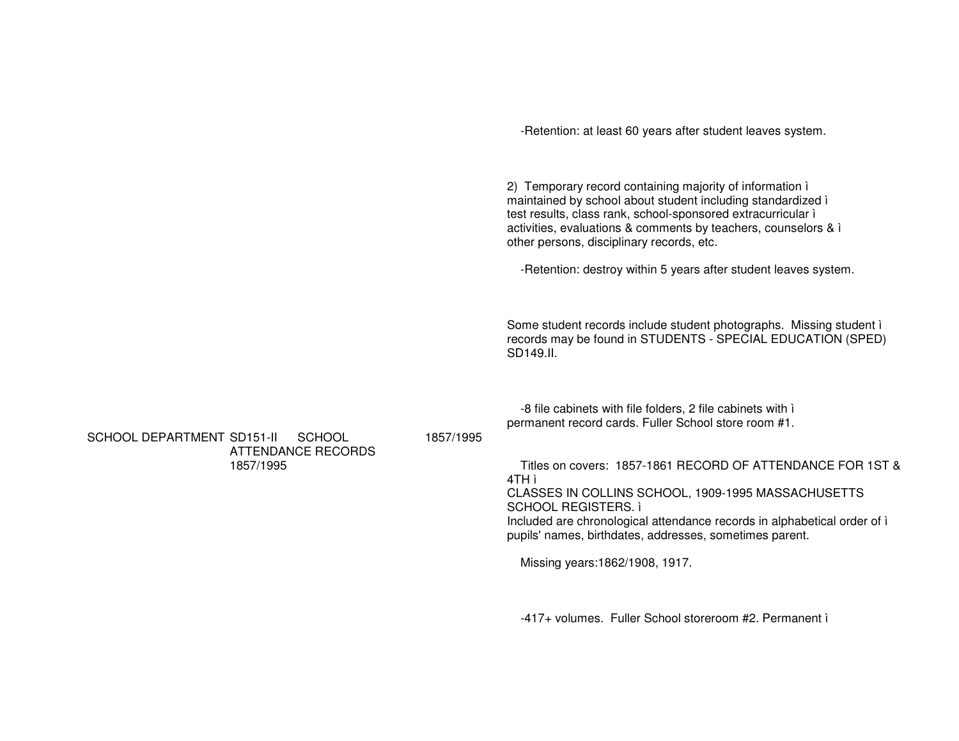-Retention: at least 60 years after student leaves system.

2) Temporary record containing majority of information ì maintained by school about student including standardized ì test results, class rank, school-sponsored extracurricular ì activities, evaluations & comments by teachers, counselors & ì other persons, disciplinary records, etc.

-Retention: destroy within 5 years after student leaves system.

Some student records include student photographs. Missing student ì records may be found in STUDENTS - SPECIAL EDUCATION (SPED) SD149.II.

-8 file cabinets with file folders, 2 file cabinets with ì permanent record cards. Fuller School store room #1.

SCHOOL DEPARTMENT SD151-II SCHOOL ATTENDANCE RECORDS 1857/1995

1857/1995

Titles on covers: 1857-1861 RECORD OF ATTENDANCE FOR 1ST & 4TH ì CLASSES IN COLLINS SCHOOL, 1909-1995 MASSACHUSETTS SCHOOL REGISTERS. ì Included are chronological attendance records in alphabetical order of ì pupils' names, birthdates, addresses, sometimes parent.

Missing years:1862/1908, 1917.

-417+ volumes. Fuller School storeroom #2. Permanent ì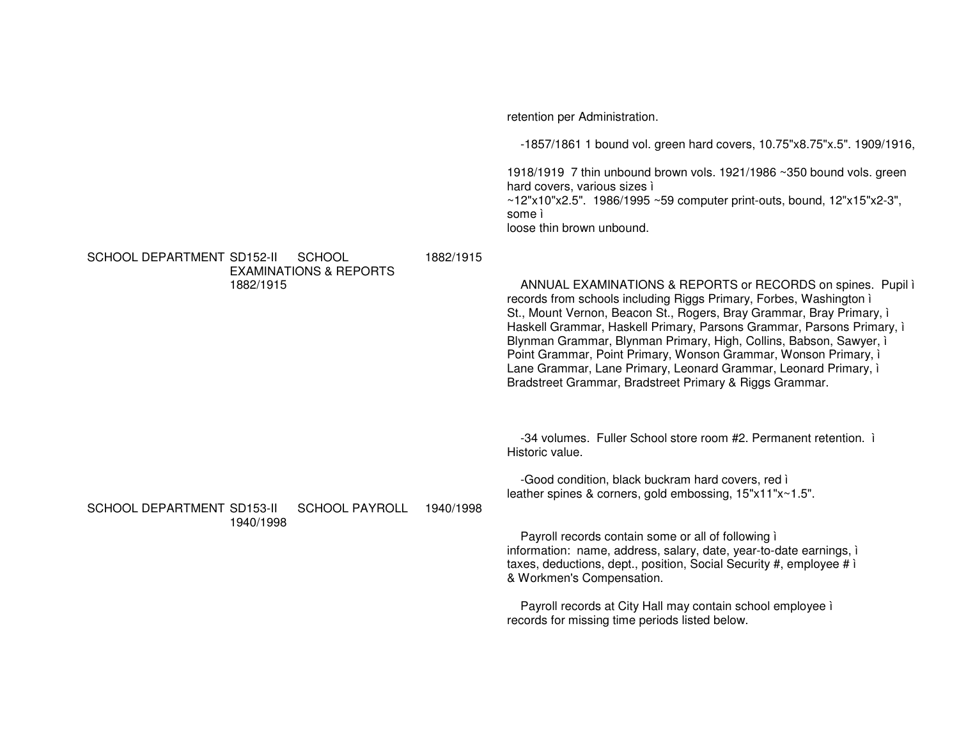retention per Administration. -1857/1861 1 bound vol. green hard covers, 10.75"x8.75"x.5". 1909/1916, 1918/1919 7 thin unbound brown vols. 1921/1986 ~350 bound vols. green hard covers, various sizes ì ~12"x10"x2.5". 1986/1995 ~59 computer print-outs, bound, 12"x15"x2-3", some ì loose thin brown unbound. SCHOOL DEPARTMENT SD152-II SCHOOL EXAMINATIONS & REPORTS 1882/19151882/1915ANNUAL EXAMINATIONS & REPORTS or RECORDS on spines. Pupil ì records from schools including Riggs Primary, Forbes, Washington ì St., Mount Vernon, Beacon St., Rogers, Bray Grammar, Bray Primary, ì Haskell Grammar, Haskell Primary, Parsons Grammar, Parsons Primary, ì Blynman Grammar, Blynman Primary, High, Collins, Babson, Sawyer, ì Point Grammar, Point Primary, Wonson Grammar, Wonson Primary, ì Lane Grammar, Lane Primary, Leonard Grammar, Leonard Primary, ì Bradstreet Grammar, Bradstreet Primary & Riggs Grammar. -34 volumes. Fuller School store room #2. Permanent retention. ì Historic value. -Good condition, black buckram hard covers, red ì leather spines & corners, gold embossing, 15"x11"x~1.5". SCHOOL DEPARTMENT SD153-II SCHOOL PAYROLL 1940/19981940/1998Payroll records contain some or all of following ì information: name, address, salary, date, year-to-date earnings, ì taxes, deductions, dept., position, Social Security #, employee # ì & Workmen's Compensation. Payroll records at City Hall may contain school employee ì records for missing time periods listed below.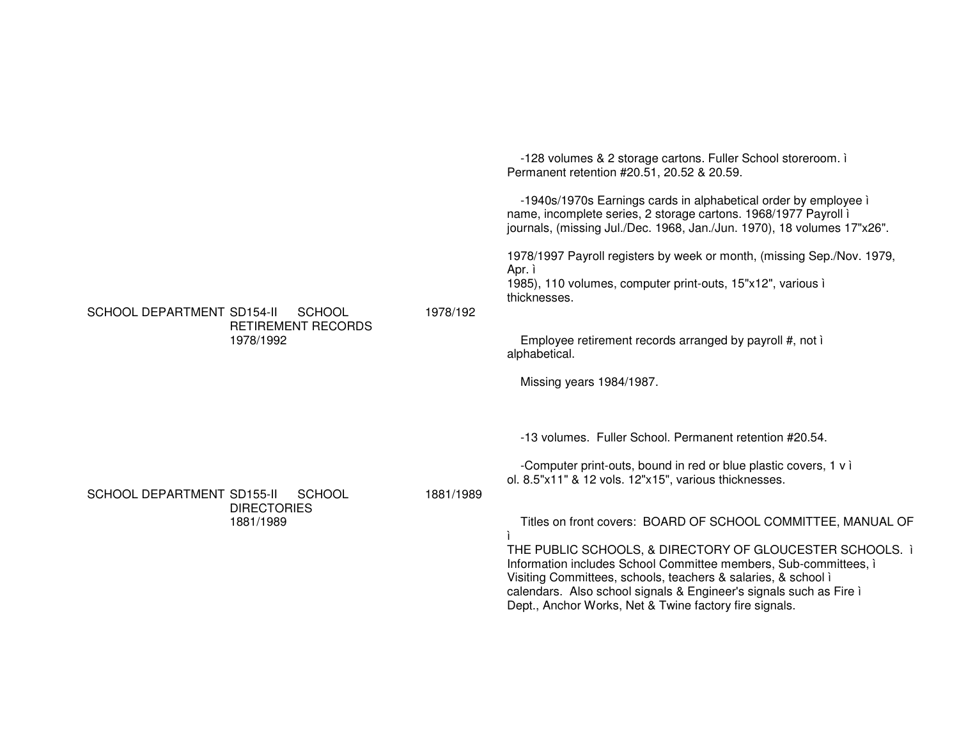-128 volumes & 2 storage cartons. Fuller School storeroom. ì Permanent retention #20.51, 20.52 & 20.59. -1940s/1970s Earnings cards in alphabetical order by employee ì name, incomplete series, 2 storage cartons. 1968/1977 Payroll ì journals, (missing Jul./Dec. 1968, Jan./Jun. 1970), 18 volumes 17"x26". 1978/1997 Payroll registers by week or month, (missing Sep./Nov. 1979, Apr. ì 1985), 110 volumes, computer print-outs, 15"x12", various ì thicknesses.SCHOOL DEPARTMENT SD154-II SCHOOL RETIREMENT RECORDS1978/19921978/192Employee retirement records arranged by payroll #, not ì alphabetical. Missing years 1984/1987. -13 volumes. Fuller School. Permanent retention #20.54. -Computer print-outs, bound in red or blue plastic covers, 1 <sup>v</sup> ì ol. 8.5"x11" & 12 vols. 12"x15", various thicknesses. SCHOOL DEPARTMENT SD155-II SCHOOL DIRECTORIES1881/19891881/1989Titles on front covers: BOARD OF SCHOOL COMMITTEE, MANUAL OF ìTHE PUBLIC SCHOOLS, & DIRECTORY OF GLOUCESTER SCHOOLS. ì Information includes School Committee members, Sub-committees, ì Visiting Committees, schools, teachers & salaries, & school ì calendars. Also school signals & Engineer's signals such as Fire ì Dept., Anchor Works, Net & Twine factory fire signals.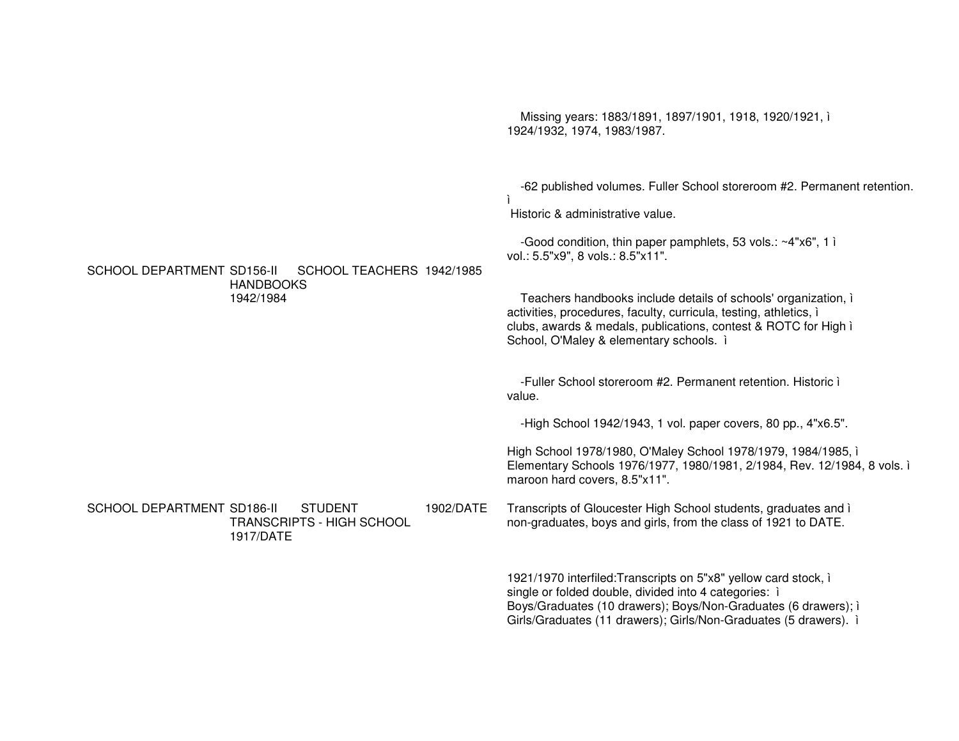Missing years: 1883/1891, 1897/1901, 1918, 1920/1921, ì 1924/1932, 1974, 1983/1987. -62 published volumes. Fuller School storeroom #2. Permanent retention. ìHistoric & administrative value. -Good condition, thin paper pamphlets, 53 vols.: ~4"x6", 1 ì vol.: 5.5"x9", 8 vols.: 8.5"x11". SCHOOL DEPARTMENT SD156-II SCHOOL TEACHERS1942/1985HANDBOOKS1942/1984Teachers handbooks include details of schools' organization, ì activities, procedures, faculty, curricula, testing, athletics, ì clubs, awards & medals, publications, contest & ROTC for High ì School, O'Maley & elementary schools. ì -Fuller School storeroom #2. Permanent retention. Historic ì value.-High School 1942/1943, 1 vol. paper covers, 80 pp., 4"x6.5". High School 1978/1980, O'Maley School 1978/1979, 1984/1985, ì Elementary Schools 1976/1977, 1980/1981, 2/1984, Rev. 12/1984, 8 vols. ì maroon hard covers, 8.5"x11". SCHOOL DEPARTMENT SD186-II STUDENT TRANSCRIPTS - HIGH SCHOOL 1917/DATE1902/DATE Transcripts of Gloucester High School students, graduates and ì non-graduates, boys and girls, from the class of 1921 to DATE. 1921/1970 interfiled:Transcripts on 5"x8" yellow card stock, ì single or folded double, divided into 4 categories: i Boys/Graduates (10 drawers); Boys/Non-Graduates (6 drawers); ì Girls/Graduates (11 drawers); Girls/Non-Graduates (5 drawers). ì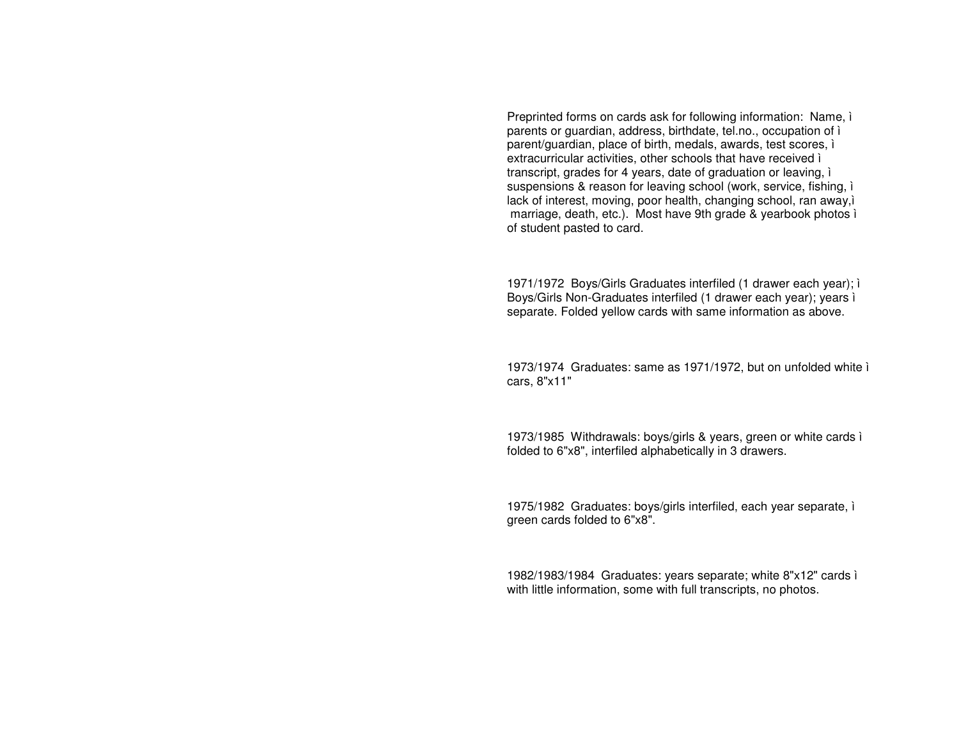Preprinted forms on cards ask for following information: Name, ì parents or guardian, address, birthdate, tel.no., occupation of ì parent/guardian, place of birth, medals, awards, test scores, ì extracurricular activities, other schools that have received ì transcript, grades for 4 years, date of graduation or leaving, ì suspensions & reason for leaving school (work, service, fishing, ì lack of interest, moving, poor health, changing school, ran away,ì marriage, death, etc.). Most have 9th grade & yearbook photos ì of student pasted to card.

1971/1972 Boys/Girls Graduates interfiled (1 drawer each year); ì Boys/Girls Non-Graduates interfiled (1 drawer each year); years ì separate. Folded yellow cards with same information as above.

1973/1974 Graduates: same as 1971/1972, but on unfolded white ì cars, 8"x11"

1973/1985 Withdrawals: boys/girls & years, green or white cards ì folded to 6"x8", interfiled alphabetically in 3 drawers.

1975/1982 Graduates: boys/girls interfiled, each year separate, ì green cards folded to 6"x8".

1982/1983/1984 Graduates: years separate; white 8"x12" cards ì with little information, some with full transcripts, no photos.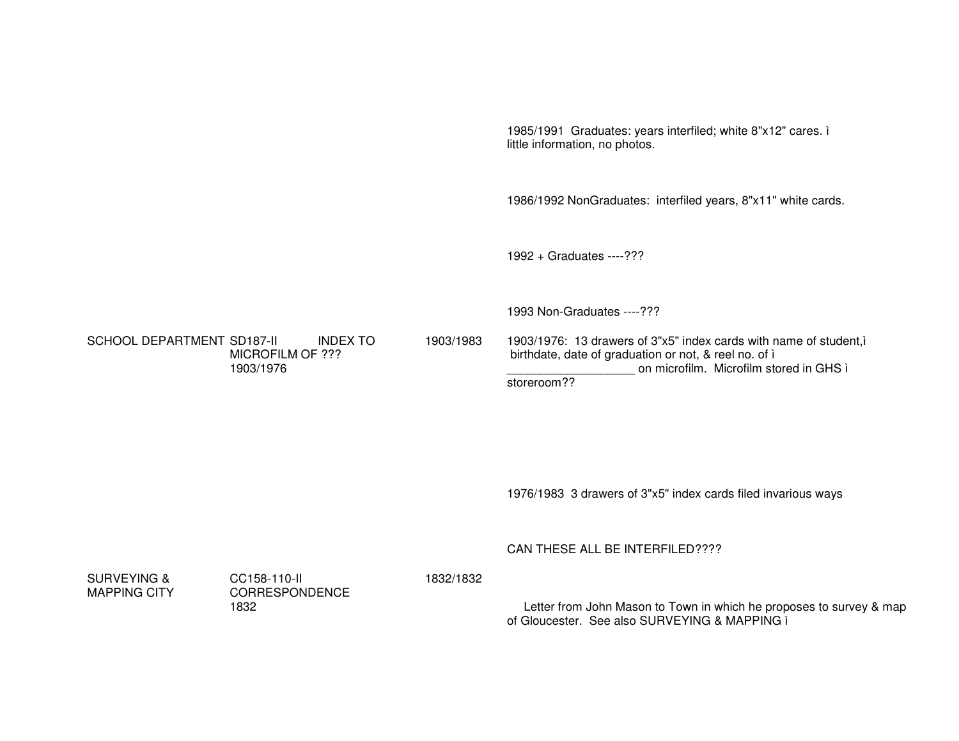1985/1991 Graduates: years interfiled; white 8"x12" cares. i little information, no photos.

1986/1992 NonGraduates: interfiled years, 8"x11" white cards.

1992 + Graduates ----???

1993 Non-Graduates ----???

**SCHOOL DEPARTMENT SD187-II INDEX TO** MICROFILM OF ??? 1903/1976

1903/1983 1903/1976: 13 drawers of 3"x5" index cards with name of student,i birthdate, date of graduation or not, & reel no. of i on microfilm. Microfilm stored in GHS ì storeroom??

1976/1983 3 drawers of 3"x5" index cards filed invarious ways

CAN THESE ALL BE INTERFILED????

**SURVEYING & MAPPING CITY**  CC158-110-II CORRESPONDENCE 1832

1832/1832

Letter from John Mason to Town in which he proposes to survey & map of Gloucester. See also SURVEYING & MAPPING i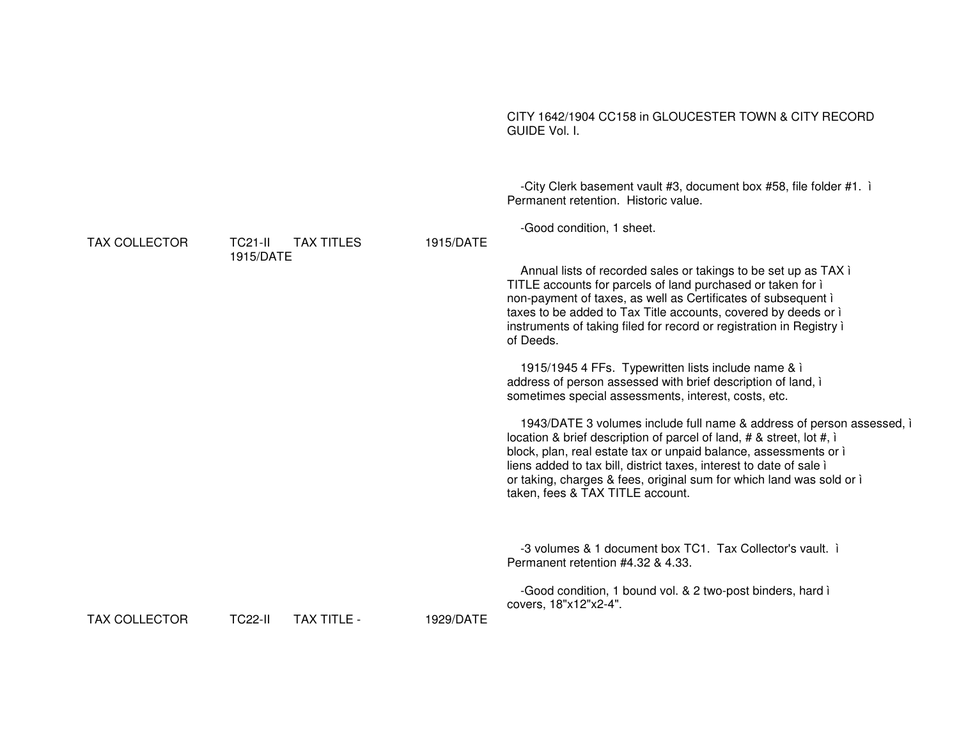#### CITY 1642/1904 CC158 in GLOUCESTER TOWN & CITY RECORD GUIDE Vol. I.

-City Clerk basement vault #3, document box #58, file folder #1. i Permanent retention Historic value -Good condition, 1 sheet. 1915/DATE Annual lists of recorded sales or takings to be set up as TAX i TITLE accounts for parcels of land purchased or taken for i non-payment of taxes, as well as Certificates of subsequent i taxes to be added to Tax Title accounts, covered by deeds or i instruments of taking filed for record or registration in Registry i

of Deeds.

1915/1945 4 FFs. Typewritten lists include name & i address of person assessed with brief description of land, i sometimes special assessments, interest, costs, etc.

1943/DATE 3 volumes include full name & address of person assessed, i location & brief description of parcel of land,  $#$  & street, lot  $#$ , i block, plan, real estate tax or unpaid balance, assessments or i liens added to tax bill, district taxes, interest to date of sale i or taking, charges & fees, original sum for which land was sold or i taken, fees & TAX TITLE account.

-3 volumes & 1 document box TC1. Tax Collector's vault. i Permanent retention #4.32 & 4.33.

-Good condition, 1 bound vol. & 2 two-post binders, hard i covers. 18"x12"x2-4".

**TAX COLLECTOR** 

**TC21-II TAX TITLES** 1915/DATE

**TAX COLLECTOR** 

**TC22-II** TAX TITLE - 1929/DATE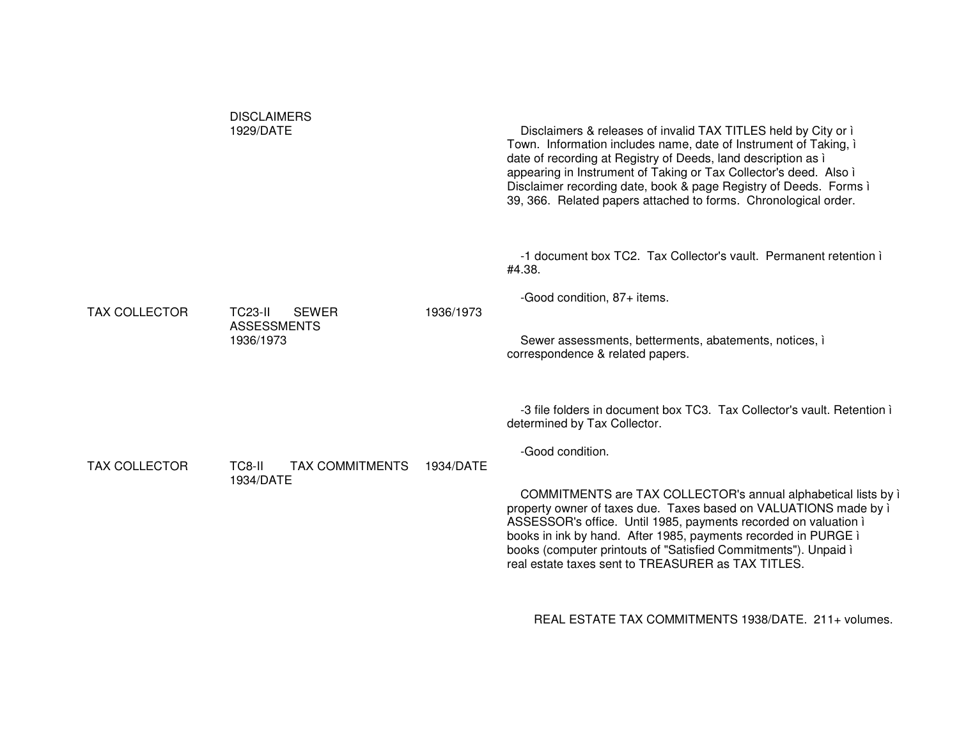|                      | <b>DISCLAIMERS</b><br>1929/DATE                      |           | Disclaimers & releases of invalid TAX TITLES held by City or i<br>Town. Information includes name, date of Instrument of Taking, i<br>date of recording at Registry of Deeds, land description as i<br>appearing in Instrument of Taking or Tax Collector's deed. Also i<br>Disclaimer recording date, book & page Registry of Deeds. Forms i<br>39, 366. Related papers attached to forms. Chronological order. |
|----------------------|------------------------------------------------------|-----------|------------------------------------------------------------------------------------------------------------------------------------------------------------------------------------------------------------------------------------------------------------------------------------------------------------------------------------------------------------------------------------------------------------------|
| <b>TAX COLLECTOR</b> | <b>TC23-II</b><br><b>SEWER</b><br><b>ASSESSMENTS</b> | 1936/1973 | -1 document box TC2. Tax Collector's vault. Permanent retention i<br>#4.38.<br>-Good condition, 87+ items.                                                                                                                                                                                                                                                                                                       |
|                      | 1936/1973                                            |           | Sewer assessments, betterments, abatements, notices, i<br>correspondence & related papers.                                                                                                                                                                                                                                                                                                                       |
|                      |                                                      |           | -3 file folders in document box TC3. Tax Collector's vault. Retention i<br>determined by Tax Collector.                                                                                                                                                                                                                                                                                                          |
| <b>TAX COLLECTOR</b> | TC8-II<br><b>TAX COMMITMENTS</b>                     | 1934/DATE | -Good condition.                                                                                                                                                                                                                                                                                                                                                                                                 |
|                      | 1934/DATE                                            |           | COMMITMENTS are TAX COLLECTOR's annual alphabetical lists by i<br>property owner of taxes due. Taxes based on VALUATIONS made by i<br>ASSESSOR's office. Until 1985, payments recorded on valuation i<br>books in ink by hand. After 1985, payments recorded in PURGE i<br>books (computer printouts of "Satisfied Commitments"). Unpaid i<br>real estate taxes sent to TREASURER as TAX TITLES.                 |
|                      |                                                      |           | REAL ESTATE TAX COMMITMENTS 1938/DATE. 211+ volumes.                                                                                                                                                                                                                                                                                                                                                             |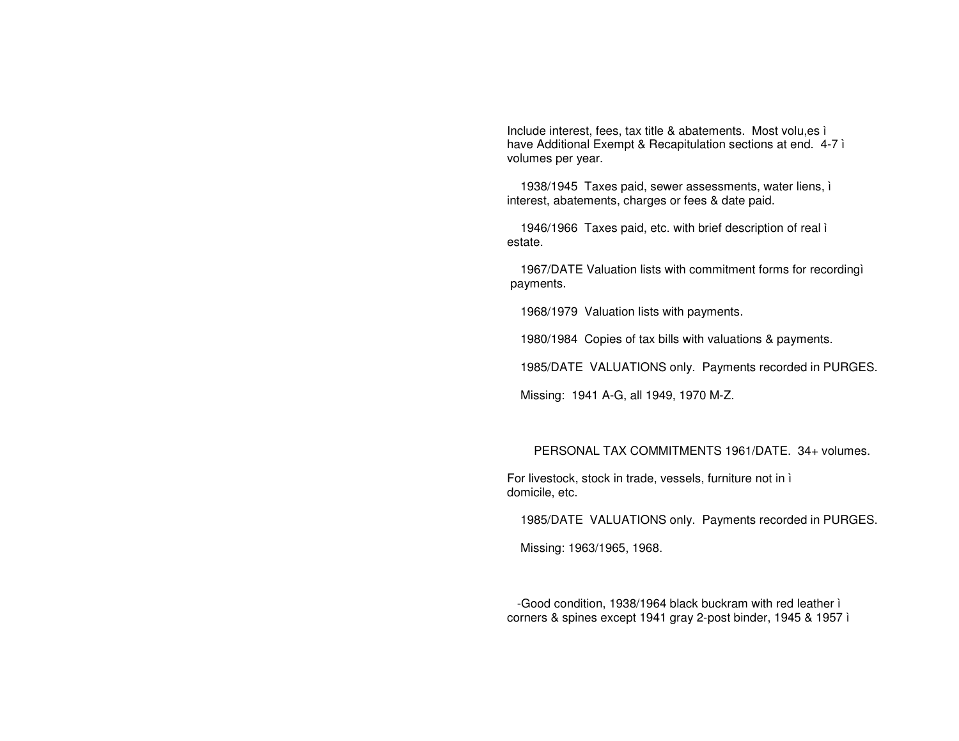Include interest, fees, tax title & abatements. Most volu, es ì have Additional Exempt & Recapitulation sections at end. 4-7 i volumes per year.

1938/1945 Taxes paid, sewer assessments, water liens, i interest, abatements, charges or fees & date paid.

1946/1966 Taxes paid, etc. with brief description of real i estate.

1967/DATE Valuation lists with commitment forms for recordingì payments.

1968/1979 Valuation lists with payments.

1980/1984 Copies of tax bills with valuations & payments.

1985/DATE VALUATIONS only. Payments recorded in PURGES.

Missing: 1941 A-G, all 1949, 1970 M-Z.

## PERSONAL TAX COMMITMENTS 1961/DATE. 34+ volumes.

For livestock, stock in trade, vessels, furniture not in i domicile, etc.

1985/DATE VALUATIONS only. Payments recorded in PURGES.

Missing: 1963/1965, 1968.

-Good condition, 1938/1964 black buckram with red leather i corners & spines except 1941 gray 2-post binder, 1945 & 1957 ì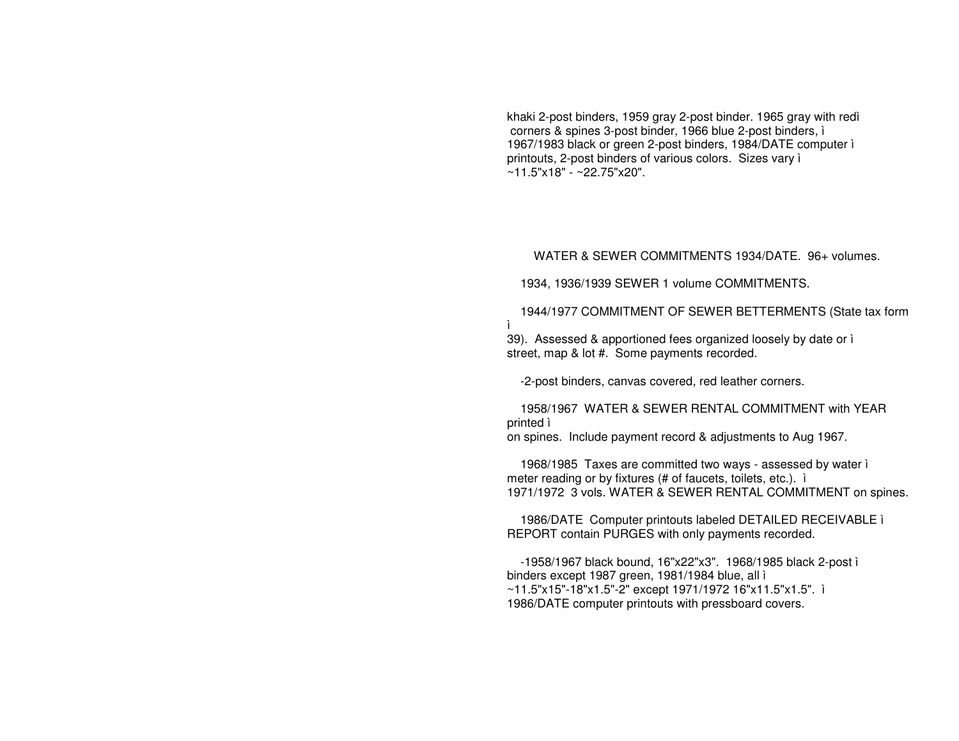khaki 2-post binders, 1959 gray 2-post binder. 1965 gray with redì corners & spines 3-post binder, 1966 blue 2-post binders, ì 1967/1983 black or green 2-post binders, 1984/DATE computer ì printouts, 2-post binders of various colors. Sizes vary ì ~11.5"x18" - ~22.75"x20".

### WATER & SEWER COMMITMENTS 1934/DATE. 96+ volumes.

1934, 1936/1939 SEWER 1 volume COMMITMENTS.

1944/1977 COMMITMENT OF SEWER BETTERMENTS (State tax form ì39). Assessed & apportioned fees organized loosely by date or ì

street, map & lot #. Some payments recorded.

-2-post binders, canvas covered, red leather corners.

1958/1967 WATER & SEWER RENTAL COMMITMENT with YEAR printed ì

on spines. Include payment record & adjustments to Aug 1967.

1968/1985 Taxes are committed two ways - assessed by water ì meter reading or by fixtures (# of faucets, toilets, etc.). ì 1971/1972 3 vols. WATER & SEWER RENTAL COMMITMENT on spines.

1986/DATE Computer printouts labeled DETAILED RECEIVABLE ì REPORT contain PURGES with only payments recorded.

-1958/1967 black bound, 16"x22"x3". 1968/1985 black 2-post ì binders except 1987 green, 1981/1984 blue, all ì ~11.5"x15"-18"x1.5"-2" except 1971/1972 16"x11.5"x1.5". ì 1986/DATE computer printouts with pressboard covers.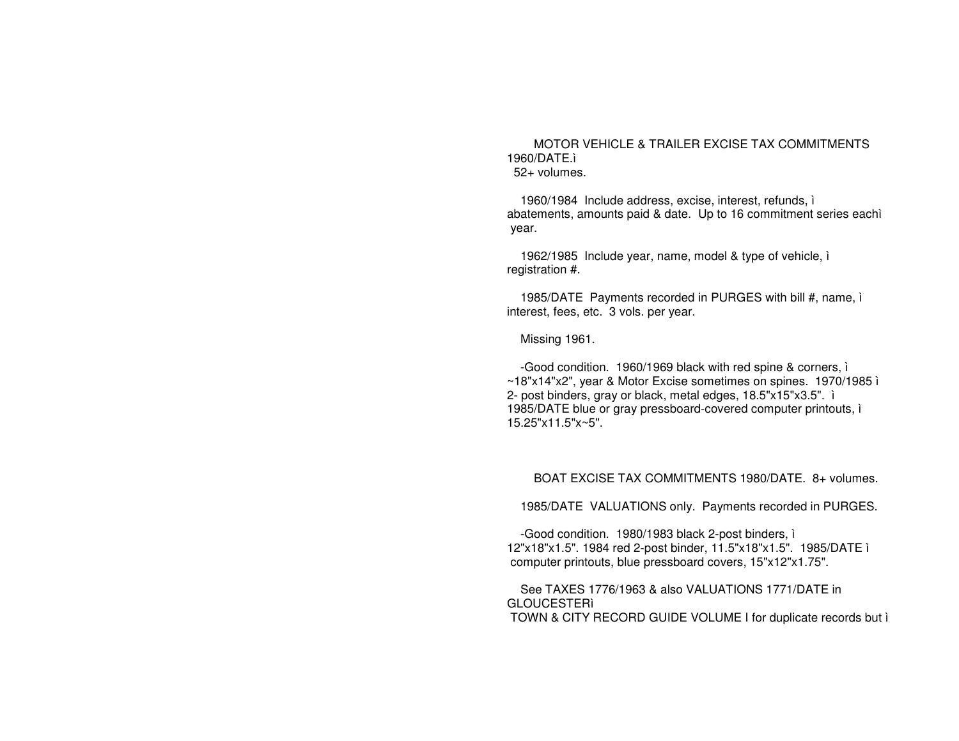MOTOR VEHICLE & TRAILER EXCISE TAX COMMITMENTS 1960/DATE. 52+ volumes.

1960/1984 Include address, excise, interest, refunds, i abatements, amounts paid & date. Up to 16 commitment series each year.

1962/1985 Include year, name, model & type of vehicle, i registration #.

1985/DATE Payments recorded in PURGES with bill #, name, i interest, fees, etc. 3 vols. per year.

Missing 1961.

-Good condition. 1960/1969 black with red spine & corners, i ~18"x14"x2", year & Motor Excise sometimes on spines. 1970/1985 ì 2- post binders, gray or black, metal edges, 18.5"x15"x3.5". i 1985/DATE blue or gray pressboard-covered computer printouts, i 15.25"x11.5"x~5".

BOAT EXCISE TAX COMMITMENTS 1980/DATE, 8+ volumes.

1985/DATE VALUATIONS only. Payments recorded in PURGES.

-Good condition. 1980/1983 black 2-post binders, i 12"x18"x1.5". 1984 red 2-post binder, 11.5"x18"x1.5". 1985/DATE i computer printouts, blue pressboard covers, 15"x12"x1.75".

See TAXES 1776/1963 & also VALUATIONS 1771/DATE in **GLOUCESTERI** TOWN & CITY RECORD GUIDE VOLUME I for duplicate records but i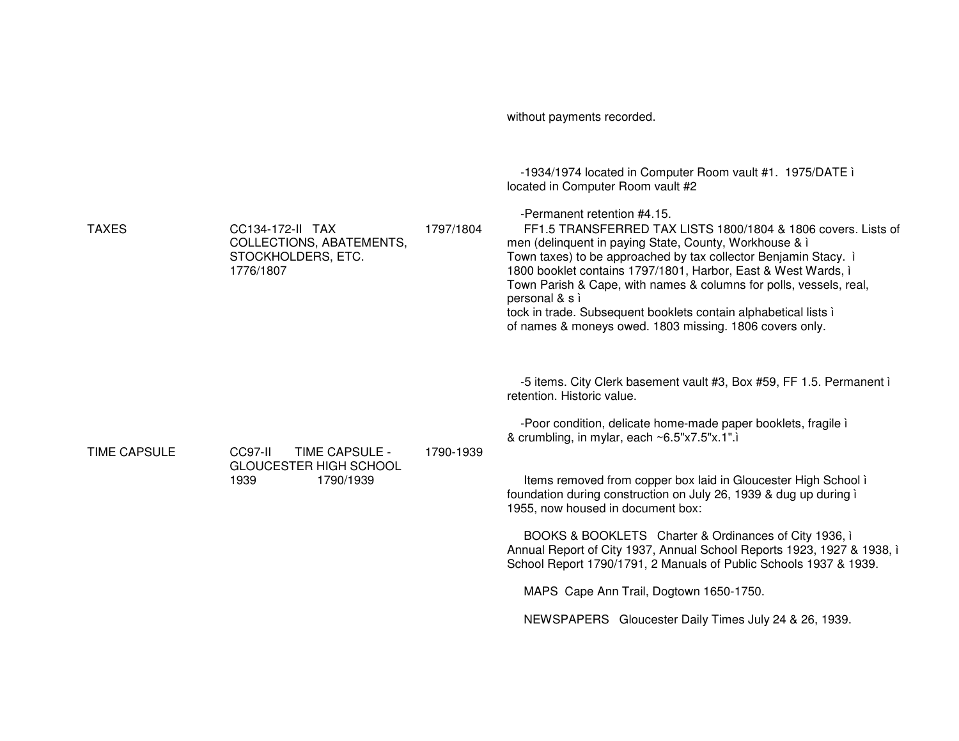without payments recorded. -1934/1974 located in Computer Room vault #1. 1975/DATE i located in Computer Room vault #2 -Permanent retention #4.15. **TAXES** CC134-172-II TAX 1797/1804 FF1.5 TRANSFERRED TAX LISTS 1800/1804 & 1806 covers. Lists of COLLECTIONS, ABATEMENTS. men (delinquent in paying State, County, Workhouse & i Town taxes) to be approached by tax collector Benjamin Stacy. i STOCKHOLDERS, ETC. 1776/1807 1800 booklet contains 1797/1801. Harbor, East & West Wards, i Town Parish & Cape, with names & columns for polls, vessels, real, personal & s i tock in trade. Subsequent booklets contain alphabetical lists i of names & moneys owed. 1803 missing. 1806 covers only. -5 items. City Clerk basement vault #3, Box #59, FF 1.5. Permanent i retention. Historic value. -Poor condition, delicate home-made paper booklets, fragile i & crumbling, in mylar, each ~6.5"x7.5"x.1". **TIME CAPSULE** CC97-II TIME CAPSULE -1790-1939 **GLOUCESTER HIGH SCHOOL** 1939 1790/1939 Items removed from copper box laid in Gloucester High School i foundation during construction on July 26, 1939 & dug up during i 1955, now housed in document box: BOOKS & BOOKLETS Charter & Ordinances of City 1936, i Annual Report of City 1937, Annual School Reports 1923, 1927 & 1938, i School Report 1790/1791, 2 Manuals of Public Schools 1937 & 1939. MAPS Cape Ann Trail, Dogtown 1650-1750. NEWSPAPERS Gloucester Daily Times July 24 & 26, 1939.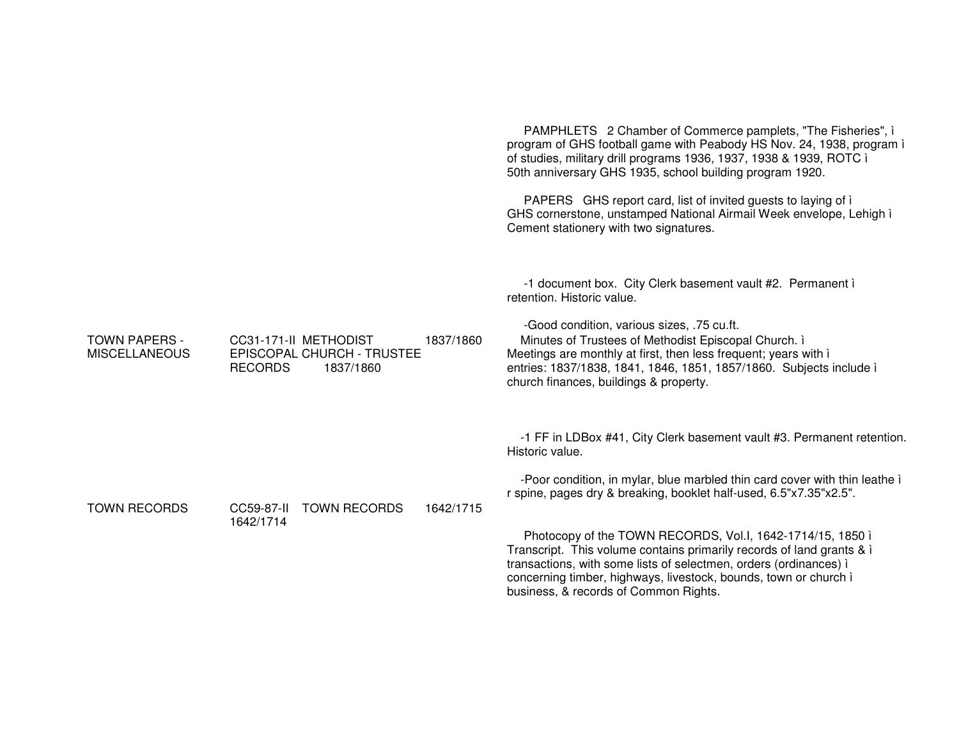PAMPHLETS 2 Chamber of Commerce pamplets, "The Fisheries", i program of GHS football game with Peabody HS Nov. 24, 1938, program i of studies, military drill programs 1936, 1937, 1938 & 1939, ROTC i 50th anniversary GHS 1935, school building program 1920. PAPERS GHS report card, list of invited quests to laying of i GHS cornerstone, unstamped National Airmail Week envelope, Lehigh i Cement stationery with two signatures. -1 document box. City Clerk basement vault #2. Permanent i retention. Historic value. -Good condition, various sizes, .75 cu.ft. **TOWN PAPERS -**CC31-171-II METHODIST 1837/1860 Minutes of Trustees of Methodist Episcopal Church. i **MISCELLANEOUS** EPISCOPAL CHURCH - TRUSTEE Meetings are monthly at first, then less frequent; years with i entries: 1837/1838, 1841, 1846, 1851, 1857/1860. Subjects include ì **RECORDS** 1837/1860 church finances, buildings & property. -1 FF in LDBox #41, City Clerk basement vault #3. Permanent retention. Historic value. -Poor condition, in mylar, blue marbled thin card cover with thin leathe i r spine, pages dry & breaking, booklet half-used, 6.5"x7.35"x2.5". **TOWN RECORDS** CC59-87-II TOWN RECORDS 1642/1715 1642/1714 Photocopy of the TOWN RECORDS, Vol.I, 1642-1714/15, 1850 ì Transcript. This volume contains primarily records of land grants & i transactions, with some lists of selectmen, orders (ordinances) i concerning timber, highways, livestock, bounds, town or church in business, & records of Common Rights.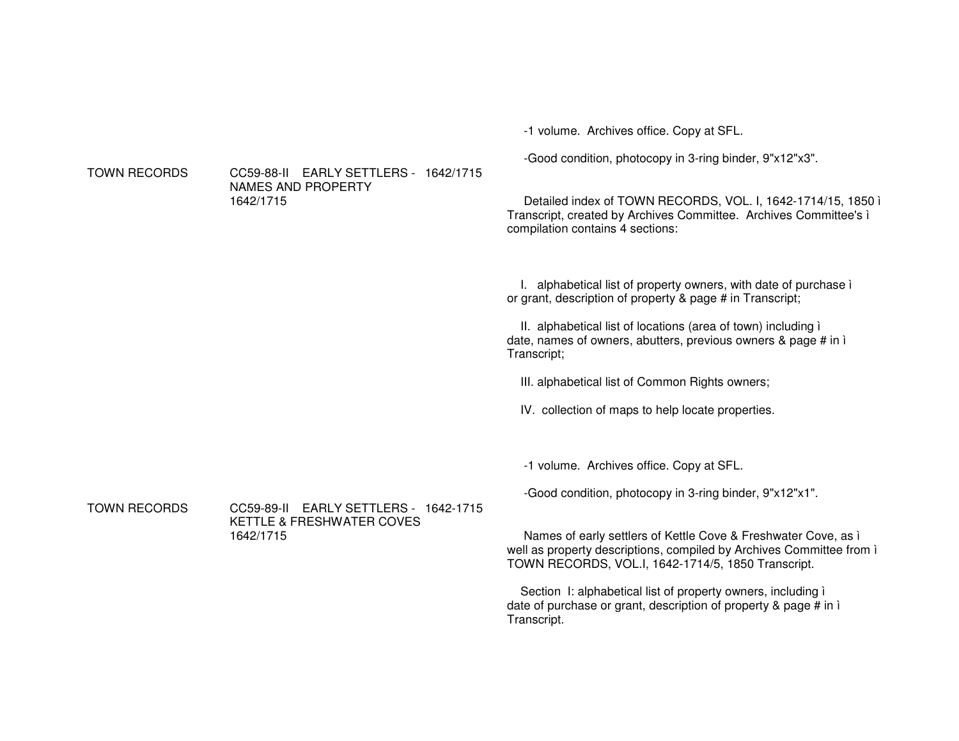-1 volume. Archives office. Copy at SFL.

-Good condition, photocopy in 3-ring binder, 9"x12"x3".

Detailed index of TOWN RECORDS, VOL. I, 1642-1714/15, 1850 ì Transcript, created by Archives Committee. Archives Committee's ì compilation contains 4 sections:

I. alphabetical list of property owners, with date of purchase ì or grant, description of property & page # in Transcript;

II. alphabetical list of locations (area of town) including ì date, names of owners, abutters, previous owners & page # in ì Transcript;

III. alphabetical list of Common Rights owners;

IV. collection of maps to help locate properties.

-1 volume. Archives office. Copy at SFL.

-Good condition, photocopy in 3-ring binder, 9"x12"x1".

Names of early settlers of Kettle Cove & Freshwater Cove, as ì well as property descriptions, compiled by Archives Committee from ì TOWN RECORDS, VOL.I, 1642-1714/5, 1850 Transcript.

Section I: alphabetical list of property owners, including ì date of purchase or grant, description of property & page # in ì Transcript.

**TOWN RECORDS** 

 RECORDS CC59-88-II EARLY SETTLERS - 1642/1715NAMES AND PROPERTY 1642/1715

**TOWN RECORDS**  RECORDS CC59-89-II EARLY SETTLERS - 1642-1715KETTLE & FRESHWATER COVES 1642/1715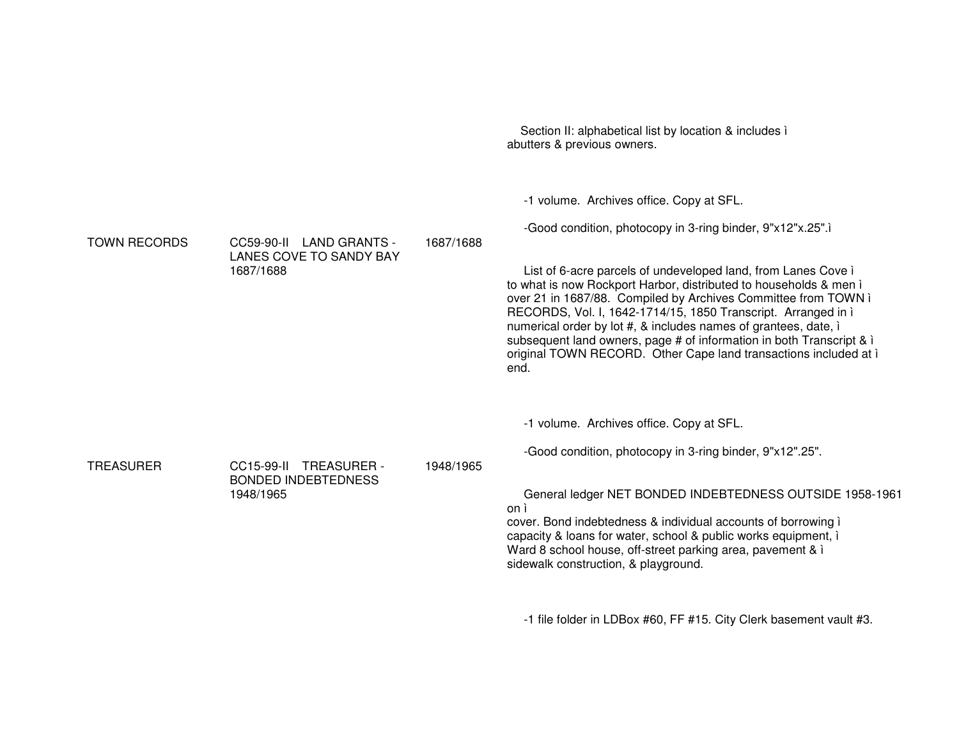Section II: alphabetical list by location & includes ì abutters & previous owners. -1 volume. Archives office. Copy at SFL. -Good condition, photocopy in 3-ring binder, 9"x12"x.25".ì **TOWN RECORDS** CC59-90-II LAND GRANTS -LANES COVE TO SANDY BAY 1687/16881687/1688List of 6-acre parcels of undeveloped land, from Lanes Cove ì to what is now Rockport Harbor, distributed to households & men ì over 21 in 1687/88. Compiled by Archives Committee from TOWN ì RECORDS, Vol. I, 1642-1714/15, 1850 Transcript. Arranged in ì numerical order by lot #, & includes names of grantees, date, ì subsequent land owners, page # of information in both Transcript & *i* original TOWN RECORD. Other Cape land transactions included at ì end.-1 volume. Archives office. Copy at SFL. -Good condition, photocopy in 3-ring binder, 9"x12".25". TREASURER CC15-99-II TREASURER - BONDED INDEBTEDNESS 1948/19651948/1965General ledger NET BONDED INDEBTEDNESS OUTSIDE 1958-1961 on ì cover. Bond indebtedness & individual accounts of borrowing ì capacity & loans for water, school & public works equipment, ì Ward 8 school house, off-street parking area, pavement & ì sidewalk construction, & playground.

-1 file folder in LDBox #60, FF #15. City Clerk basement vault #3.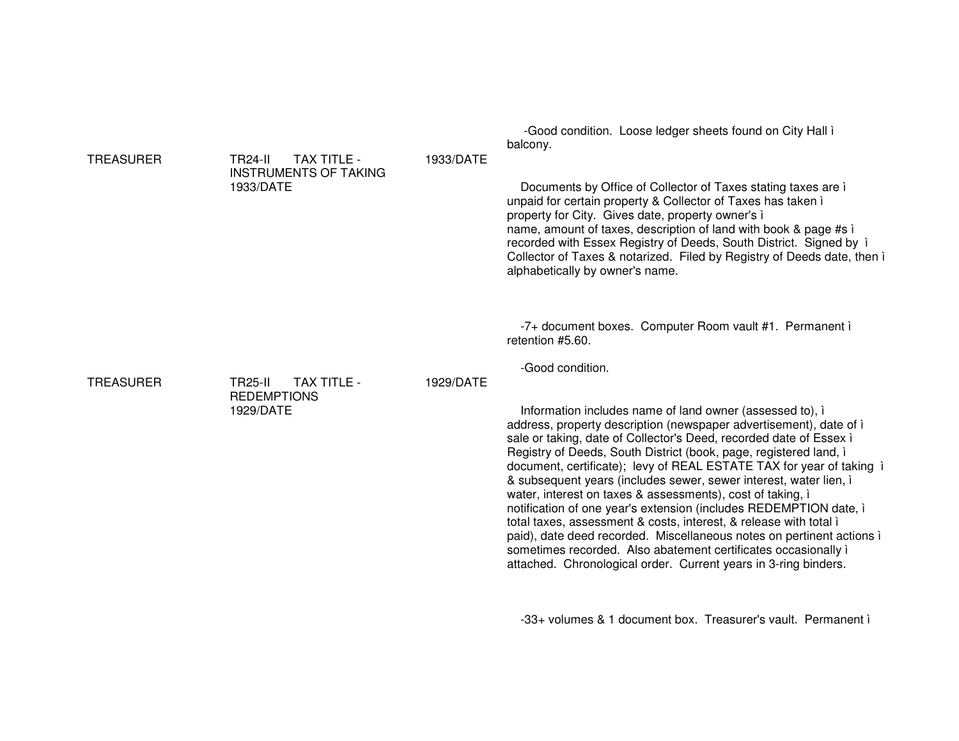|                  |                                                                            |           | -Good condition. Loose ledger sheets found on City Hall i<br>balcony.                                                                                                                                                                                                                                                                                                                                                                                                                                                                                                                                                                                                                                                                                                                                                                                            |
|------------------|----------------------------------------------------------------------------|-----------|------------------------------------------------------------------------------------------------------------------------------------------------------------------------------------------------------------------------------------------------------------------------------------------------------------------------------------------------------------------------------------------------------------------------------------------------------------------------------------------------------------------------------------------------------------------------------------------------------------------------------------------------------------------------------------------------------------------------------------------------------------------------------------------------------------------------------------------------------------------|
| <b>TREASURER</b> | TAX TITLE -<br><b>TR24-II</b><br><b>INSTRUMENTS OF TAKING</b><br>1933/DATE | 1933/DATE | Documents by Office of Collector of Taxes stating taxes are i<br>unpaid for certain property & Collector of Taxes has taken i<br>property for City. Gives date, property owner's i<br>name, amount of taxes, description of land with book & page #s i<br>recorded with Essex Registry of Deeds, South District. Signed by i<br>Collector of Taxes & notarized. Filed by Registry of Deeds date, then i<br>alphabetically by owner's name.                                                                                                                                                                                                                                                                                                                                                                                                                       |
|                  |                                                                            |           | -7+ document boxes. Computer Room vault #1. Permanent i<br>retention #5.60.                                                                                                                                                                                                                                                                                                                                                                                                                                                                                                                                                                                                                                                                                                                                                                                      |
| <b>TREASURER</b> | <b>TR25-II</b><br><b>TAX TITLE -</b><br><b>REDEMPTIONS</b><br>1929/DATE    | 1929/DATE | -Good condition.<br>Information includes name of land owner (assessed to), i<br>address, property description (newspaper advertisement), date of i<br>sale or taking, date of Collector's Deed, recorded date of Essex i<br>Registry of Deeds, South District (book, page, registered land, i<br>document, certificate); levy of REAL ESTATE TAX for year of taking i<br>& subsequent years (includes sewer, sewer interest, water lien, i<br>water, interest on taxes & assessments), cost of taking, i<br>notification of one year's extension (includes REDEMPTION date, i<br>total taxes, assessment & costs, interest, & release with total i<br>paid), date deed recorded. Miscellaneous notes on pertinent actions i<br>sometimes recorded. Also abatement certificates occasionally i<br>attached. Chronological order. Current years in 3-ring binders. |

-33+ volumes & 1 document box. Treasurer's vault. Permanent i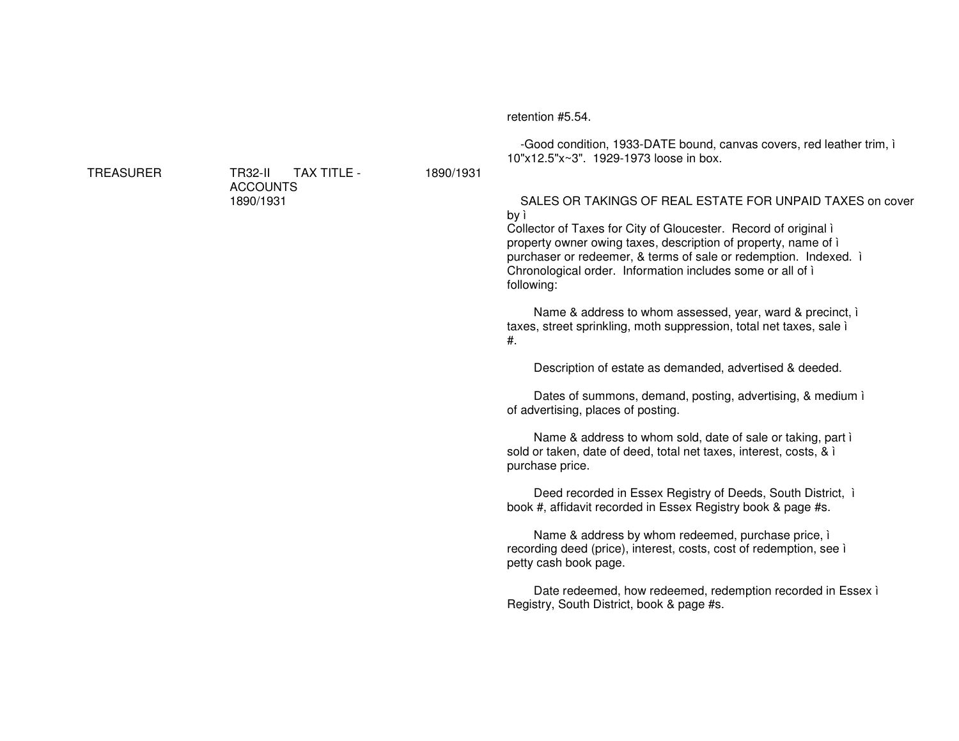#### retention #5.54.

1890/1931

-Good condition, 1933-DATE bound, canvas covers, red leather trim, i 10"x12.5"x~3", 1929-1973 loose in box.

# SALES OR TAKINGS OF REAL ESTATE FOR UNPAID TAXES on cover by ì

Collector of Taxes for City of Gloucester. Record of original i property owner owing taxes, description of property, name of i purchaser or redeemer, & terms of sale or redemption. Indexed. i Chronological order. Information includes some or all of i following:

Name & address to whom assessed, year, ward & precinct, i taxes, street sprinkling, moth suppression, total net taxes, sale i  $#$ .

Description of estate as demanded, advertised & deeded.

Dates of summons, demand, posting, advertising, & medium i of advertising, places of posting.

Name & address to whom sold, date of sale or taking, part i sold or taken, date of deed, total net taxes, interest, costs, & i purchase price.

Deed recorded in Essex Registry of Deeds, South District, i book #, affidavit recorded in Essex Registry book & page #s.

Name & address by whom redeemed, purchase price, i recording deed (price), interest, costs, cost of redemption, see i petty cash book page.

Date redeemed, how redeemed, redemption recorded in Essex i Registry, South District, book & page #s.

**TREASURER** 

**TR32-II** TAX TITLE -**ACCOUNTS** 1890/1931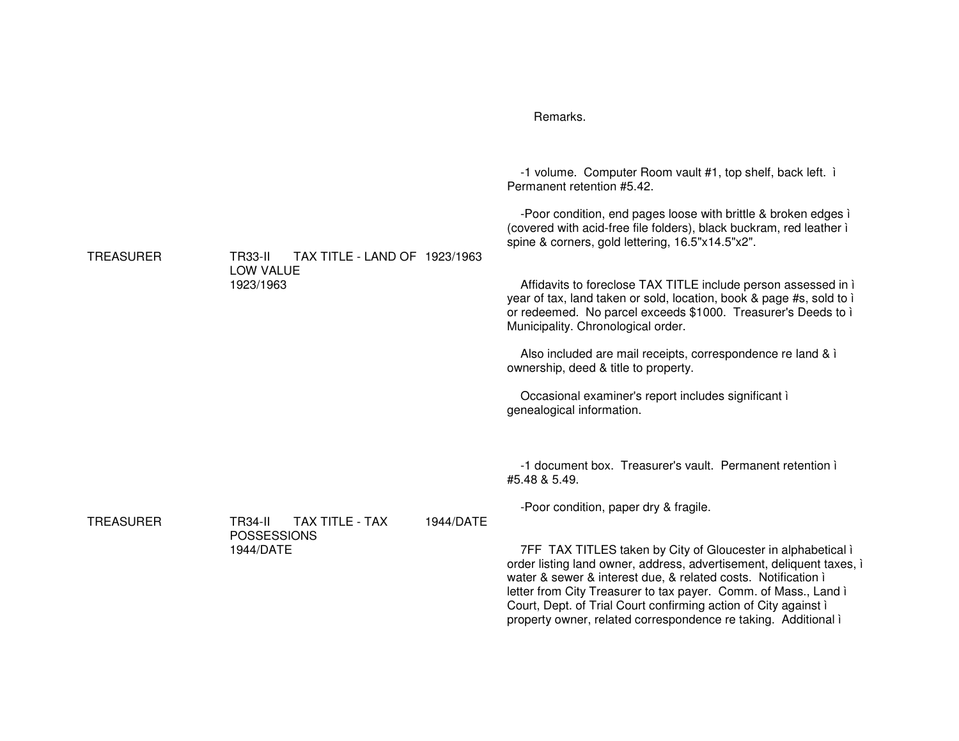|                  |                                                                                   | Remarks.                                                                                                                                                                                                                                                                                                                                                                                                                                                                                                                                                                                                                                                                                                                          |
|------------------|-----------------------------------------------------------------------------------|-----------------------------------------------------------------------------------------------------------------------------------------------------------------------------------------------------------------------------------------------------------------------------------------------------------------------------------------------------------------------------------------------------------------------------------------------------------------------------------------------------------------------------------------------------------------------------------------------------------------------------------------------------------------------------------------------------------------------------------|
| <b>TREASURER</b> | <b>TR33-II</b><br>TAX TITLE - LAND OF 1923/1963<br>LOW VALUE<br>1923/1963         | -1 volume. Computer Room vault #1, top shelf, back left. i<br>Permanent retention #5.42.<br>-Poor condition, end pages loose with brittle & broken edges i<br>(covered with acid-free file folders), black buckram, red leather i<br>spine & corners, gold lettering, 16.5"x14.5"x2".<br>Affidavits to foreclose TAX TITLE include person assessed in i<br>year of tax, land taken or sold, location, book & page #s, sold to i<br>or redeemed. No parcel exceeds \$1000. Treasurer's Deeds to i<br>Municipality. Chronological order.<br>Also included are mail receipts, correspondence re land & i<br>ownership, deed & title to property.<br>Occasional examiner's report includes significant i<br>genealogical information. |
| <b>TREASURER</b> | TAX TITLE - TAX<br>1944/DATE<br><b>TR34-II</b><br><b>POSSESSIONS</b><br>1944/DATE | -1 document box. Treasurer's vault. Permanent retention i<br>#5.48 & 5.49.<br>-Poor condition, paper dry & fragile.<br>7FF TAX TITLES taken by City of Gloucester in alphabetical i<br>order listing land owner, address, advertisement, deliquent taxes, i<br>water & sewer & interest due, & related costs. Notification i<br>letter from City Treasurer to tax payer. Comm. of Mass., Land i<br>Court, Dept. of Trial Court confirming action of City against i<br>property owner, related correspondence re taking. Additional i                                                                                                                                                                                              |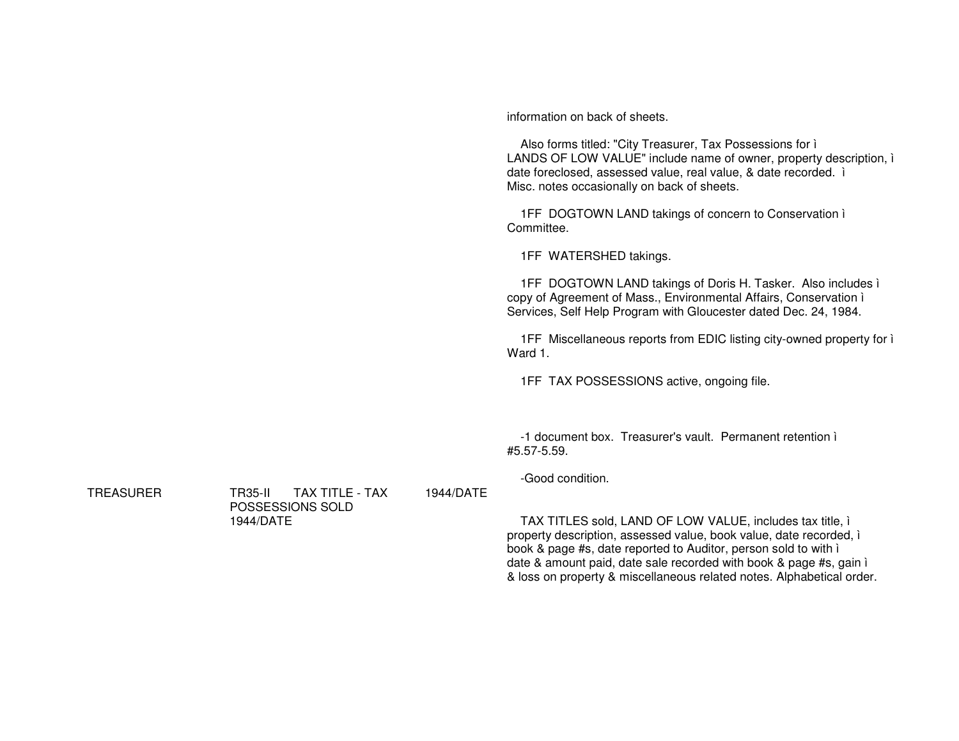information on back of sheets.

Also forms titled: "City Treasurer, Tax Possessions for i LANDS OF LOW VALUE" include name of owner, property description, i date foreclosed, assessed value, real value, & date recorded. i Misc. notes occasionally on back of sheets.

1FF DOGTOWN LAND takings of concern to Conservation i Committee.

1FF WATERSHED takings.

1FF DOGTOWN LAND takings of Doris H. Tasker. Also includes i copy of Agreement of Mass., Environmental Affairs, Conservation i Services, Self Help Program with Gloucester dated Dec. 24, 1984.

1FF Miscellaneous reports from EDIC listing city-owned property for i Ward 1.

1FF TAX POSSESSIONS active, ongoing file.

-1 document box. Treasurer's vault. Permanent retention i #5.57-5.59.

-Good condition.

1944/DATE

TAX TITLES sold, LAND OF LOW VALUE, includes tax title, i property description, assessed value, book value, date recorded, i book & page #s, date reported to Auditor, person sold to with i date & amount paid, date sale recorded with book & page #s, gain i & loss on property & miscellaneous related notes. Alphabetical order.

**TREASURER** 

**TR35-II** TAX TITLE - TAX POSSESSIONS SOLD 1944/DATE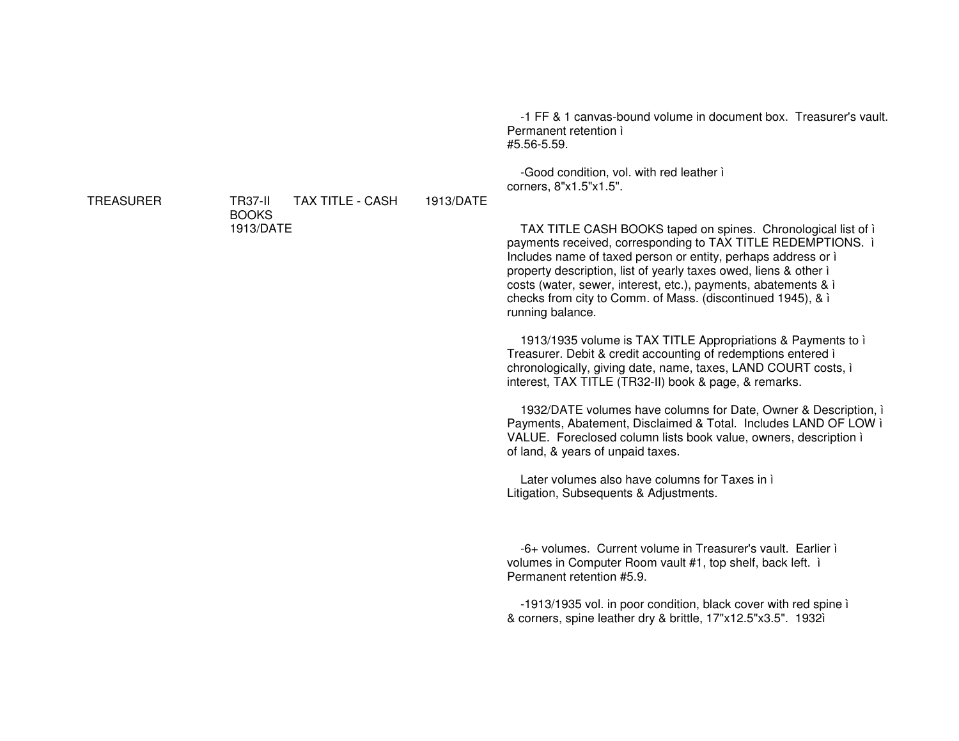**TREASURER** 

**TAX TITLE - CASH** 1913/DATE **TR37-II BOOKS** 1913/DATE

-1 FF & 1 canvas-bound volume in document box. Treasurer's vault. Permanent retention i #5.56-5.59.

-Good condition, vol. with red leather i corners. 8"x1.5"x1.5".

TAX TITLE CASH BOOKS taped on spines. Chronological list of i payments received, corresponding to TAX TITLE REDEMPTIONS. i Includes name of taxed person or entity, perhaps address or i property description, list of yearly taxes owed, liens & other i costs (water, sewer, interest, etc.), payments, abatements & i checks from city to Comm. of Mass. (discontinued 1945), & i running balance.

1913/1935 volume is TAX TITLE Appropriations & Payments to i Treasurer. Debit & credit accounting of redemptions entered i chronologically, giving date, name, taxes, LAND COURT costs, i interest, TAX TITLE (TR32-II) book & page, & remarks.

1932/DATE volumes have columns for Date, Owner & Description, i Payments, Abatement, Disclaimed & Total. Includes LAND OF LOW i VALUE. Foreclosed column lists book value, owners, description i of land, & years of unpaid taxes.

Later volumes also have columns for Taxes in i Litigation, Subsequents & Adjustments.

-6+ volumes. Current volume in Treasurer's vault. Earlier i volumes in Computer Room vault #1, top shelf, back left. i Permanent retention #5.9.

-1913/1935 vol. in poor condition, black cover with red spine i & corners, spine leather dry & brittle, 17"x12.5"x3.5". 1932ì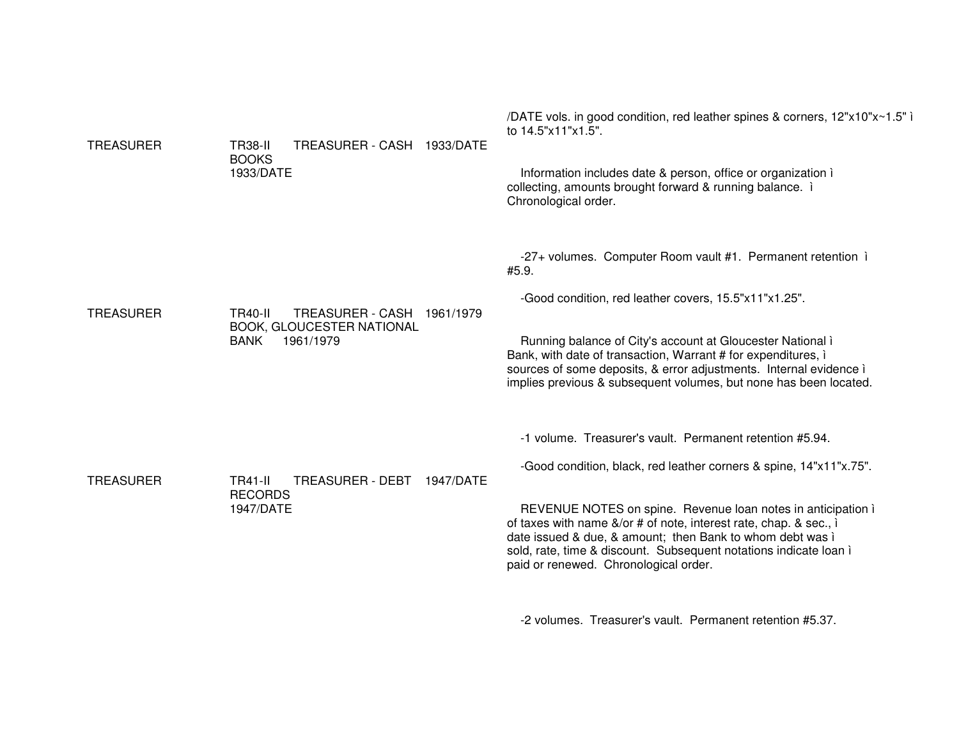| <b>TREASURER</b> | <b>TR38-II</b><br>TREASURER - CASH 1933/DATE<br><b>BOOKS</b><br>1933/DATE                             | /DATE vols. in good condition, red leather spines & corners, 12"x10"x~1.5"<br>to 14.5"x11"x1.5".<br>Information includes date & person, office or organization i<br>collecting, amounts brought forward & running balance. i<br>Chronological order.                                                                                                                                                                                           |
|------------------|-------------------------------------------------------------------------------------------------------|------------------------------------------------------------------------------------------------------------------------------------------------------------------------------------------------------------------------------------------------------------------------------------------------------------------------------------------------------------------------------------------------------------------------------------------------|
| <b>TREASURER</b> | TREASURER - CASH 1961/1979<br><b>TR40-II</b><br>BOOK, GLOUCESTER NATIONAL<br><b>BANK</b><br>1961/1979 | -27+ volumes. Computer Room vault #1. Permanent retention i<br>#5.9.<br>-Good condition, red leather covers, 15.5"x11"x1.25".<br>Running balance of City's account at Gloucester National i<br>Bank, with date of transaction, Warrant # for expenditures, i<br>sources of some deposits, & error adjustments. Internal evidence i<br>implies previous & subsequent volumes, but none has been located.                                        |
| <b>TREASURER</b> | TREASURER - DEBT<br><b>TR41-II</b><br>1947/DATE<br><b>RECORDS</b><br>1947/DATE                        | -1 volume. Treasurer's vault. Permanent retention #5.94.<br>-Good condition, black, red leather corners & spine, 14"x11"x.75".<br>REVENUE NOTES on spine. Revenue loan notes in anticipation i<br>of taxes with name &/or # of note, interest rate, chap. & sec., i<br>date issued & due, & amount; then Bank to whom debt was i<br>sold, rate, time & discount. Subsequent notations indicate loan i<br>paid or renewed. Chronological order. |

-2 volumes. Treasurer's vault. Permanent retention #5.37.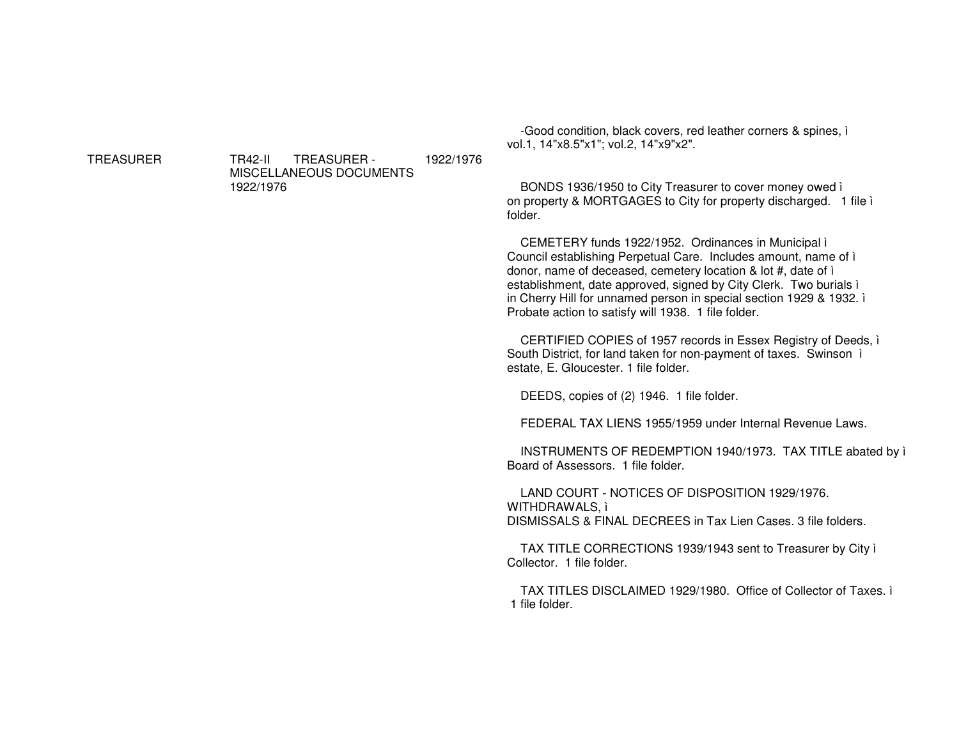**TREASURER** 

**TR42-II TREASURER-**1922/1976 MISCELLANEOUS DOCUMENTS 1922/1976

-Good condition, black covers, red leather corners & spines, i vol.1, 14"x8.5"x1"; vol.2, 14"x9"x2".

BONDS 1936/1950 to City Treasurer to cover money owed i on property & MORTGAGES to City for property discharged. 1 file i folder.

CEMETERY funds 1922/1952. Ordinances in Municipal i Council establishing Perpetual Care. Includes amount, name of i donor, name of deceased, cemetery location & lot #, date of i establishment, date approved, signed by City Clerk. Two burials i in Cherry Hill for unnamed person in special section 1929 & 1932. i Probate action to satisfy will 1938. 1 file folder.

CERTIFIED COPIES of 1957 records in Essex Registry of Deeds, i South District, for land taken for non-payment of taxes. Swinson i estate, E. Gloucester. 1 file folder.

DEEDS, copies of (2) 1946. 1 file folder.

FEDERAL TAX LIENS 1955/1959 under Internal Revenue Laws.

INSTRUMENTS OF REDEMPTION 1940/1973. TAX TITLE abated by i Board of Assessors. 1 file folder.

LAND COURT - NOTICES OF DISPOSITION 1929/1976. WITHDRAWALS, i DISMISSALS & FINAL DECREES in Tax Lien Cases, 3 file folders.

TAX TITLE CORRECTIONS 1939/1943 sent to Treasurer by City i Collector. 1 file folder.

TAX TITLES DISCLAIMED 1929/1980. Office of Collector of Taxes. i 1 file folder.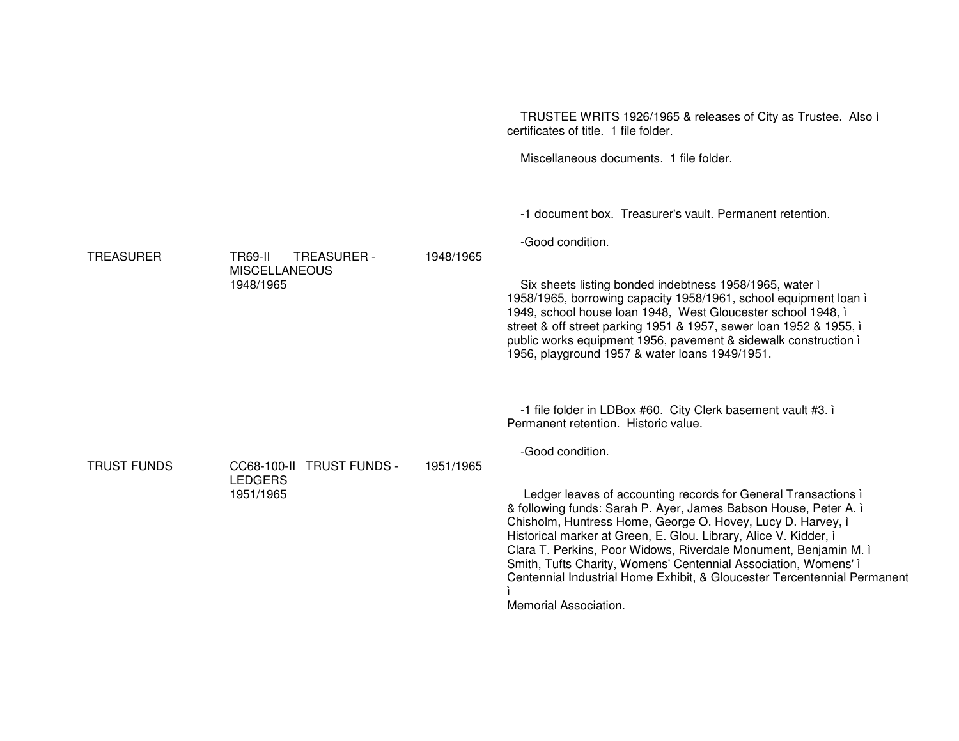|                    |                                                                    |           | TRUSTEE WRITS 1926/1965 & releases of City as Trustee. Also i<br>certificates of title. 1 file folder.                                                                                                                                                                                                                                                                                                                                                                                                            |
|--------------------|--------------------------------------------------------------------|-----------|-------------------------------------------------------------------------------------------------------------------------------------------------------------------------------------------------------------------------------------------------------------------------------------------------------------------------------------------------------------------------------------------------------------------------------------------------------------------------------------------------------------------|
|                    |                                                                    |           | Miscellaneous documents. 1 file folder.                                                                                                                                                                                                                                                                                                                                                                                                                                                                           |
| <b>TREASURER</b>   | <b>TR69-II</b><br>TREASURER -<br><b>MISCELLANEOUS</b><br>1948/1965 | 1948/1965 | -1 document box. Treasurer's vault. Permanent retention.<br>-Good condition.<br>Six sheets listing bonded indebtness 1958/1965, water i<br>1958/1965, borrowing capacity 1958/1961, school equipment loan i<br>1949, school house loan 1948, West Gloucester school 1948, i<br>street & off street parking 1951 & 1957, sewer loan 1952 & 1955, i<br>public works equipment 1956, pavement & sidewalk construction i<br>1956, playground 1957 & water loans 1949/1951.                                            |
| <b>TRUST FUNDS</b> | CC68-100-II TRUST FUNDS -<br><b>LEDGERS</b><br>1951/1965           | 1951/1965 | -1 file folder in LDBox #60. City Clerk basement vault #3. i<br>Permanent retention. Historic value.<br>-Good condition.                                                                                                                                                                                                                                                                                                                                                                                          |
|                    |                                                                    |           | Ledger leaves of accounting records for General Transactions i<br>& following funds: Sarah P. Ayer, James Babson House, Peter A. i<br>Chisholm, Huntress Home, George O. Hovey, Lucy D. Harvey, i<br>Historical marker at Green, E. Glou. Library, Alice V. Kidder, i<br>Clara T. Perkins, Poor Widows, Riverdale Monument, Benjamin M. ì<br>Smith, Tufts Charity, Womens' Centennial Association, Womens' i<br>Centennial Industrial Home Exhibit, & Gloucester Tercentennial Permanent<br>Memorial Association. |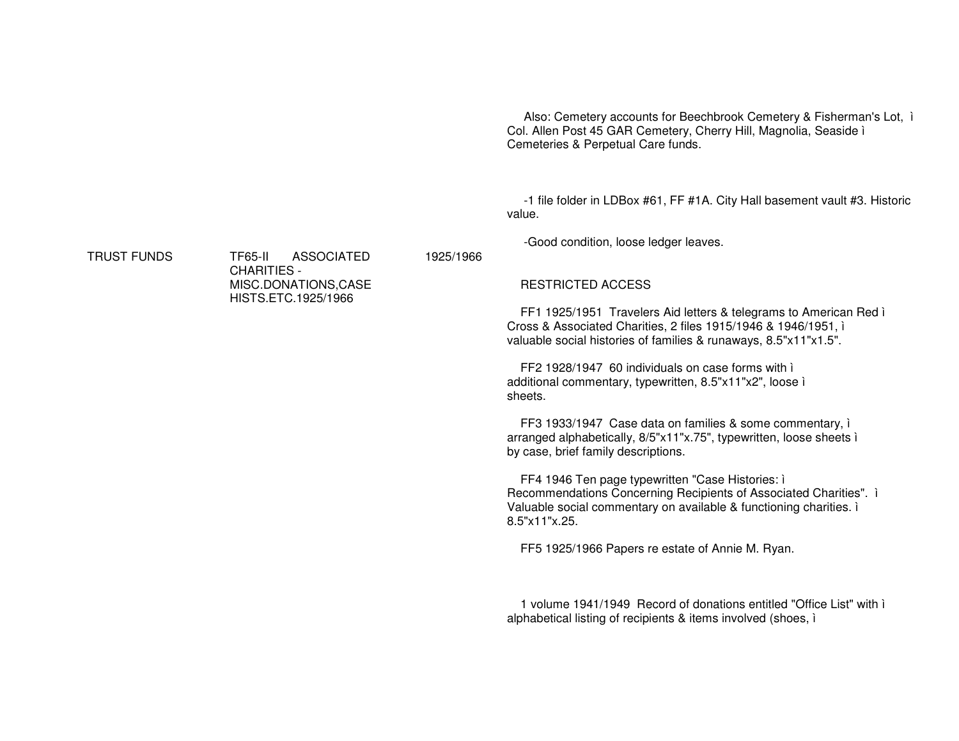Also: Cemetery accounts for Beechbrook Cemetery & Fisherman's Lot, ì Col. Allen Post 45 GAR Cemetery, Cherry Hill, Magnolia, Seaside ì Cemeteries & Perpetual Care funds.

-1 file folder in LDBox #61, FF #1A. City Hall basement vault #3. Historic value.

-Good condition, loose ledger leaves.

RESTRICTED ACCESS

1925/1966

FF1 1925/1951 Travelers Aid letters & telegrams to American Red ì Cross & Associated Charities, 2 files 1915/1946 & 1946/1951, ì valuable social histories of families & runaways, 8.5"x11"x1.5".

FF2 1928/1947 60 individuals on case forms with ì additional commentary, typewritten, 8.5"x11"x2", loose ì sheets.

FF3 1933/1947 Case data on families & some commentary, ì arranged alphabetically, 8/5"x11"x.75", typewritten, loose sheets ì by case, brief family descriptions.

FF4 1946 Ten page typewritten "Case Histories: ì Recommendations Concerning Recipients of Associated Charities". ì Valuable social commentary on available & functioning charities. ì 8.5"x11"x.25.

FF5 1925/1966 Papers re estate of Annie M. Ryan.

1 volume 1941/1949 Record of donations entitled "Office List" with ì alphabetical listing of recipients & items involved (shoes, ì

TRUST FUNDS

 TF65-II ASSOCIATEDCHARITIES - MISC.DONATIONS,CASE HISTS.ETC.1925/1966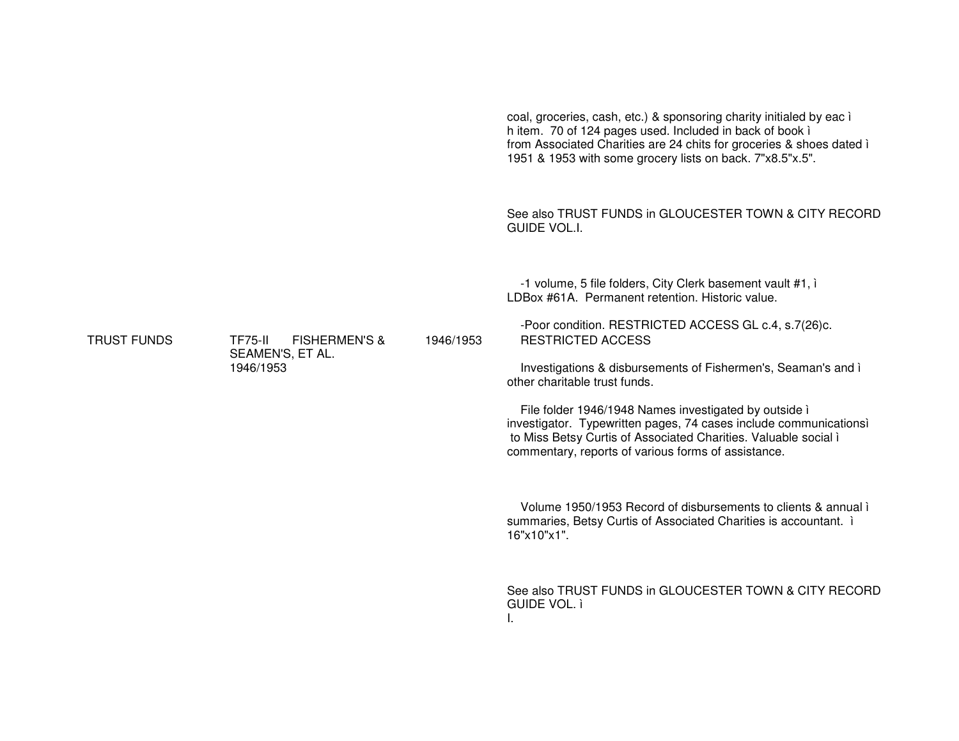|                    |                                            |           | coal, groceries, cash, etc.) & sponsoring charity initialed by eac i<br>h item. 70 of 124 pages used. Included in back of book i<br>from Associated Charities are 24 chits for groceries & shoes dated i<br>1951 & 1953 with some grocery lists on back. 7"x8.5"x.5". |
|--------------------|--------------------------------------------|-----------|-----------------------------------------------------------------------------------------------------------------------------------------------------------------------------------------------------------------------------------------------------------------------|
|                    |                                            |           | See also TRUST FUNDS in GLOUCESTER TOWN & CITY RECORD<br><b>GUIDE VOL.I.</b>                                                                                                                                                                                          |
|                    |                                            | 1946/1953 | -1 volume, 5 file folders, City Clerk basement vault #1, i<br>LDBox #61A. Permanent retention. Historic value.                                                                                                                                                        |
| <b>TRUST FUNDS</b> | <b>TF75-II</b><br><b>FISHERMEN'S &amp;</b> |           | -Poor condition. RESTRICTED ACCESS GL c.4, s.7(26)c.<br><b>RESTRICTED ACCESS</b>                                                                                                                                                                                      |
|                    | SEAMEN'S, ET AL.<br>1946/1953              |           | Investigations & disbursements of Fishermen's, Seaman's and i<br>other charitable trust funds.                                                                                                                                                                        |
|                    |                                            |           | File folder 1946/1948 Names investigated by outside i<br>investigator. Typewritten pages, 74 cases include communicationsì<br>to Miss Betsy Curtis of Associated Charities. Valuable social i<br>commentary, reports of various forms of assistance.                  |
|                    |                                            |           | Volume 1950/1953 Record of disbursements to clients & annual i<br>summaries, Betsy Curtis of Associated Charities is accountant. i<br>16"x10"x1".                                                                                                                     |
|                    |                                            |           | See also TRUST FUNDS in GLOUCESTER TOWN & CITY RECORD<br><b>GUIDE VOL. ì</b>                                                                                                                                                                                          |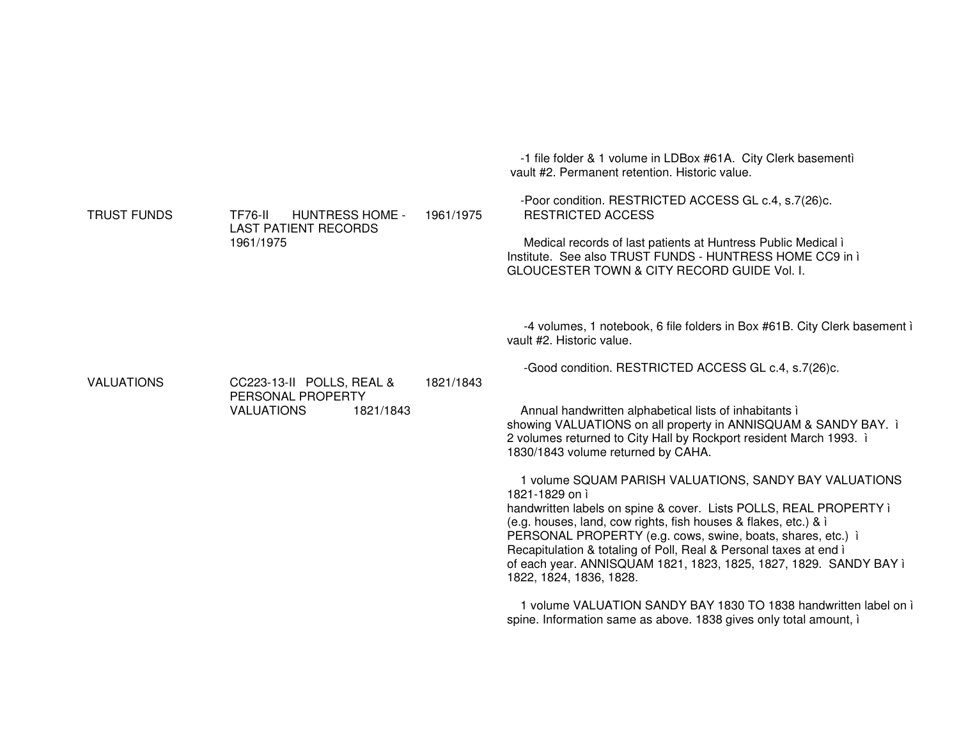|                    |                                                |           | -1 file folder & 1 volume in LDBox #61A. City Clerk basementi<br>vault #2. Permanent retention. Historic value.                                                                                                                                                                                     |
|--------------------|------------------------------------------------|-----------|-----------------------------------------------------------------------------------------------------------------------------------------------------------------------------------------------------------------------------------------------------------------------------------------------------|
| <b>TRUST FUNDS</b> | <b>TF76-II</b><br><b>HUNTRESS HOME -</b>       | 1961/1975 | -Poor condition. RESTRICTED ACCESS GL c.4, s.7(26)c.<br><b>RESTRICTED ACCESS</b>                                                                                                                                                                                                                    |
|                    | <b>LAST PATIENT RECORDS</b><br>1961/1975       |           | Medical records of last patients at Huntress Public Medical i<br>Institute. See also TRUST FUNDS - HUNTRESS HOME CC9 in i<br>GLOUCESTER TOWN & CITY RECORD GUIDE Vol. I.                                                                                                                            |
|                    |                                                |           | -4 volumes, 1 notebook, 6 file folders in Box #61B. City Clerk basement i<br>vault #2. Historic value.                                                                                                                                                                                              |
| <b>VALUATIONS</b>  | CC223-13-II POLLS, REAL &<br>PERSONAL PROPERTY | 1821/1843 | -Good condition. RESTRICTED ACCESS GL c.4, s.7(26)c.                                                                                                                                                                                                                                                |
|                    | <b>VALUATIONS</b><br>1821/1843                 |           | Annual handwritten alphabetical lists of inhabitants i<br>showing VALUATIONS on all property in ANNISQUAM & SANDY BAY. i<br>2 volumes returned to City Hall by Rockport resident March 1993. i<br>1830/1843 volume returned by CAHA.                                                                |
|                    |                                                |           | 1 volume SQUAM PARISH VALUATIONS, SANDY BAY VALUATIONS<br>1821-1829 on i<br>handwritten labels on spine & cover. Lists POLLS, REAL PROPERTY ì                                                                                                                                                       |
|                    |                                                |           | (e.g. houses, land, cow rights, fish houses & flakes, etc.) & i<br>PERSONAL PROPERTY (e.g. cows, swine, boats, shares, etc.) i<br>Recapitulation & totaling of Poll, Real & Personal taxes at end i<br>of each year. ANNISQUAM 1821, 1823, 1825, 1827, 1829. SANDY BAY ì<br>1822, 1824, 1836, 1828. |
|                    |                                                |           | 1 volume VALUATION SANDY BAY 1830 TO 1838 handwritten label on i<br>spine. Information same as above. 1838 gives only total amount, i                                                                                                                                                               |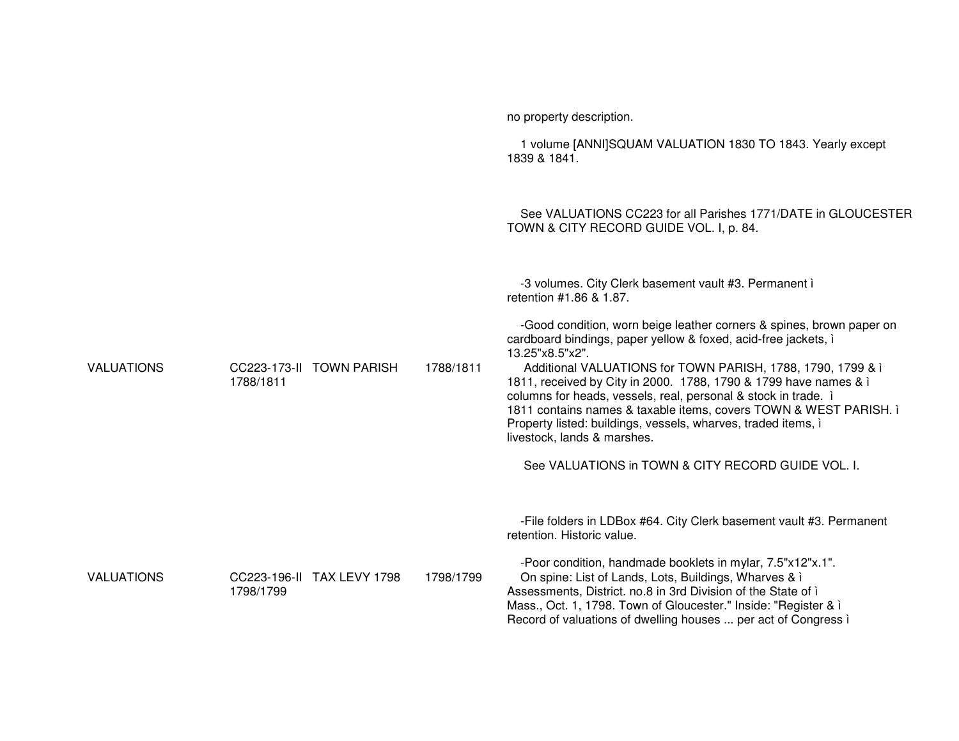|                   |           |                            |           | no property description.                                                                                                                                                                                                                                                                                                                                                                                                                                                                                                            |
|-------------------|-----------|----------------------------|-----------|-------------------------------------------------------------------------------------------------------------------------------------------------------------------------------------------------------------------------------------------------------------------------------------------------------------------------------------------------------------------------------------------------------------------------------------------------------------------------------------------------------------------------------------|
|                   |           |                            |           | 1 volume [ANNI]SQUAM VALUATION 1830 TO 1843. Yearly except<br>1839 & 1841.                                                                                                                                                                                                                                                                                                                                                                                                                                                          |
|                   |           |                            |           | See VALUATIONS CC223 for all Parishes 1771/DATE in GLOUCESTER<br>TOWN & CITY RECORD GUIDE VOL. I, p. 84.                                                                                                                                                                                                                                                                                                                                                                                                                            |
|                   |           |                            |           | -3 volumes. City Clerk basement vault #3. Permanent i<br>retention #1.86 & 1.87.                                                                                                                                                                                                                                                                                                                                                                                                                                                    |
| <b>VALUATIONS</b> | 1788/1811 | CC223-173-II TOWN PARISH   | 1788/1811 | -Good condition, worn beige leather corners & spines, brown paper on<br>cardboard bindings, paper yellow & foxed, acid-free jackets, i<br>13.25"x8.5"x2".<br>Additional VALUATIONS for TOWN PARISH, 1788, 1790, 1799 & i<br>1811, received by City in 2000. 1788, 1790 & 1799 have names & i<br>columns for heads, vessels, real, personal & stock in trade. i<br>1811 contains names & taxable items, covers TOWN & WEST PARISH. i<br>Property listed: buildings, vessels, wharves, traded items, i<br>livestock, lands & marshes. |
|                   |           |                            |           | See VALUATIONS in TOWN & CITY RECORD GUIDE VOL. I.                                                                                                                                                                                                                                                                                                                                                                                                                                                                                  |
|                   |           |                            |           | -File folders in LDBox #64. City Clerk basement vault #3. Permanent<br>retention. Historic value.                                                                                                                                                                                                                                                                                                                                                                                                                                   |
| <b>VALUATIONS</b> | 1798/1799 | CC223-196-II TAX LEVY 1798 | 1798/1799 | -Poor condition, handmade booklets in mylar, 7.5"x12"x.1".<br>On spine: List of Lands, Lots, Buildings, Wharves & i<br>Assessments, District. no.8 in 3rd Division of the State of i<br>Mass., Oct. 1, 1798. Town of Gloucester." Inside: "Register & i<br>Record of valuations of dwelling houses  per act of Congress i                                                                                                                                                                                                           |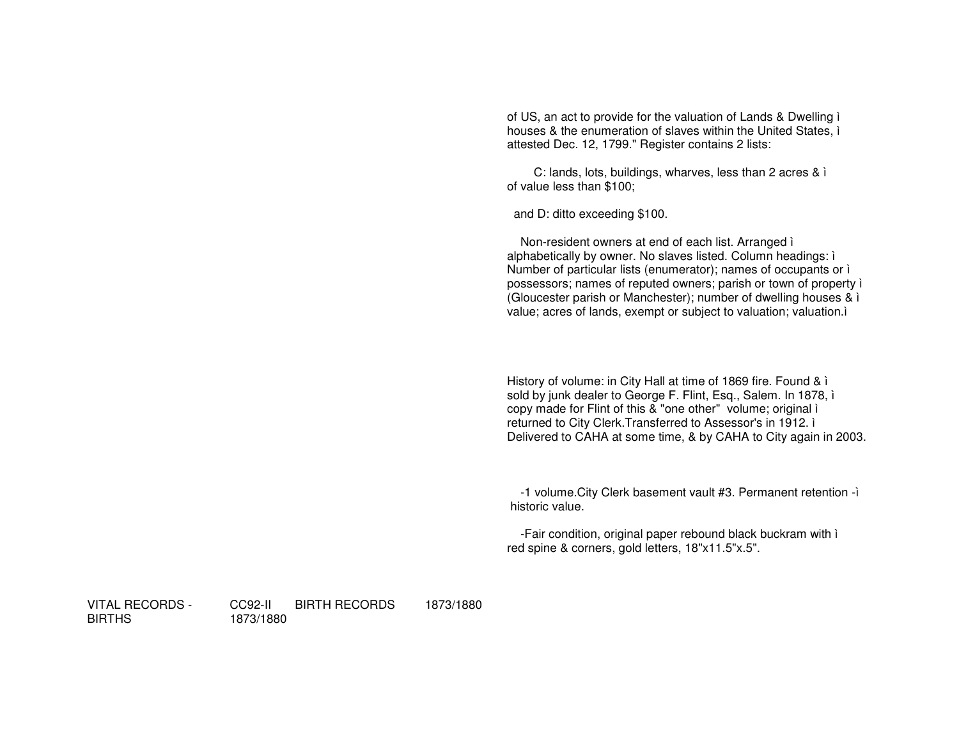of US, an act to provide for the valuation of Lands & Dwelling ì houses & the enumeration of slaves within the United States, ì attested Dec. 12, 1799." Register contains 2 lists:

C: lands, lots, buildings, wharves, less than 2 acres & ì of value less than \$100;

and D: ditto exceeding \$100.

Non-resident owners at end of each list. Arranged ì alphabetically by owner. No slaves listed. Column headings: ì Number of particular lists (enumerator); names of occupants or ì possessors; names of reputed owners; parish or town of property ì (Gloucester parish or Manchester); number of dwelling houses & ì value; acres of lands, exempt or subject to valuation; valuation.ì

History of volume: in City Hall at time of 1869 fire. Found & ì sold by junk dealer to George F. Flint, Esq., Salem. In 1878, ì copy made for Flint of this & "one other" volume; original ì returned to City Clerk.Transferred to Assessor's in 1912. ì Delivered to CAHA at some time, & by CAHA to City again in 2003.

-1 volume.City Clerk basement vault #3. Permanent retention -ì historic value.

-Fair condition, original paper rebound black buckram with ì red spine & corners, gold letters, 18"x11.5"x.5".

VITAL RECORDS - BIRTHS

CC92-II BIRTH RECORDS 1873/1880

1873/1880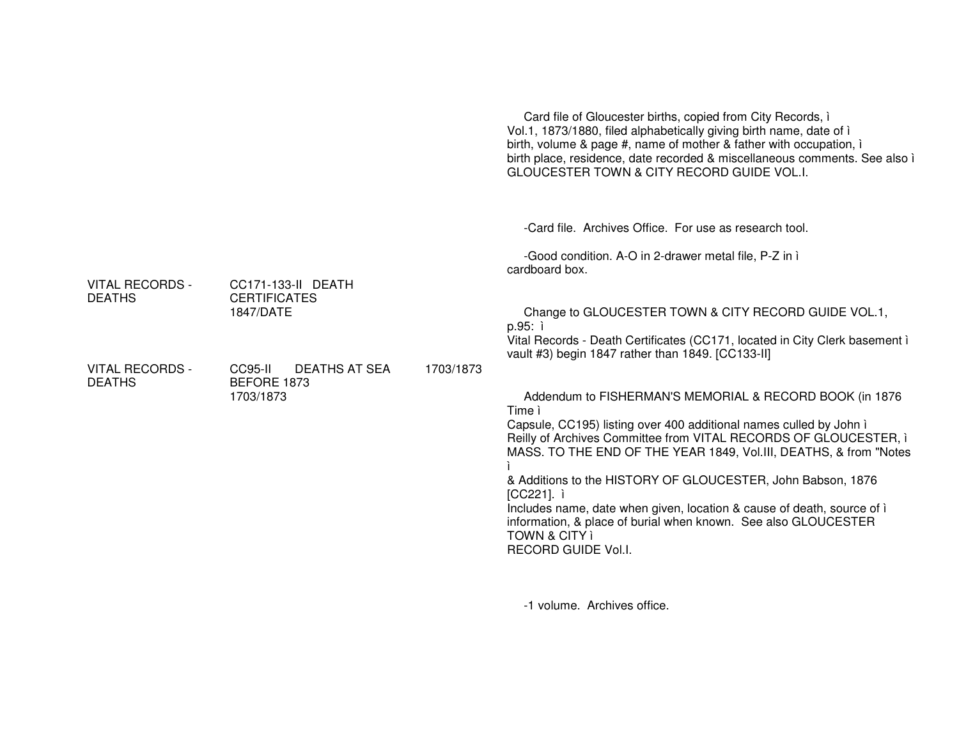|                                         |                                                        |           | Card file of Gloucester births, copied from City Records, i<br>Vol.1, 1873/1880, filed alphabetically giving birth name, date of i<br>birth, volume & page #, name of mother & father with occupation, i<br>birth place, residence, date recorded & miscellaneous comments. See also i<br>GLOUCESTER TOWN & CITY RECORD GUIDE VOL.I.                                                                                                                                                                                                                          |
|-----------------------------------------|--------------------------------------------------------|-----------|---------------------------------------------------------------------------------------------------------------------------------------------------------------------------------------------------------------------------------------------------------------------------------------------------------------------------------------------------------------------------------------------------------------------------------------------------------------------------------------------------------------------------------------------------------------|
|                                         |                                                        |           | -Card file. Archives Office. For use as research tool.                                                                                                                                                                                                                                                                                                                                                                                                                                                                                                        |
|                                         |                                                        |           | -Good condition. A-O in 2-drawer metal file, P-Z in i<br>cardboard box.                                                                                                                                                                                                                                                                                                                                                                                                                                                                                       |
| <b>VITAL RECORDS -</b><br><b>DEATHS</b> | CC171-133-II DEATH<br><b>CERTIFICATES</b><br>1847/DATE |           | Change to GLOUCESTER TOWN & CITY RECORD GUIDE VOL.1,<br>p.95:<br>Vital Records - Death Certificates (CC171, located in City Clerk basement i                                                                                                                                                                                                                                                                                                                                                                                                                  |
| <b>VITAL RECORDS -</b><br><b>DEATHS</b> | <b>DEATHS AT SEA</b><br>CC95-II<br>BEFORE 1873         | 1703/1873 | vault #3) begin 1847 rather than 1849. [CC133-II]                                                                                                                                                                                                                                                                                                                                                                                                                                                                                                             |
|                                         | 1703/1873                                              |           | Addendum to FISHERMAN'S MEMORIAL & RECORD BOOK (in 1876)<br>Time ì<br>Capsule, CC195) listing over 400 additional names culled by John i<br>Reilly of Archives Committee from VITAL RECORDS OF GLOUCESTER, i<br>MASS. TO THE END OF THE YEAR 1849, Vol.III, DEATHS, & from "Notes<br>& Additions to the HISTORY OF GLOUCESTER, John Babson, 1876<br>[CC221]. ì<br>Includes name, date when given, location & cause of death, source of i<br>information, & place of burial when known. See also GLOUCESTER<br><b>TOWN &amp; CITY ì</b><br>RECORD GUIDE Vol.I. |

-1 volume. Archives office.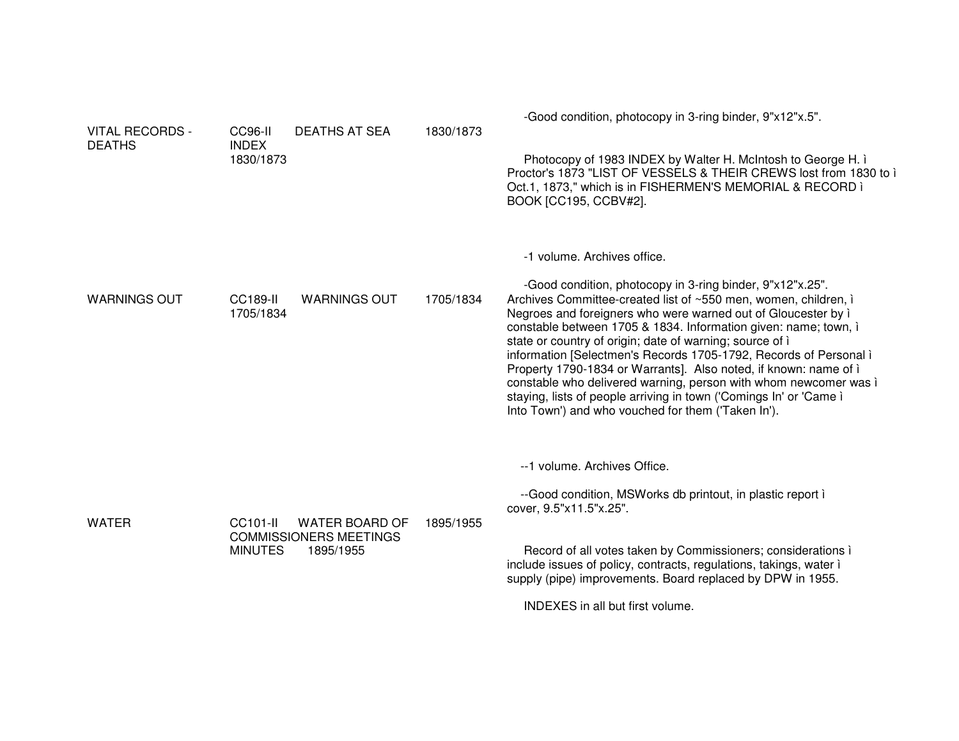| <b>VITAL RECORDS -</b><br><b>DEATHS</b> | CC96-II<br><b>INDEX</b><br>1830/1873 | <b>DEATHS AT SEA</b>                                         | 1830/1873 | -Good condition, photocopy in 3-ring binder, 9"x12"x.5".<br>Photocopy of 1983 INDEX by Walter H. McIntosh to George H. i.<br>Proctor's 1873 "LIST OF VESSELS & THEIR CREWS lost from 1830 to i<br>Oct.1, 1873," which is in FISHERMEN'S MEMORIAL & RECORD i<br>BOOK [CC195, CCBV#2].                                                                                                                                                                                                                                                                                                                                                                                                                 |
|-----------------------------------------|--------------------------------------|--------------------------------------------------------------|-----------|------------------------------------------------------------------------------------------------------------------------------------------------------------------------------------------------------------------------------------------------------------------------------------------------------------------------------------------------------------------------------------------------------------------------------------------------------------------------------------------------------------------------------------------------------------------------------------------------------------------------------------------------------------------------------------------------------|
| <b>WARNINGS OUT</b>                     | <b>CC189-II</b><br>1705/1834         | <b>WARNINGS OUT</b>                                          | 1705/1834 | -1 volume. Archives office.<br>-Good condition, photocopy in 3-ring binder, 9"x12"x.25".<br>Archives Committee-created list of ~550 men, women, children, i<br>Negroes and foreigners who were warned out of Gloucester by i<br>constable between 1705 & 1834. Information given: name; town, i<br>state or country of origin; date of warning; source of i<br>information [Selectmen's Records 1705-1792, Records of Personal i<br>Property 1790-1834 or Warrants]. Also noted, if known: name of i<br>constable who delivered warning, person with whom newcomer was i<br>staying, lists of people arriving in town ('Comings In' or 'Came i<br>Into Town') and who vouched for them ('Taken In'). |
| <b>WATER</b>                            | CC101-II<br><b>MINUTES</b>           | WATER BOARD OF<br><b>COMMISSIONERS MEETINGS</b><br>1895/1955 | 1895/1955 | --1 volume. Archives Office.<br>--Good condition, MSWorks db printout, in plastic report i<br>cover, 9.5"x11.5"x.25".<br>Record of all votes taken by Commissioners; considerations i<br>include issues of policy, contracts, regulations, takings, water i<br>supply (pipe) improvements. Board replaced by DPW in 1955.<br>INDEXES in all but first volume.                                                                                                                                                                                                                                                                                                                                        |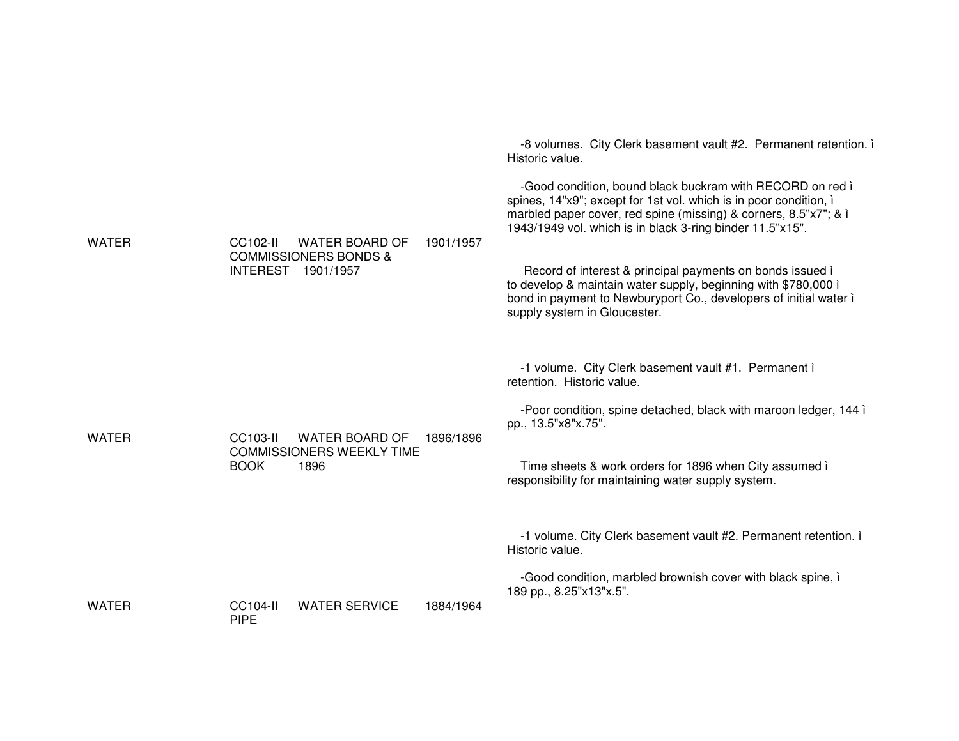|              |                                                         |           | -8 volumes. City Clerk basement vault #2. Permanent retention.<br>Historic value.                                                                                                                                                                               |
|--------------|---------------------------------------------------------|-----------|-----------------------------------------------------------------------------------------------------------------------------------------------------------------------------------------------------------------------------------------------------------------|
| <b>WATER</b> | CC102-II<br>WATER BOARD OF                              | 1901/1957 | -Good condition, bound black buckram with RECORD on red i<br>spines, 14"x9"; except for 1st vol. which is in poor condition, i<br>marbled paper cover, red spine (missing) & corners, 8.5"x7"; & i<br>1943/1949 vol. which is in black 3-ring binder 11.5"x15". |
|              | <b>COMMISSIONERS BONDS &amp;</b><br>INTEREST 1901/1957  |           | Record of interest & principal payments on bonds issued i<br>to develop & maintain water supply, beginning with \$780,000 i<br>bond in payment to Newburyport Co., developers of initial water i<br>supply system in Gloucester.                                |
|              |                                                         |           | -1 volume. City Clerk basement vault #1. Permanent i<br>retention. Historic value.                                                                                                                                                                              |
| <b>WATER</b> | CC103-II<br><b>WATER BOARD OF</b>                       | 1896/1896 | -Poor condition, spine detached, black with maroon ledger, 144 ì<br>pp., 13.5"x8"x.75".                                                                                                                                                                         |
|              | <b>COMMISSIONERS WEEKLY TIME</b><br><b>BOOK</b><br>1896 |           | Time sheets & work orders for 1896 when City assumed i<br>responsibility for maintaining water supply system.                                                                                                                                                   |
|              |                                                         |           | -1 volume. City Clerk basement vault #2. Permanent retention. i<br>Historic value.                                                                                                                                                                              |
| <b>WATER</b> | <b>WATER SERVICE</b><br><b>CC104-II</b>                 | 1884/1964 | -Good condition, marbled brownish cover with black spine, i<br>189 pp., 8.25"x13"x.5".                                                                                                                                                                          |
|              | <b>PIPE</b>                                             |           |                                                                                                                                                                                                                                                                 |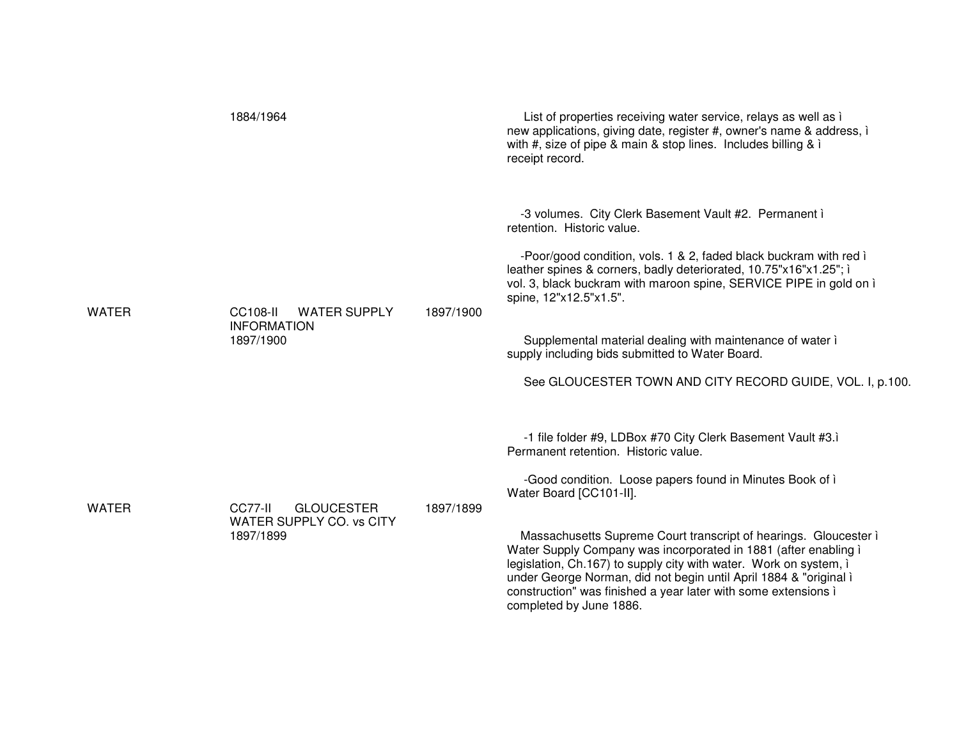|              | 1884/1964                                                                 |           | List of properties receiving water service, relays as well as i<br>new applications, giving date, register #, owner's name & address, i<br>with #, size of pipe & main & stop lines. Includes billing & $\lambda$<br>receipt record.                                                                                                                                                                                                                                                                                                                                     |
|--------------|---------------------------------------------------------------------------|-----------|--------------------------------------------------------------------------------------------------------------------------------------------------------------------------------------------------------------------------------------------------------------------------------------------------------------------------------------------------------------------------------------------------------------------------------------------------------------------------------------------------------------------------------------------------------------------------|
| <b>WATER</b> | <b>WATER SUPPLY</b><br><b>CC108-II</b><br><b>INFORMATION</b><br>1897/1900 | 1897/1900 | -3 volumes. City Clerk Basement Vault #2. Permanent i<br>retention. Historic value.<br>-Poor/good condition, vols. 1 & 2, faded black buckram with red i<br>leather spines & corners, badly deteriorated, 10.75"x16"x1.25"; i<br>vol. 3, black buckram with maroon spine, SERVICE PIPE in gold on i<br>spine, 12"x12.5"x1.5".<br>Supplemental material dealing with maintenance of water i<br>supply including bids submitted to Water Board.<br>See GLOUCESTER TOWN AND CITY RECORD GUIDE, VOL. I, p.100.                                                               |
| <b>WATER</b> | CC77-II<br><b>GLOUCESTER</b><br>WATER SUPPLY CO. vs CITY<br>1897/1899     | 1897/1899 | -1 file folder #9, LDBox #70 City Clerk Basement Vault #3.1<br>Permanent retention. Historic value.<br>-Good condition. Loose papers found in Minutes Book of i<br>Water Board [CC101-II].<br>Massachusetts Supreme Court transcript of hearings. Gloucester i<br>Water Supply Company was incorporated in 1881 (after enabling i<br>legislation, Ch.167) to supply city with water. Work on system, i<br>under George Norman, did not begin until April 1884 & "original i<br>construction" was finished a year later with some extensions i<br>completed by June 1886. |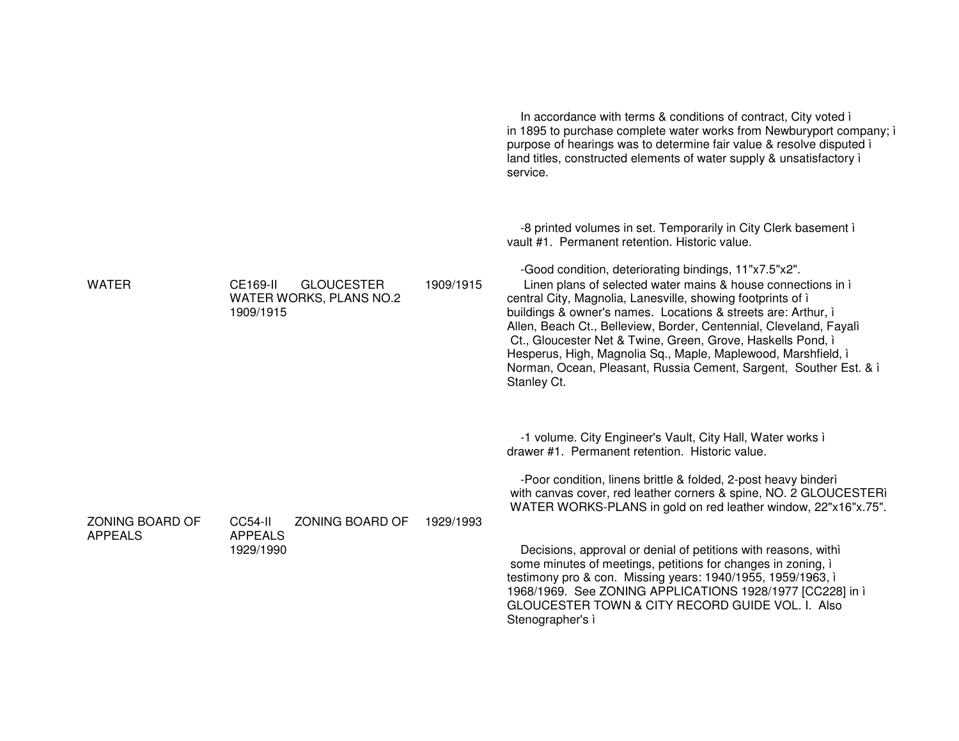|                                   |                                                                       |           | In accordance with terms & conditions of contract, City voted in<br>in 1895 to purchase complete water works from Newburyport company; i<br>purpose of hearings was to determine fair value & resolve disputed i<br>land titles, constructed elements of water supply & unsatisfactory i<br>service.                                                                                                                                                                                                                                                                                                                                                                 |
|-----------------------------------|-----------------------------------------------------------------------|-----------|----------------------------------------------------------------------------------------------------------------------------------------------------------------------------------------------------------------------------------------------------------------------------------------------------------------------------------------------------------------------------------------------------------------------------------------------------------------------------------------------------------------------------------------------------------------------------------------------------------------------------------------------------------------------|
| <b>WATER</b>                      | CE169-II<br><b>GLOUCESTER</b><br>WATER WORKS, PLANS NO.2<br>1909/1915 | 1909/1915 | -8 printed volumes in set. Temporarily in City Clerk basement i<br>vault #1. Permanent retention. Historic value.<br>-Good condition, deteriorating bindings, 11"x7.5"x2".<br>Linen plans of selected water mains & house connections in i<br>central City, Magnolia, Lanesville, showing footprints of i<br>buildings & owner's names. Locations & streets are: Arthur, i<br>Allen, Beach Ct., Belleview, Border, Centennial, Cleveland, Fayalì<br>Ct., Gloucester Net & Twine, Green, Grove, Haskells Pond, i<br>Hesperus, High, Magnolia Sq., Maple, Maplewood, Marshfield, i<br>Norman, Ocean, Pleasant, Russia Cement, Sargent, Souther Est. & i<br>Stanley Ct. |
| ZONING BOARD OF<br><b>APPEALS</b> | ZONING BOARD OF<br>CC54-II<br><b>APPEALS</b><br>1929/1990             | 1929/1993 | -1 volume. City Engineer's Vault, City Hall, Water works i<br>drawer #1. Permanent retention. Historic value.<br>-Poor condition, linens brittle & folded, 2-post heavy binderì<br>with canvas cover, red leather corners & spine, NO. 2 GLOUCESTERI<br>WATER WORKS-PLANS in gold on red leather window, 22"x16"x.75".<br>Decisions, approval or denial of petitions with reasons, with i<br>some minutes of meetings, petitions for changes in zoning, i<br>testimony pro & con. Missing years: 1940/1955, 1959/1963, i<br>1968/1969. See ZONING APPLICATIONS 1928/1977 [CC228] in ì<br>GLOUCESTER TOWN & CITY RECORD GUIDE VOL. I. Also<br>Stenographer's i        |